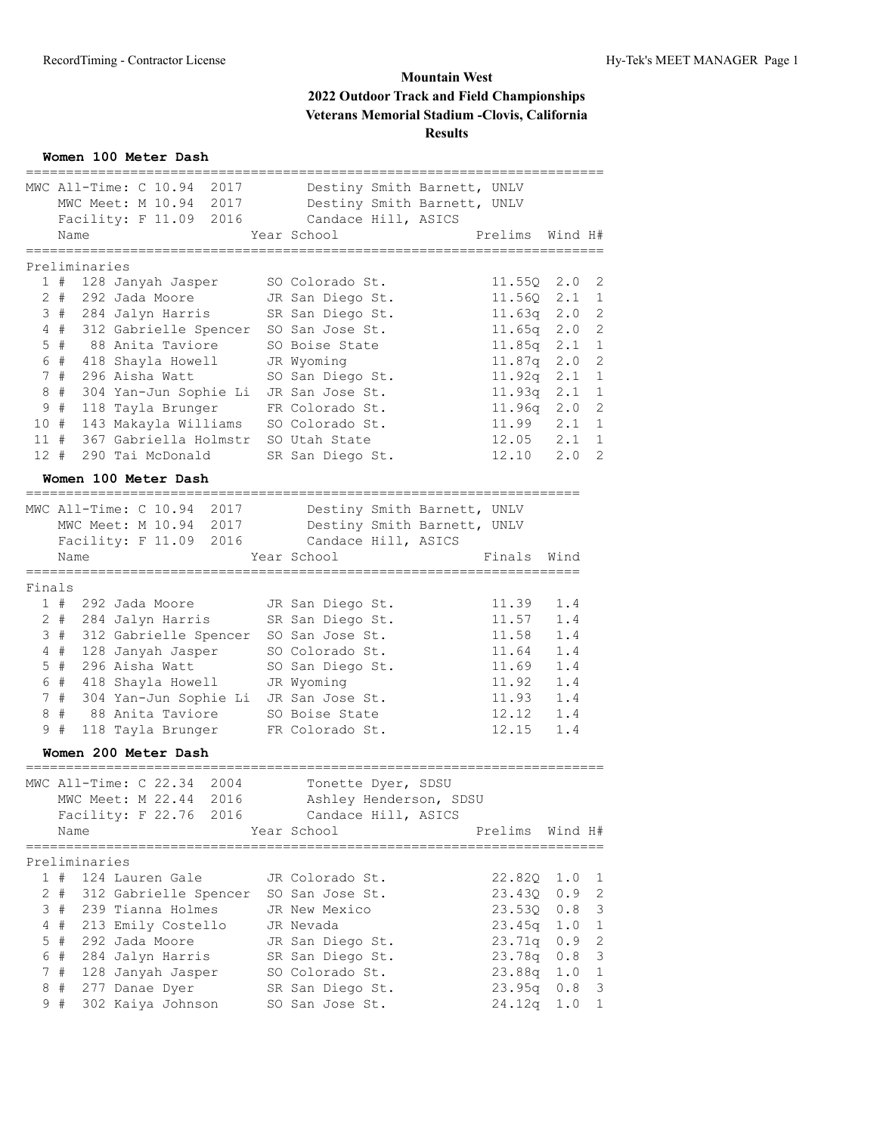**Women 100 Meter Dash**

|        | MWC All-Time: C 10.94 |  |                      | 2017                  |                                       | Destiny Smith Barnett, UNLV |                 |         |              |
|--------|-----------------------|--|----------------------|-----------------------|---------------------------------------|-----------------------------|-----------------|---------|--------------|
|        |                       |  | MWC Meet: M 10.94    | 2017                  |                                       | Destiny Smith Barnett, UNLV |                 |         |              |
|        |                       |  | Facility: F 11.09    | 2016                  | Candace Hill, ASICS                   |                             |                 |         |              |
|        | Name                  |  |                      |                       | Year School                           |                             | Prelims         | Wind H# |              |
|        | ==========            |  |                      |                       |                                       |                             |                 |         |              |
|        | Preliminaries<br>1#   |  | 128 Janyah Jasper    |                       | SO Colorado St.                       |                             | 11.55Q          | 2.0     | 2            |
|        | $2 +$                 |  | 292 Jada Moore       |                       | JR San Diego St.                      |                             | 11.56Q          | 2.1     | 1            |
|        | 3#                    |  | 284 Jalyn Harris     |                       | SR San Diego St.                      |                             | 11.63q          | 2.0     | 2            |
|        | $4$ #                 |  |                      |                       | 312 Gabrielle Spencer SO San Jose St. |                             | 11.65q          | 2.0     | 2            |
|        | $5$ #                 |  | 88 Anita Taviore     |                       | SO Boise State                        |                             | 11.85q          | 2.1     | $\mathbf{1}$ |
|        | 6#                    |  | 418 Shayla Howell    |                       | JR Wyoming                            |                             | 11.87q          | 2.0     | 2            |
|        | 7#                    |  | 296 Aisha Watt       |                       | SO San Diego St.                      |                             | 11.92q          | 2.1     | 1            |
| 8      | #                     |  |                      |                       | 304 Yan-Jun Sophie Li JR San Jose St. |                             | 11.93q          | 2.1     | 1            |
| 9      | $\#$                  |  | 118 Tayla Brunger    |                       | FR Colorado St.                       |                             | 11.96q          | 2.0     | 2            |
| 10#    |                       |  |                      | 143 Makayla Williams  | SO Colorado St.                       |                             | 11.99           | 2.1     | $\mathbf{1}$ |
| 11#    |                       |  |                      | 367 Gabriella Holmstr | SO Utah State                         |                             | 12.05           | 2.1     | $\mathbf{1}$ |
| 12#    |                       |  | 290 Tai McDonald     |                       | SR San Diego St.                      |                             | 12.10           | 2.0     | 2            |
|        |                       |  |                      |                       |                                       |                             |                 |         |              |
|        |                       |  | Women 100 Meter Dash |                       |                                       |                             |                 |         |              |
|        | MWC All-Time: C 10.94 |  |                      | 2017                  |                                       | Destiny Smith Barnett, UNLV |                 |         |              |
|        |                       |  | MWC Meet: M 10.94    | 2017                  |                                       | Destiny Smith Barnett, UNLV |                 |         |              |
|        |                       |  | Facility: F 11.09    | 2016                  | Candace Hill, ASICS                   |                             |                 |         |              |
|        | Name                  |  |                      |                       | Year School                           |                             | Finals Wind     |         |              |
|        |                       |  |                      |                       |                                       |                             |                 |         |              |
| Finals |                       |  |                      |                       |                                       |                             |                 |         |              |
|        | 1#                    |  | 292 Jada Moore       |                       | JR San Diego St.                      |                             | 11.39           | 1.4     |              |
|        | 2#                    |  | 284 Jalyn Harris     |                       | SR San Diego St.                      |                             | 11.57           | 1.4     |              |
|        | 3#                    |  |                      |                       | 312 Gabrielle Spencer SO San Jose St. |                             | 11.58           | 1.4     |              |
|        | 4#                    |  | 128 Janyah Jasper    |                       | SO Colorado St.                       |                             | 11.64           | 1.4     |              |
| 5      | #                     |  | 296 Aisha Watt       |                       | SO San Diego St.                      |                             | 11.69           | 1.4     |              |
| 6      | #                     |  | 418 Shayla Howell    |                       | JR Wyoming                            |                             | 11.92           | 1.4     |              |
|        | 7#                    |  |                      | 304 Yan-Jun Sophie Li | JR San Jose St.                       |                             | 11.93           | 1.4     |              |
| 8      | #                     |  | 88 Anita Taviore     |                       | SO Boise State                        |                             | 12.12           | 1.4     |              |
|        | 9#                    |  | 118 Tayla Brunger    |                       | FR Colorado St.                       |                             | 12.15           | 1.4     |              |
|        |                       |  | Women 200 Meter Dash |                       |                                       |                             |                 |         |              |
|        |                       |  |                      |                       |                                       |                             |                 |         |              |
|        | MWC All-Time: C 22.34 |  |                      | 2004                  | Tonette Dyer, SDSU                    |                             |                 |         |              |
|        | MWC Meet: M 22.44     |  |                      | 2016                  |                                       | Ashley Henderson, SDSU      |                 |         |              |
|        |                       |  | Facility: F 22.76    | 2016                  | Candace Hill, ASICS                   |                             |                 |         |              |
|        | Name                  |  |                      |                       | Year School                           |                             | Prelims Wind H# |         |              |
|        | Preliminaries         |  |                      |                       |                                       |                             |                 |         |              |
|        | 1#                    |  | 124 Lauren Gale      |                       | JR Colorado St.                       |                             | 22.820          | 1.0     | ı            |
|        | $2 +$                 |  |                      | 312 Gabrielle Spencer | SO San Jose St.                       |                             | 23.43Q          | 0.9     | 2            |
|        | 3#                    |  | 239 Tianna Holmes    |                       | JR New Mexico                         |                             | 23.530          | 0.8     | 3            |
|        | 4#                    |  | 213 Emily Costello   |                       | JR Nevada                             |                             | 23.45q          | 1.0     | 1            |
| 5      | #                     |  | 292 Jada Moore       |                       | JR San Diego St.                      |                             | 23.71q          | 0.9     | 2            |
| 6      | $\#$                  |  | 284 Jalyn Harris     |                       | SR San Diego St.                      |                             | 23.78q          | 0.8     | 3            |
| 7      | #                     |  | 128 Janyah Jasper    |                       | SO Colorado St.                       |                             | 23.88q          | 1.0     | 1            |
| 8      | #                     |  | 277 Danae Dyer       |                       | SR San Diego St.                      |                             | 23.95q          | 0.8     | 3            |
|        |                       |  |                      |                       |                                       |                             |                 |         |              |
|        | 9#                    |  | 302 Kaiya Johnson    |                       | SO San Jose St.                       |                             | 24.12q          | 1.0     | 1            |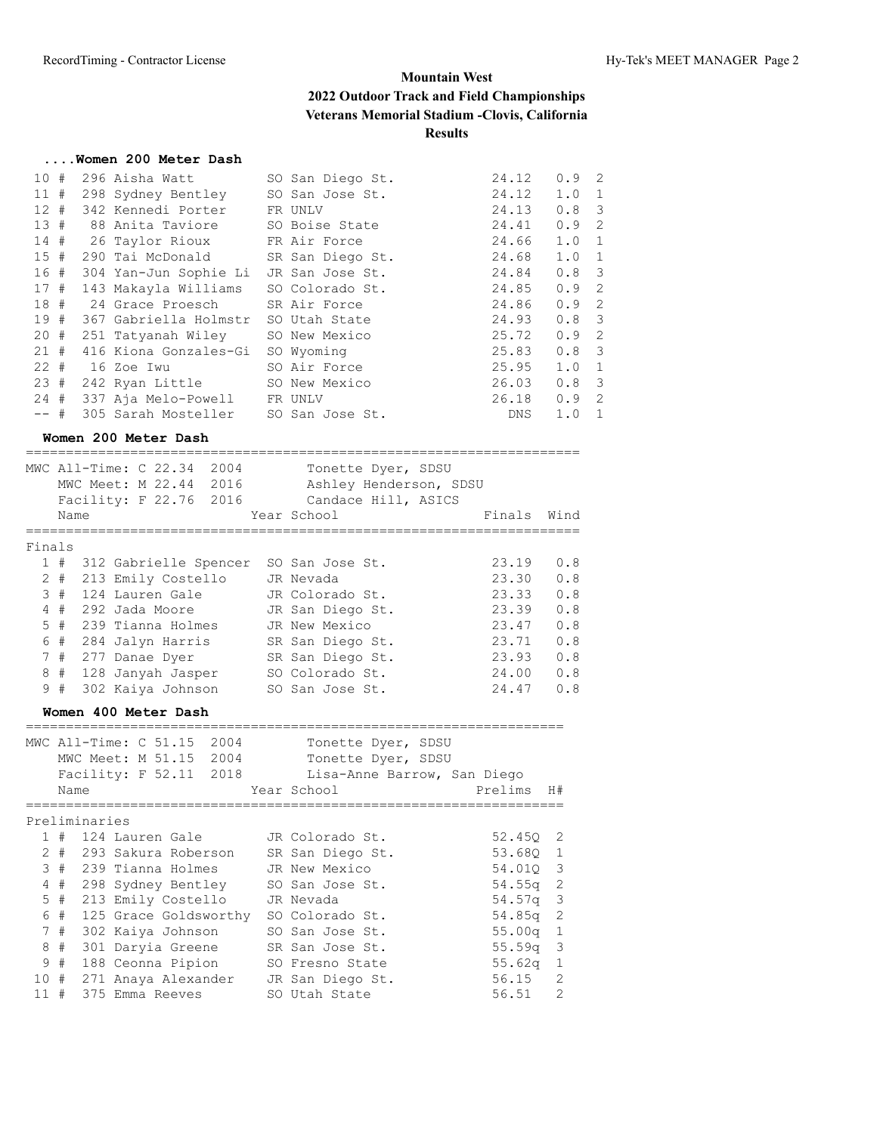#### **....Women 200 Meter Dash**

| 10#    |     | 296 Aisha Watt                           | SO San Diego St. | 24.12 | $0.9 \quad 2$    |    |
|--------|-----|------------------------------------------|------------------|-------|------------------|----|
|        |     | 11 # 298 Sydney Bentley SO San Jose St.  |                  | 24.12 | $1.0 \quad 1$    |    |
|        |     | 12 # 342 Kennedi Porter FR UNLV          |                  | 24.13 | $0.8 \quad 3$    |    |
|        |     | 13 # 88 Anita Taviore 50 Boise State     |                  | 24.41 | 0.9              | -2 |
|        |     | 14 # 26 Taylor Rioux FR Air Force        |                  | 24.66 | $1.0 \quad 1$    |    |
|        |     | 15 # 290 Tai McDonald SR San Diego St.   |                  | 24.68 | $1.0 \quad 1$    |    |
|        |     | 16 # 304 Yan-Jun Sophie Li               | JR San Jose St.  | 24.84 | $0.8 \quad 3$    |    |
|        |     | 17 # 143 Makayla Williams                | SO Colorado St.  | 24.85 | $0.9 \quad 2$    |    |
|        |     | 18 # 24 Grace Proesch SR Air Force       |                  | 24.86 | $0.9 \quad 2$    |    |
|        |     | 19 # 367 Gabriella Holmstr SO Utah State |                  | 24.93 | 0.8 <sup>3</sup> |    |
|        |     | 20 # 251 Tatyanah Wiley SO New Mexico    |                  | 25.72 | $0.9 \quad 2$    |    |
|        | 21# | 416 Kiona Gonzales-Gi                    | SO Wyoming       | 25.83 | $0.8 \quad 3$    |    |
|        |     | 22 # 16 Zoe Iwu                          | SO Air Force     | 25.95 | $1.0 \quad 1$    |    |
|        |     | 23 # 242 Ryan Little SO New Mexico       |                  | 26.03 | $0.8 \quad 3$    |    |
|        |     | 24 # 337 Aja Melo-Powell FR UNLV         |                  | 26.18 | 0.9              | -2 |
| $--$ # |     | 305 Sarah Mosteller SO San Jose St.      |                  | DNS   | 1.0              | 1  |
|        |     |                                          |                  |       |                  |    |

#### **Women 200 Meter Dash**

|                |       | MWC All-Time: C 22.34<br>2004<br>MWC Meet: M 22.44 2016<br>Facility: F 22.76 2016 | Tonette Dyer, SDSU<br>Ashley Henderson, SDSU<br>Candace Hill, ASICS |        |      |
|----------------|-------|-----------------------------------------------------------------------------------|---------------------------------------------------------------------|--------|------|
|                | Name  |                                                                                   | Year School                                                         | Finals | Wind |
|                |       |                                                                                   |                                                                     |        |      |
| Finals         |       |                                                                                   |                                                                     |        |      |
|                | 1#    | 312 Gabrielle Spencer                                                             | SO San Jose St.                                                     | 23.19  | 0.8  |
|                | $2 +$ | 213 Emily Costello                                                                | JR Nevada                                                           | 23.30  | 0.8  |
|                | 3#    | 124 Lauren Gale                                                                   | JR Colorado St.                                                     | 23.33  | 0.8  |
|                | 4#    | 292 Jada Moore                                                                    | JR San Diego St.                                                    | 23.39  | 0.8  |
| 5 <sup>1</sup> | #     | 239 Tianna Holmes                                                                 | JR New Mexico                                                       | 23.47  | 0.8  |
| 6              | #     | 284 Jalyn Harris                                                                  | SR San Diego St.                                                    | 23.71  | 0.8  |
|                | 7#    | 277 Danae Dyer                                                                    | SR San Diego St.                                                    | 23.93  | 0.8  |
| 8              | #     | 128 Janyah Jasper                                                                 | SO Colorado St.                                                     | 24.00  | 0.8  |
| 9              | #     | 302 Kaiya Johnson                                                                 | SO San Jose St.                                                     | 24.47  | 0.8  |

#### **Women 400 Meter Dash**

|     |       |               | MWC All-Time: C 51.15<br>2004<br>MWC Meet: M 51.15 2004<br>Facility: F 52.11 2018 | Tonette Dyer, SDSU<br>Tonette Dyer, SDSU<br>Lisa-Anne Barrow, San Diego |                    |                |
|-----|-------|---------------|-----------------------------------------------------------------------------------|-------------------------------------------------------------------------|--------------------|----------------|
|     | Name  |               |                                                                                   | Year School                                                             | Prelims            | H#             |
|     |       |               |                                                                                   |                                                                         |                    |                |
|     |       | Preliminaries |                                                                                   |                                                                         |                    |                |
|     | #     |               | 124 Lauren Gale                                                                   | JR Colorado St.                                                         | 52.450 2           |                |
|     | $2 +$ |               | 293 Sakura Roberson                                                               | SR San Diego St.                                                        | 53.680 1           |                |
| 3   |       |               | # 239 Tianna Holmes                                                               | JR New Mexico                                                           | 54.010 3           |                |
| 4   | #     |               | 298 Sydney Bentley                                                                | SO San Jose St.                                                         | $54.55q$ 2         |                |
|     | 5#    |               | 213 Emily Costello                                                                | JR Nevada                                                               | $54.57q$ 3         |                |
|     | 6#    |               | 125 Grace Goldsworthy                                                             | SO Colorado St.                                                         | 54.85 <sub>q</sub> | $\overline{2}$ |
|     | 7#    |               | 302 Kaiya Johnson                                                                 | SO San Jose St.                                                         | 55.00 <sub>q</sub> | 1              |
| 8   | #     |               | 301 Daryia Greene                                                                 | SR San Jose St.                                                         | 55.59 <sub>q</sub> | - 3            |
| 9   | #     |               | 188 Ceonna Pipion                                                                 | SO Fresno State                                                         | 55.62 <sub>q</sub> | $\mathbf{1}$   |
| 10# |       |               | 271 Anaya Alexander                                                               | JR San Diego St.                                                        | 56.15              | $\mathcal{L}$  |
|     | #     |               | 375 Emma Reeves                                                                   | SO Utah State                                                           | 56.51              | 2              |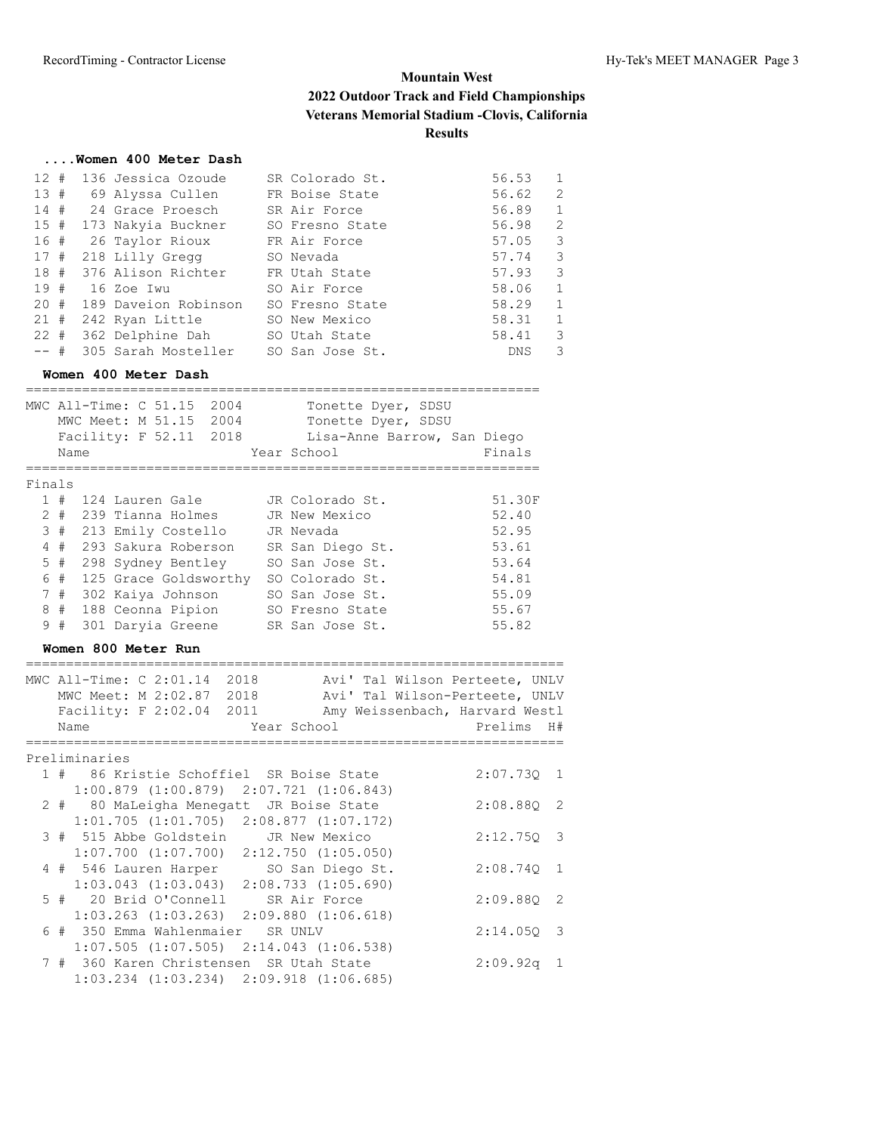#### **....Women 400 Meter Dash**

|         |  | 12 # 136 Jessica Ozoude               | SR Colorado St. | 56.53     | $\mathbf{1}$            |
|---------|--|---------------------------------------|-----------------|-----------|-------------------------|
|         |  | 13 # 69 Alyssa Cullen FR Boise State  |                 | 56.62     | 2                       |
|         |  | 14 # 24 Grace Proesch                 | SR Air Force    | 56.89     | $\overline{1}$          |
|         |  | 15 # 173 Nakyia Buckner               | SO Fresno State | 56.98     | $\overline{2}$          |
|         |  | 16 # 26 Taylor Rioux                  | FR Air Force    | $57.05$ 3 |                         |
|         |  | 17 # 218 Lilly Gregg SO Nevada        |                 | 57.74     | $\overline{\mathbf{3}}$ |
|         |  | 18 # 376 Alison Richter FR Utah State |                 | 57.93     | -3                      |
|         |  | 19 # 16 Zoe Iwu                       | SO Air Force    | 58.06     | 1                       |
|         |  | 20 # 189 Daveion Robinson             | SO Fresno State | 58.29     | 1                       |
|         |  | 21 # 242 Ryan Little                  | SO New Mexico   | 58.31     | $\overline{1}$          |
|         |  | 22 # 362 Delphine Dah SO Utah State   |                 | 58.41     | -3                      |
| $---$ # |  | 305 Sarah Mosteller                   | SO San Jose St. | DNS       | 3                       |

#### **Women 400 Meter Dash**

|        | Name  | MWC All-Time: C 51.15<br>2004<br>2004<br>MWC Meet: M 51.15<br>Facility: F 52.11 2018 | Tonette Dyer, SDSU<br>Tonette Dyer, SDSU<br>Lisa-Anne Barrow, San Diego<br>Year School | Finals |
|--------|-------|--------------------------------------------------------------------------------------|----------------------------------------------------------------------------------------|--------|
|        |       |                                                                                      |                                                                                        |        |
|        |       |                                                                                      |                                                                                        |        |
| Finals |       |                                                                                      |                                                                                        |        |
|        | 1#    | 124 Lauren Gale                                                                      | JR Colorado St.                                                                        | 51.30F |
|        | $2 +$ | 239 Tianna Holmes                                                                    | JR New Mexico                                                                          | 52.40  |
|        | 3#    | 213 Emily Costello                                                                   | JR Nevada                                                                              | 52.95  |
|        | 4#    | 293 Sakura Roberson                                                                  | SR San Diego St.                                                                       | 53.61  |
|        | $5$ # | 298 Sydney Bentley                                                                   | SO San Jose St.                                                                        | 53.64  |
| 6      | #     | 125 Grace Goldsworthy                                                                | SO Colorado St.                                                                        | 54.81  |
|        | 7#    | 302 Kaiya Johnson                                                                    | SO San Jose St.                                                                        | 55.09  |
| 8      | #     | 188 Ceonna Pipion                                                                    | SO Fresno State                                                                        | 55.67  |
| 9      | #     | 301 Daryia Greene                                                                    | SR San Jose St.                                                                        | 55.82  |

#### **Women 800 Meter Run**

|  | MWC All-Time: C 2:01.14 2018                    |             |  | Avi' Tal Wilson Perteete, UNLV |  |
|--|-------------------------------------------------|-------------|--|--------------------------------|--|
|  | MWC Meet: M 2:02.87 2018                        |             |  | Avi' Tal Wilson-Perteete, UNLV |  |
|  | Facility: F 2:02.04 2011                        |             |  | Amy Weissenbach, Harvard Westl |  |
|  | Name                                            | Year School |  | Prelims H#                     |  |
|  |                                                 |             |  |                                |  |
|  | Preliminaries                                   |             |  |                                |  |
|  | 1 # 86 Kristie Schoffiel SR Boise State         |             |  | 2:07.730 1                     |  |
|  | $1:00.879$ $(1:00.879)$ $2:07.721$ $(1:06.843)$ |             |  |                                |  |
|  | 2 # 80 MaLeigha Menegatt JR Boise State         |             |  | 2:08.880 2                     |  |
|  | $1:01.705$ $(1:01.705)$ $2:08.877$ $(1:07.172)$ |             |  |                                |  |
|  | 3 # 515 Abbe Goldstein JR New Mexico            |             |  | 2:12.750 3                     |  |
|  | $1:07.700$ $(1:07.700)$ $2:12.750$ $(1:05.050)$ |             |  |                                |  |
|  | 4 # 546 Lauren Harper SO San Diego St.          |             |  | 2:08.740 1                     |  |
|  | $1:03.043$ $(1:03.043)$ $2:08.733$ $(1:05.690)$ |             |  |                                |  |
|  | 5 # 20 Brid O'Connell SR Air Force              |             |  | 2:09.880 2                     |  |
|  | $1:03.263$ $(1:03.263)$ $2:09.880$ $(1:06.618)$ |             |  |                                |  |
|  | 6 # 350 Emma Wahlenmaier SR UNLV                |             |  | $2:14.050$ 3                   |  |
|  | $1:07.505$ $(1:07.505)$ $2:14.043$ $(1:06.538)$ |             |  |                                |  |
|  | 7 # 360 Karen Christensen SR Utah State         |             |  | $2:09.92q$ 1                   |  |
|  | $1:03.234$ $(1:03.234)$ $2:09.918$ $(1:06.685)$ |             |  |                                |  |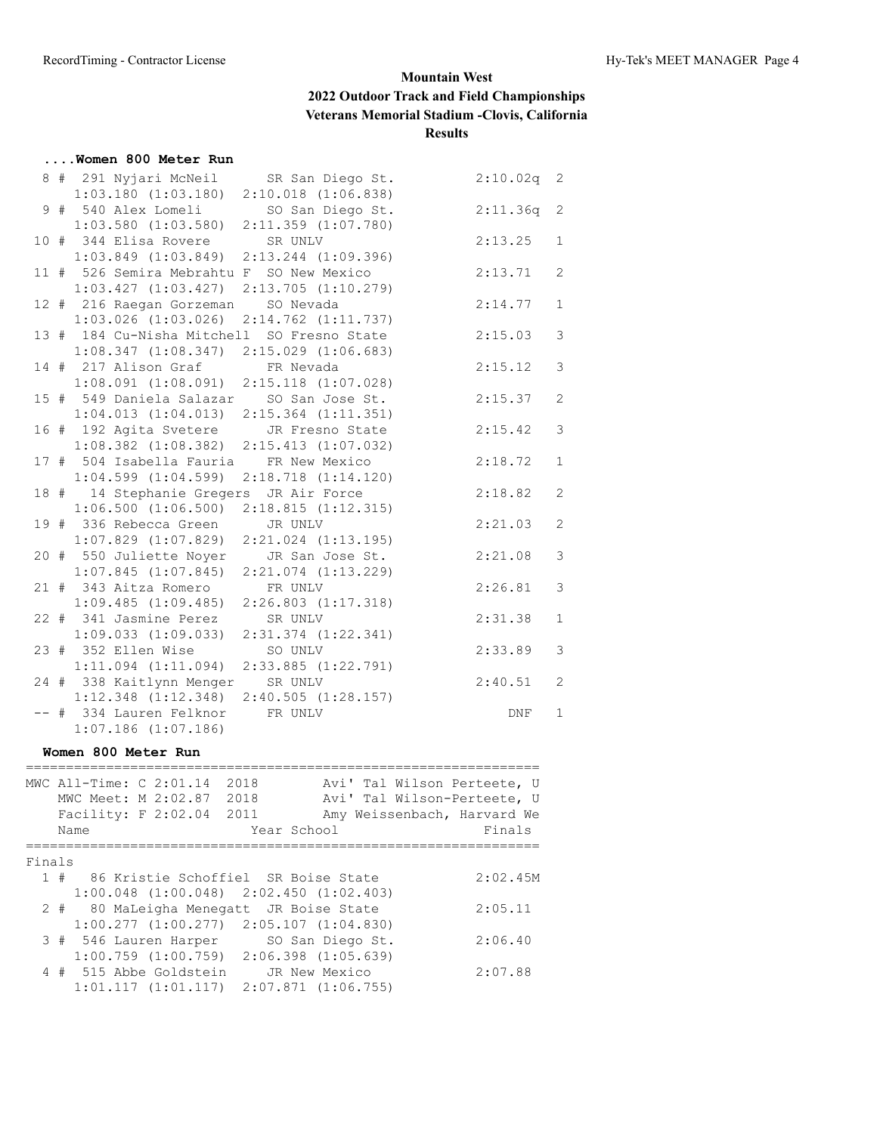#### **....Women 800 Meter Run**

|  | 8 # 291 Nyjari McNeil SR San Diego St.          |                         | 2:10.02q | $\overline{2}$ |
|--|-------------------------------------------------|-------------------------|----------|----------------|
|  | $1:03.180$ $(1:03.180)$ $2:10.018$ $(1:06.838)$ |                         |          |                |
|  | 9 # 540 Alex Lomeli SO San Diego St.            |                         | 2:11.36q | 2              |
|  | $1:03.580$ $(1:03.580)$ $2:11.359$ $(1:07.780)$ |                         |          |                |
|  | 10 # 344 Elisa Rovere SR UNLV                   |                         | 2:13.25  | $\mathbf{1}$   |
|  | $1:03.849$ $(1:03.849)$ $2:13.244$ $(1:09.396)$ |                         |          |                |
|  | 11 # 526 Semira Mebrahtu F SO New Mexico        |                         | 2:13.71  | 2              |
|  | $1:03.427$ $(1:03.427)$ $2:13.705$ $(1:10.279)$ |                         |          |                |
|  | 12 # 216 Raegan Gorzeman SO Nevada              |                         | 2:14.77  | $\mathbf{1}$   |
|  | $1:03.026$ $(1:03.026)$                         | $2:14.762$ $(1:11.737)$ |          |                |
|  | 13 # 184 Cu-Nisha Mitchell SO Fresno State      |                         | 2:15.03  | $\mathfrak{Z}$ |
|  | $1:08.347$ $(1:08.347)$ $2:15.029$ $(1:06.683)$ |                         |          |                |
|  | 14 # 217 Alison Graf FR Nevada                  |                         | 2:15.12  | 3              |
|  | $1:08.091$ (1:08.091) 2:15.118 (1:07.028)       |                         |          |                |
|  | 15 # 549 Daniela Salazar SO San Jose St.        |                         | 2:15.37  | 2              |
|  | $1:04.013$ $(1:04.013)$ $2:15.364$ $(1:11.351)$ |                         |          |                |
|  | 16 # 192 Agita Svetere JR Fresno State          |                         | 2:15.42  | 3              |
|  | $1:08.382$ $(1:08.382)$                         | $2:15.413$ $(1:07.032)$ |          |                |
|  | 17 # 504 Isabella Fauria FR New Mexico          |                         | 2:18.72  | $\mathbf{1}$   |
|  | $1:04.599$ $(1:04.599)$                         | $2:18.718$ $(1:14.120)$ |          |                |
|  | 18 # 14 Stephanie Gregers JR Air Force          |                         | 2:18.82  | $\mathbf{2}$   |
|  | $1:06.500$ $(1:06.500)$                         | 2:18.815(1:12.315)      |          |                |
|  | 19 # 336 Rebecca Green                          | JR UNLV                 | 2:21.03  | 2              |
|  | $1:07.829$ $(1:07.829)$                         | $2:21.024$ $(1:13.195)$ |          |                |
|  | 20 # 550 Juliette Noyer JR San Jose St.         |                         | 2:21.08  | 3              |
|  | $1:07.845$ $(1:07.845)$                         | $2:21.074$ $(1:13.229)$ |          |                |
|  | 21 # 343 Aitza Romero                           | FR UNLV                 | 2:26.81  | 3              |
|  | 1:09.485(1:09.485)                              | $2:26.803$ $(1:17.318)$ |          |                |
|  | 22 # 341 Jasmine Perez                          | SR UNLV                 | 2:31.38  | $\mathbf{1}$   |
|  | $1:09.033$ $(1:09.033)$                         | $2:31.374$ $(1:22.341)$ |          |                |
|  | 23 # 352 Ellen Wise                             | SO UNLV                 | 2:33.89  | 3              |
|  | $1:11.094$ $(1:11.094)$                         | $2:33.885$ $(1:22.791)$ |          |                |
|  | 24 # 338 Kaitlynn Menger                        | SR UNLV                 | 2:40.51  | 2              |
|  | $1:12.348$ $(1:12.348)$                         | 2:40.505(1:28.157)      |          |                |
|  | -- # 334 Lauren Felknor                         | FR UNLV                 | DNF      | $\mathbf{1}$   |
|  | $1:07.186$ $(1:07.186)$                         |                         |          |                |

#### **Women 800 Meter Run**

|        | MWC All-Time: C 2:01.14<br>MWC Meet: M 2:02.87<br>Facility: F 2:02.04<br>Name |                                                 | 2018<br>2018<br>2011 | Year School         |  | Avi' Tal Wilson Perteete, U<br>Avi' Tal Wilson-Perteete, U<br>Amy Weissenbach, Harvard We<br>Finals |
|--------|-------------------------------------------------------------------------------|-------------------------------------------------|----------------------|---------------------|--|-----------------------------------------------------------------------------------------------------|
|        |                                                                               |                                                 |                      |                     |  |                                                                                                     |
| Finals |                                                                               |                                                 |                      |                     |  |                                                                                                     |
|        |                                                                               | 1 # 86 Kristie Schoffiel SR Boise State         |                      |                     |  | 2:02.45M                                                                                            |
|        |                                                                               | $1:00.048$ $(1:00.048)$ $2:02.450$ $(1:02.403)$ |                      |                     |  |                                                                                                     |
|        |                                                                               | 2 # 80 MaLeigha Menegatt JR Boise State         |                      |                     |  | 2:05.11                                                                                             |
|        |                                                                               | $1:00.277$ $(1:00.277)$ $2:05.107$ $(1:04.830)$ |                      |                     |  |                                                                                                     |
|        |                                                                               | 3 # 546 Lauren Harper                           |                      | SO San Diego St.    |  | 2:06.40                                                                                             |
|        |                                                                               | $1:00.759$ $(1:00.759)$ $2:06.398$ $(1:05.639)$ |                      |                     |  |                                                                                                     |
|        |                                                                               | 4 # 515 Abbe Goldstein                          |                      | JR New Mexico       |  | 2:07.88                                                                                             |
|        |                                                                               | 1:01.117(1:01.117)                              |                      | 2:07.871 (1:06.755) |  |                                                                                                     |
|        |                                                                               |                                                 |                      |                     |  |                                                                                                     |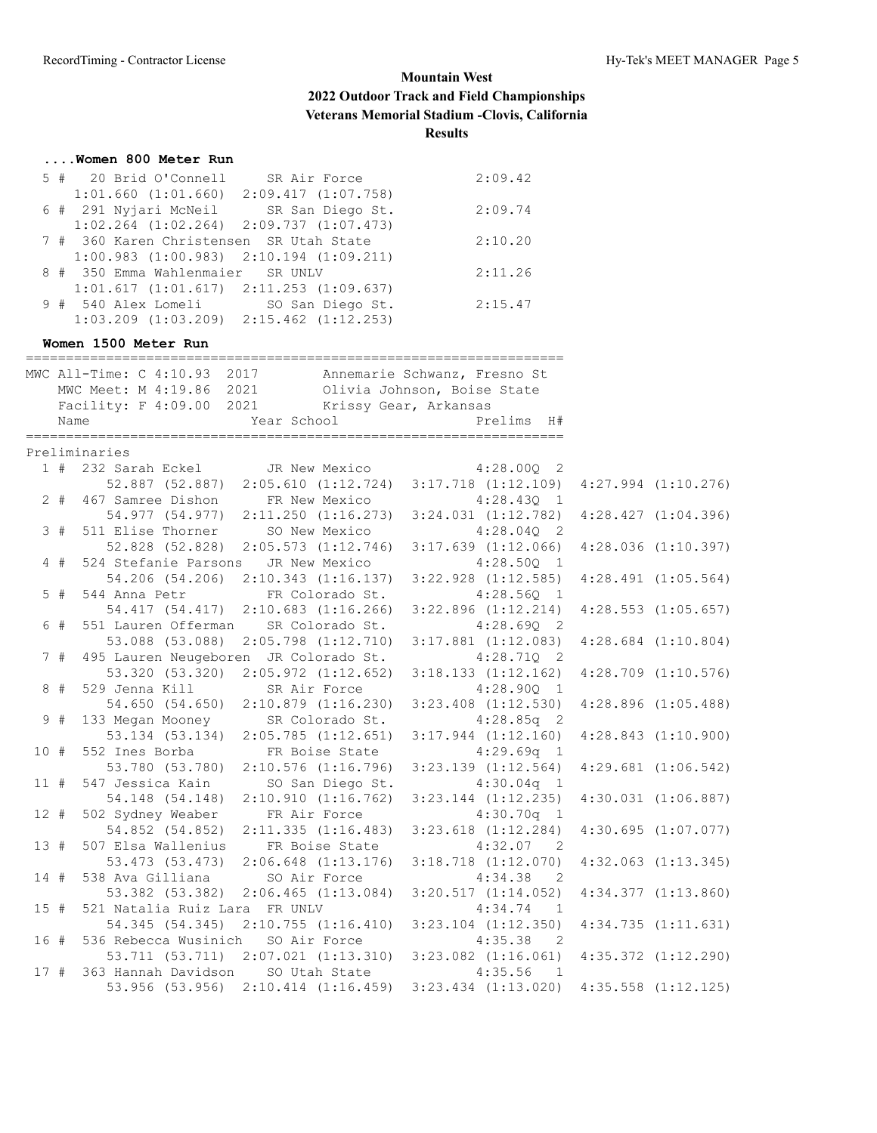#### **....Women 800 Meter Run**

|  | 5 # 20 Brid O'Connell                           | SR Air Force | 2:09.42 |
|--|-------------------------------------------------|--------------|---------|
|  | $1:01.660$ $(1:01.660)$ $2:09.417$ $(1:07.758)$ |              |         |
|  | 6 # 291 Nyjari McNeil SR San Diego St.          |              | 2:09.74 |
|  | $1:02.264$ $(1:02.264)$ $2:09.737$ $(1:07.473)$ |              |         |
|  | 7 # 360 Karen Christensen SR Utah State         |              | 2:10.20 |
|  | $1:00.983$ $(1:00.983)$ $2:10.194$ $(1:09.211)$ |              |         |
|  | 8 # 350 Emma Wahlenmaier SR UNLV                |              | 2:11.26 |
|  | $1:01.617$ $(1:01.617)$ $2:11.253$ $(1:09.637)$ |              |         |
|  | 9 # 540 Alex Lomeli SO San Diego St.            |              | 2:15.47 |
|  | $1:03.209$ $(1:03.209)$ $2:15.462$ $(1:12.253)$ |              |         |
|  |                                                 |              |         |

#### **Women 1500 Meter Run**

| MWC All-Time: C 4:10.93 2017 Annemarie Schwanz, Fresno St<br>MWC Meet: M 4:19.86 2021<br>Olivia Johnson, Boise State<br>Facility: F 4:09.00 2021<br>Krissy Gear, Arkansas<br>Year School<br>Prelims H#<br>Name<br>Preliminaries<br>1 # 232 Sarah Eckel JR New Mexico<br>$4:28.00Q$ 2<br>52.887 (52.887) 2:05.610 (1:12.724)<br>$3:17.718$ $(1:12.109)$<br>2 # 467 Samree Dishon FR New Mexico<br>$4:28.43Q$ 1<br>54.977 (54.977) 2:11.250 (1:16.273)<br>$3:24.031$ $(1:12.782)$<br>$4:28.427$ $(1:04.396)$<br>511 Elise Thorner SO New Mexico<br>3#<br>$4:28.04Q$ 2<br>52.828 (52.828) 2:05.573 (1:12.746)<br>$3:17.639$ $(1:12.066)$<br>$4:28.036$ $(1:10.397)$<br>$4$ #<br>524 Stefanie Parsons JR New Mexico<br>$4:28.50Q$ 1<br>54.206 (54.206) 2:10.343 (1:16.137)<br>$3:22.928$ $(1:12.585)$<br>$4:28.491$ $(1:05.564)$<br>$5$ #<br>544 Anna Petr<br>FR Colorado St.<br>$4:28.56Q$ 1<br>54.417 (54.417) 2:10.683 (1:16.266)<br>$3:22.896$ $(1:12.214)$<br>$4:28.553$ $(1:05.657)$<br>6 #<br>551 Lauren Offerman SR Colorado St.<br>$4:28.69Q$ 2<br>53.088 (53.088)<br>$2:05.798$ $(1:12.710)$<br>$3:17.881$ $(1:12.083)$<br>$4:28.684$ $(1:10.804)$<br>495 Lauren Neugeboren JR Colorado St.<br>$4:28.710$ 2<br>7#<br>53.320 (53.320)<br>$2:05.972$ $(1:12.652)$<br>$3:18.133$ $(1:12.162)$<br>$4:28.709$ $(1:10.576)$<br>$8 +$<br>529 Jenna Kill SR Air Force<br>$4:28.90Q$ 1<br>54.650 (54.650) 2:10.879 (1:16.230)<br>$3:23.408$ $(1:12.530)$<br>$4:28.896$ $(1:05.488)$<br>133 Megan Mooney SR Colorado St.<br>9#<br>$4:28.85q$ 2<br>53.134 (53.134) 2:05.785 (1:12.651)<br>$3:17.944$ $(1:12.160)$<br>$4:28.843$ $(1:10.900)$<br>10#<br>552 Ines Borba FR Boise State 4:29.69q 1<br>53.780 (53.780) 2:10.576 (1:16.796) 3:23.139 (1:12.564)<br>$4:29.681$ $(1:06.542)$<br>11#<br>547 Jessica Kain<br>SO San Diego St.<br>$4:30.04q$ 1<br>54.148 (54.148)<br>2:10.910(1:16.762)<br>$3:23.144$ $(1:12.235)$<br>$4:30.031$ $(1:06.887)$<br>502 Sydney Weaber FR Air Force<br>$12 +$<br>$4:30.70q$ 1<br>54.852 (54.852)<br>$4:30.695$ $(1:07.077)$<br>2:11.335(1:16.483)<br>$3:23.618$ $(1:12.284)$<br>507 Elsa Wallenius<br>$4:32.07$ 2<br>13#<br>FR Boise State<br>53.473 (53.473)<br>$2:06.648$ $(1:13.176)$<br>$4:32.063$ $(1:13.345)$<br>$3:18.718$ $(1:12.070)$<br>538 Ava Gilliana SO Air Force<br>$4:34.38$ 2<br>14#<br>53.382 (53.382) 2:06.465 (1:13.084)<br>3:20.517(1:14.052)<br>$4:34.377$ $(1:13.860)$<br>521 Natalia Ruiz Lara FR UNLV<br>$4:34.74$ 1<br>15#<br>54.345 (54.345) 2:10.755 (1:16.410) 3:23.104 (1:12.350)<br>536 Rebecca Wusinich SO Air Force<br>16 #<br>4:35.38<br>$\overline{2}$<br>53.711 (53.711) 2:07.021 (1:13.310) 3:23.082 (1:16.061)<br>17#<br>363 Hannah Davidson SO Utah State<br>4:35.56<br>$\overline{1}$<br>53.956 (53.956) 2:10.414 (1:16.459) 3:23.434 (1:13.020) 4:35.558 (1:12.125) |  |  |                         |
|-------------------------------------------------------------------------------------------------------------------------------------------------------------------------------------------------------------------------------------------------------------------------------------------------------------------------------------------------------------------------------------------------------------------------------------------------------------------------------------------------------------------------------------------------------------------------------------------------------------------------------------------------------------------------------------------------------------------------------------------------------------------------------------------------------------------------------------------------------------------------------------------------------------------------------------------------------------------------------------------------------------------------------------------------------------------------------------------------------------------------------------------------------------------------------------------------------------------------------------------------------------------------------------------------------------------------------------------------------------------------------------------------------------------------------------------------------------------------------------------------------------------------------------------------------------------------------------------------------------------------------------------------------------------------------------------------------------------------------------------------------------------------------------------------------------------------------------------------------------------------------------------------------------------------------------------------------------------------------------------------------------------------------------------------------------------------------------------------------------------------------------------------------------------------------------------------------------------------------------------------------------------------------------------------------------------------------------------------------------------------------------------------------------------------------------------------------------------------------------------------------------------------------------------------------------------------------------------------------------------------------------------------------------------------------------------------------------------------------------------------------------------------------------------------------------------------------------------|--|--|-------------------------|
|                                                                                                                                                                                                                                                                                                                                                                                                                                                                                                                                                                                                                                                                                                                                                                                                                                                                                                                                                                                                                                                                                                                                                                                                                                                                                                                                                                                                                                                                                                                                                                                                                                                                                                                                                                                                                                                                                                                                                                                                                                                                                                                                                                                                                                                                                                                                                                                                                                                                                                                                                                                                                                                                                                                                                                                                                                           |  |  |                         |
|                                                                                                                                                                                                                                                                                                                                                                                                                                                                                                                                                                                                                                                                                                                                                                                                                                                                                                                                                                                                                                                                                                                                                                                                                                                                                                                                                                                                                                                                                                                                                                                                                                                                                                                                                                                                                                                                                                                                                                                                                                                                                                                                                                                                                                                                                                                                                                                                                                                                                                                                                                                                                                                                                                                                                                                                                                           |  |  |                         |
|                                                                                                                                                                                                                                                                                                                                                                                                                                                                                                                                                                                                                                                                                                                                                                                                                                                                                                                                                                                                                                                                                                                                                                                                                                                                                                                                                                                                                                                                                                                                                                                                                                                                                                                                                                                                                                                                                                                                                                                                                                                                                                                                                                                                                                                                                                                                                                                                                                                                                                                                                                                                                                                                                                                                                                                                                                           |  |  |                         |
|                                                                                                                                                                                                                                                                                                                                                                                                                                                                                                                                                                                                                                                                                                                                                                                                                                                                                                                                                                                                                                                                                                                                                                                                                                                                                                                                                                                                                                                                                                                                                                                                                                                                                                                                                                                                                                                                                                                                                                                                                                                                                                                                                                                                                                                                                                                                                                                                                                                                                                                                                                                                                                                                                                                                                                                                                                           |  |  |                         |
|                                                                                                                                                                                                                                                                                                                                                                                                                                                                                                                                                                                                                                                                                                                                                                                                                                                                                                                                                                                                                                                                                                                                                                                                                                                                                                                                                                                                                                                                                                                                                                                                                                                                                                                                                                                                                                                                                                                                                                                                                                                                                                                                                                                                                                                                                                                                                                                                                                                                                                                                                                                                                                                                                                                                                                                                                                           |  |  |                         |
|                                                                                                                                                                                                                                                                                                                                                                                                                                                                                                                                                                                                                                                                                                                                                                                                                                                                                                                                                                                                                                                                                                                                                                                                                                                                                                                                                                                                                                                                                                                                                                                                                                                                                                                                                                                                                                                                                                                                                                                                                                                                                                                                                                                                                                                                                                                                                                                                                                                                                                                                                                                                                                                                                                                                                                                                                                           |  |  |                         |
|                                                                                                                                                                                                                                                                                                                                                                                                                                                                                                                                                                                                                                                                                                                                                                                                                                                                                                                                                                                                                                                                                                                                                                                                                                                                                                                                                                                                                                                                                                                                                                                                                                                                                                                                                                                                                                                                                                                                                                                                                                                                                                                                                                                                                                                                                                                                                                                                                                                                                                                                                                                                                                                                                                                                                                                                                                           |  |  | $4:27.994$ $(1:10.276)$ |
|                                                                                                                                                                                                                                                                                                                                                                                                                                                                                                                                                                                                                                                                                                                                                                                                                                                                                                                                                                                                                                                                                                                                                                                                                                                                                                                                                                                                                                                                                                                                                                                                                                                                                                                                                                                                                                                                                                                                                                                                                                                                                                                                                                                                                                                                                                                                                                                                                                                                                                                                                                                                                                                                                                                                                                                                                                           |  |  |                         |
|                                                                                                                                                                                                                                                                                                                                                                                                                                                                                                                                                                                                                                                                                                                                                                                                                                                                                                                                                                                                                                                                                                                                                                                                                                                                                                                                                                                                                                                                                                                                                                                                                                                                                                                                                                                                                                                                                                                                                                                                                                                                                                                                                                                                                                                                                                                                                                                                                                                                                                                                                                                                                                                                                                                                                                                                                                           |  |  |                         |
|                                                                                                                                                                                                                                                                                                                                                                                                                                                                                                                                                                                                                                                                                                                                                                                                                                                                                                                                                                                                                                                                                                                                                                                                                                                                                                                                                                                                                                                                                                                                                                                                                                                                                                                                                                                                                                                                                                                                                                                                                                                                                                                                                                                                                                                                                                                                                                                                                                                                                                                                                                                                                                                                                                                                                                                                                                           |  |  |                         |
|                                                                                                                                                                                                                                                                                                                                                                                                                                                                                                                                                                                                                                                                                                                                                                                                                                                                                                                                                                                                                                                                                                                                                                                                                                                                                                                                                                                                                                                                                                                                                                                                                                                                                                                                                                                                                                                                                                                                                                                                                                                                                                                                                                                                                                                                                                                                                                                                                                                                                                                                                                                                                                                                                                                                                                                                                                           |  |  |                         |
|                                                                                                                                                                                                                                                                                                                                                                                                                                                                                                                                                                                                                                                                                                                                                                                                                                                                                                                                                                                                                                                                                                                                                                                                                                                                                                                                                                                                                                                                                                                                                                                                                                                                                                                                                                                                                                                                                                                                                                                                                                                                                                                                                                                                                                                                                                                                                                                                                                                                                                                                                                                                                                                                                                                                                                                                                                           |  |  |                         |
|                                                                                                                                                                                                                                                                                                                                                                                                                                                                                                                                                                                                                                                                                                                                                                                                                                                                                                                                                                                                                                                                                                                                                                                                                                                                                                                                                                                                                                                                                                                                                                                                                                                                                                                                                                                                                                                                                                                                                                                                                                                                                                                                                                                                                                                                                                                                                                                                                                                                                                                                                                                                                                                                                                                                                                                                                                           |  |  |                         |
|                                                                                                                                                                                                                                                                                                                                                                                                                                                                                                                                                                                                                                                                                                                                                                                                                                                                                                                                                                                                                                                                                                                                                                                                                                                                                                                                                                                                                                                                                                                                                                                                                                                                                                                                                                                                                                                                                                                                                                                                                                                                                                                                                                                                                                                                                                                                                                                                                                                                                                                                                                                                                                                                                                                                                                                                                                           |  |  |                         |
|                                                                                                                                                                                                                                                                                                                                                                                                                                                                                                                                                                                                                                                                                                                                                                                                                                                                                                                                                                                                                                                                                                                                                                                                                                                                                                                                                                                                                                                                                                                                                                                                                                                                                                                                                                                                                                                                                                                                                                                                                                                                                                                                                                                                                                                                                                                                                                                                                                                                                                                                                                                                                                                                                                                                                                                                                                           |  |  |                         |
|                                                                                                                                                                                                                                                                                                                                                                                                                                                                                                                                                                                                                                                                                                                                                                                                                                                                                                                                                                                                                                                                                                                                                                                                                                                                                                                                                                                                                                                                                                                                                                                                                                                                                                                                                                                                                                                                                                                                                                                                                                                                                                                                                                                                                                                                                                                                                                                                                                                                                                                                                                                                                                                                                                                                                                                                                                           |  |  |                         |
|                                                                                                                                                                                                                                                                                                                                                                                                                                                                                                                                                                                                                                                                                                                                                                                                                                                                                                                                                                                                                                                                                                                                                                                                                                                                                                                                                                                                                                                                                                                                                                                                                                                                                                                                                                                                                                                                                                                                                                                                                                                                                                                                                                                                                                                                                                                                                                                                                                                                                                                                                                                                                                                                                                                                                                                                                                           |  |  |                         |
|                                                                                                                                                                                                                                                                                                                                                                                                                                                                                                                                                                                                                                                                                                                                                                                                                                                                                                                                                                                                                                                                                                                                                                                                                                                                                                                                                                                                                                                                                                                                                                                                                                                                                                                                                                                                                                                                                                                                                                                                                                                                                                                                                                                                                                                                                                                                                                                                                                                                                                                                                                                                                                                                                                                                                                                                                                           |  |  |                         |
|                                                                                                                                                                                                                                                                                                                                                                                                                                                                                                                                                                                                                                                                                                                                                                                                                                                                                                                                                                                                                                                                                                                                                                                                                                                                                                                                                                                                                                                                                                                                                                                                                                                                                                                                                                                                                                                                                                                                                                                                                                                                                                                                                                                                                                                                                                                                                                                                                                                                                                                                                                                                                                                                                                                                                                                                                                           |  |  |                         |
|                                                                                                                                                                                                                                                                                                                                                                                                                                                                                                                                                                                                                                                                                                                                                                                                                                                                                                                                                                                                                                                                                                                                                                                                                                                                                                                                                                                                                                                                                                                                                                                                                                                                                                                                                                                                                                                                                                                                                                                                                                                                                                                                                                                                                                                                                                                                                                                                                                                                                                                                                                                                                                                                                                                                                                                                                                           |  |  |                         |
|                                                                                                                                                                                                                                                                                                                                                                                                                                                                                                                                                                                                                                                                                                                                                                                                                                                                                                                                                                                                                                                                                                                                                                                                                                                                                                                                                                                                                                                                                                                                                                                                                                                                                                                                                                                                                                                                                                                                                                                                                                                                                                                                                                                                                                                                                                                                                                                                                                                                                                                                                                                                                                                                                                                                                                                                                                           |  |  |                         |
|                                                                                                                                                                                                                                                                                                                                                                                                                                                                                                                                                                                                                                                                                                                                                                                                                                                                                                                                                                                                                                                                                                                                                                                                                                                                                                                                                                                                                                                                                                                                                                                                                                                                                                                                                                                                                                                                                                                                                                                                                                                                                                                                                                                                                                                                                                                                                                                                                                                                                                                                                                                                                                                                                                                                                                                                                                           |  |  |                         |
|                                                                                                                                                                                                                                                                                                                                                                                                                                                                                                                                                                                                                                                                                                                                                                                                                                                                                                                                                                                                                                                                                                                                                                                                                                                                                                                                                                                                                                                                                                                                                                                                                                                                                                                                                                                                                                                                                                                                                                                                                                                                                                                                                                                                                                                                                                                                                                                                                                                                                                                                                                                                                                                                                                                                                                                                                                           |  |  |                         |
|                                                                                                                                                                                                                                                                                                                                                                                                                                                                                                                                                                                                                                                                                                                                                                                                                                                                                                                                                                                                                                                                                                                                                                                                                                                                                                                                                                                                                                                                                                                                                                                                                                                                                                                                                                                                                                                                                                                                                                                                                                                                                                                                                                                                                                                                                                                                                                                                                                                                                                                                                                                                                                                                                                                                                                                                                                           |  |  |                         |
|                                                                                                                                                                                                                                                                                                                                                                                                                                                                                                                                                                                                                                                                                                                                                                                                                                                                                                                                                                                                                                                                                                                                                                                                                                                                                                                                                                                                                                                                                                                                                                                                                                                                                                                                                                                                                                                                                                                                                                                                                                                                                                                                                                                                                                                                                                                                                                                                                                                                                                                                                                                                                                                                                                                                                                                                                                           |  |  |                         |
|                                                                                                                                                                                                                                                                                                                                                                                                                                                                                                                                                                                                                                                                                                                                                                                                                                                                                                                                                                                                                                                                                                                                                                                                                                                                                                                                                                                                                                                                                                                                                                                                                                                                                                                                                                                                                                                                                                                                                                                                                                                                                                                                                                                                                                                                                                                                                                                                                                                                                                                                                                                                                                                                                                                                                                                                                                           |  |  |                         |
|                                                                                                                                                                                                                                                                                                                                                                                                                                                                                                                                                                                                                                                                                                                                                                                                                                                                                                                                                                                                                                                                                                                                                                                                                                                                                                                                                                                                                                                                                                                                                                                                                                                                                                                                                                                                                                                                                                                                                                                                                                                                                                                                                                                                                                                                                                                                                                                                                                                                                                                                                                                                                                                                                                                                                                                                                                           |  |  |                         |
|                                                                                                                                                                                                                                                                                                                                                                                                                                                                                                                                                                                                                                                                                                                                                                                                                                                                                                                                                                                                                                                                                                                                                                                                                                                                                                                                                                                                                                                                                                                                                                                                                                                                                                                                                                                                                                                                                                                                                                                                                                                                                                                                                                                                                                                                                                                                                                                                                                                                                                                                                                                                                                                                                                                                                                                                                                           |  |  |                         |
|                                                                                                                                                                                                                                                                                                                                                                                                                                                                                                                                                                                                                                                                                                                                                                                                                                                                                                                                                                                                                                                                                                                                                                                                                                                                                                                                                                                                                                                                                                                                                                                                                                                                                                                                                                                                                                                                                                                                                                                                                                                                                                                                                                                                                                                                                                                                                                                                                                                                                                                                                                                                                                                                                                                                                                                                                                           |  |  |                         |
|                                                                                                                                                                                                                                                                                                                                                                                                                                                                                                                                                                                                                                                                                                                                                                                                                                                                                                                                                                                                                                                                                                                                                                                                                                                                                                                                                                                                                                                                                                                                                                                                                                                                                                                                                                                                                                                                                                                                                                                                                                                                                                                                                                                                                                                                                                                                                                                                                                                                                                                                                                                                                                                                                                                                                                                                                                           |  |  |                         |
|                                                                                                                                                                                                                                                                                                                                                                                                                                                                                                                                                                                                                                                                                                                                                                                                                                                                                                                                                                                                                                                                                                                                                                                                                                                                                                                                                                                                                                                                                                                                                                                                                                                                                                                                                                                                                                                                                                                                                                                                                                                                                                                                                                                                                                                                                                                                                                                                                                                                                                                                                                                                                                                                                                                                                                                                                                           |  |  |                         |
|                                                                                                                                                                                                                                                                                                                                                                                                                                                                                                                                                                                                                                                                                                                                                                                                                                                                                                                                                                                                                                                                                                                                                                                                                                                                                                                                                                                                                                                                                                                                                                                                                                                                                                                                                                                                                                                                                                                                                                                                                                                                                                                                                                                                                                                                                                                                                                                                                                                                                                                                                                                                                                                                                                                                                                                                                                           |  |  |                         |
|                                                                                                                                                                                                                                                                                                                                                                                                                                                                                                                                                                                                                                                                                                                                                                                                                                                                                                                                                                                                                                                                                                                                                                                                                                                                                                                                                                                                                                                                                                                                                                                                                                                                                                                                                                                                                                                                                                                                                                                                                                                                                                                                                                                                                                                                                                                                                                                                                                                                                                                                                                                                                                                                                                                                                                                                                                           |  |  |                         |
|                                                                                                                                                                                                                                                                                                                                                                                                                                                                                                                                                                                                                                                                                                                                                                                                                                                                                                                                                                                                                                                                                                                                                                                                                                                                                                                                                                                                                                                                                                                                                                                                                                                                                                                                                                                                                                                                                                                                                                                                                                                                                                                                                                                                                                                                                                                                                                                                                                                                                                                                                                                                                                                                                                                                                                                                                                           |  |  | 4:34.735(1:11.631)      |
|                                                                                                                                                                                                                                                                                                                                                                                                                                                                                                                                                                                                                                                                                                                                                                                                                                                                                                                                                                                                                                                                                                                                                                                                                                                                                                                                                                                                                                                                                                                                                                                                                                                                                                                                                                                                                                                                                                                                                                                                                                                                                                                                                                                                                                                                                                                                                                                                                                                                                                                                                                                                                                                                                                                                                                                                                                           |  |  |                         |
|                                                                                                                                                                                                                                                                                                                                                                                                                                                                                                                                                                                                                                                                                                                                                                                                                                                                                                                                                                                                                                                                                                                                                                                                                                                                                                                                                                                                                                                                                                                                                                                                                                                                                                                                                                                                                                                                                                                                                                                                                                                                                                                                                                                                                                                                                                                                                                                                                                                                                                                                                                                                                                                                                                                                                                                                                                           |  |  | $4:35.372$ $(1:12.290)$ |
|                                                                                                                                                                                                                                                                                                                                                                                                                                                                                                                                                                                                                                                                                                                                                                                                                                                                                                                                                                                                                                                                                                                                                                                                                                                                                                                                                                                                                                                                                                                                                                                                                                                                                                                                                                                                                                                                                                                                                                                                                                                                                                                                                                                                                                                                                                                                                                                                                                                                                                                                                                                                                                                                                                                                                                                                                                           |  |  |                         |
|                                                                                                                                                                                                                                                                                                                                                                                                                                                                                                                                                                                                                                                                                                                                                                                                                                                                                                                                                                                                                                                                                                                                                                                                                                                                                                                                                                                                                                                                                                                                                                                                                                                                                                                                                                                                                                                                                                                                                                                                                                                                                                                                                                                                                                                                                                                                                                                                                                                                                                                                                                                                                                                                                                                                                                                                                                           |  |  |                         |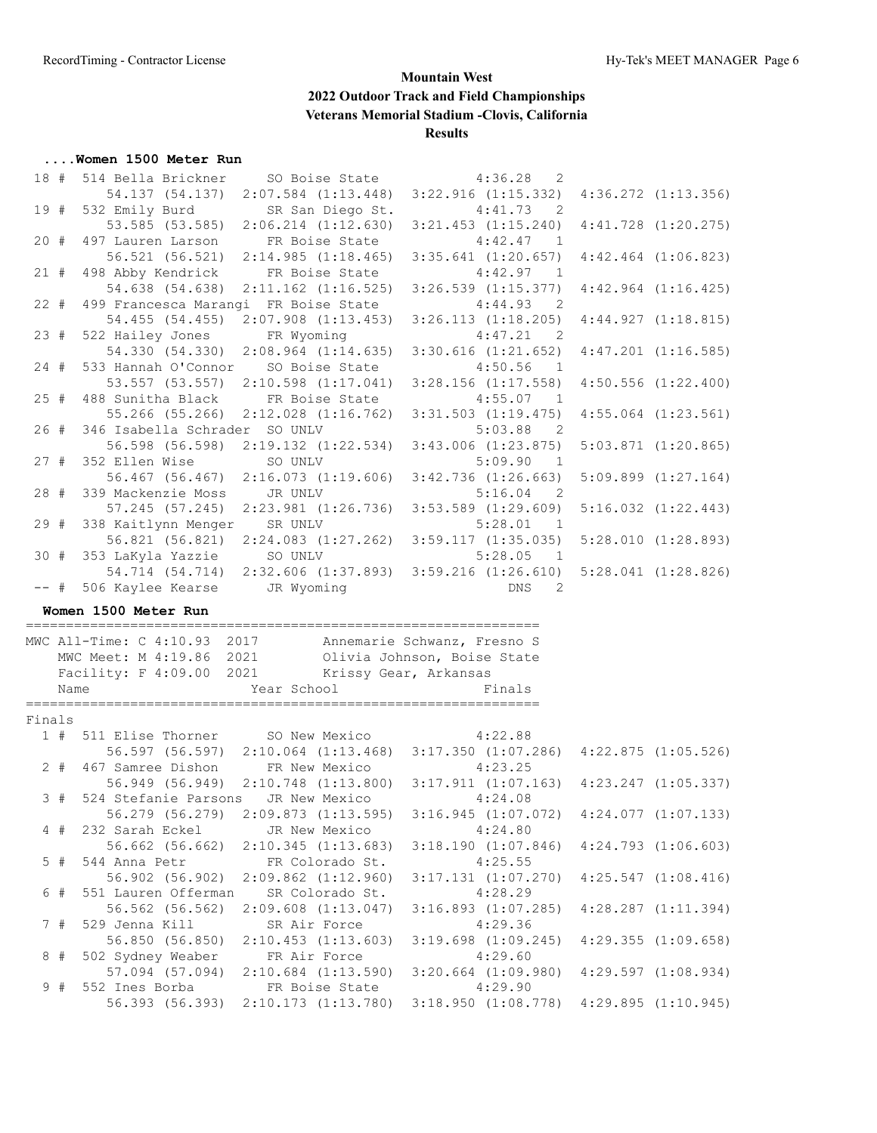#### **....Women 1500 Meter Run**

| 18 #   |       | 514 Bella Brickner                |                                                                             | SO Boise State 4:36.28 2                                   |                         |
|--------|-------|-----------------------------------|-----------------------------------------------------------------------------|------------------------------------------------------------|-------------------------|
|        |       |                                   | 54.137 (54.137) 2:07.584 (1:13.448)                                         | 3:22.916(1:15.332)                                         | $4:36.272$ $(1:13.356)$ |
| 19 #   |       | 532 Emily Burd                    | SR San Diego St.                                                            | 4:41.73<br>$\overline{2}$                                  |                         |
|        |       |                                   | 53.585 (53.585) 2:06.214 (1:12.630)                                         | $3:21.453$ $(1:15.240)$                                    | $4:41.728$ $(1:20.275)$ |
| 20#    |       |                                   | 497 Lauren Larson FR Boise State                                            | 4:42.47<br>$\overline{1}$                                  |                         |
|        |       | 56.521 (56.521)                   | 2:14.985(1:18.465)                                                          | $3:35.641$ $(1:20.657)$                                    | $4:42.464$ $(1:06.823)$ |
| 21#    |       |                                   | 498 Abby Kendrick FR Boise State                                            | 4:42.97<br>$\overline{1}$                                  |                         |
|        |       | 54.638 (54.638)                   | $2:11.162$ $(1:16.525)$                                                     | $3:26.539$ $(1:15.377)$                                    | $4:42.964$ $(1:16.425)$ |
| 22#    |       |                                   | 499 Francesca Marangi FR Boise State                                        | 4:44.93<br>$\overline{2}$                                  |                         |
|        |       | 54.455 (54.455)                   | $2:07.908$ $(1:13.453)$                                                     | $3:26.113$ $(1:18.205)$                                    | 4:44.927(1:18.815)      |
| 23#    |       | 522 Hailey Jones FR Wyoming       |                                                                             | 4:47.21<br>$\overline{2}$                                  |                         |
|        |       | 54.330 (54.330)                   | $2:08.964$ $(1:14.635)$                                                     | $3:30.616$ $(1:21.652)$                                    | $4:47.201$ $(1:16.585)$ |
| $24 +$ |       |                                   | 533 Hannah O'Connor SO Boise State                                          | 4:50.56<br>$\overline{1}$                                  |                         |
|        |       |                                   | 53.557 (53.557) 2:10.598 (1:17.041)                                         | $3:28.156$ $(1:17.558)$                                    | $4:50.556$ $(1:22.400)$ |
| 25#    |       |                                   | 488 Sunitha Black FR Boise State                                            | 4:55.07<br>$\overline{1}$                                  |                         |
|        |       |                                   | 55.266 (55.266) 2:12.028 (1:16.762) 3:31.503 (1:19.475)                     |                                                            | $4:55.064$ $(1:23.561)$ |
| 26#    |       | 346 Isabella Schrader SO UNLV     |                                                                             | 5:03.88<br>$\overline{2}$                                  |                         |
|        |       |                                   | 56.598 (56.598) 2:19.132 (1:22.534) 3:43.006 (1:23.875)                     |                                                            | $5:03.871$ $(1:20.865)$ |
| 27#    |       | 352 Ellen Wise                    | SO UNLV                                                                     | 5:09.90<br>$\overline{1}$                                  |                         |
|        |       |                                   | 56.467 (56.467) 2:16.073 (1:19.606) 3:42.736 (1:26.663)                     |                                                            | $5:09.899$ $(1:27.164)$ |
| 28#    |       | 339 Mackenzie Moss                | JR UNLV                                                                     | $5:16.04$ 2                                                |                         |
|        |       | 57.245 (57.245)                   |                                                                             | $2:23.981$ $(1:26.736)$ $3:53.589$ $(1:29.609)$            | $5:16.032$ $(1:22.443)$ |
| 29#    |       | 338 Kaitlynn Menger SR UNLV       |                                                                             | 5:28.01<br>$\overline{1}$                                  |                         |
|        |       |                                   | 56.821 (56.821) 2:24.083 (1:27.262) 3:59.117 (1:35.035)                     |                                                            | 5:28.010 (1:28.893)     |
| 30#    |       | 353 LaKyla Yazzie SO UNLV         |                                                                             | 5:28.05<br>$\overline{1}$                                  |                         |
|        |       |                                   | 54.714 (54.714) 2:32.606 (1:37.893) 3:59.216 (1:26.610)                     |                                                            | $5:28.041$ $(1:28.826)$ |
|        |       |                                   |                                                                             |                                                            |                         |
| $--$ # |       | 506 Kaylee Kearse JR Wyoming      |                                                                             | DNS<br>2                                                   |                         |
|        |       | Women 1500 Meter Run              |                                                                             |                                                            |                         |
|        |       |                                   |                                                                             |                                                            |                         |
|        |       |                                   | MWC All-Time: C 4:10.93 2017 Annemarie Schwanz, Fresno S                    |                                                            |                         |
|        |       |                                   | MWC Meet: M 4:19.86 2021 Olivia Johnson, Boise State                        |                                                            |                         |
|        |       |                                   | Facility: F 4:09.00 2021 Krissy Gear, Arkansas                              |                                                            |                         |
|        | Name  |                                   |                                                                             | Finals                                                     |                         |
|        |       |                                   | Year School                                                                 |                                                            |                         |
| Finals |       |                                   |                                                                             |                                                            |                         |
|        |       |                                   | 1 # 511 Elise Thorner SO New Mexico 4:22.88                                 |                                                            |                         |
|        |       |                                   | 56.597 (56.597) 2:10.064 (1:13.468) 3:17.350 (1:07.286) 4:22.875 (1:05.526) |                                                            |                         |
|        | $2$ # |                                   | 467 Samree Dishon FR New Mexico                                             | 4:23.25                                                    |                         |
|        |       |                                   | 56.949 (56.949) 2:10.748 (1:13.800) 3:17.911 (1:07.163)                     |                                                            | $4:23.247$ $(1:05.337)$ |
|        | 3#    |                                   | 524 Stefanie Parsons JR New Mexico 4:24.08                                  |                                                            |                         |
|        |       |                                   | 56.279 (56.279) 2:09.873 (1:13.595) 3:16.945 (1:07.072) 4:24.077 (1:07.133) |                                                            |                         |
|        | 4#    | 232 Sarah Eckel                   | JR New Mexico                                                               | 4:24.80                                                    |                         |
|        |       | 56.662 (56.662)                   | 2:10.345(1:13.683)                                                          | 3:18.190(1:07.846)                                         | $4:24.793$ $(1:06.603)$ |
|        | $5$ # | 544 Anna Petr                     | FR Colorado St.                                                             | 4:25.55                                                    |                         |
|        |       | 56.902 (56.902)                   | $2:09.862$ $(1:12.960)$                                                     | 3:17.131 (1:07.270)                                        | $4:25.547$ $(1:08.416)$ |
|        | 6#    | 551 Lauren Offerman               | SR Colorado St.                                                             | 4:28.29                                                    |                         |
|        |       | 56.562 (56.562)                   | $2:09.608$ $(1:13.047)$                                                     | $3:16.893$ $(1:07.285)$                                    | $4:28.287$ $(1:11.394)$ |
|        | 7#    | 529 Jenna Kill                    | SR Air Force                                                                | 4:29.36                                                    |                         |
|        |       | 56.850 (56.850)                   | $2:10.453$ $(1:13.603)$                                                     | $3:19.698$ $(1:09.245)$                                    | $4:29.355$ $(1:09.658)$ |
|        | 8#    | 502 Sydney Weaber                 | FR Air Force                                                                | 4:29.60                                                    |                         |
|        |       | 57.094 (57.094)                   | $2:10.684$ $(1:13.590)$                                                     | $3:20.664$ $(1:09.980)$                                    | $4:29.597$ $(1:08.934)$ |
|        | 9#    | 552 Ines Borba<br>56.393 (56.393) | FR Boise State<br>$2:10.173$ $(1:13.780)$                                   | 4:29.90<br>$3:18.950$ $(1:08.778)$ $4:29.895$ $(1:10.945)$ |                         |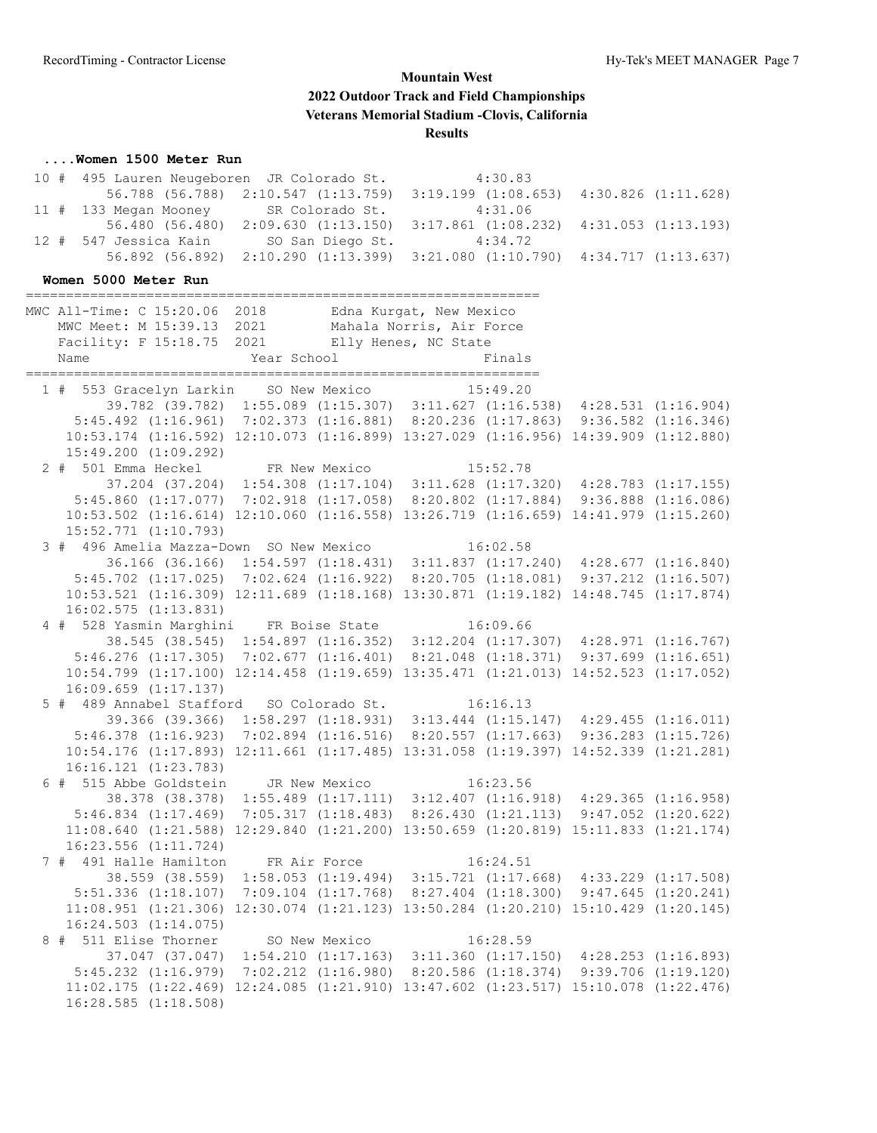#### **....Women 1500 Meter Run**

|  | 10 # 495 Lauren Neugeboren JR Colorado St.                                                  | 4:30.83 |  |
|--|---------------------------------------------------------------------------------------------|---------|--|
|  | $56.788$ $(56.788)$ $2:10.547$ $(1:13.759)$ $3:19.199$ $(1:08.653)$ $4:30.826$ $(1:11.628)$ |         |  |
|  | 11 # 133 Megan Mooney SR Colorado St. 4:31.06                                               |         |  |
|  | $56.480$ $(56.480)$ $2:09.630$ $(1:13.150)$ $3:17.861$ $(1:08.232)$ $4:31.053$ $(1:13.193)$ |         |  |
|  | 12 # 547 Jessica Kain SO San Diego St. 4:34.72                                              |         |  |
|  | $56.892$ $(56.892)$ $2:10.290$ $(1:13.399)$ $3:21.080$ $(1:10.790)$ $4:34.717$ $(1:13.637)$ |         |  |

#### **Women 5000 Meter Run**

================================================================  $M$  all-Time: C 15:20.06 2018 Edm

| MWC All-Time: C 15:20.06<br>MWC Meet: M 15:39.13 2021<br>Facility: F 15:18.75 2021<br>Name<br>============                       | 2018 — 10<br>Year School | Edna Kurgat, New Mexico<br>Mahala Norris, Air Force<br>Elly Henes, NC State<br>Finals                                                                                  |  |
|----------------------------------------------------------------------------------------------------------------------------------|--------------------------|------------------------------------------------------------------------------------------------------------------------------------------------------------------------|--|
| 1 # 553 Gracelyn Larkin SO New Mexico 15:49.20                                                                                   |                          |                                                                                                                                                                        |  |
|                                                                                                                                  |                          | 39.782 (39.782) 1:55.089 (1:15.307) 3:11.627 (1:16.538) 4:28.531 (1:16.904)                                                                                            |  |
|                                                                                                                                  |                          | 5:45.492 (1:16.961) 7:02.373 (1:16.881) 8:20.236 (1:17.863) 9:36.582 (1:16.346)                                                                                        |  |
|                                                                                                                                  |                          | 10:53.174 (1:16.592) 12:10.073 (1:16.899) 13:27.029 (1:16.956) 14:39.909 (1:12.880)                                                                                    |  |
| $15:49.200$ $(1:09.292)$                                                                                                         |                          |                                                                                                                                                                        |  |
| 2 # 501 Emma Heckel FR New Mexico 15:52.78<br>37.204 (37.204) 1:54.308 (1:17.104) 3:11.628 (1:17.320) 4:28.783 (1:17.155)        |                          |                                                                                                                                                                        |  |
|                                                                                                                                  |                          |                                                                                                                                                                        |  |
|                                                                                                                                  |                          | 5:45.860 (1:17.077) 7:02.918 (1:17.058) 8:20.802 (1:17.884) 9:36.888 (1:16.086)                                                                                        |  |
|                                                                                                                                  |                          | 10:53.502 (1:16.614) 12:10.060 (1:16.558) 13:26.719 (1:16.659) 14:41.979 (1:15.260)                                                                                    |  |
| $15:52.771$ $(1:10.793)$                                                                                                         |                          |                                                                                                                                                                        |  |
| 3 # 496 Amelia Mazza-Down SO New Mexico 16:02.58                                                                                 |                          |                                                                                                                                                                        |  |
|                                                                                                                                  |                          | 36.166 (36.166) 1:54.597 (1:18.431) 3:11.837 (1:17.240) 4:28.677 (1:16.840)                                                                                            |  |
|                                                                                                                                  |                          | 5:45.702 (1:17.025) 7:02.624 (1:16.922) 8:20.705 (1:18.081) 9:37.212 (1:16.507)                                                                                        |  |
|                                                                                                                                  |                          | 10:53.521 (1:16.309) 12:11.689 (1:18.168) 13:30.871 (1:19.182) 14:48.745 (1:17.874)                                                                                    |  |
| $16:02.575$ $(1:13.831)$                                                                                                         |                          |                                                                                                                                                                        |  |
| 4 # 528 Yasmin Marghini FR Boise State 16:09.66                                                                                  |                          |                                                                                                                                                                        |  |
|                                                                                                                                  |                          | 38.545 (38.545) 1:54.897 (1:16.352) 3:12.204 (1:17.307) 4:28.971 (1:16.767)                                                                                            |  |
|                                                                                                                                  |                          | 5:46.276 (1:17.305) 7:02.677 (1:16.401) 8:21.048 (1:18.371) 9:37.699 (1:16.651)                                                                                        |  |
|                                                                                                                                  |                          | 10:54.799 (1:17.100) 12:14.458 (1:19.659) 13:35.471 (1:21.013) 14:52.523 (1:17.052)                                                                                    |  |
| $16:09.659$ $(1:17.137)$                                                                                                         |                          |                                                                                                                                                                        |  |
| 5 # 489 Annabel Stafford SO Colorado St. 16:16.13<br>39.366 (39.366) 1:58.297 (1:18.931) 3:13.444 (1:15.147) 4:29.455 (1:16.011) |                          |                                                                                                                                                                        |  |
|                                                                                                                                  |                          |                                                                                                                                                                        |  |
|                                                                                                                                  |                          | 5:46.378 (1:16.923) 7:02.894 (1:16.516) 8:20.557 (1:17.663) 9:36.283 (1:15.726)                                                                                        |  |
|                                                                                                                                  |                          | 10:54.176 (1:17.893) 12:11.661 (1:17.485) 13:31.058 (1:19.397) 14:52.339 (1:21.281)                                                                                    |  |
| $16:16.121$ $(1:23.783)$                                                                                                         |                          |                                                                                                                                                                        |  |
| 6 # 515 Abbe Goldstein JR New Mexico 16:23.56                                                                                    |                          |                                                                                                                                                                        |  |
|                                                                                                                                  |                          | 38.378 (38.378) 1:55.489 (1:17.111) 3:12.407 (1:16.918) 4:29.365 (1:16.958)                                                                                            |  |
|                                                                                                                                  |                          | 5:46.834 (1:17.469) 7:05.317 (1:18.483) 8:26.430 (1:21.113) 9:47.052 (1:20.622)<br>11:08.640 (1:21.588) 12:29.840 (1:21.200) 13:50.659 (1:20.819) 15:11.833 (1:21.174) |  |
|                                                                                                                                  |                          |                                                                                                                                                                        |  |
| $16:23.556$ $(1:11.724)$<br>7 # 491 Halle Hamilton FR Air Force 16:24.51                                                         |                          |                                                                                                                                                                        |  |
| 38.559 (38.559)                                                                                                                  |                          | 1:58.053 (1:19.494) 3:15.721 (1:17.668) 4:33.229 (1:17.508)                                                                                                            |  |
|                                                                                                                                  |                          | 5:51.336 (1:18.107) 7:09.104 (1:17.768) 8:27.404 (1:18.300) 9:47.645 (1:20.241)                                                                                        |  |
|                                                                                                                                  |                          | 11:08.951 (1:21.306) 12:30.074 (1:21.123) 13:50.284 (1:20.210) 15:10.429 (1:20.145)                                                                                    |  |
| $16:24.503$ $(1:14.075)$                                                                                                         |                          |                                                                                                                                                                        |  |
|                                                                                                                                  |                          |                                                                                                                                                                        |  |
| 8 # 511 Elise Thorner SO New Mexico 16:28.59<br>37.047 (37.047) 1:54.210 (1:17.163) 3:11.360 (1:17.150) 4:28.253 (1:16.893)      |                          |                                                                                                                                                                        |  |
|                                                                                                                                  |                          | 5:45.232 (1:16.979) 7:02.212 (1:16.980) 8:20.586 (1:18.374) 9:39.706 (1:19.120)                                                                                        |  |
|                                                                                                                                  |                          | 11:02.175 (1:22.469) 12:24.085 (1:21.910) 13:47.602 (1:23.517) 15:10.078 (1:22.476)                                                                                    |  |
| $16:28.585$ $(1:18.508)$                                                                                                         |                          |                                                                                                                                                                        |  |
|                                                                                                                                  |                          |                                                                                                                                                                        |  |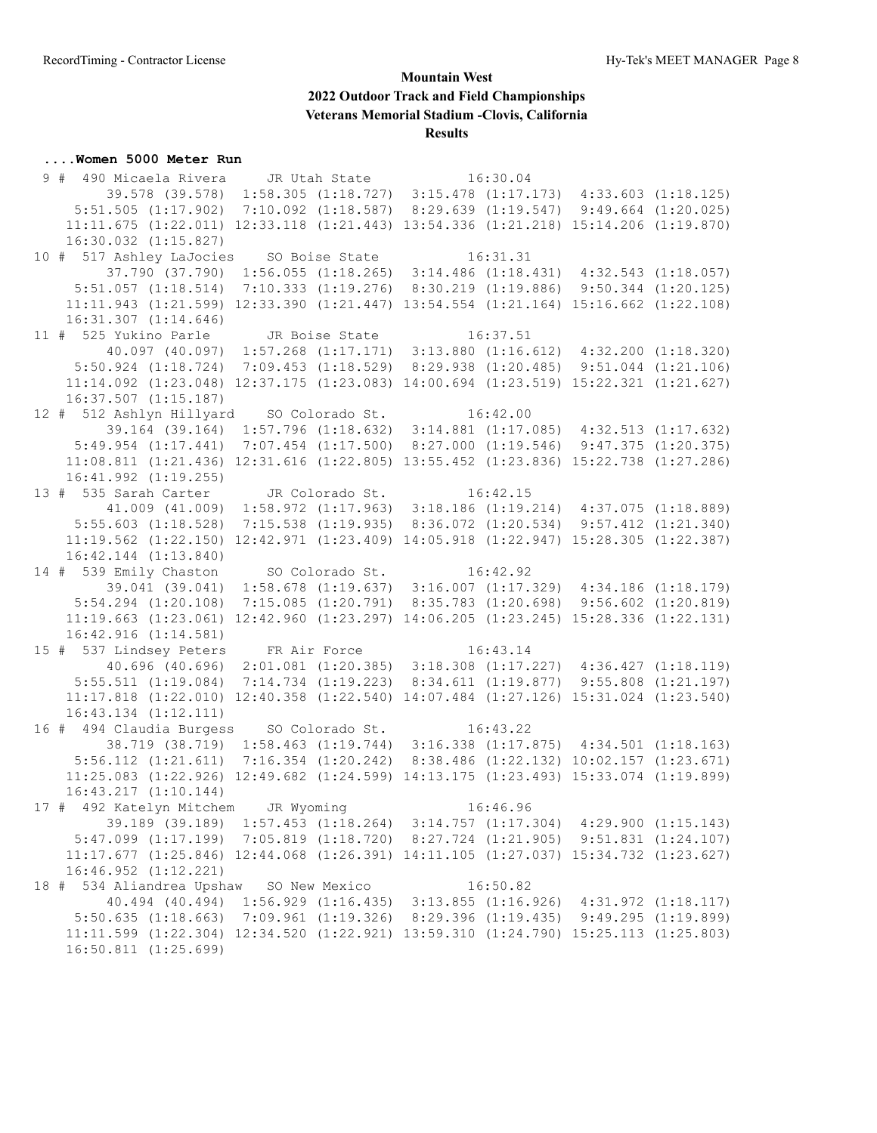#### **....Women 5000 Meter Run**

 9 # 490 Micaela Rivera JR Utah State 16:30.04 39.578 (39.578) 1:58.305 (1:18.727) 3:15.478 (1:17.173) 4:33.603 (1:18.125) 5:51.505 (1:17.902) 7:10.092 (1:18.587) 8:29.639 (1:19.547) 9:49.664 (1:20.025) 11:11.675 (1:22.011) 12:33.118 (1:21.443) 13:54.336 (1:21.218) 15:14.206 (1:19.870) 16:30.032 (1:15.827) 10 # 517 Ashley LaJocies SO Boise State 16:31.31 37.790 (37.790) 1:56.055 (1:18.265) 3:14.486 (1:18.431) 4:32.543 (1:18.057) 5:51.057 (1:18.514) 7:10.333 (1:19.276) 8:30.219 (1:19.886) 9:50.344 (1:20.125) 11:11.943 (1:21.599) 12:33.390 (1:21.447) 13:54.554 (1:21.164) 15:16.662 (1:22.108) 16:31.307 (1:14.646) 11 # 525 Yukino Parle JR Boise State 16:37.51 40.097 (40.097) 1:57.268 (1:17.171) 3:13.880 (1:16.612) 4:32.200 (1:18.320) 5:50.924 (1:18.724) 7:09.453 (1:18.529) 8:29.938 (1:20.485) 9:51.044 (1:21.106) 11:14.092 (1:23.048) 12:37.175 (1:23.083) 14:00.694 (1:23.519) 15:22.321 (1:21.627) 16:37.507 (1:15.187) 12 # 512 Ashlyn Hillyard SO Colorado St. 16:42.00 39.164 (39.164) 1:57.796 (1:18.632) 3:14.881 (1:17.085) 4:32.513 (1:17.632) 5:49.954 (1:17.441) 7:07.454 (1:17.500) 8:27.000 (1:19.546) 9:47.375 (1:20.375) 11:08.811 (1:21.436) 12:31.616 (1:22.805) 13:55.452 (1:23.836) 15:22.738 (1:27.286) 16:41.992 (1:19.255) 13 # 535 Sarah Carter JR Colorado St. 16:42.15 41.009 (41.009) 1:58.972 (1:17.963) 3:18.186 (1:19.214) 4:37.075 (1:18.889) 5:55.603 (1:18.528) 7:15.538 (1:19.935) 8:36.072 (1:20.534) 9:57.412 (1:21.340) 11:19.562 (1:22.150) 12:42.971 (1:23.409) 14:05.918 (1:22.947) 15:28.305 (1:22.387) 16:42.144 (1:13.840) 14 # 539 Emily Chaston SO Colorado St. 16:42.92 39.041 (39.041) 1:58.678 (1:19.637) 3:16.007 (1:17.329) 4:34.186 (1:18.179) 5:54.294 (1:20.108) 7:15.085 (1:20.791) 8:35.783 (1:20.698) 9:56.602 (1:20.819) 11:19.663 (1:23.061) 12:42.960 (1:23.297) 14:06.205 (1:23.245) 15:28.336 (1:22.131) 16:42.916 (1:14.581) 15 # 537 Lindsey Peters FR Air Force 16:43.14 40.696 (40.696) 2:01.081 (1:20.385) 3:18.308 (1:17.227) 4:36.427 (1:18.119) 5:55.511 (1:19.084) 7:14.734 (1:19.223) 8:34.611 (1:19.877) 9:55.808 (1:21.197) 11:17.818 (1:22.010) 12:40.358 (1:22.540) 14:07.484 (1:27.126) 15:31.024 (1:23.540) 16:43.134 (1:12.111) 16 # 494 Claudia Burgess SO Colorado St. 16:43.22 38.719 (38.719) 1:58.463 (1:19.744) 3:16.338 (1:17.875) 4:34.501 (1:18.163) 5:56.112 (1:21.611) 7:16.354 (1:20.242) 8:38.486 (1:22.132) 10:02.157 (1:23.671) 11:25.083 (1:22.926) 12:49.682 (1:24.599) 14:13.175 (1:23.493) 15:33.074 (1:19.899) 16:43.217 (1:10.144) 17 # 492 Katelyn Mitchem JR Wyoming 16:46.96 39.189 (39.189) 1:57.453 (1:18.264) 3:14.757 (1:17.304) 4:29.900 (1:15.143) 5:47.099 (1:17.199) 7:05.819 (1:18.720) 8:27.724 (1:21.905) 9:51.831 (1:24.107) 11:17.677 (1:25.846) 12:44.068 (1:26.391) 14:11.105 (1:27.037) 15:34.732 (1:23.627) 16:46.952 (1:12.221) 18 # 534 Aliandrea Upshaw SO New Mexico 16:50.82 40.494 (40.494) 1:56.929 (1:16.435) 3:13.855 (1:16.926) 4:31.972 (1:18.117) 5:50.635 (1:18.663) 7:09.961 (1:19.326) 8:29.396 (1:19.435) 9:49.295 (1:19.899) 11:11.599 (1:22.304) 12:34.520 (1:22.921) 13:59.310 (1:24.790) 15:25.113 (1:25.803) 16:50.811 (1:25.699)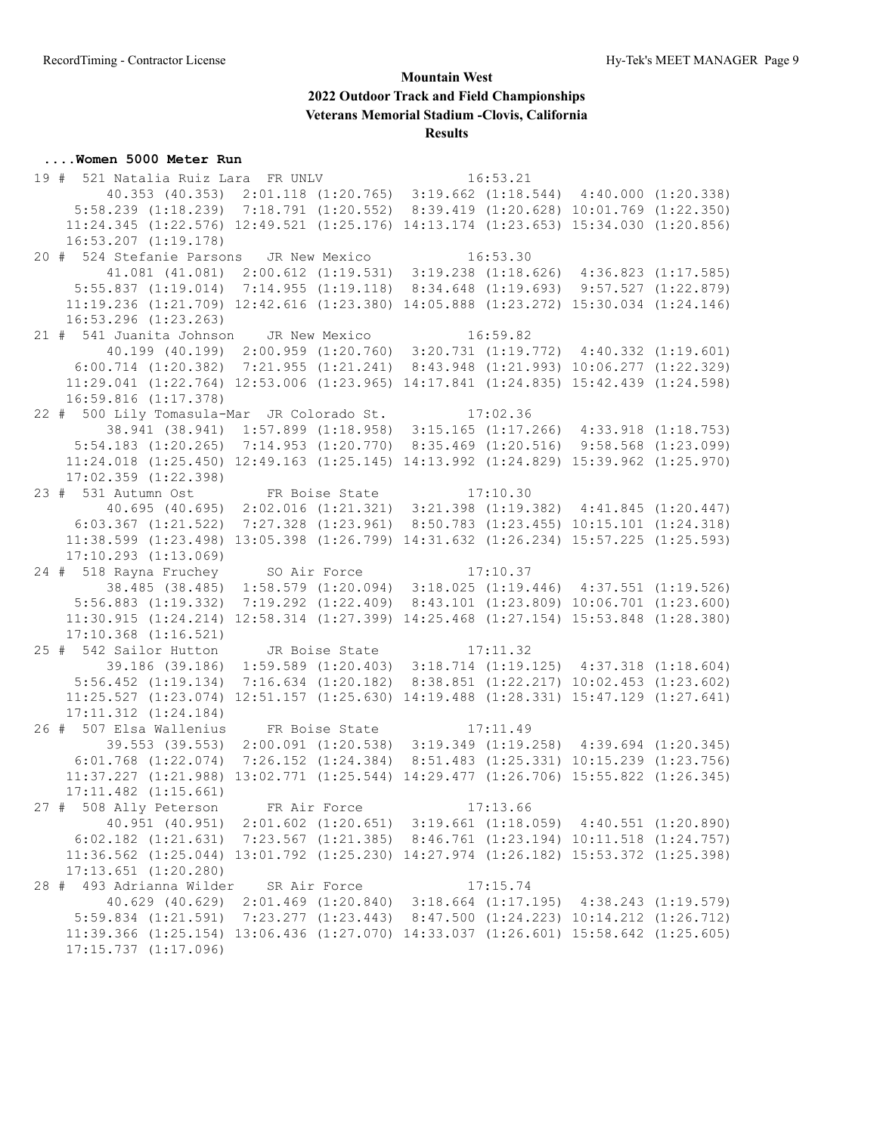#### **....Women 5000 Meter Run**

 19 # 521 Natalia Ruiz Lara FR UNLV 16:53.21 40.353 (40.353) 2:01.118 (1:20.765) 3:19.662 (1:18.544) 4:40.000 (1:20.338) 5:58.239 (1:18.239) 7:18.791 (1:20.552) 8:39.419 (1:20.628) 10:01.769 (1:22.350) 11:24.345 (1:22.576) 12:49.521 (1:25.176) 14:13.174 (1:23.653) 15:34.030 (1:20.856) 16:53.207 (1:19.178) 20 # 524 Stefanie Parsons JR New Mexico 16:53.30 41.081 (41.081) 2:00.612 (1:19.531) 3:19.238 (1:18.626) 4:36.823 (1:17.585) 5:55.837 (1:19.014) 7:14.955 (1:19.118) 8:34.648 (1:19.693) 9:57.527 (1:22.879) 11:19.236 (1:21.709) 12:42.616 (1:23.380) 14:05.888 (1:23.272) 15:30.034 (1:24.146) 16:53.296 (1:23.263) 21 # 541 Juanita Johnson JR New Mexico 16:59.82 40.199 (40.199) 2:00.959 (1:20.760) 3:20.731 (1:19.772) 4:40.332 (1:19.601) 6:00.714 (1:20.382) 7:21.955 (1:21.241) 8:43.948 (1:21.993) 10:06.277 (1:22.329) 11:29.041 (1:22.764) 12:53.006 (1:23.965) 14:17.841 (1:24.835) 15:42.439 (1:24.598) 16:59.816 (1:17.378) 22 # 500 Lily Tomasula-Mar JR Colorado St. 17:02.36 38.941 (38.941) 1:57.899 (1:18.958) 3:15.165 (1:17.266) 4:33.918 (1:18.753) 5:54.183 (1:20.265) 7:14.953 (1:20.770) 8:35.469 (1:20.516) 9:58.568 (1:23.099) 11:24.018 (1:25.450) 12:49.163 (1:25.145) 14:13.992 (1:24.829) 15:39.962 (1:25.970) 17:02.359 (1:22.398) 23 # 531 Autumn Ost FR Boise State 17:10.30 40.695 (40.695) 2:02.016 (1:21.321) 3:21.398 (1:19.382) 4:41.845 (1:20.447) 6:03.367 (1:21.522) 7:27.328 (1:23.961) 8:50.783 (1:23.455) 10:15.101 (1:24.318) 11:38.599 (1:23.498) 13:05.398 (1:26.799) 14:31.632 (1:26.234) 15:57.225 (1:25.593) 17:10.293 (1:13.069) 24 # 518 Rayna Fruchey SO Air Force 17:10.37 38.485 (38.485) 1:58.579 (1:20.094) 3:18.025 (1:19.446) 4:37.551 (1:19.526) 5:56.883 (1:19.332) 7:19.292 (1:22.409) 8:43.101 (1:23.809) 10:06.701 (1:23.600) 11:30.915 (1:24.214) 12:58.314 (1:27.399) 14:25.468 (1:27.154) 15:53.848 (1:28.380) 17:10.368 (1:16.521) 25 # 542 Sailor Hutton JR Boise State 17:11.32 39.186 (39.186) 1:59.589 (1:20.403) 3:18.714 (1:19.125) 4:37.318 (1:18.604) 5:56.452 (1:19.134) 7:16.634 (1:20.182) 8:38.851 (1:22.217) 10:02.453 (1:23.602) 11:25.527 (1:23.074) 12:51.157 (1:25.630) 14:19.488 (1:28.331) 15:47.129 (1:27.641) 17:11.312 (1:24.184) 26 # 507 Elsa Wallenius FR Boise State 17:11.49 39.553 (39.553) 2:00.091 (1:20.538) 3:19.349 (1:19.258) 4:39.694 (1:20.345) 6:01.768 (1:22.074) 7:26.152 (1:24.384) 8:51.483 (1:25.331) 10:15.239 (1:23.756) 11:37.227 (1:21.988) 13:02.771 (1:25.544) 14:29.477 (1:26.706) 15:55.822 (1:26.345) 17:11.482 (1:15.661) 27 # 508 Ally Peterson FR Air Force 17:13.66 40.951 (40.951) 2:01.602 (1:20.651) 3:19.661 (1:18.059) 4:40.551 (1:20.890) 6:02.182 (1:21.631) 7:23.567 (1:21.385) 8:46.761 (1:23.194) 10:11.518 (1:24.757) 11:36.562 (1:25.044) 13:01.792 (1:25.230) 14:27.974 (1:26.182) 15:53.372 (1:25.398) 17:13.651 (1:20.280) 28 # 493 Adrianna Wilder SR Air Force 17:15.74 40.629 (40.629) 2:01.469 (1:20.840) 3:18.664 (1:17.195) 4:38.243 (1:19.579) 5:59.834 (1:21.591) 7:23.277 (1:23.443) 8:47.500 (1:24.223) 10:14.212 (1:26.712) 11:39.366 (1:25.154) 13:06.436 (1:27.070) 14:33.037 (1:26.601) 15:58.642 (1:25.605) 17:15.737 (1:17.096)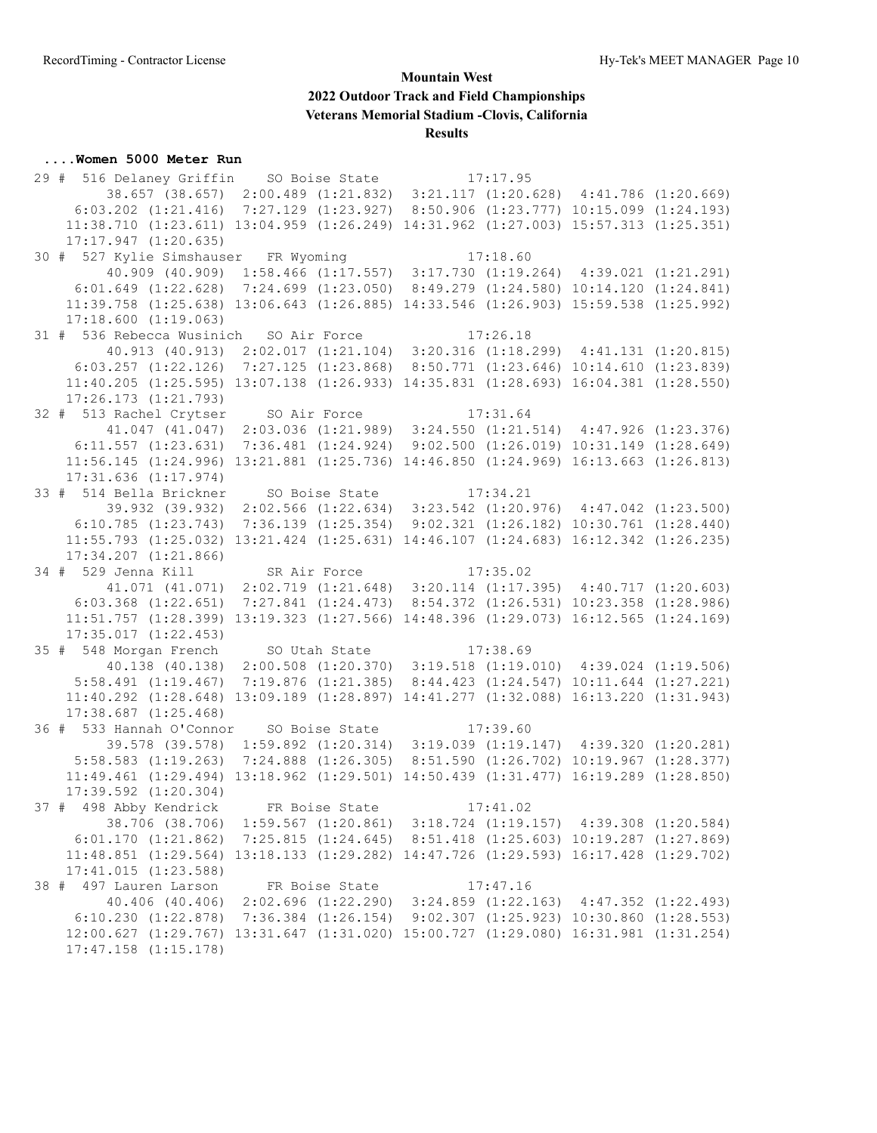#### **....Women 5000 Meter Run**

 29 # 516 Delaney Griffin SO Boise State 17:17.95 38.657 (38.657) 2:00.489 (1:21.832) 3:21.117 (1:20.628) 4:41.786 (1:20.669) 6:03.202 (1:21.416) 7:27.129 (1:23.927) 8:50.906 (1:23.777) 10:15.099 (1:24.193) 11:38.710 (1:23.611) 13:04.959 (1:26.249) 14:31.962 (1:27.003) 15:57.313 (1:25.351) 17:17.947 (1:20.635) 30 # 527 Kylie Simshauser FR Wyoming 17:18.60 40.909 (40.909) 1:58.466 (1:17.557) 3:17.730 (1:19.264) 4:39.021 (1:21.291) 6:01.649 (1:22.628) 7:24.699 (1:23.050) 8:49.279 (1:24.580) 10:14.120 (1:24.841) 11:39.758 (1:25.638) 13:06.643 (1:26.885) 14:33.546 (1:26.903) 15:59.538 (1:25.992) 17:18.600 (1:19.063) 31 # 536 Rebecca Wusinich SO Air Force 17:26.18 40.913 (40.913) 2:02.017 (1:21.104) 3:20.316 (1:18.299) 4:41.131 (1:20.815) 6:03.257 (1:22.126) 7:27.125 (1:23.868) 8:50.771 (1:23.646) 10:14.610 (1:23.839) 11:40.205 (1:25.595) 13:07.138 (1:26.933) 14:35.831 (1:28.693) 16:04.381 (1:28.550) 17:26.173 (1:21.793) 32 # 513 Rachel Crytser SO Air Force 17:31.64 41.047 (41.047) 2:03.036 (1:21.989) 3:24.550 (1:21.514) 4:47.926 (1:23.376) 6:11.557 (1:23.631) 7:36.481 (1:24.924) 9:02.500 (1:26.019) 10:31.149 (1:28.649) 11:56.145 (1:24.996) 13:21.881 (1:25.736) 14:46.850 (1:24.969) 16:13.663 (1:26.813) 17:31.636 (1:17.974) 33 # 514 Bella Brickner SO Boise State 17:34.21 39.932 (39.932) 2:02.566 (1:22.634) 3:23.542 (1:20.976) 4:47.042 (1:23.500) 6:10.785 (1:23.743) 7:36.139 (1:25.354) 9:02.321 (1:26.182) 10:30.761 (1:28.440) 11:55.793 (1:25.032) 13:21.424 (1:25.631) 14:46.107 (1:24.683) 16:12.342 (1:26.235) 17:34.207 (1:21.866) 34 # 529 Jenna Kill SR Air Force 17:35.02 41.071 (41.071) 2:02.719 (1:21.648) 3:20.114 (1:17.395) 4:40.717 (1:20.603) 6:03.368 (1:22.651) 7:27.841 (1:24.473) 8:54.372 (1:26.531) 10:23.358 (1:28.986) 11:51.757 (1:28.399) 13:19.323 (1:27.566) 14:48.396 (1:29.073) 16:12.565 (1:24.169) 17:35.017 (1:22.453) 35 # 548 Morgan French SO Utah State 17:38.69 40.138 (40.138) 2:00.508 (1:20.370) 3:19.518 (1:19.010) 4:39.024 (1:19.506) 5:58.491 (1:19.467) 7:19.876 (1:21.385) 8:44.423 (1:24.547) 10:11.644 (1:27.221) 11:40.292 (1:28.648) 13:09.189 (1:28.897) 14:41.277 (1:32.088) 16:13.220 (1:31.943) 17:38.687 (1:25.468) 36 # 533 Hannah O'Connor SO Boise State 17:39.60 39.578 (39.578) 1:59.892 (1:20.314) 3:19.039 (1:19.147) 4:39.320 (1:20.281) 5:58.583 (1:19.263) 7:24.888 (1:26.305) 8:51.590 (1:26.702) 10:19.967 (1:28.377) 11:49.461 (1:29.494) 13:18.962 (1:29.501) 14:50.439 (1:31.477) 16:19.289 (1:28.850) 17:39.592 (1:20.304) 37 # 498 Abby Kendrick FR Boise State 17:41.02 38.706 (38.706) 1:59.567 (1:20.861) 3:18.724 (1:19.157) 4:39.308 (1:20.584) 6:01.170 (1:21.862) 7:25.815 (1:24.645) 8:51.418 (1:25.603) 10:19.287 (1:27.869) 11:48.851 (1:29.564) 13:18.133 (1:29.282) 14:47.726 (1:29.593) 16:17.428 (1:29.702) 17:41.015 (1:23.588) 38 # 497 Lauren Larson FR Boise State 17:47.16 40.406 (40.406) 2:02.696 (1:22.290) 3:24.859 (1:22.163) 4:47.352 (1:22.493) 6:10.230 (1:22.878) 7:36.384 (1:26.154) 9:02.307 (1:25.923) 10:30.860 (1:28.553) 12:00.627 (1:29.767) 13:31.647 (1:31.020) 15:00.727 (1:29.080) 16:31.981 (1:31.254) 17:47.158 (1:15.178)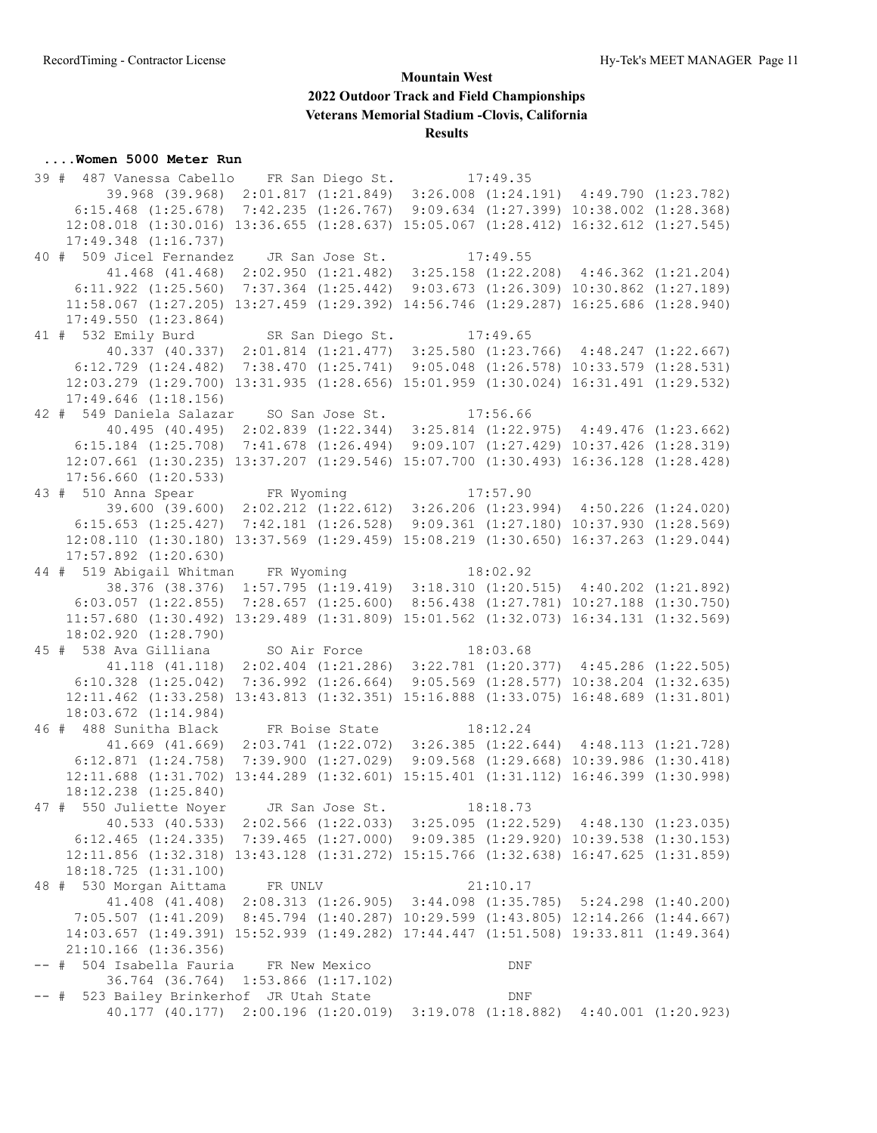#### **....Women 5000 Meter Run**

 39 # 487 Vanessa Cabello FR San Diego St. 17:49.35 39.968 (39.968) 2:01.817 (1:21.849) 3:26.008 (1:24.191) 4:49.790 (1:23.782) 6:15.468 (1:25.678) 7:42.235 (1:26.767) 9:09.634 (1:27.399) 10:38.002 (1:28.368) 12:08.018 (1:30.016) 13:36.655 (1:28.637) 15:05.067 (1:28.412) 16:32.612 (1:27.545) 17:49.348 (1:16.737) 40 # 509 Jicel Fernandez JR San Jose St. 17:49.55 41.468 (41.468) 2:02.950 (1:21.482) 3:25.158 (1:22.208) 4:46.362 (1:21.204) 6:11.922 (1:25.560) 7:37.364 (1:25.442) 9:03.673 (1:26.309) 10:30.862 (1:27.189) 11:58.067 (1:27.205) 13:27.459 (1:29.392) 14:56.746 (1:29.287) 16:25.686 (1:28.940) 17:49.550 (1:23.864) 41 # 532 Emily Burd SR San Diego St. 17:49.65 40.337 (40.337) 2:01.814 (1:21.477) 3:25.580 (1:23.766) 4:48.247 (1:22.667) 6:12.729 (1:24.482) 7:38.470 (1:25.741) 9:05.048 (1:26.578) 10:33.579 (1:28.531) 12:03.279 (1:29.700) 13:31.935 (1:28.656) 15:01.959 (1:30.024) 16:31.491 (1:29.532) 17:49.646 (1:18.156) 42 # 549 Daniela Salazar SO San Jose St. 17:56.66 40.495 (40.495) 2:02.839 (1:22.344) 3:25.814 (1:22.975) 4:49.476 (1:23.662) 6:15.184 (1:25.708) 7:41.678 (1:26.494) 9:09.107 (1:27.429) 10:37.426 (1:28.319) 12:07.661 (1:30.235) 13:37.207 (1:29.546) 15:07.700 (1:30.493) 16:36.128 (1:28.428) 17:56.660 (1:20.533) 43 # 510 Anna Spear FR Wyoming 17:57.90 39.600 (39.600) 2:02.212 (1:22.612) 3:26.206 (1:23.994) 4:50.226 (1:24.020) 6:15.653 (1:25.427) 7:42.181 (1:26.528) 9:09.361 (1:27.180) 10:37.930 (1:28.569) 12:08.110 (1:30.180) 13:37.569 (1:29.459) 15:08.219 (1:30.650) 16:37.263 (1:29.044) 17:57.892 (1:20.630) 44 # 519 Abigail Whitman FR Wyoming 18:02.92 38.376 (38.376) 1:57.795 (1:19.419) 3:18.310 (1:20.515) 4:40.202 (1:21.892) 6:03.057 (1:22.855) 7:28.657 (1:25.600) 8:56.438 (1:27.781) 10:27.188 (1:30.750) 11:57.680 (1:30.492) 13:29.489 (1:31.809) 15:01.562 (1:32.073) 16:34.131 (1:32.569) 18:02.920 (1:28.790) 45 # 538 Ava Gilliana SO Air Force 18:03.68 41.118 (41.118) 2:02.404 (1:21.286) 3:22.781 (1:20.377) 4:45.286 (1:22.505) 6:10.328 (1:25.042) 7:36.992 (1:26.664) 9:05.569 (1:28.577) 10:38.204 (1:32.635) 12:11.462 (1:33.258) 13:43.813 (1:32.351) 15:16.888 (1:33.075) 16:48.689 (1:31.801) 18:03.672 (1:14.984) 46 # 488 Sunitha Black FR Boise State 18:12.24 41.669 (41.669) 2:03.741 (1:22.072) 3:26.385 (1:22.644) 4:48.113 (1:21.728) 6:12.871 (1:24.758) 7:39.900 (1:27.029) 9:09.568 (1:29.668) 10:39.986 (1:30.418) 12:11.688 (1:31.702) 13:44.289 (1:32.601) 15:15.401 (1:31.112) 16:46.399 (1:30.998) 18:12.238 (1:25.840) 47 # 550 Juliette Noyer JR San Jose St. 18:18.73 40.533 (40.533) 2:02.566 (1:22.033) 3:25.095 (1:22.529) 4:48.130 (1:23.035) 6:12.465 (1:24.335) 7:39.465 (1:27.000) 9:09.385 (1:29.920) 10:39.538 (1:30.153) 12:11.856 (1:32.318) 13:43.128 (1:31.272) 15:15.766 (1:32.638) 16:47.625 (1:31.859) 18:18.725 (1:31.100) 48 # 530 Morgan Aittama FR UNLV 21:10.17 41.408 (41.408) 2:08.313 (1:26.905) 3:44.098 (1:35.785) 5:24.298 (1:40.200) 7:05.507 (1:41.209) 8:45.794 (1:40.287) 10:29.599 (1:43.805) 12:14.266 (1:44.667) 14:03.657 (1:49.391) 15:52.939 (1:49.282) 17:44.447 (1:51.508) 19:33.811 (1:49.364) 21:10.166 (1:36.356) -- # 504 Isabella Fauria FR New Mexico DNF 36.764 (36.764) 1:53.866 (1:17.102) -- # 523 Bailey Brinkerhof JR Utah State The DNF 40.177 (40.177) 2:00.196 (1:20.019) 3:19.078 (1:18.882) 4:40.001 (1:20.923)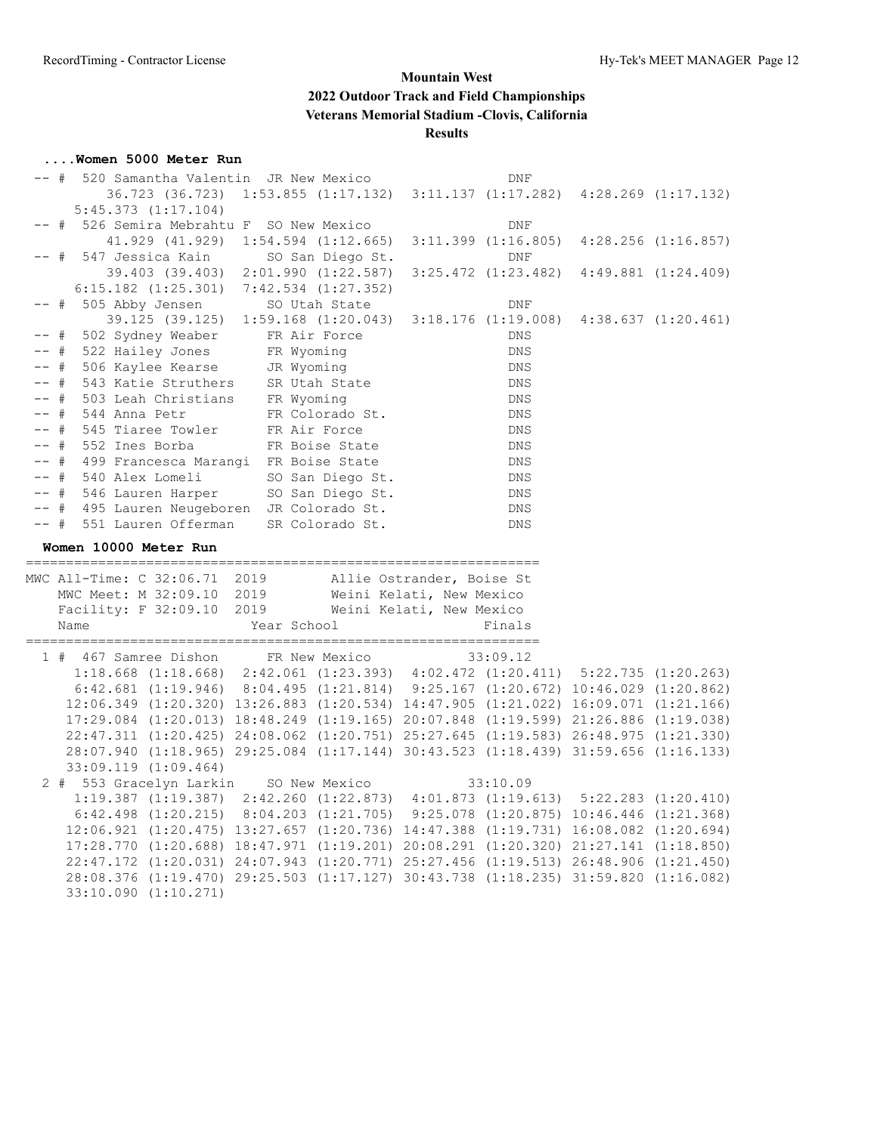#### **....Women 5000 Meter Run**

|        | -- # 520 Samantha Valentin JR New Mexico                                                                        |  |                                                                               | DNF                |  |
|--------|-----------------------------------------------------------------------------------------------------------------|--|-------------------------------------------------------------------------------|--------------------|--|
|        |                                                                                                                 |  | 36.723 (36.723) 1:53.855 (1:17.132) 3:11.137 (1:17.282) 4:28.269 (1:17.132)   |                    |  |
|        | $5:45.373$ $(1:17.104)$                                                                                         |  |                                                                               |                    |  |
|        | -- # 526 Semira Mebrahtu F SO New Mexico                                                                        |  |                                                                               | DNF                |  |
|        |                                                                                                                 |  | $41.929$ (41.929) 1:54.594 (1:12.665) 3:11.399 (1:16.805) 4:28.256 (1:16.857) |                    |  |
|        | -- # 547 Jessica Kain SO San Diego St.                                                                          |  |                                                                               | <b>DNF</b>         |  |
|        |                                                                                                                 |  | 39.403 (39.403) 2:01.990 (1:22.587) 3:25.472 (1:23.482) 4:49.881 (1:24.409)   |                    |  |
|        | $6:15.182$ $(1:25.301)$ $7:42.534$ $(1:27.352)$                                                                 |  |                                                                               |                    |  |
| $--$ # | 505 Abby Jensen                                                                                                 |  | SO Utah State                                                                 | DNF                |  |
|        | 39.125 (39.125) 1:59.168 (1:20.043) 3:18.176 (1:19.008) 4:38.637 (1:20.461)                                     |  |                                                                               |                    |  |
|        | -- # 502 Sydney Weaber FR Air Force                                                                             |  |                                                                               | DNS                |  |
|        |                                                                                                                 |  |                                                                               | DNS                |  |
|        |                                                                                                                 |  |                                                                               | DNS                |  |
|        | -- # 522 Hailey Jones FR Wyoming<br>-- # 506 Kaylee Kearse JR Wyoming<br>-- # 543 Katie Struthers SR Utah State |  |                                                                               | DNS                |  |
| -- #   |                                                                                                                 |  |                                                                               |                    |  |
| $--$ # | 503 Leah Christians FR Wyoming<br>544 Anna Petr FR Colorado St.                                                 |  |                                                                               | DNS                |  |
|        | -- # 545 Tiaree Towler FR Air Force                                                                             |  |                                                                               | DNS                |  |
|        |                                                                                                                 |  |                                                                               | DNS                |  |
|        | -- # 552 Ines Borba FR Boise State<br>-- # 499 Francesca Marangi FR Boise State                                 |  |                                                                               |                    |  |
|        |                                                                                                                 |  |                                                                               | DNS                |  |
|        | -- # 540 Alex Lomeli                                                                                            |  | SO San Diego St.                                                              | $\mathop{\rm DNS}$ |  |
|        | -- # 546 Lauren Harper SO San Diego St.                                                                         |  |                                                                               | DNS                |  |
|        | -- # 495 Lauren Neugeboren JR Colorado St.<br>-- # 551 Lauren Offerman SR Colorado St.                          |  |                                                                               | DNS                |  |
|        |                                                                                                                 |  |                                                                               | DNS                |  |
|        |                                                                                                                 |  |                                                                               |                    |  |
|        | Women 10000 Meter Run                                                                                           |  |                                                                               |                    |  |
|        |                                                                                                                 |  |                                                                               |                    |  |
|        | MWC All-Time: C 32:06.71 2019 Allie Ostrander, Boise St                                                         |  |                                                                               |                    |  |
|        | MWC Meet: M 32:09.10 2019 Weini Kelati, New Mexico                                                              |  |                                                                               |                    |  |
|        | Facility: F 32:09.10 2019 Weini Kelati, New Mexico                                                              |  |                                                                               |                    |  |
|        | Name                                                                                                            |  | Year School                                                                   | Finals             |  |
|        |                                                                                                                 |  |                                                                               |                    |  |
|        | 1 # 467 Samree Dishon FR New Mexico                                                                             |  |                                                                               | 33:09.12           |  |
|        | 1:18.668 (1:18.668) 2:42.061 (1:23.393) 4:02.472 (1:20.411) 5:22.735 (1:20.263)                                 |  |                                                                               |                    |  |
|        | $6:42.681$ (1:19.946) $8:04.495$ (1:21.814) $9:25.167$ (1:20.672) 10:46.029 (1:20.862)                          |  |                                                                               |                    |  |
|        | 12:06.349 (1:20.320) 13:26.883 (1:20.534) 14:47.905 (1:21.022) 16:09.071 (1:21.166)                             |  |                                                                               |                    |  |
|        | 17:29.084 (1:20.013) 18:48.249 (1:19.165) 20:07.848 (1:19.599) 21:26.886 (1:19.038)                             |  |                                                                               |                    |  |
|        | 22:47.311 (1:20.425) 24:08.062 (1:20.751) 25:27.645 (1:19.583) 26:48.975 (1:21.330)                             |  |                                                                               |                    |  |
|        | 28:07.940 (1:18.965) 29:25.084 (1:17.144) 30:43.523 (1:18.439) 31:59.656 (1:16.133)                             |  |                                                                               |                    |  |
|        | 33:09.119 (1:09.464)                                                                                            |  |                                                                               |                    |  |
|        | 2 # 553 Gracelyn Larkin SO New Mexico                                                                           |  |                                                                               | 33:10.09           |  |
|        | 1:19.387 (1:19.387) 2:42.260 (1:22.873) 4:01.873 (1:19.613) 5:22.283 (1:20.410)                                 |  |                                                                               |                    |  |
|        | $6:42.498$ $(1:20.215)$ $8:04.203$ $(1:21.705)$ $9:25.078$ $(1:20.875)$ $10:46.446$ $(1:21.368)$                |  |                                                                               |                    |  |
|        | $12:06.921$ $(1:20.475)$ $13:27.657$ $(1:20.736)$ $14:47.388$ $(1:19.731)$ $16:08.082$ $(1:20.694)$             |  |                                                                               |                    |  |
|        | 17:28.770 (1:20.688) 18:47.971 (1:19.201) 20:08.291 (1:20.320) 21:27.141 (1:18.850)                             |  |                                                                               |                    |  |
|        | 22:47.172 (1:20.031) 24:07.943 (1:20.771) 25:27.456 (1:19.513) 26:48.906 (1:21.450)                             |  |                                                                               |                    |  |
|        | 28:08.376 (1:19.470) 29:25.503 (1:17.127) 30:43.738 (1:18.235) 31:59.820 (1:16.082)<br>33:10.090 (1:10.271)     |  |                                                                               |                    |  |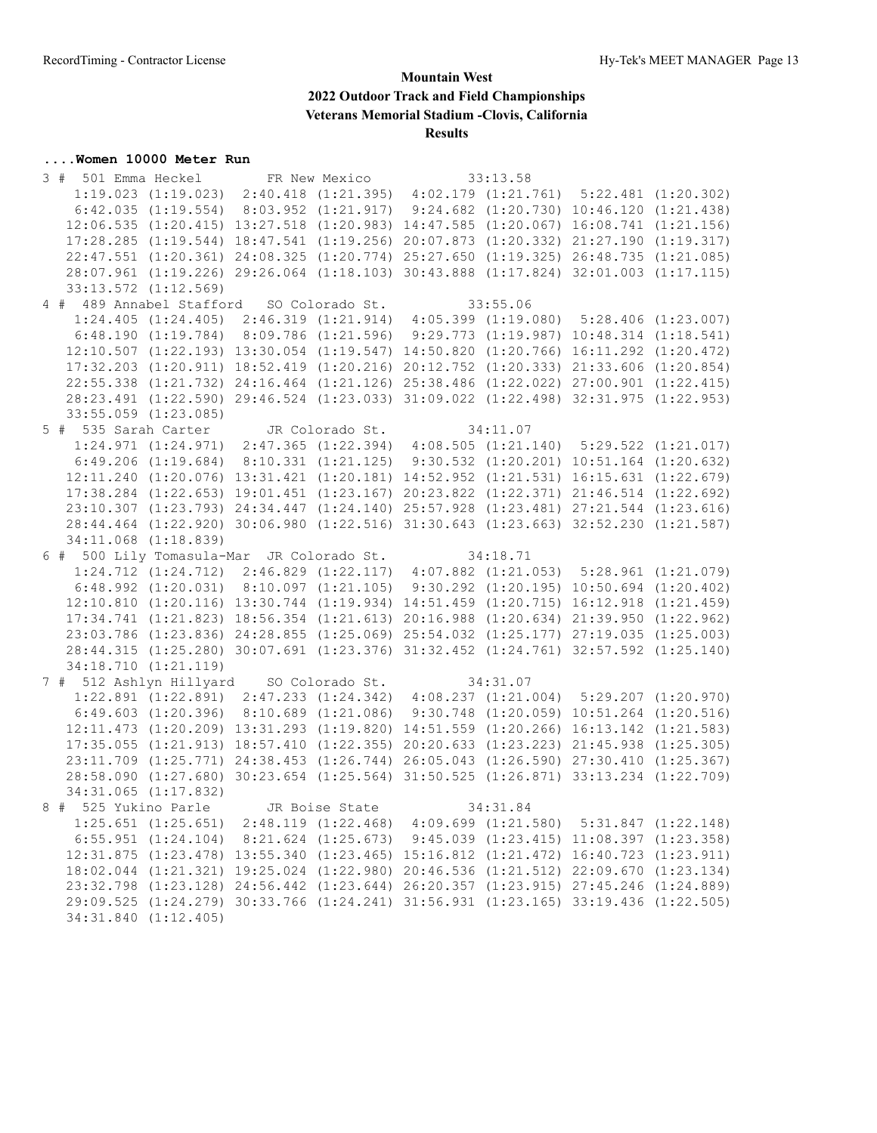#### **....Women 10000 Meter Run**

 3 # 501 Emma Heckel FR New Mexico 33:13.58 1:19.023 (1:19.023) 2:40.418 (1:21.395) 4:02.179 (1:21.761) 5:22.481 (1:20.302) 6:42.035 (1:19.554) 8:03.952 (1:21.917) 9:24.682 (1:20.730) 10:46.120 (1:21.438) 12:06.535 (1:20.415) 13:27.518 (1:20.983) 14:47.585 (1:20.067) 16:08.741 (1:21.156) 17:28.285 (1:19.544) 18:47.541 (1:19.256) 20:07.873 (1:20.332) 21:27.190 (1:19.317) 22:47.551 (1:20.361) 24:08.325 (1:20.774) 25:27.650 (1:19.325) 26:48.735 (1:21.085) 28:07.961 (1:19.226) 29:26.064 (1:18.103) 30:43.888 (1:17.824) 32:01.003 (1:17.115) 33:13.572 (1:12.569) 4 # 489 Annabel Stafford SO Colorado St. 33:55.06 1:24.405 (1:24.405) 2:46.319 (1:21.914) 4:05.399 (1:19.080) 5:28.406 (1:23.007) 6:48.190 (1:19.784) 8:09.786 (1:21.596) 9:29.773 (1:19.987) 10:48.314 (1:18.541) 12:10.507 (1:22.193) 13:30.054 (1:19.547) 14:50.820 (1:20.766) 16:11.292 (1:20.472) 17:32.203 (1:20.911) 18:52.419 (1:20.216) 20:12.752 (1:20.333) 21:33.606 (1:20.854) 22:55.338 (1:21.732) 24:16.464 (1:21.126) 25:38.486 (1:22.022) 27:00.901 (1:22.415) 28:23.491 (1:22.590) 29:46.524 (1:23.033) 31:09.022 (1:22.498) 32:31.975 (1:22.953) 33:55.059 (1:23.085) 5 # 535 Sarah Carter JR Colorado St. 34:11.07 1:24.971 (1:24.971) 2:47.365 (1:22.394) 4:08.505 (1:21.140) 5:29.522 (1:21.017) 6:49.206 (1:19.684) 8:10.331 (1:21.125) 9:30.532 (1:20.201) 10:51.164 (1:20.632) 12:11.240 (1:20.076) 13:31.421 (1:20.181) 14:52.952 (1:21.531) 16:15.631 (1:22.679) 17:38.284 (1:22.653) 19:01.451 (1:23.167) 20:23.822 (1:22.371) 21:46.514 (1:22.692) 23:10.307 (1:23.793) 24:34.447 (1:24.140) 25:57.928 (1:23.481) 27:21.544 (1:23.616) 28:44.464 (1:22.920) 30:06.980 (1:22.516) 31:30.643 (1:23.663) 32:52.230 (1:21.587) 34:11.068 (1:18.839) 6 # 500 Lily Tomasula-Mar JR Colorado St. 34:18.71 1:24.712 (1:24.712) 2:46.829 (1:22.117) 4:07.882 (1:21.053) 5:28.961 (1:21.079) 6:48.992 (1:20.031) 8:10.097 (1:21.105) 9:30.292 (1:20.195) 10:50.694 (1:20.402) 12:10.810 (1:20.116) 13:30.744 (1:19.934) 14:51.459 (1:20.715) 16:12.918 (1:21.459) 17:34.741 (1:21.823) 18:56.354 (1:21.613) 20:16.988 (1:20.634) 21:39.950 (1:22.962) 23:03.786 (1:23.836) 24:28.855 (1:25.069) 25:54.032 (1:25.177) 27:19.035 (1:25.003) 28:44.315 (1:25.280) 30:07.691 (1:23.376) 31:32.452 (1:24.761) 32:57.592 (1:25.140) 34:18.710 (1:21.119) 7 # 512 Ashlyn Hillyard SO Colorado St. 34:31.07 1:22.891 (1:22.891) 2:47.233 (1:24.342) 4:08.237 (1:21.004) 5:29.207 (1:20.970) 6:49.603 (1:20.396) 8:10.689 (1:21.086) 9:30.748 (1:20.059) 10:51.264 (1:20.516) 12:11.473 (1:20.209) 13:31.293 (1:19.820) 14:51.559 (1:20.266) 16:13.142 (1:21.583) 17:35.055 (1:21.913) 18:57.410 (1:22.355) 20:20.633 (1:23.223) 21:45.938 (1:25.305) 23:11.709 (1:25.771) 24:38.453 (1:26.744) 26:05.043 (1:26.590) 27:30.410 (1:25.367) 28:58.090 (1:27.680) 30:23.654 (1:25.564) 31:50.525 (1:26.871) 33:13.234 (1:22.709) 34:31.065 (1:17.832) 8 # 525 Yukino Parle JR Boise State 34:31.84 1:25.651 (1:25.651) 2:48.119 (1:22.468) 4:09.699 (1:21.580) 5:31.847 (1:22.148) 6:55.951 (1:24.104) 8:21.624 (1:25.673) 9:45.039 (1:23.415) 11:08.397 (1:23.358) 12:31.875 (1:23.478) 13:55.340 (1:23.465) 15:16.812 (1:21.472) 16:40.723 (1:23.911) 18:02.044 (1:21.321) 19:25.024 (1:22.980) 20:46.536 (1:21.512) 22:09.670 (1:23.134) 23:32.798 (1:23.128) 24:56.442 (1:23.644) 26:20.357 (1:23.915) 27:45.246 (1:24.889) 29:09.525 (1:24.279) 30:33.766 (1:24.241) 31:56.931 (1:23.165) 33:19.436 (1:22.505) 34:31.840 (1:12.405)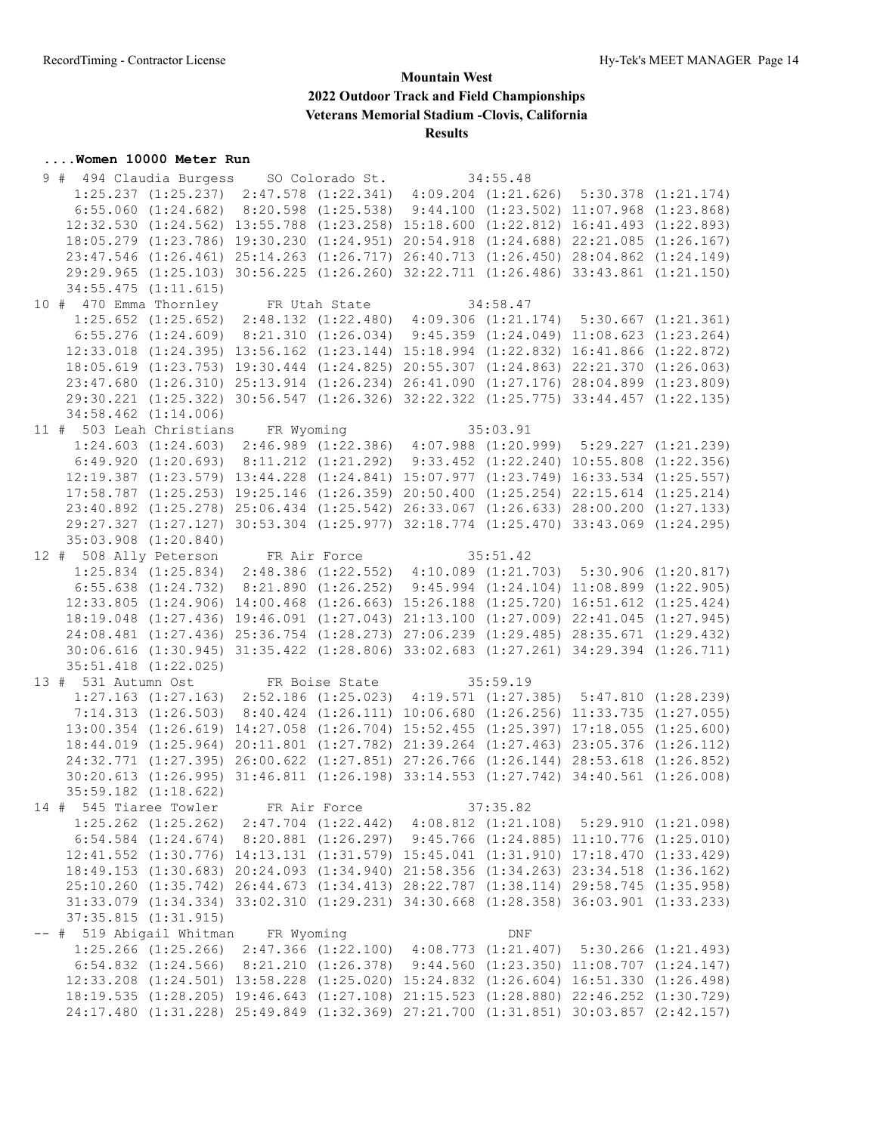# **.... Women 10000 Meter Run**<br>9 # 494 Claudia Burgess

| 9 # 494 Claudia Burgess SO Colorado St. 34:55.48<br>1:25.237 (1:25.237) 2:47.578 (1:22.341) 4:09.204 (1:21.626) 5:30.378 (1:21.174) |                          |                                                                                                  |                    |  |
|-------------------------------------------------------------------------------------------------------------------------------------|--------------------------|--------------------------------------------------------------------------------------------------|--------------------|--|
|                                                                                                                                     |                          | 6:55.060 (1:24.682) 8:20.598 (1:25.538) 9:44.100 (1:23.502) 11:07.968 (1:23.868)                 |                    |  |
|                                                                                                                                     |                          |                                                                                                  |                    |  |
|                                                                                                                                     |                          | 12:32.530 (1:24.562) 13:55.788 (1:23.258) 15:18.600 (1:22.812) 16:41.493 (1:22.893)              |                    |  |
|                                                                                                                                     |                          | 18:05.279 (1:23.786) 19:30.230 (1:24.951) 20:54.918 (1:24.688) 22:21.085 (1:26.167)              |                    |  |
|                                                                                                                                     |                          | 23:47.546 (1:26.461) 25:14.263 (1:26.717) 26:40.713 (1:26.450) 28:04.862 (1:24.149)              |                    |  |
|                                                                                                                                     |                          | 29:29.965 (1:25.103) 30:56.225 (1:26.260) 32:22.711 (1:26.486) 33:43.861 (1:21.150)              |                    |  |
|                                                                                                                                     | $34:55.475$ $(1:11.615)$ |                                                                                                  |                    |  |
| 10 # 470 Emma Thornley FR Utah State 34:58.47<br>1:25.652 (1:25.652) 2:48.132 (1:22.480) 4:09.306 (1:21.174) 5:30.667 (1:21.361)    |                          |                                                                                                  |                    |  |
|                                                                                                                                     |                          |                                                                                                  |                    |  |
|                                                                                                                                     |                          | 6:55.276 (1:24.609) 8:21.310 (1:26.034) 9:45.359 (1:24.049) 11:08.623 (1:23.264)                 |                    |  |
|                                                                                                                                     |                          | 12:33.018 (1:24.395) 13:56.162 (1:23.144) 15:18.994 (1:22.832) 16:41.866 (1:22.872)              |                    |  |
|                                                                                                                                     |                          | 18:05.619 (1:23.753) 19:30.444 (1:24.825) 20:55.307 (1:24.863) 22:21.370 (1:26.063)              |                    |  |
|                                                                                                                                     |                          | 23:47.680 (1:26.310) 25:13.914 (1:26.234) 26:41.090 (1:27.176) 28:04.899 (1:23.809)              |                    |  |
|                                                                                                                                     |                          | 29:30.221 (1:25.322) 30:56.547 (1:26.326) 32:22.322 (1:25.775) 33:44.457 (1:22.135)              |                    |  |
|                                                                                                                                     | $34:58.462$ $(1:14.006)$ |                                                                                                  |                    |  |
| 11 # 503 Leah Christians FR Wyoming 35:03.91<br>1:24.603 (1:24.603) 2:46.989 (1:22.386) 4:07.988 (1:20.999) 5:29.227 (1:21.239)     |                          |                                                                                                  |                    |  |
|                                                                                                                                     |                          |                                                                                                  |                    |  |
|                                                                                                                                     |                          | $6:49.920$ $(1:20.693)$ $8:11.212$ $(1:21.292)$ $9:33.452$ $(1:22.240)$ $10:55.808$ $(1:22.356)$ |                    |  |
|                                                                                                                                     |                          | 12:19.387 (1:23.579) 13:44.228 (1:24.841) 15:07.977 (1:23.749) 16:33.534 (1:25.557)              |                    |  |
|                                                                                                                                     |                          | 17:58.787 (1:25.253) 19:25.146 (1:26.359) 20:50.400 (1:25.254) 22:15.614 (1:25.214)              |                    |  |
|                                                                                                                                     |                          | 23:40.892 (1:25.278) 25:06.434 (1:25.542) 26:33.067 (1:26.633) 28:00.200 (1:27.133)              |                    |  |
|                                                                                                                                     |                          | 29:27.327 (1:27.127) 30:53.304 (1:25.977) 32:18.774 (1:25.470) 33:43.069 (1:24.295)              |                    |  |
|                                                                                                                                     | 35:03.908 (1:20.840)     |                                                                                                  |                    |  |
|                                                                                                                                     |                          |                                                                                                  |                    |  |
| 12 # 508 Ally Peterson FR Air Force 35:51.42<br>1:25.834 (1:25.834) 2:48.386 (1:22.552) 4:10.089 (1:21.703) 5:30.906 (1:20.817)     |                          |                                                                                                  |                    |  |
|                                                                                                                                     |                          | 6:55.638 (1:24.732) 8:21.890 (1:26.252) 9:45.994 (1:24.104) 11:08.899 (1:22.905)                 |                    |  |
|                                                                                                                                     |                          | 12:33.805 (1:24.906) 14:00.468 (1:26.663) 15:26.188 (1:25.720) 16:51.612 (1:25.424)              |                    |  |
|                                                                                                                                     |                          | 18:19.048 (1:27.436) 19:46.091 (1:27.043) 21:13.100 (1:27.009) 22:41.045 (1:27.945)              |                    |  |
|                                                                                                                                     |                          | 24:08.481 (1:27.436) 25:36.754 (1:28.273) 27:06.239 (1:29.485) 28:35.671 (1:29.432)              |                    |  |
|                                                                                                                                     |                          | 30:06.616 (1:30.945) 31:35.422 (1:28.806) 33:02.683 (1:27.261) 34:29.394 (1:26.711)              |                    |  |
|                                                                                                                                     | 35:51.418 (1:22.025)     |                                                                                                  |                    |  |
|                                                                                                                                     |                          |                                                                                                  |                    |  |
| 13 # 531 Autumn Ost FR Boise State 35:59.19                                                                                         |                          |                                                                                                  |                    |  |
|                                                                                                                                     |                          | 1:27.163 (1:27.163) 2:52.186 (1:25.023) 4:19.571 (1:27.385) 5:47.810 (1:28.239)                  |                    |  |
|                                                                                                                                     |                          | 7:14.313 (1:26.503) 8:40.424 (1:26.111) 10:06.680 (1:26.256) 11:33.735 (1:27.055)                |                    |  |
|                                                                                                                                     |                          | 13:00.354 (1:26.619) 14:27.058 (1:26.704) 15:52.455 (1:25.397) 17:18.055 (1:25.600)              |                    |  |
|                                                                                                                                     |                          | 18:44.019 (1:25.964) 20:11.801 (1:27.782) 21:39.264 (1:27.463) 23:05.376 (1:26.112)              |                    |  |
|                                                                                                                                     |                          | 24:32.771 (1:27.395) 26:00.622 (1:27.851) 27:26.766 (1:26.144) 28:53.618 (1:26.852)              |                    |  |
|                                                                                                                                     |                          | 30:20.613 (1:26.995) 31:46.811 (1:26.198) 33:14.553 (1:27.742) 34:40.561 (1:26.008)              |                    |  |
|                                                                                                                                     | 35:59.182 (1:18.622)     |                                                                                                  |                    |  |
| 14 # 545 Tiaree Towler FR Air Force                                                                                                 |                          |                                                                                                  | 37:35.82           |  |
|                                                                                                                                     |                          | 1:25.262 (1:25.262) 2:47.704 (1:22.442) 4:08.812 (1:21.108) 5:29.910 (1:21.098)                  |                    |  |
|                                                                                                                                     |                          | 6:54.584 (1:24.674) 8:20.881 (1:26.297) 9:45.766 (1:24.885) 11:10.776 (1:25.010)                 |                    |  |
|                                                                                                                                     |                          | 12:41.552 (1:30.776) 14:13.131 (1:31.579) 15:45.041 (1:31.910) 17:18.470 (1:33.429)              |                    |  |
|                                                                                                                                     |                          | 18:49.153 (1:30.683) 20:24.093 (1:34.940) 21:58.356 (1:34.263) 23:34.518 (1:36.162)              |                    |  |
|                                                                                                                                     |                          | 25:10.260 (1:35.742) 26:44.673 (1:34.413) 28:22.787 (1:38.114) 29:58.745 (1:35.958)              |                    |  |
|                                                                                                                                     |                          | 31:33.079 (1:34.334) 33:02.310 (1:29.231) 34:30.668 (1:28.358) 36:03.901 (1:33.233)              |                    |  |
|                                                                                                                                     | 37:35.815 (1:31.915)     |                                                                                                  |                    |  |
| -- # 519 Abigail Whitman FR Wyoming                                                                                                 |                          |                                                                                                  | $\mathop{\rm DNF}$ |  |
|                                                                                                                                     |                          | 1:25.266 (1:25.266) 2:47.366 (1:22.100) 4:08.773 (1:21.407) 5:30.266 (1:21.493)                  |                    |  |
|                                                                                                                                     |                          | 6:54.832 (1:24.566) 8:21.210 (1:26.378) 9:44.560 (1:23.350) 11:08.707 (1:24.147)                 |                    |  |
|                                                                                                                                     |                          | 12:33.208 (1:24.501) 13:58.228 (1:25.020) 15:24.832 (1:26.604) 16:51.330 (1:26.498)              |                    |  |
|                                                                                                                                     |                          | 18:19.535 (1:28.205) 19:46.643 (1:27.108) 21:15.523 (1:28.880) 22:46.252 (1:30.729)              |                    |  |
|                                                                                                                                     |                          | 24:17.480 (1:31.228) 25:49.849 (1:32.369) 27:21.700 (1:31.851) 30:03.857 (2:42.157)              |                    |  |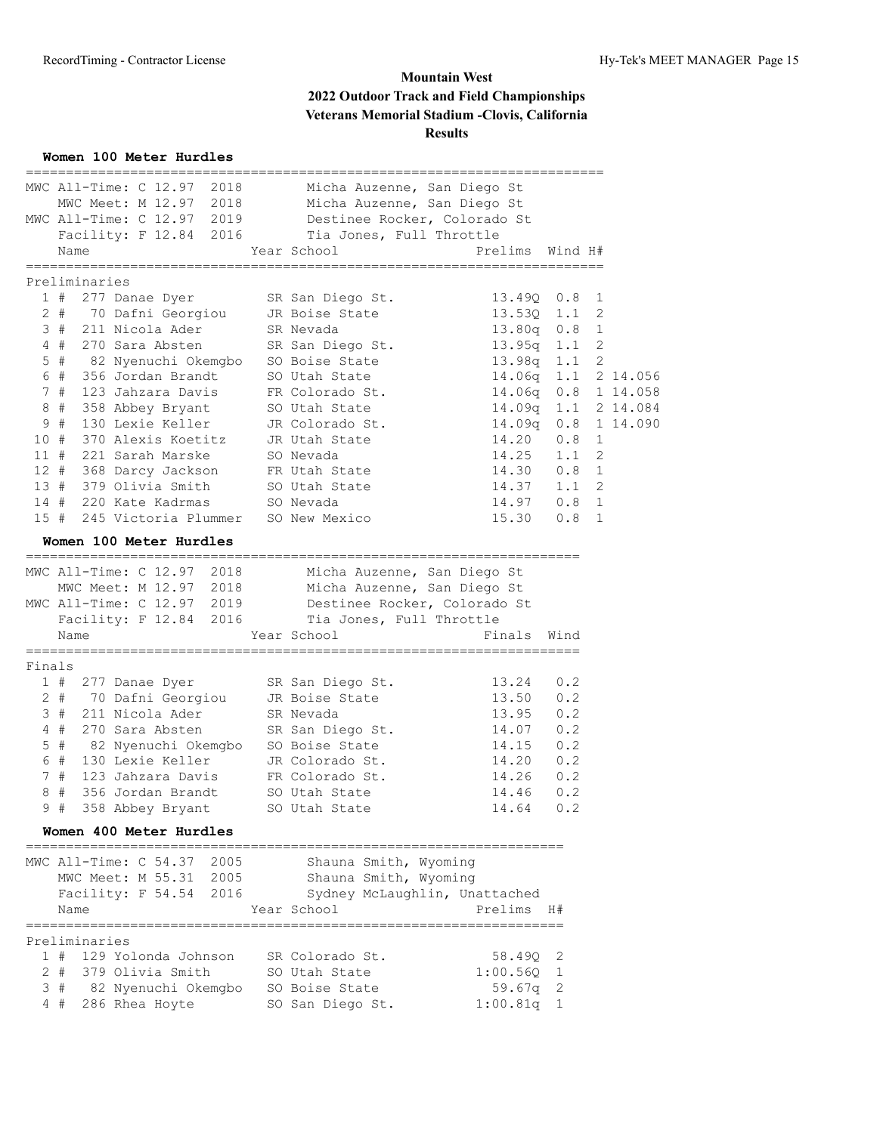#### **Women 100 Meter Hurdles**

|        | ===========<br>MWC All-Time: C 12.97 2018 Micha Auzenne, San Diego St |                                                             | ==============              |     |              |          |
|--------|-----------------------------------------------------------------------|-------------------------------------------------------------|-----------------------------|-----|--------------|----------|
|        | MWC Meet: M 12.97 2018 Micha Auzenne, San Diego St                    |                                                             |                             |     |              |          |
|        | MWC All-Time: C 12.97 2019                                            | Destinee Rocker, Colorado St                                |                             |     |              |          |
|        | Facility: F 12.84 2016<br>Name                                        | Tia Jones, Full Throttle<br>Year School                     | Prelims Wind H#             |     |              |          |
|        | ===============<br>Preliminaries                                      | ========================                                    | ------------------------    |     |              |          |
|        | 1#<br>277 Danae Dyer                                                  | SR San Diego St.                                            | 13.49Q 0.8                  |     | 1            |          |
|        | 2 # 70 Dafni Georgiou                                                 | JR Boise State                                              | 13.530 1.1                  |     | 2            |          |
|        | 3 # 211 Nicola Ader                                                   | SR Nevada                                                   | $13.80q$ $0.8$              |     | 1            |          |
|        | 4#<br>270 Sara Absten                                                 | SR San Diego St.                                            | 13.95q 1.1                  |     | 2            |          |
|        | 82 Nyenuchi Okemgbo SO Boise State<br>$5$ #                           |                                                             | $13.98q$ 1.1                |     | $\mathbf{2}$ |          |
|        | 6 #<br>356 Jordan Brandt                                              | SO Utah State                                               | 14.06q 1.1 2 14.056         |     |              |          |
|        | 7#<br>123 Jahzara Davis                                               | FR Colorado St.                                             | $14.06q$ $0.8$              |     |              | 1 14.058 |
|        | 8#<br>358 Abbey Bryant                                                | SO Utah State                                               | 14.09q 1.1 2 14.084         |     |              |          |
|        | 9#<br>130 Lexie Keller                                                | JR Colorado St.                                             | $14.09q$ 0.8                |     |              | 1 14.090 |
| 10#    | 370 Alexis Koetitz<br>221 Sarah Marske                                | JR Utah State                                               | $14.20\ 0.8$<br>$14.25$ 1.1 |     | 1            |          |
| 11#    | 12 # 368 Darcy Jackson FR Utah State                                  | SO Nevada                                                   | 14.30 0.8                   |     | 2<br>1       |          |
|        | 13 # 379 Olivia Smith                                                 | SO Utah State                                               | $14.37$ $1.1$               |     | 2            |          |
|        | 14 # 220 Kate Kadrmas                                                 | SO Nevada                                                   | 14.97 0.8                   |     | 1            |          |
| 15#    | 245 Victoria Plummer SO New Mexico                                    |                                                             | $15.30 \t 0.8$              |     | $\mathbf{1}$ |          |
|        | Women 100 Meter Hurdles                                               |                                                             |                             |     |              |          |
|        |                                                                       |                                                             |                             |     |              |          |
|        | MWC All-Time: C 12.97 2018                                            | Micha Auzenne, San Diego St                                 |                             |     |              |          |
|        | MWC Meet: M 12.97 2018                                                | Micha Auzenne, San Diego St<br>Destinee Rocker, Colorado St |                             |     |              |          |
|        | MWC All-Time: C 12.97 2019                                            |                                                             |                             |     |              |          |
|        | Facility: F 12.84 2016 Tia Jones, Full Throttle                       |                                                             |                             |     |              |          |
|        | Name                                                                  | Year School                                                 | Finals Wind                 |     |              |          |
| Finals |                                                                       |                                                             |                             |     |              |          |
|        | 1 # 277 Danae Dyer                                                    | SR San Diego St.                                            | 13.24 0.2                   |     |              |          |
|        | 2 # 70 Dafni Georgiou                                                 |                                                             |                             |     |              |          |
|        |                                                                       | JR Boise State                                              | $13.50$ 0.2                 |     |              |          |
|        | 3#<br>211 Nicola Ader                                                 | SR Nevada                                                   | 13.95 0.2                   |     |              |          |
|        | 4#<br>270 Sara Absten                                                 | SR San Diego St.                                            | 14.07 0.2                   |     |              |          |
|        | $5$ #<br>82 Nyenuchi Okemgbo 650 Boise State                          |                                                             | $14.15$ 0.2                 |     |              |          |
|        | 6#<br>130 Lexie Keller                                                | JR Colorado St.                                             | 14.20 0.2                   |     |              |          |
|        | 7#<br>123 Jahzara Davis                                               | FR Colorado St.                                             | $14.26$ 0.2                 |     |              |          |
| 8      | #<br>356 Jordan Brandt                                                | SO Utah State                                               | 14.46                       | 0.2 |              |          |
|        | 9 # 358 Abbey Bryant                                                  | SO Utah State                                               | $14.64$ 0.2                 |     |              |          |
|        | Women 400 Meter Hurdles                                               |                                                             |                             |     |              |          |
|        | MWC All-Time: C 54.37 2005                                            |                                                             |                             |     |              |          |
|        | MWC Meet: M 55.31 2005                                                | Shauna Smith, Wyoming<br>Shauna Smith, Wyoming              |                             |     |              |          |
|        | Facility: F 54.54 2016                                                | Sydney McLaughlin, Unattached                               |                             |     |              |          |
|        | Name                                                                  | Year School                                                 | Prelims H#                  |     |              |          |
|        | Preliminaries                                                         |                                                             |                             |     |              |          |
|        | 1 # 129 Yolonda Johnson                                               | SR Colorado St.                                             | 58.490 2                    |     |              |          |
|        | $2 +$<br>379 Olivia Smith                                             | SO Utah State                                               | $1:00.56Q$ 1                |     |              |          |
|        | 3#<br>82 Nyenuchi Okemgbo SO Boise State                              |                                                             | 59.67q 2                    |     |              |          |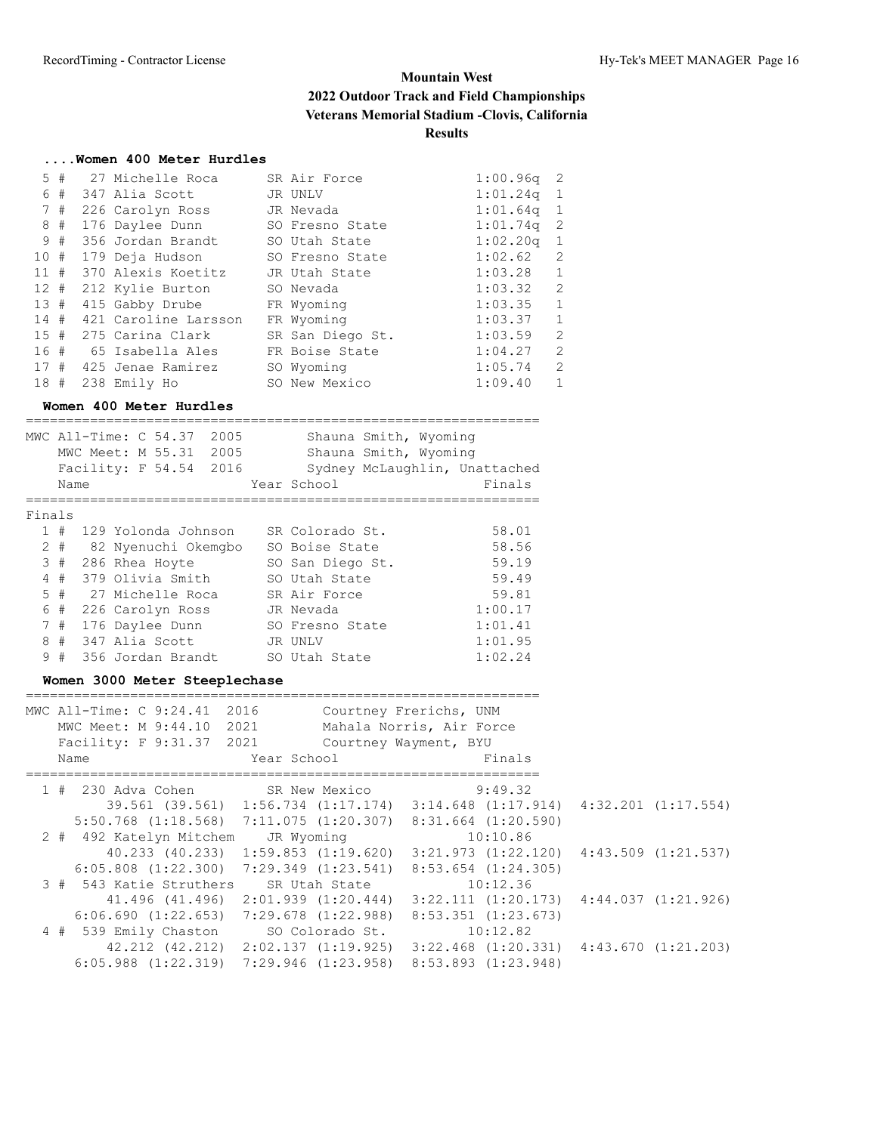## **....Women 400 Meter Hurdles**

| 5.   | #    | 27 Michelle Roca        | SR Air Force     | 1:00.96q | -2            |
|------|------|-------------------------|------------------|----------|---------------|
|      |      | $6$ # 347 Alia Scott    | JR UNLV          | 1:01.24q |               |
|      | 7#   | 226 Carolyn Ross        | JR Nevada        | 1:01.64q | - 1           |
|      | 8#   | 176 Daylee Dunn         | SO Fresno State  | 1:01.74q | -2            |
|      | 9#   | 356 Jordan Brandt       | SO Utah State    | 1:02.20q |               |
| 10 # |      | 179 Deja Hudson         | SO Fresno State  | 1:02.62  | $\mathcal{L}$ |
|      |      | 11 # 370 Alexis Koetitz | JR Utah State    | 1:03.28  | 1             |
|      | 12 # | 212 Kylie Burton        | SO Nevada        | 1:03.32  | 2             |
| 13#  |      | 415 Gabby Drube         | FR Wyoming       | 1:03.35  | $\mathbf{1}$  |
| 14#  |      | 421 Caroline Larsson    | FR Wyoming       | 1:03.37  | $\mathbf{1}$  |
|      |      | 15 # 275 Carina Clark   | SR San Diego St. | 1:03.59  | $\mathcal{L}$ |
| 16#  |      | 65 Isabella Ales        | FR Boise State   | 1:04.27  | $\mathcal{L}$ |
| 17#  |      | 425 Jenae Ramirez       | SO Wyoming       | 1:05.74  | $\mathcal{L}$ |
| 18#  |      | 238 Emily Ho            | SO New Mexico    | 1:09.40  |               |

#### **Women 400 Meter Hurdles**

|        |       | MWC All-Time: C 54.37<br>2005<br>2005<br>MWC Meet: M 55.31 | Shauna Smith, Wyoming<br>Shauna Smith, Wyoming |         |
|--------|-------|------------------------------------------------------------|------------------------------------------------|---------|
|        |       | Facility: F 54.54 2016                                     | Sydney McLaughlin, Unattached                  |         |
|        | Name  |                                                            | Year School                                    | Finals  |
|        |       |                                                            |                                                |         |
| Finals |       |                                                            |                                                |         |
|        | 1#    | 129 Yolonda Johnson                                        | SR Colorado St.                                | 58.01   |
|        | $2 +$ | 82 Nyenuchi Okemgbo                                        | SO Boise State                                 | 58.56   |
| 3      | #     | 286 Rhea Hoyte                                             | SO San Diego St.                               | 59.19   |
|        | 4#    | 379 Olivia Smith                                           | SO Utah State                                  | 59.49   |
|        | 5#    | - 27 Michelle Roca                                         | SR Air Force                                   | 59.81   |
| 6      | #     | 226 Carolyn Ross                                           | JR Nevada                                      | 1:00.17 |
|        | 7#    | 176 Daylee Dunn                                            | SO Fresno State                                | 1:01.41 |
| 8      | #     | 347 Alia Scott                                             | JR UNLV                                        | 1:01.95 |
| 9      | #     | 356 Jordan Brandt                                          | SO Utah State                                  | 1:02.24 |

## **Women 3000 Meter Steeplechase**

|  | MWC All-Time: C 9:24.41 2016<br>MWC Meet: M 9:44.10 2021<br>Facility: F 9:31.37 2021        |               | Courtney Frerichs, UNM<br>Mahala Norris, Air Force<br>Courtney Wayment, BYU |                                                 |  |
|--|---------------------------------------------------------------------------------------------|---------------|-----------------------------------------------------------------------------|-------------------------------------------------|--|
|  | Name                                                                                        | Year School   |                                                                             | Finals                                          |  |
|  |                                                                                             |               |                                                                             |                                                 |  |
|  | 1 # 230 Adva Cohen SR New Mexico                                                            |               |                                                                             | 9:49.32                                         |  |
|  | $39.561$ (39.561) 1:56.734 (1:17.174) 3:14.648 (1:17.914) 4:32.201 (1:17.554)               |               |                                                                             |                                                 |  |
|  | $5:50.768$ $(1:18.568)$ $7:11.075$ $(1:20.307)$ $8:31.664$ $(1:20.590)$                     |               |                                                                             |                                                 |  |
|  | 2 # 492 Katelyn Mitchem                                                                     | JR Wyoming    |                                                                             | 10:10.86                                        |  |
|  | 40.233 (40.233) 1:59.853 (1:19.620)                                                         |               |                                                                             | $3:21.973$ $(1:22.120)$ $4:43.509$ $(1:21.537)$ |  |
|  | $6:05.808$ $(1:22.300)$ $7:29.349$ $(1:23.541)$                                             |               |                                                                             | $8:53.654$ $(1:24.305)$                         |  |
|  | 3 # 543 Katie Struthers                                                                     | SR Utah State |                                                                             | 10:12.36                                        |  |
|  | $41.496$ $(41.496)$ $2:01.939$ $(1:20.444)$ $3:22.111$ $(1:20.173)$ $4:44.037$ $(1:21.926)$ |               |                                                                             |                                                 |  |
|  | $6:06.690$ $(1:22.653)$ $7:29.678$ $(1:22.988)$                                             |               |                                                                             | $8:53.351$ $(1:23.673)$                         |  |
|  | 4 # 539 Emily Chaston SO Colorado St.                                                       |               |                                                                             | 10:12.82                                        |  |
|  | 42.212 (42.212) 2:02.137 (1:19.925) 3:22.468 (1:20.331) 4:43.670 (1:21.203)                 |               |                                                                             |                                                 |  |
|  | $6:05.988$ $(1:22.319)$ $7:29.946$ $(1:23.958)$                                             |               |                                                                             | $8:53.893$ $(1:23.948)$                         |  |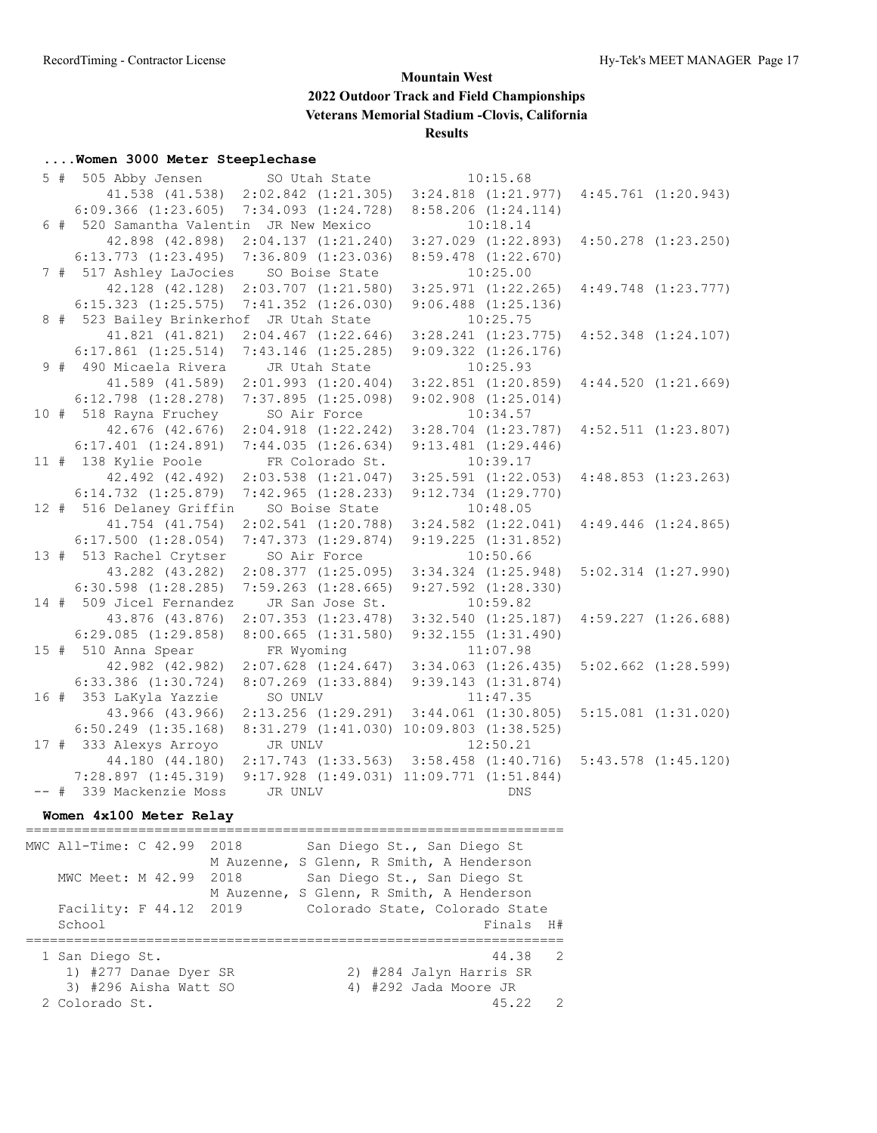## **....Women 3000 Meter Steeplechase**

|  | 5 # 505 Abby Jensen                     | SO Utah State                       | 10:15.68                                         |                         |
|--|-----------------------------------------|-------------------------------------|--------------------------------------------------|-------------------------|
|  |                                         | 41.538 (41.538) 2:02.842 (1:21.305) | $3:24.818$ $(1:21.977)$ $4:45.761$ $(1:20.943)$  |                         |
|  | $6:09.366$ $(1:23.605)$                 | $7:34.093$ $(1:24.728)$             | $8:58.206$ $(1:24.114)$                          |                         |
|  | 6 # 520 Samantha Valentin JR New Mexico |                                     | 10:18.14                                         |                         |
|  | 42.898 (42.898)                         | 2:04.137(1:21.240)                  | $3:27.029$ $(1:22.893)$                          | $4:50.278$ $(1:23.250)$ |
|  | $6:13.773$ $(1:23.495)$                 | $7:36.809$ $(1:23.036)$             | $8:59.478$ $(1:22.670)$                          |                         |
|  | 7 # 517 Ashley LaJocies                 | SO Boise State                      | 10:25.00                                         |                         |
|  | 42.128 (42.128)                         | $2:03.707$ $(1:21.580)$             | $3:25.971$ $(1:22.265)$ $4:49.748$ $(1:23.777)$  |                         |
|  | $6:15.323$ $(1:25.575)$                 | $7:41.352$ $(1:26.030)$             | $9:06.488$ $(1:25.136)$                          |                         |
|  | 8 # 523 Bailey Brinkerhof JR Utah State |                                     | 10:25.75                                         |                         |
|  | 41.821 (41.821)                         | $2:04.467$ $(1:22.646)$             | $3:28.241$ $(1:23.775)$                          | $4:52.348$ $(1:24.107)$ |
|  | $6:17.861$ $(1:25.514)$                 | $7:43.146$ $(1:25.285)$             | $9:09.322$ $(1:26.176)$                          |                         |
|  | 9 # 490 Micaela Rivera                  | JR Utah State                       | 10:25.93                                         |                         |
|  | 41.589 (41.589)                         | 2:01.993(1:20.404)                  | $3:22.851$ $(1:20.859)$                          | 4:44.520(1:21.669)      |
|  | $6:12.798$ $(1:28.278)$                 | $7:37.895$ $(1:25.098)$             | $9:02.908$ $(1:25.014)$                          |                         |
|  | 10 # 518 Rayna Fruchey                  | SO Air Force                        | 10:34.57                                         |                         |
|  | 42.676 (42.676)                         | $2:04.918$ $(1:22.242)$             | $3:28.704$ $(1:23.787)$ $4:52.511$ $(1:23.807)$  |                         |
|  | $6:17.401$ $(1:24.891)$                 | 7:44.035(1:26.634)                  | $9:13.481$ $(1:29.446)$                          |                         |
|  | 11 # 138 Kylie Poole                    | FR Colorado St.                     | 10:39.17                                         |                         |
|  | 42.492 (42.492)                         | $2:03.538$ $(1:21.047)$             | $3:25.591$ $(1:22.053)$                          | 4:48.853(1:23.263)      |
|  | $6:14.732$ $(1:25.879)$                 | $7:42.965$ $(1:28.233)$             | $9:12.734$ $(1:29.770)$                          |                         |
|  | 12 # 516 Delaney Griffin                | SO Boise State                      | 10:48.05                                         |                         |
|  | 41.754 (41.754)                         | 2:02.541(1:20.788)                  | $3:24.582$ $(1:22.041)$                          | $4:49.446$ $(1:24.865)$ |
|  | $6:17.500$ $(1:28.054)$                 | $7:47.373$ $(1:29.874)$             | $9:19.225$ $(1:31.852)$                          |                         |
|  | 13 # 513 Rachel Crytser                 | SO Air Force                        | 10:50.66                                         |                         |
|  | 43.282 (43.282)                         | $2:08.377$ $(1:25.095)$             | $3:34.324$ $(1:25.948)$                          | $5:02.314$ $(1:27.990)$ |
|  | $6:30.598$ $(1:28.285)$                 | $7:59.263$ $(1:28.665)$             | $9:27.592$ $(1:28.330)$                          |                         |
|  | 14 # 509 Jicel Fernandez                | JR San Jose St.                     | 10:59.82                                         |                         |
|  | 43.876 (43.876)                         | $2:07.353$ $(1:23.478)$             | $3:32.540$ $(1:25.187)$                          | $4:59.227$ $(1:26.688)$ |
|  | $6:29.085$ $(1:29.858)$                 | $8:00.665$ $(1:31.580)$             | 9:32.155(1:31.490)                               |                         |
|  | 15 # 510 Anna Spear                     | FR Wyoming                          | 11:07.98                                         |                         |
|  | 42.982 (42.982)                         |                                     | $2:07.628$ $(1:24.647)$ $3:34.063$ $(1:26.435)$  | $5:02.662$ $(1:28.599)$ |
|  | $6:33.386$ $(1:30.724)$                 | $8:07.269$ $(1:33.884)$             | 9:39.143(1:31.874)                               |                         |
|  | 16 # 353 LaKyla Yazzie                  | SO UNLV                             | 11:47.35                                         |                         |
|  | 43.966 (43.966)                         | $2:13.256$ $(1:29.291)$             | $3:44.061$ $(1:30.805)$                          | $5:15.081$ $(1:31.020)$ |
|  | $6:50.249$ $(1:35.168)$                 |                                     | 8:31.279 (1:41.030) 10:09.803 (1:38.525)         |                         |
|  | 17 # 333 Alexys Arroyo                  | JR UNLV                             | 12:50.21                                         |                         |
|  | 44.180 (44.180)                         |                                     | $2:17.743$ $(1:33.563)$ $3:58.458$ $(1:40.716)$  | $5:43.578$ $(1:45.120)$ |
|  | $7:28.897$ $(1:45.319)$                 |                                     | $9:17.928$ $(1:49.031)$ $11:09.771$ $(1:51.844)$ |                         |
|  | -- # 339 Mackenzie Moss                 | JR UNLV                             | <b>DNS</b>                                       |                         |

## **Women 4x100 Meter Relay**

| MWC All-Time: C 42.99 2018 |  | San Diego St., San Diego St<br>M Auzenne, S Glenn, R Smith, A Henderson |               |
|----------------------------|--|-------------------------------------------------------------------------|---------------|
| MWC Meet: M 42.99 2018     |  | San Diego St., San Diego St                                             |               |
|                            |  | M Auzenne, S Glenn, R Smith, A Henderson                                |               |
| Facility: F 44.12 2019     |  | Colorado State, Colorado State                                          |               |
| School                     |  | Finals H#                                                               |               |
|                            |  |                                                                         |               |
| 1 San Diego St.            |  | 44.38                                                                   | $\mathcal{P}$ |
| 1) #277 Danae Dyer SR      |  | 2) #284 Jalyn Harris SR                                                 |               |
| 3) #296 Aisha Watt SO      |  | 4) #292 Jada Moore JR                                                   |               |
| 2 Colorado St.             |  | 45.22                                                                   | 2             |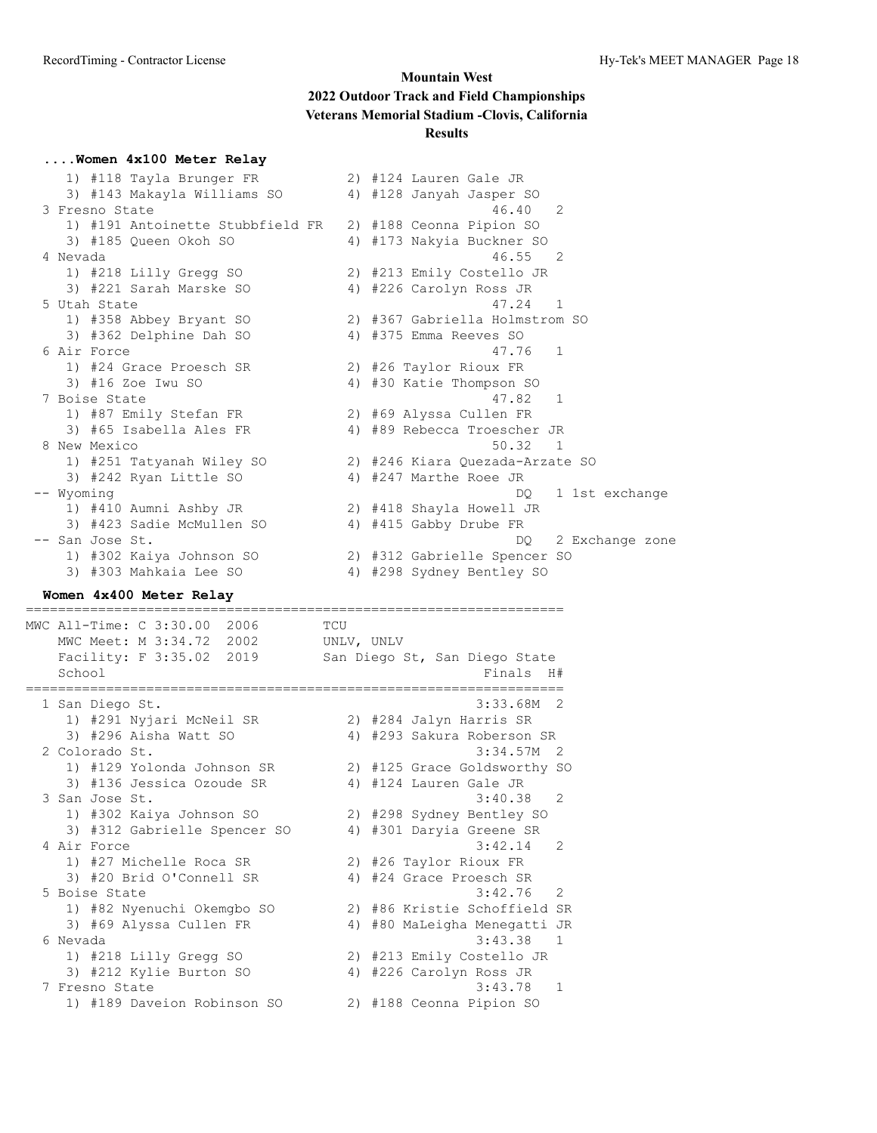#### **....Women 4x100 Meter Relay**

| 1) #118 Tayla Brunger FR         | 2) #124 Lauren Gale JR          |
|----------------------------------|---------------------------------|
| 3) #143 Makayla Williams SO      | 4) #128 Janyah Jasper SO        |
| 3 Fresno State                   | 46.40<br>2                      |
| 1) #191 Antoinette Stubbfield FR | 2) #188 Ceonna Pipion SO        |
| 3) #185 Queen Okoh SO            | 4) #173 Nakyia Buckner SO       |
| 4 Nevada                         | 46.55<br>$\overline{2}$         |
| 1) #218 Lilly Gregg SO           | 2) #213 Emily Costello JR       |
| 3) #221 Sarah Marske SO          | 4) #226 Carolyn Ross JR         |
| 5 Utah State                     | 47.24 1                         |
| 1) #358 Abbey Bryant SO          | 2) #367 Gabriella Holmstrom SO  |
| 3) #362 Delphine Dah SO          | 4) #375 Emma Reeves SO          |
| 6 Air Force                      | 47.76 1                         |
| 1) #24 Grace Proesch SR          | 2) #26 Taylor Rioux FR          |
| 3) #16 Zoe Iwu SO                | 4) #30 Katie Thompson SO        |
| 7 Boise State                    | $47.82 \quad 1$                 |
| 1) #87 Emily Stefan FR           | 2) #69 Alyssa Cullen FR         |
| 3) #65 Isabella Ales FR          | 4) #89 Rebecca Troescher JR     |
| 8 New Mexico                     | 50.32<br>$\overline{1}$         |
| 1) #251 Tatyanah Wiley SO        | 2) #246 Kiara Quezada-Arzate SO |
| 3) #242 Ryan Little SO           | 4) #247 Marthe Roee JR          |
| -- Wyoming                       | 1 1st exchange<br>DQ.           |
| 1) #410 Aumni Ashby JR           | 2) #418 Shayla Howell JR        |
| 3) #423 Sadie McMullen SO        | 4) #415 Gabby Drube FR          |
| -- San Jose St.                  | 2 Exchange zone<br>DQ.          |
| 1) #302 Kaiya Johnson SO         | 2) #312 Gabrielle Spencer SO    |
| 3) #303 Mahkaia Lee SO           | 4) #298 Sydney Bentley SO       |

#### **Women 4x400 Meter Relay** ===================================================================

MWC All-Time: C 3:30.00 2006 TCU MWC Meet: M 3:34.72 2002 UNLV, UNLV Facility: F 3:35.02 2019 San Diego St, San Diego State School Finals H# =================================================================== 1 San Diego St. 3:33.68M 2 1) #291 Nyjari McNeil SR 2) #284 Jalyn Harris SR 3) #296 Aisha Watt SO 4) #293 Sakura Roberson SR 2 Colorado St. 3:34.57M 2 1) #129 Yolonda Johnson SR 2) #125 Grace Goldsworthy SO 3) #136 Jessica Ozoude SR 4) #124 Lauren Gale JR 3 San Jose St. 3:40.38 2 1) #302 Kaiya Johnson SO 2) #298 Sydney Bentley SO 3) #312 Gabrielle Spencer SO 4) #301 Daryia Greene SR 4 Air Force 3:42.14 2 1) #27 Michelle Roca SR 2) #26 Taylor Rioux FR 3) #20 Brid O'Connell SR 4) #24 Grace Proesch SR 5 Boise State 3:42.76 2 1) #82 Nyenuchi Okemgbo SO 2) #86 Kristie Schoffield SR 3) #69 Alyssa Cullen FR 4) #80 MaLeigha Menegatti JR 6 Nevada 3:43.38 1 1) #218 Lilly Gregg SO 2) #213 Emily Costello JR 3) #212 Kylie Burton SO 4) #226 Carolyn Ross JR 7 Fresno State 3:43.78 1 1) #189 Daveion Robinson SO 2) #188 Ceonna Pipion SO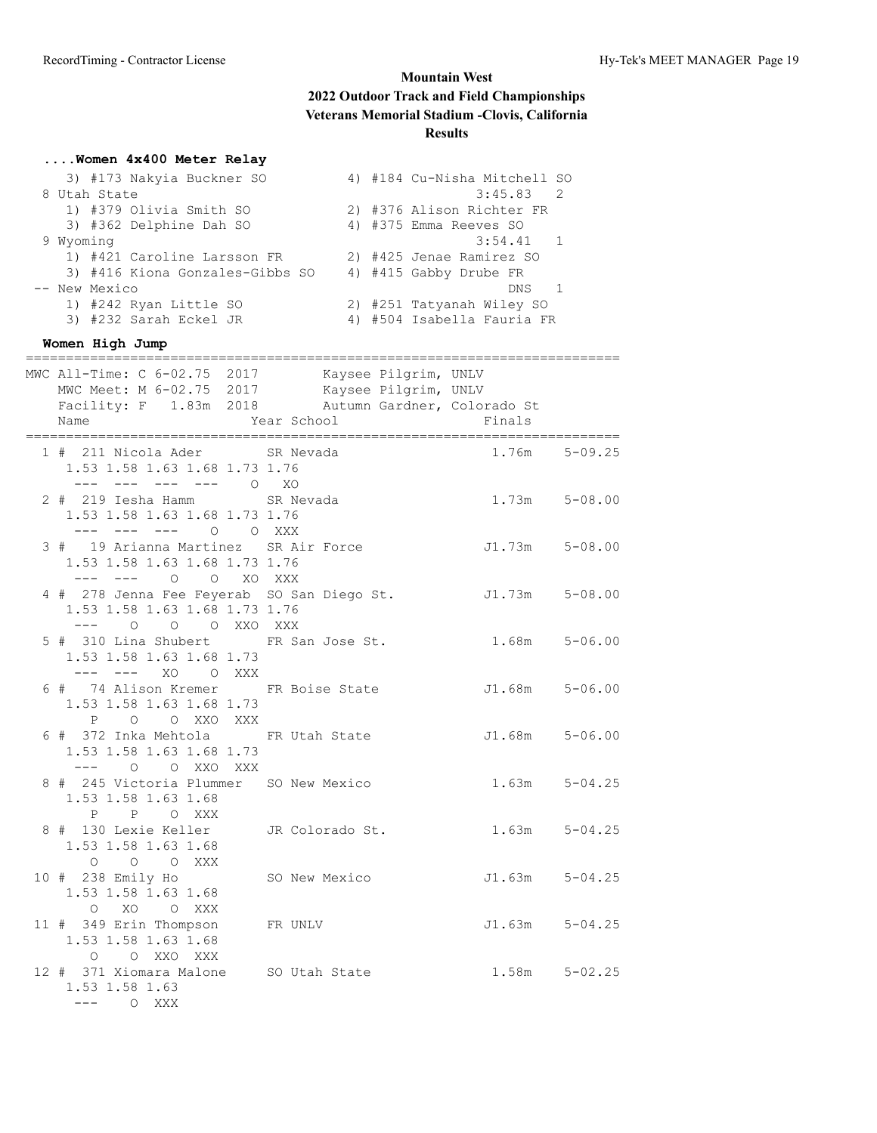| Women 4x400 Meter Relay                                                          |               |                                          |                   |
|----------------------------------------------------------------------------------|---------------|------------------------------------------|-------------------|
| 3) #173 Nakyia Buckner SO                                                        |               | 4) #184 Cu-Nisha Mitchell SO             |                   |
| 8 Utah State<br>1) #379 Olivia Smith SO                                          |               | $3:45.83$ 2<br>2) #376 Alison Richter FR |                   |
| 3) #362 Delphine Dah SO                                                          |               | 4) #375 Emma Reeves SO                   |                   |
| 9 Wyoming                                                                        |               | 3:54.41 1                                |                   |
| 1) #421 Caroline Larsson FR                                                      |               | 2) #425 Jenae Ramirez SO                 |                   |
| 3) #416 Kiona Gonzales-Gibbs SO                                                  |               | 4) #415 Gabby Drube FR                   |                   |
| -- New Mexico<br>1) #242 Ryan Little SO                                          |               | DNS 1<br>2) #251 Tatyanah Wiley SO       |                   |
| 3) #232 Sarah Eckel JR                                                           |               | 4) #504 Isabella Fauria FR               |                   |
| Women High Jump                                                                  |               |                                          |                   |
| ---------------------------<br>MWC All-Time: C 6-02.75 2017 Kaysee Pilgrim, UNLV |               |                                          |                   |
| MWC Meet: M 6-02.75 2017 Kaysee Pilgrim, UNLV                                    |               |                                          |                   |
| Facility: F 1.83m 2018 Autumn Gardner, Colorado St                               |               |                                          |                   |
| Name                                                                             | Year School   | Finals                                   |                   |
| 1 # 211 Nicola Ader       SR Nevada                                              |               |                                          | $1.76m$ $5-09.25$ |
| 1.53 1.58 1.63 1.68 1.73 1.76                                                    |               |                                          |                   |
| $- - - -$                                                                        | $O$ XO        |                                          |                   |
| 2 # 219 Iesha Hamm<br>1.53 1.58 1.63 1.68 1.73 1.76                              | SR Nevada     | $1.73m$ $5-08.00$                        |                   |
| O O XXX<br>--- --- ---                                                           |               |                                          |                   |
| 3 # 19 Arianna Martinez SR Air Force                                             |               | J1.73m 5-08.00                           |                   |
| 1.53 1.58 1.63 1.68 1.73 1.76                                                    |               |                                          |                   |
| --- 0 0 XO XXX<br>4 # 278 Jenna Fee Feyerab SO San Diego St.                     |               | J1.73m 5-08.00                           |                   |
| 1.53 1.58 1.63 1.68 1.73 1.76                                                    |               |                                          |                   |
| O O XXO XXX<br>$---$<br>$\overline{O}$                                           |               |                                          |                   |
| 5 # 310 Lina Shubert FR San Jose St.<br>1.53 1.58 1.63 1.68 1.73                 |               | $1.68m$ $5-06.00$                        |                   |
| --- --- xo oxxx                                                                  |               |                                          |                   |
| 6 # 74 Alison Kremer FR Boise State                                              |               | $J1.68m$ $5-06.00$                       |                   |
| 1.53 1.58 1.63 1.68 1.73                                                         |               |                                          |                   |
| O O XXO XXX<br>$\mathbf{P}$<br>6 # 372 Inka Mehtola FR Utah State                |               | $J1.68m$ $5-06.00$                       |                   |
| 1.53 1.58 1.63 1.68 1.73                                                         |               |                                          |                   |
| O XXO XXX<br>$---$ 0                                                             |               |                                          |                   |
| 8 # 245 Victoria Plummer SO New Mexico                                           |               |                                          | $1.63m$ $5-04.25$ |
| 1.53 1.58 1.63 1.68<br>P P O XXX                                                 |               |                                          |                   |
| 8 # 130 Lexie Keller JR Colorado St.                                             |               |                                          | $1.63m$ $5-04.25$ |
| 1.53 1.58 1.63 1.68                                                              |               |                                          |                   |
| O O O XXX                                                                        |               |                                          |                   |
| 10 # 238 Emily Ho<br>1.53 1.58 1.63 1.68                                         | SO New Mexico | $J1.63m$ $5-04.25$                       |                   |
| O XO O XXX                                                                       |               |                                          |                   |
| 11 # 349 Erin Thompson                                                           | FR UNLV       | $J1.63m$ $5-04.25$                       |                   |
| 1.53 1.58 1.63 1.68                                                              |               |                                          |                   |
| O O XXO XXX<br>12 # 371 Xiomara Malone SO Utah State                             |               |                                          | $1.58m$ $5-02.25$ |
| 1.53 1.58 1.63                                                                   |               |                                          |                   |
| --- 0 XXX                                                                        |               |                                          |                   |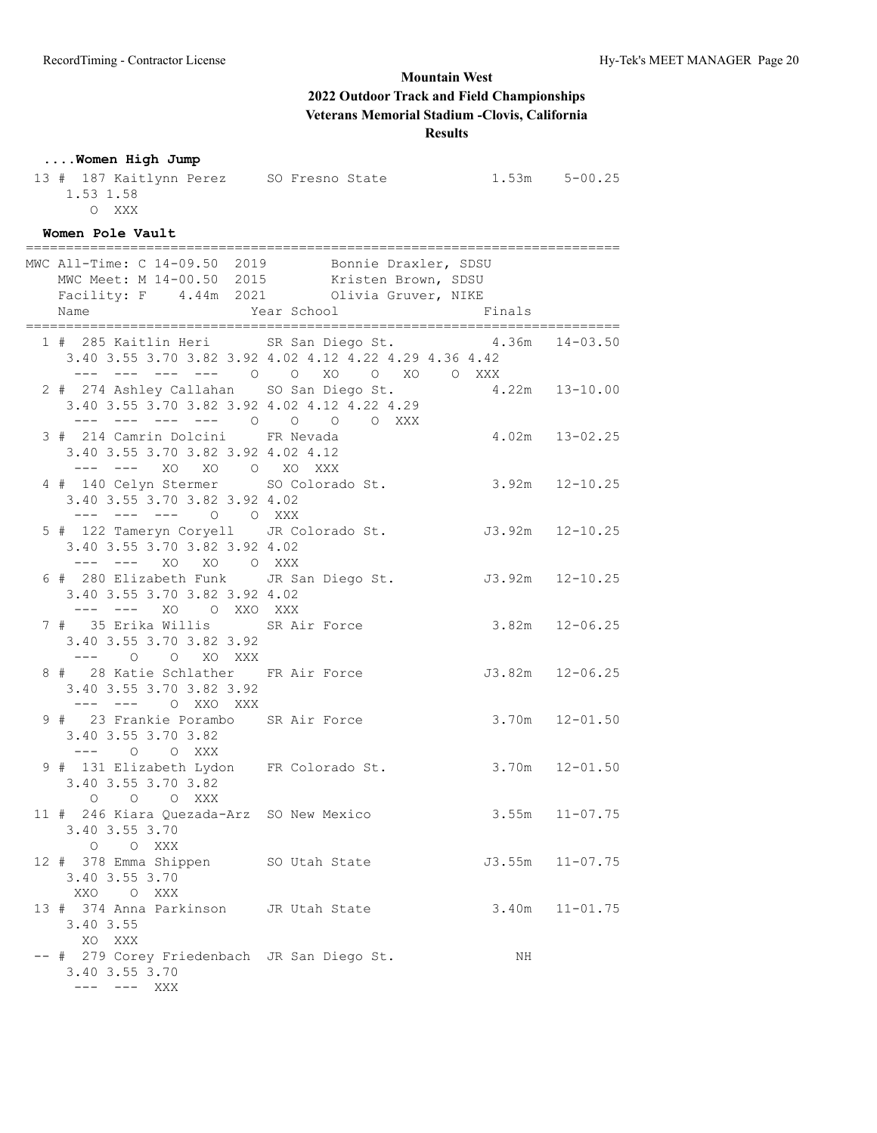## **....Women High Jump**

| 13 # 187 Kaitlynn Perez SO Fresno State 1.53m 5-00.25<br>1.53 1.58<br>O XXX                                                                               |                    |                     |                     |
|-----------------------------------------------------------------------------------------------------------------------------------------------------------|--------------------|---------------------|---------------------|
| Women Pole Vault                                                                                                                                          |                    |                     |                     |
| MWC All-Time: C 14-09.50 2019 Bonnie Draxler, SDSU<br>MWC Meet: M 14-00.50 2015 Kristen Brown, SDSU<br>Facility: F 4.44m 2021 Olivia Gruver, NIKE<br>Name | Year School Finals |                     |                     |
| 1 # 285 Kaitlin Heri SR San Diego St. 4.36m<br>3.40 3.55 3.70 3.82 3.92 4.02 4.12 4.22 4.29 4.36 4.42<br>--- --- --- --- 0 0 XO 0 XO 0 XXX                |                    |                     | $14 - 03.50$        |
| 2 # 274 Ashley Callahan SO San Diego St.<br>3.40 3.55 3.70 3.82 3.92 4.02 4.12 4.22 4.29<br>--- --- --- --- 0 0 0 0 XXX                                   |                    | $4.22m$ $13-10.00$  |                     |
| 3 # 214 Camrin Dolcini FR Nevada<br>3.40 3.55 3.70 3.82 3.92 4.02 4.12                                                                                    |                    | $4.02m$ $13-02.25$  |                     |
| --- --- XO XO O XO XXX<br>4 # 140 Celyn Stermer SO Colorado St.<br>3.40 3.55 3.70 3.82 3.92 4.02<br>--- --- --- 0 0 XXX                                   |                    | $3.92m$ $12-10.25$  |                     |
| 5 # 122 Tameryn Coryell JR Colorado St. J3.92m 12-10.25<br>3.40 3.55 3.70 3.82 3.92 4.02<br>--- --- XO XO O XXX                                           |                    |                     |                     |
| 6 # 280 Elizabeth Funk JR San Diego St.<br>3.40 3.55 3.70 3.82 3.92 4.02<br>--- --- XO O XXO XXX                                                          |                    | J3.92m 12-10.25     |                     |
| 7 # 35 Erika Willis SR Air Force<br>3.40 3.55 3.70 3.82 3.92<br>--- 0 0 XO XXX                                                                            |                    | $3.82m$ $12-06.25$  |                     |
| 8 # 28 Katie Schlather FR Air Force<br>3.40 3.55 3.70 3.82 3.92<br>--- --- O XXO XXX                                                                      |                    | $J3.82m$ $12-06.25$ |                     |
| 9 # 23 Frankie Porambo SR Air Force<br>3.40 3.55 3.70 3.82<br>--- 0 0 XXX                                                                                 |                    | $3.70m$ $12-01.50$  |                     |
| 9 # 131 Elizabeth Lydon FR Colorado St.<br>3.40 3.55 3.70 3.82<br>O O O XXX                                                                               |                    | $3.70m$ $12-01.50$  |                     |
| 11 # 246 Kiara Quezada-Arz SO New Mexico<br>3.40 3.55 3.70<br>O O XXX                                                                                     |                    | 3.55m               | $11 - 07.75$        |
| 12 # 378 Emma Shippen SO Utah State<br>3.40 3.55 3.70<br>XXO O XXX                                                                                        |                    |                     | $J3.55m$ $11-07.75$ |
| 13 # 374 Anna Parkinson JR Utah State<br>3.40 3.55<br>XO XXX                                                                                              |                    |                     | $3.40m$ $11-01.75$  |
| -- # 279 Corey Friedenbach JR San Diego St.<br>3.40 3.55 3.70<br>--- --- XXX                                                                              |                    | NH                  |                     |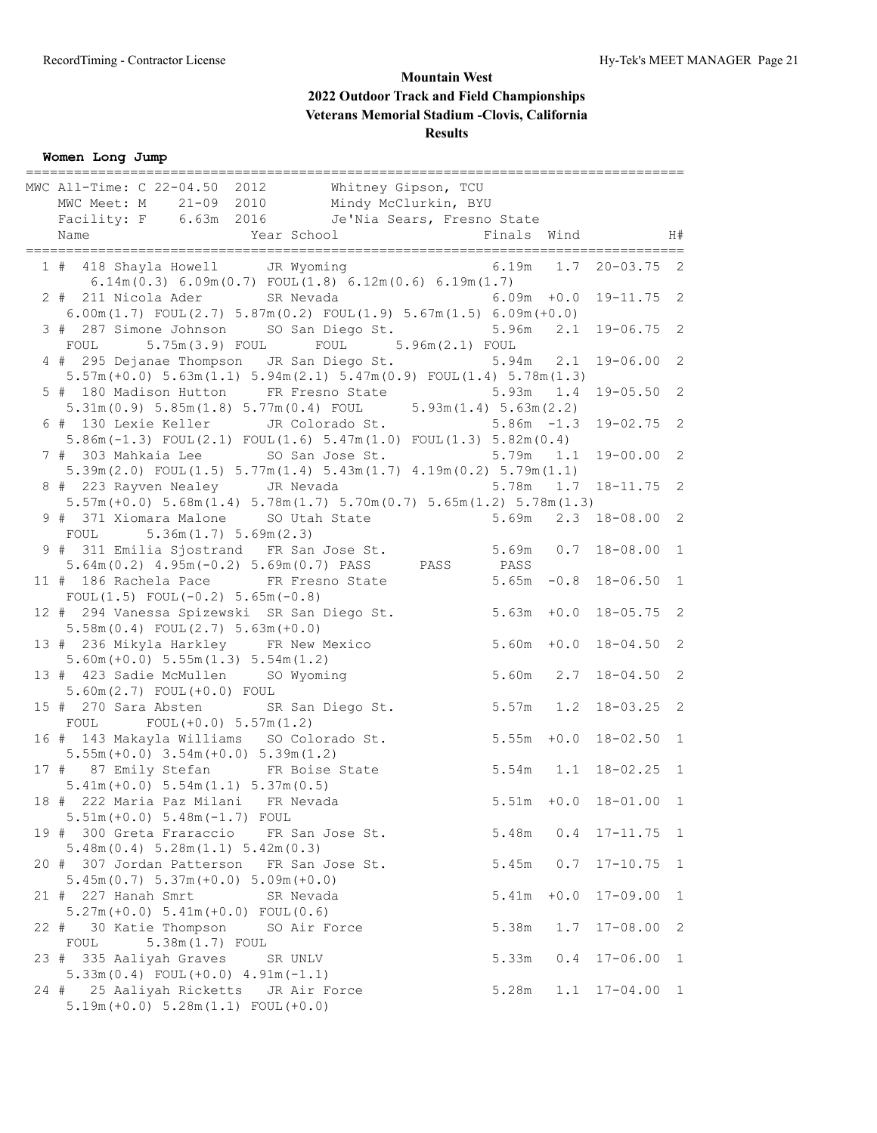**Women Long Jump**

| -------------------------------                                                                                                        |               |        |                            |              |
|----------------------------------------------------------------------------------------------------------------------------------------|---------------|--------|----------------------------|--------------|
| MWC All-Time: C 22-04.50 2012 Whitney Gipson, TCU                                                                                      |               |        |                            |              |
| MWC Meet: M 21-09 2010 Mindy McClurkin, BYU                                                                                            |               |        |                            |              |
| Facility: F 6.63m 2016 Je'Nia Sears, Fresno State                                                                                      |               |        |                            |              |
|                                                                                                                                        |               |        |                            |              |
| 1 # 418 Shayla Howell JR Wyoming<br>$6.14m(0.3) 6.09m(0.7)$ FOUL $(1.8) 6.12m(0.6) 6.19m(1.7)$                                         |               |        | 6.19m  1.7  20-03.75  2    |              |
| 2 # 211 Nicola Ader SR Nevada                                                                                                          |               |        | $6.09m + 0.0$ 19-11.75 2   |              |
| $6.00m(1.7)$ FOUL $(2.7)$ $5.87m(0.2)$ FOUL $(1.9)$ $5.67m(1.5)$ $6.09m(+0.0)$<br>3 # 287 Simone Johnson SO San Diego St. 5.96m        |               |        | $2.1$ 19-06.75 2           |              |
| 5.75m(3.9) FOUL FOUL 5.96m(2.1) FOUL<br>FOUL<br>4 # 295 Dejanae Thompson JR San Diego St. 5.94m 2.1                                    |               |        | $19 - 06.00$ 2             |              |
| $5.57m (+0.0)$ $5.63m (1.1)$ $5.94m (2.1)$ $5.47m (0.9)$ $FOUT(1.4)$ $5.78m (1.3)$<br>5 # 180 Madison Hutton FR Fresno State 5.93m 1.4 |               |        | $19 - 05.50$ 2             |              |
| $5.31m(0.9)$ $5.85m(1.8)$ $5.77m(0.4)$ FOUL $5.93m(1.4)$ $5.63m(2.2)$<br>6 # 130 Lexie Keller JR Colorado St. 5.86m -1.3               |               |        | $19 - 02.75$ 2             |              |
| $5.86m(-1.3)$ FOUL $(2.1)$ FOUL $(1.6)$ $5.47m(1.0)$ FOUL $(1.3)$ $5.82m(0.4)$<br>7 # 303 Mahkaia Lee SO San Jose St. 5.79m 1.1        |               |        | $19 - 00.00 2$             |              |
| $5.39m(2.0)$ FOUL $(1.5)$ $5.77m(1.4)$ $5.43m(1.7)$ $4.19m(0.2)$ $5.79m(1.1)$                                                          |               |        |                            |              |
| 8 # 223 Rayven Nealey JR Nevada<br>$5.57m (+0.0) 5.68m (1.4) 5.78m (1.7) 5.70m (0.7) 5.65m (1.2) 5.78m (1.3)$                          | 5.78m         |        | $1.7$ $18-11.75$ 2         |              |
| 9 # 371 Xiomara Malone SO Utah State 5.69m<br>FOUL<br>5.36m(1.7) 5.69m(2.3)                                                            |               |        | 2.3 18-08.00 2             |              |
| 9 # 311 Emilia Sjostrand FR San Jose St. 5.69m 0.7 18-08.00 1<br>$5.64m(0.2)$ $4.95m(-0.2)$ $5.69m(0.7)$ PASS PASS PASS                |               |        |                            |              |
| 11 # 186 Rachela Pace FR Fresno State<br>FOUL $(1.5)$ FOUL $(-0.2)$ 5.65m $(-0.8)$                                                     |               |        | $5.65m -0.8$ 18-06.50 1    |              |
| 12 # 294 Vanessa Spizewski SR San Diego St. 5.63m +0.0 18-05.75 2                                                                      |               |        |                            |              |
| $5.58m(0.4)$ FOUL $(2.7)$ $5.63m(+0.0)$<br>13 # 236 Mikyla Harkley FR New Mexico                                                       | $5.60m + 0.0$ |        | $18 - 04.50$ 2             |              |
| $5.60m (+0.0) 5.55m (1.3) 5.54m (1.2)$<br>13 # 423 Sadie McMullen SO Wyoming                                                           |               |        | 5.60m  2.7  18-04.50  2    |              |
| 5.60m(2.7) FOUL(+0.0) FOUL<br>15 # 270 Sara Absten SR San Diego St.                                                                    |               |        | $5.57m$ 1.2 18-03.25 2     |              |
| $FOUT(+0.0) 5.57m(1.2)$<br>FOUL<br>16 # 143 Makayla Williams SO Colorado St.                                                           | $5.55m + 0.0$ |        | $18 - 02.50$ 1             |              |
| $5.55m (+0.0)$ $3.54m (+0.0)$ $5.39m (1.2)$<br>17 # 87 Emily Stefan FR Boise State                                                     |               |        | 5.54m 1.1 18-02.25 1       |              |
| $5.41m (+0.0) 5.54m (1.1) 5.37m (0.5)$<br>18 # 222 Maria Paz Milani FR Nevada                                                          |               |        | $5.51m + 0.0 18 - 01.00 1$ |              |
| $5.51m (+0.0) 5.48m (-1.7)$ FOUL                                                                                                       |               |        |                            |              |
| 19 # 300 Greta Fraraccio FR San Jose St.<br>5.48m(0.4) 5.28m(1.1) 5.42m(0.3)                                                           | 5.48m         |        | $0.4$ 17-11.75 1           |              |
| 20 # 307 Jordan Patterson FR San Jose St.<br>$5.45m(0.7) 5.37m(+0.0) 5.09m(+0.0)$                                                      | 5.45m         | 0.7    | $17 - 10.75$               | $\mathbf{1}$ |
| 21 # 227 Hanah Smrt<br>SR Nevada<br>$5.27m (+0.0) 5.41m (+0.0) FOUL(0.6)$                                                              | 5.41m         | $+0.0$ | $17 - 09.00$               | 1            |
| 22#<br>30 Katie Thompson<br>SO Air Force<br>5.38m(1.7) FOUL<br>FOUL                                                                    | 5.38m         | 1.7    | $17 - 08.00$               | 2            |
| 23 # 335 Aaliyah Graves<br>SR UNLV                                                                                                     | 5.33m         | 0.4    | $17 - 06.00$               | 1            |
| $5.33m(0.4)$ FOUL $(+0.0)$ $4.91m(-1.1)$<br>24 # 25 Aaliyah Ricketts JR Air Force<br>$5.19m (+0.0) 5.28m (1.1) FOUT (+0.0)$            | 5.28m         | 1.1    | $17 - 04.00$ 1             |              |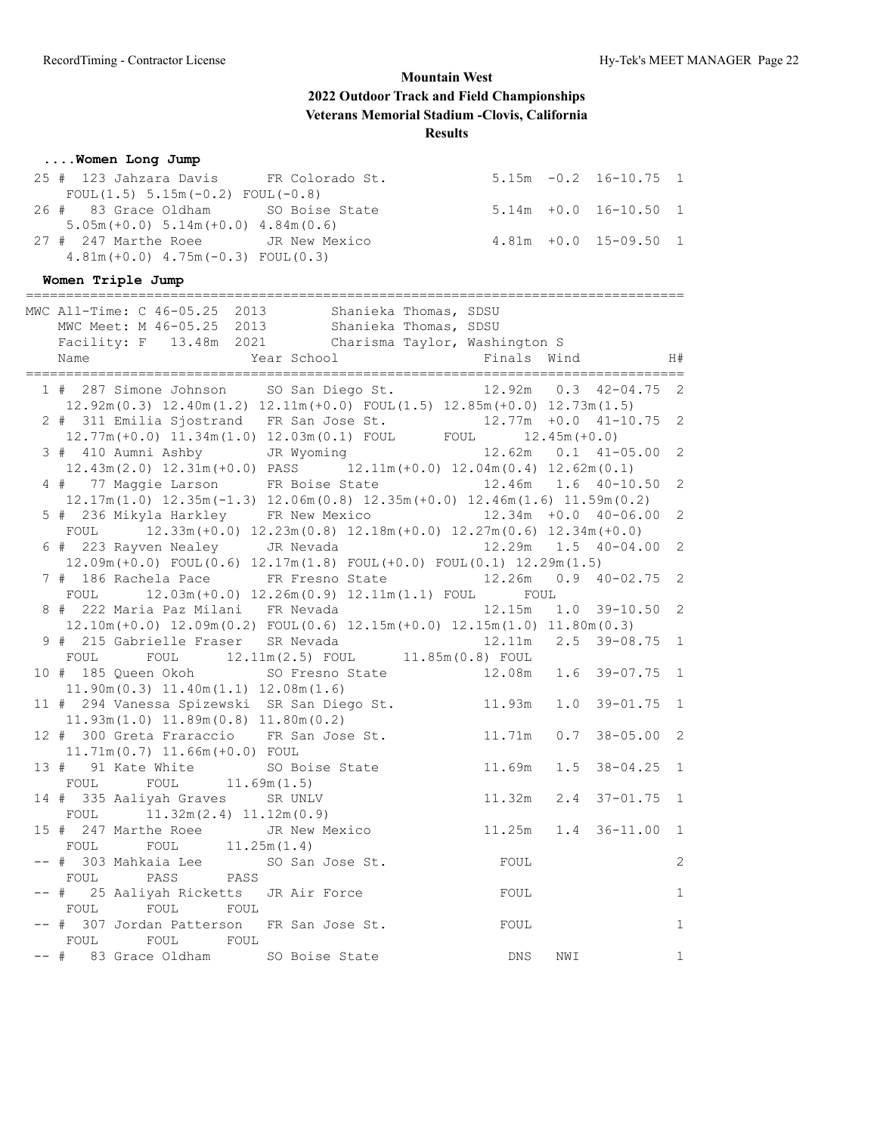## **....Women Long Jump**

| 25 # 123 Jahzara Davis FR Colorado St.    |  | $5.15m -0.2$ 16-10.75 1    |  |
|-------------------------------------------|--|----------------------------|--|
| FOUL $(1.5)$ 5.15m $(-0.2)$ FOUL $(-0.8)$ |  |                            |  |
| 26 # 83 Grace Oldham SO Boise State       |  | $5.14m + 0.0 16 - 10.50 1$ |  |
| $5.05m (+0.0) 5.14m (+0.0) 4.84m (0.6)$   |  |                            |  |
| 27 # 247 Marthe Roee GR New Mexico        |  | $4.81m + 0.0 15 - 09.50 1$ |  |
| $4.81m (+0.0)$ $4.75m (-0.3)$ FOUL(0.3)   |  |                            |  |

## **Women Triple Jump**

|      | -----------------------------                                                                                                                                                          |        |     |                           |                |
|------|----------------------------------------------------------------------------------------------------------------------------------------------------------------------------------------|--------|-----|---------------------------|----------------|
|      | MWC All-Time: C 46-05.25 2013 Shanieka Thomas, SDSU<br>MWC Meet: M 46-05.25 2013 Shanieka Thomas, SDSU<br>Facility: F 13.48m 2021 Charisma Taylor, Washington S<br>Year School<br>Name |        |     | Finals Wind H#            |                |
|      |                                                                                                                                                                                        |        |     |                           |                |
|      | 1 # 287 Simone Johnson SO San Diego St. 12.92m 0.3 42-04.75 2<br>$12.92m(0.3)$ $12.40m(1.2)$ $12.11m(+0.0)$ $FOUT(1.5)$ $12.85m(+0.0)$ $12.73m(1.5)$                                   |        |     |                           |                |
|      | 2 # 311 Emilia Sjostrand FR San Jose St. 12.77m +0.0 41-10.75<br>$12.77m (+0.0)$ $11.34m (1.0)$ $12.03m (0.1)$ FOUL FOUL $12.45m (+0.0)$                                               |        |     |                           | $\overline{c}$ |
|      | 3 # 410 Aumni Ashby JR Wyoming 12.62m 0.1 41-05.00<br>$12.43\text{m} (2.0)$ $12.31\text{m} (+0.0)$ PASS $12.11\text{m} (+0.0)$ $12.04\text{m} (0.4)$ $12.62\text{m} (0.1)$             |        |     |                           | $\overline{c}$ |
|      | 4 # 77 Maggie Larson FR Boise State 12.46m 1.6 40-10.50<br>$12.17m(1.0)$ $12.35m(-1.3)$ $12.06m(0.8)$ $12.35m(+0.0)$ $12.46m(1.6)$ $11.59m(0.2)$                                       |        |     |                           | $\overline{c}$ |
|      | 5 # 236 Mikyla Harkley FR New Mexico 12.34m +0.0 40-06.00<br>FOUL $12.33m (+0.0) 12.23m (0.8) 12.18m (+0.0) 12.27m (0.6) 12.34m (+0.0)$                                                |        |     |                           | $\overline{c}$ |
|      | 6 # 223 Rayven Nealey JR Nevada<br>$12.09m (+0.0)$ FOUL $(0.6)$ $12.17m(1.8)$ FOUL $(+0.0)$ FOUL $(0.1)$ $12.29m(1.5)$                                                                 |        |     | $12.29m$ $1.5$ $40-04.00$ | $\overline{c}$ |
|      | 7 # 186 Rachela Pace FR Fresno State 12.26m 0.9 40-02.75 2                                                                                                                             |        |     |                           |                |
|      | 12.03m(+0.0) 12.26m(0.9) 12.11m(1.1) FOUL FOUL<br>FOUL<br>8 # 222 Maria Paz Milani FR Nevada                                                                                           |        |     | 12.15m  1.0  39-10.50     | $\overline{c}$ |
|      | $12.10\text{m}$ (+0.0) $12.09\text{m}$ (0.2) FOUL(0.6) $12.15\text{m}$ (+0.0) $12.15\text{m}$ (1.0) $11.80\text{m}$ (0.3)<br>9 # 215 Gabrielle Fraser SR Nevada                        |        |     | 12.11m  2.5  39-08.75  1  |                |
|      | FOUL 12.11m(2.5) FOUL 11.85m(0.8) FOUL<br>FOUL                                                                                                                                         |        |     |                           |                |
|      | SO Fresno State<br>10 # 185 Queen Okoh<br>$11.90m(0.3)$ $11.40m(1.1)$ $12.08m(1.6)$                                                                                                    |        |     | 12.08m  1.6  39-07.75  1  |                |
|      | 11 # 294 Vanessa Spizewski SR San Diego St. 11.93m 1.0 39-01.75 1<br>$11.93m(1.0)$ $11.89m(0.8)$ $11.80m(0.2)$                                                                         |        |     |                           |                |
|      | 12 # 300 Greta Fraraccio FR San Jose St.<br>11.71m (0.7) 11.66m (+0.0) FOUL                                                                                                            |        |     | 11.71m  0.7  38-05.00     | $\overline{c}$ |
|      | 13 # 91 Kate White SO Boise State<br>FOUL 11.69m (1.5)<br>FOUL                                                                                                                         | 11.69m |     | $1.5$ 38-04.25 1          |                |
|      | 14 # 335 Aaliyah Graves SR UNLV<br>FOUL $11.32m(2.4) 11.12m(0.9)$                                                                                                                      |        |     | 11.32m  2.4  37-01.75  1  |                |
|      | 15 # 247 Marthe Roee JR New Mexico<br>FOUL 11.25m(1.4)<br>FOUL                                                                                                                         |        |     | 11.25m  1.4  36-11.00  1  |                |
|      | -- # 303 Mahkaia Lee<br>SO San Jose St.<br>PASS<br>PASS<br>FOUL                                                                                                                        | FOUL   |     |                           | $\overline{c}$ |
|      | -- # 25 Aaliyah Ricketts JR Air Force<br>FOUL<br>FOUL<br>FOUL                                                                                                                          | FOUL   |     |                           | $\mathbf{1}$   |
|      | -- # 307 Jordan Patterson FR San Jose St.<br>FOUL<br>FOUL<br>FOUL                                                                                                                      | FOUL   |     |                           | $1\,$          |
| -- # | 83 Grace Oldham<br>SO Boise State                                                                                                                                                      | DNS    | NWI |                           | 1              |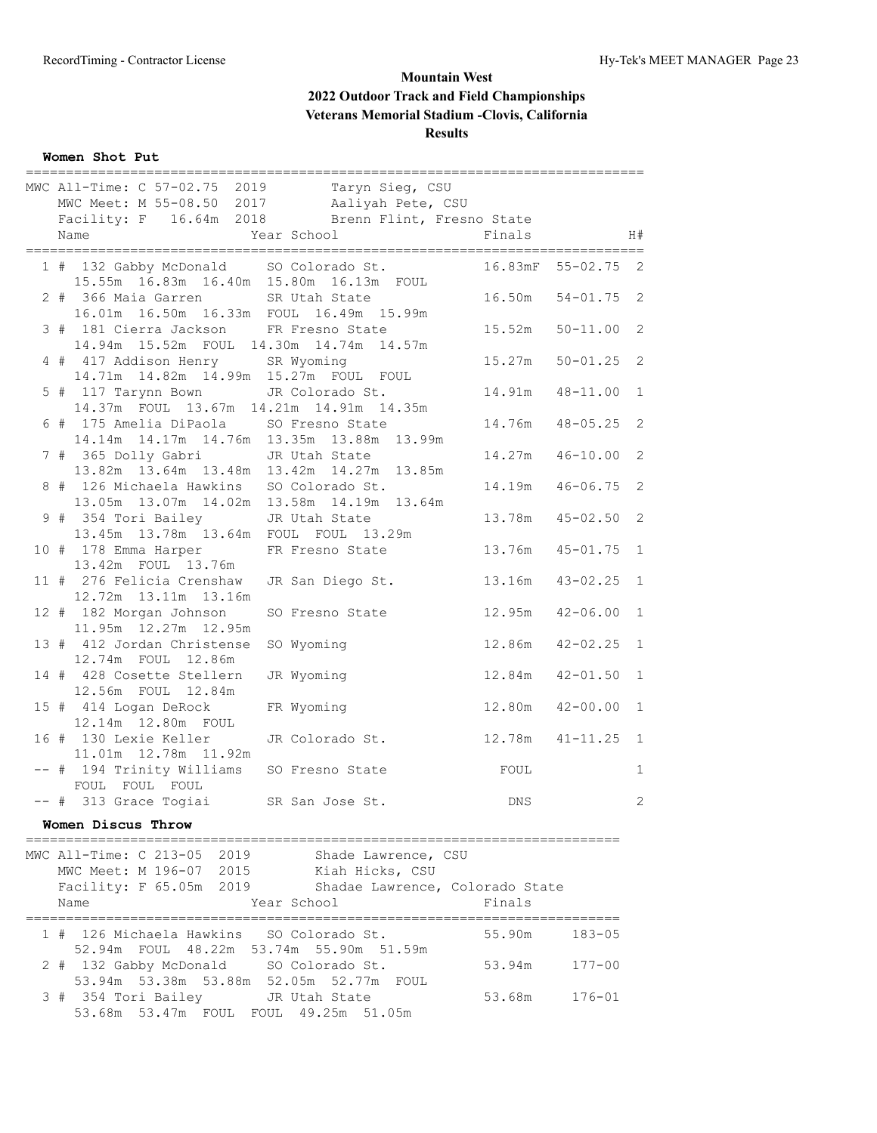## **Women Shot Put**

|  | MWC All-Time: C 57-02.75 2019 Taryn Sieg, CSU                                          |                                                   |         |                |              |
|--|----------------------------------------------------------------------------------------|---------------------------------------------------|---------|----------------|--------------|
|  |                                                                                        | MWC Meet: M 55-08.50 2017 Aaliyah Pete, CSU       |         |                |              |
|  |                                                                                        | Facility: F 16.64m 2018 Brenn Flint, Fresno State |         |                |              |
|  | Name                                                                                   | Year School                                       | Finals  |                | H#           |
|  |                                                                                        |                                                   |         |                |              |
|  | 1 # 132 Gabby McDonald SO Colorado St.<br>15.55m  16.83m  16.40m  15.80m  16.13m  FOUL |                                                   | 16.83mF | $55 - 02.75$ 2 |              |
|  | 2 # 366 Maia Garren SR Utah State<br>16.01m  16.50m  16.33m  FOUL  16.49m  15.99m      |                                                   | 16.50m  | $54 - 01.75$ 2 |              |
|  | 3 # 181 Cierra Jackson FR Fresno State<br>14.94m 15.52m FOUL 14.30m 14.74m 14.57m      |                                                   | 15.52m  | $50 - 11.00$ 2 |              |
|  | 4 # 417 Addison Henry SR Wyoming                                                       |                                                   | 15.27m  | $50 - 01.25$   | 2            |
|  | 14.71m  14.82m  14.99m  15.27m  FOUL  FOUL<br>5 # 117 Tarynn Bown JR Colorado St.      |                                                   | 14.91m  | $48 - 11.00$   | $\mathbf{1}$ |
|  | 14.37m FOUL 13.67m 14.21m 14.91m 14.35m<br>6 # 175 Amelia DiPaola SO Fresno State      |                                                   | 14.76m  | $48 - 05.25$   | 2            |
|  | 14.14m  14.17m  14.76m  13.35m  13.88m  13.99m<br>7 # 365 Dolly Gabri JR Utah State    |                                                   | 14.27m  | $46 - 10.00$   | 2            |
|  | 13.82m 13.64m 13.48m 13.42m 14.27m 13.85m<br>8 # 126 Michaela Hawkins SO Colorado St.  |                                                   | 14.19m  | $46 - 06.75$ 2 |              |
|  | 13.05m 13.07m 14.02m 13.58m 14.19m 13.64m<br>9 # 354 Tori Bailey JR Utah State         |                                                   | 13.78m  | $45 - 02.50$   | 2            |
|  | 13.45m 13.78m 13.64m FOUL FOUL 13.29m<br>10 # 178 Emma Harper                          | FR Fresno State                                   | 13.76m  | $45 - 01.75$   | $\mathbf{1}$ |
|  | 13.42m FOUL 13.76m<br>11 # 276 Felicia Crenshaw                                        | JR San Diego St.                                  | 13.16m  | $43 - 02.25$   | $\mathbf{1}$ |
|  | 12.72m  13.11m  13.16m<br>12 # 182 Morgan Johnson                                      | SO Fresno State                                   | 12.95m  | $42 - 06.00$   | $\mathbf{1}$ |
|  | 11.95m 12.27m 12.95m<br>13 # 412 Jordan Christense                                     | SO Wyoming                                        | 12.86m  | $42 - 02.25$   | 1            |
|  | 12.74m FOUL 12.86m<br>14 # 428 Cosette Stellern                                        | JR Wyoming                                        | 12.84m  | $42 - 01.50$   | 1            |
|  | 12.56m FOUL 12.84m<br>15 # 414 Logan DeRock                                            | FR Wyoming                                        | 12.80m  | $42 - 00.00$   | $\mathbf{1}$ |
|  | 12.14m  12.80m  FOUL<br>16 # 130 Lexie Keller                                          | JR Colorado St.                                   | 12.78m  | $41 - 11.25$   | 1            |
|  | 11.01m  12.78m  11.92m<br>-- # 194 Trinity Williams SO Fresno State                    |                                                   | FOUL    |                | $\mathbf{1}$ |
|  | FOUL FOUL FOUL<br>-- # 313 Grace Togiai SR San Jose St.                                |                                                   | DNS     |                | 2            |

#### **Women Discus Throw**

========================================================================== MWC All-Time: C 213-05 2019 Shade Lawrence, CSU MWC Meet: M 196-07 2015 Kiah Hicks, CSU Facility: F 65.05m 2019 Shadae Lawrence, Colorado State Name **Year School** Finals ========================================================================== 1 # 126 Michaela Hawkins SO Colorado St. 55.90m 183-05 52.94m FOUL 48.22m 53.74m 55.90m 51.59m 2 # 132 Gabby McDonald SO Colorado St. 53.94m 177-00 53.94m 53.38m 53.88m 52.05m 52.77m FOUL 3 # 354 Tori Bailey JR Utah State 53.68m 176-01 53.68m 53.47m FOUL FOUL 49.25m 51.05m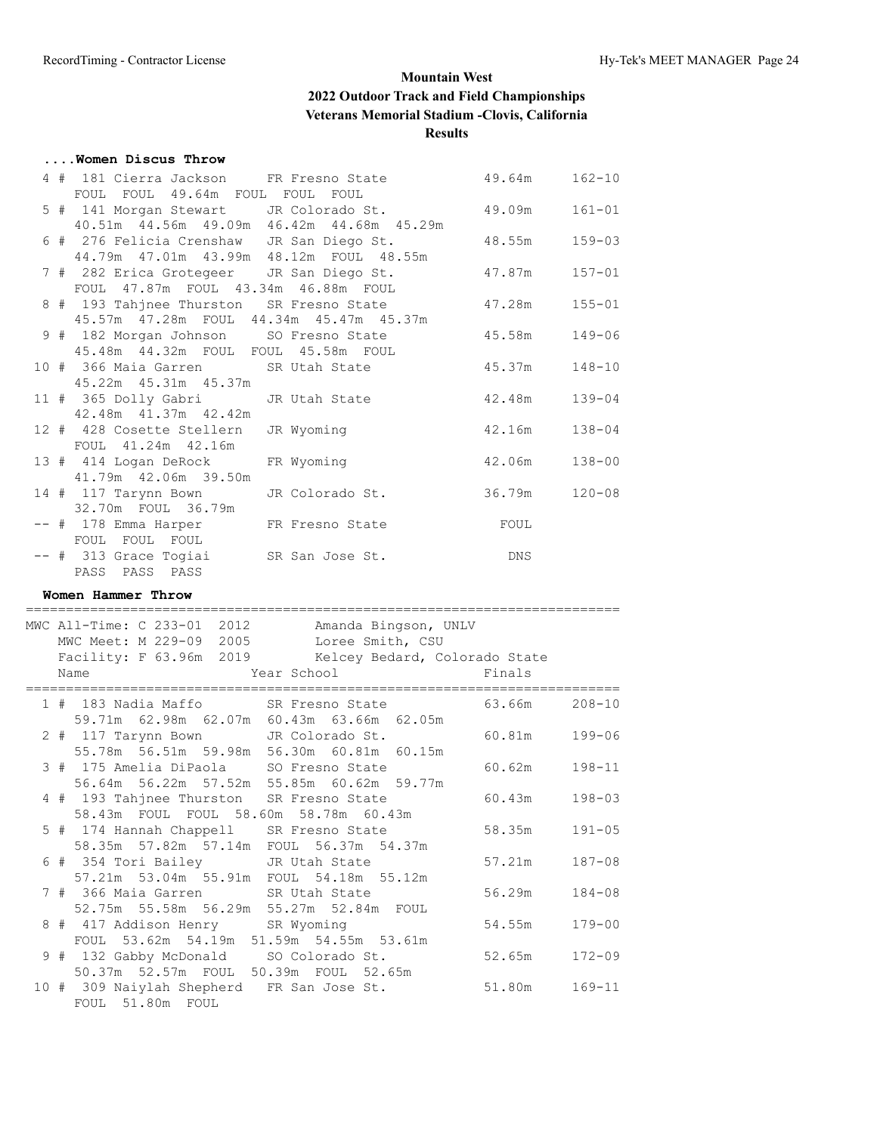#### **....Women Discus Throw**

|  |                                                | 4 # 181 Cierra Jackson FR Fresno State 49.64m 162-10    |        |            |
|--|------------------------------------------------|---------------------------------------------------------|--------|------------|
|  | FOUL FOUL 49.64m FOUL FOUL FOUL                |                                                         |        |            |
|  |                                                | 5 # 141 Morgan Stewart JR Colorado St. 49.09m 161-01    |        |            |
|  | 40.51m  44.56m  49.09m  46.42m  44.68m  45.29m |                                                         |        |            |
|  |                                                | 6 # 276 Felicia Crenshaw JR San Diego St. 48.55m 159-03 |        |            |
|  | 44.79m  47.01m  43.99m  48.12m  FOUL  48.55m   |                                                         |        |            |
|  |                                                | 7 # 282 Erica Grotegeer JR San Diego St. 47.87m         |        | $157 - 01$ |
|  | FOUL 47.87m FOUL 43.34m 46.88m FOUL            |                                                         |        |            |
|  |                                                | 8 # 193 Tahjnee Thurston SR Fresno State                | 47.28m | $155 - 01$ |
|  | 45.57m 47.28m FOUL 44.34m 45.47m 45.37m        |                                                         |        |            |
|  |                                                | 9 # 182 Morgan Johnson SO Fresno State                  | 45.58m | $149 - 06$ |
|  | 45.48m  44.32m  FOUL  FOUL  45.58m  FOUL       |                                                         |        |            |
|  |                                                | 10 # 366 Maia Garren SR Utah State 45.37m               |        | $148 - 10$ |
|  | 45.22m  45.31m  45.37m                         |                                                         |        |            |
|  | 11 # 365 Dolly Gabri JR Utah State             |                                                         | 42.48m | $139 - 04$ |
|  | 42.48m  41.37m  42.42m                         |                                                         |        |            |
|  | 12 # 428 Cosette Stellern                      | JR Wyoming                                              | 42.16m | $138 - 04$ |
|  | FOUL 41.24m 42.16m                             |                                                         |        |            |
|  | 13 # 414 Logan DeRock                          | FR Wyoming                                              | 42.06m | $138 - 00$ |
|  | 41.79m  42.06m  39.50m                         |                                                         |        |            |
|  | 14 # 117 Tarynn Bown                           | JR Colorado St. 36.79m                                  |        | $120 - 08$ |
|  | 32.70m FOUL 36.79m                             |                                                         |        |            |
|  | -- # 178 Emma Harper FR Fresno State           |                                                         | FOUL   |            |
|  | FOUL FOUL FOUL                                 |                                                         |        |            |
|  | -- # 313 Grace Togiai SR San Jose St.          |                                                         | DNS    |            |
|  | PASS PASS PASS                                 |                                                         |        |            |
|  |                                                |                                                         |        |            |

#### **Women Hammer Throw**

|  | MWC All-Time: C 233-01 2012<br>Amanda Bingson, UNLV   |        |            |
|--|-------------------------------------------------------|--------|------------|
|  | MWC Meet: M 229-09 2005<br>Loree Smith, CSU           |        |            |
|  | Facility: F 63.96m 2019 Kelcey Bedard, Colorado State |        |            |
|  | Year School and the School<br>Name                    | Finals |            |
|  | 1 # 183 Nadia Maffo SR Fresno State 63.66m            |        | $208 - 10$ |
|  | 59.71m 62.98m 62.07m 60.43m 63.66m 62.05m             |        |            |
|  | 2 # 117 Tarynn Bown JR Colorado St.                   | 60.81m | 199-06     |
|  | 55.78m 56.51m 59.98m 56.30m 60.81m 60.15m             |        |            |
|  | 3 # 175 Amelia DiPaola SO Fresno State                | 60.62m | $198 - 11$ |
|  | 56.64m 56.22m 57.52m 55.85m 60.62m 59.77m             |        |            |
|  | 4 # 193 Tahjnee Thurston SR Fresno State              | 60.43m | $198 - 03$ |
|  | 58.43m FOUL FOUL 58.60m 58.78m 60.43m                 |        |            |
|  | 5 # 174 Hannah Chappell SR Fresno State               | 58.35m | $191 - 05$ |
|  | 58.35m 57.82m 57.14m FOUL 56.37m 54.37m               |        |            |
|  | 6 # 354 Tori Bailey JR Utah State                     | 57.21m | $187 - 08$ |
|  | 57.21m 53.04m 55.91m FOUL 54.18m 55.12m               |        |            |
|  | 7 # 366 Maia Garren SR Utah State                     | 56.29m | $184 - 08$ |
|  | 52.75m 55.58m 56.29m 55.27m 52.84m FOUL               |        |            |
|  | 8 # 417 Addison Henry SR Wyoming                      | 54.55m | $179 - 00$ |
|  | FOUL 53.62m 54.19m 51.59m 54.55m 53.61m               |        |            |
|  | 9 # 132 Gabby McDonald SO Colorado St.                | 52.65m | $172 - 09$ |
|  | 50.37m 52.57m FOUL 50.39m FOUL 52.65m                 |        |            |
|  | 10 # 309 Naiylah Shepherd FR San Jose St.             | 51.80m | $169 - 11$ |
|  | FOUL 51.80m FOUL                                      |        |            |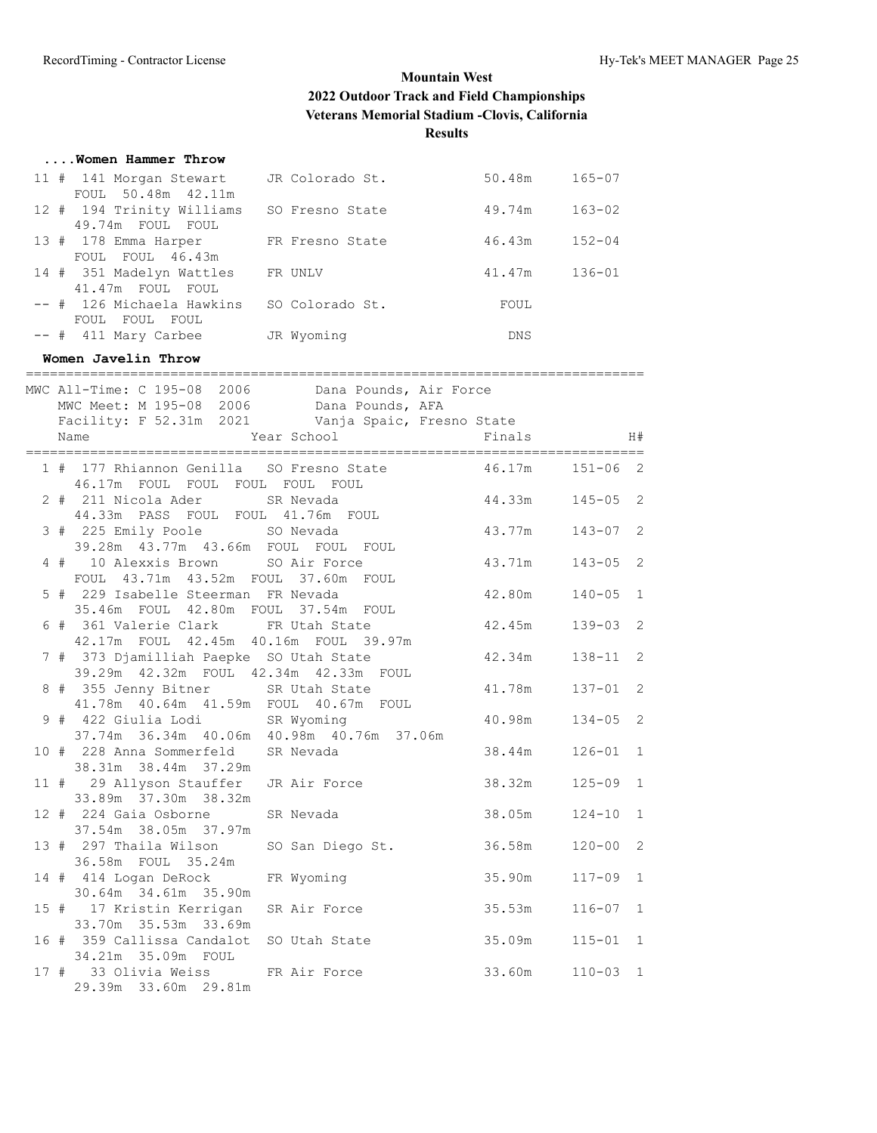| Women Hammer Throw                            |                 |            |            |
|-----------------------------------------------|-----------------|------------|------------|
| 11 # 141 Morgan Stewart<br>FOUL 50.48m 42.11m | JR Colorado St. | 50.48m     | $165 - 07$ |
| 12 # 194 Trinity Williams<br>49.74m FOUL FOUL | SO Fresno State | 49.74m     | $163 - 02$ |
| 13 # 178 Emma Harper<br>FOUL FOUL 46.43m      | FR Fresno State | 46.43m     | $152 - 04$ |
| 14 # 351 Madelyn Wattles<br>41.47m FOUL FOUL  | FR UNLV         | 41.47m     | $136 - 01$ |
| -- # 126 Michaela Hawkins<br>FOUL FOUL FOUL   | SO Colorado St. | FOUL       |            |
| $--$ # 411 Mary Carbee                        | JR Wyoming      | <b>DNS</b> |            |

#### **Women Javelin Throw**

|  | -------------------------------------                                                 | ============                                                                                            |                 |              |  |
|--|---------------------------------------------------------------------------------------|---------------------------------------------------------------------------------------------------------|-----------------|--------------|--|
|  | MWC Meet: M 195-08 2006 Dana Pounds, AFA                                              | MWC All-Time: C 195-08 2006 Dana Pounds, Air Force<br>Facility: F 52.31m 2021 Vanja Spaic, Fresno State |                 |              |  |
|  |                                                                                       |                                                                                                         |                 | H#           |  |
|  | 46.17m FOUL FOUL FOUL FOUL FOUL                                                       | 1 # 177 Rhiannon Genilla SO Fresno State 46.17m                                                         |                 | $151 - 06$ 2 |  |
|  | 2 # 211 Nicola Ader SR Nevada<br>44.33m PASS FOUL FOUL 41.76m FOUL                    |                                                                                                         | 44.33m          | $145 - 05$ 2 |  |
|  | 3 # 225 Emily Poole SO Nevada                                                         | 39.28m  43.77m  43.66m  FOUL  FOUL  FOUL                                                                | 43.77m          | $143 - 07$ 2 |  |
|  | 4 # 10 Alexxis Brown SO Air Force<br>FOUL 43.71m 43.52m FOUL 37.60m FOUL              |                                                                                                         | 43.71m 143-05 2 |              |  |
|  | 5 # 229 Isabelle Steerman FR Nevada<br>35.46m FOUL 42.80m FOUL 37.54m FOUL            |                                                                                                         | 42.80m          | $140 - 05$ 1 |  |
|  | 6 # 361 Valerie Clark FR Utah State<br>42.17m FOUL 42.45m 40.16m FOUL 39.97m          |                                                                                                         | 42.45m          | $139 - 03$ 2 |  |
|  | 7 # 373 Djamilliah Paepke SO Utah State<br>39.29m  42.32m  FOUL  42.34m  42.33m  FOUL |                                                                                                         | 42.34m          | $138 - 11$ 2 |  |
|  | 8 # 355 Jenny Bitner SR Utah State<br>41.78m  40.64m  41.59m  FOUL  40.67m  FOUL      |                                                                                                         | 41.78m          | $137 - 01$ 2 |  |
|  | 9 # 422 Giulia Lodi SR Wyoming<br>37.74m 36.34m 40.06m 40.98m 40.76m 37.06m           |                                                                                                         | 40.98m          | $134 - 05$ 2 |  |
|  | 10 # 228 Anna Sommerfeld SR Nevada<br>38.31m 38.44m 37.29m                            |                                                                                                         | 38.44m          | $126 - 01$ 1 |  |
|  | 33.89m 37.30m 38.32m                                                                  | 11 # 29 Allyson Stauffer JR Air Force                                                                   | 38.32m          | $125 - 09$ 1 |  |
|  | 12 # 224 Gaia Osborne SR Nevada<br>37.54m 38.05m 37.97m                               |                                                                                                         | 38.05m          | $124 - 10$ 1 |  |
|  | 13 # 297 Thaila Wilson<br>36.58m FOUL 35.24m                                          | SO San Diego St. 36.58m                                                                                 |                 | $120 - 00$ 2 |  |
|  | 14 # 414 Logan DeRock FR Wyoming<br>30.64m 34.61m 35.90m                              |                                                                                                         | 35.90m          | $117 - 09$ 1 |  |
|  | 15 # 17 Kristin Kerrigan SR Air Force<br>33.70m 35.53m 33.69m                         |                                                                                                         | 35.53m          | $116 - 07$ 1 |  |
|  | 16 # 359 Callissa Candalot SO Utah State<br>34.21m 35.09m FOUL                        |                                                                                                         | 35.09m          | $115 - 01$ 1 |  |
|  | 17 # 33 Olivia Weiss FR Air Force<br>29.39m 33.60m 29.81m                             |                                                                                                         | 33.60m          | $110 - 03$ 1 |  |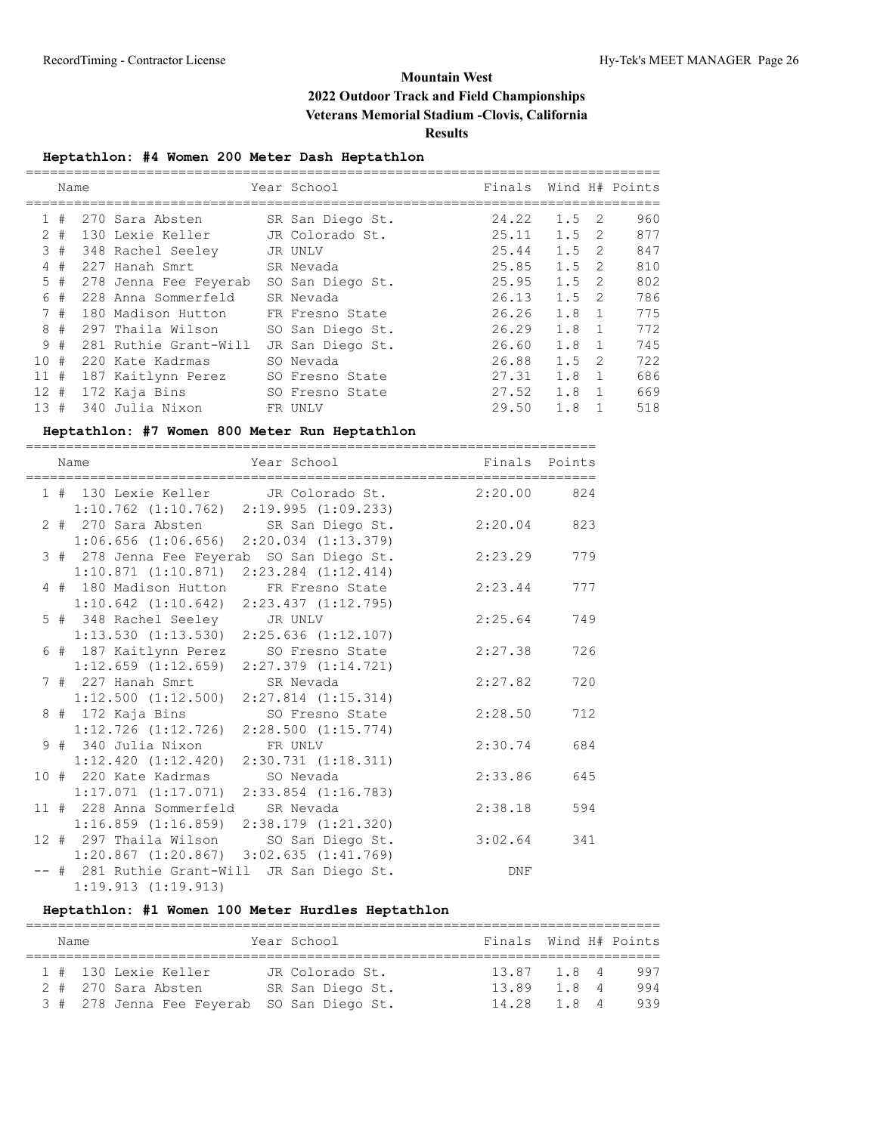## **Heptathlon: #4 Women 200 Meter Dash Heptathlon**

|          | Name  |                       |     | Year School      | Finals |               |                | Wind H# Points |
|----------|-------|-----------------------|-----|------------------|--------|---------------|----------------|----------------|
|          | #     | 270 Sara Absten       |     | SR San Diego St. | 24.22  | $1.5 \quad 2$ |                | 960            |
|          | $2 +$ | 130 Lexie Keller      |     | JR Colorado St.  | 25.11  | $1.5 \quad 2$ |                | 877            |
|          | 3#    | 348 Rachel Seeley     |     | JR UNLV          | 25.44  | 1.5           | -2             | 847            |
| 4        | #     | 227 Hanah Smrt        |     | SR Nevada        | 25.85  | $1.5 \quad 2$ |                | 810            |
|          | 5#    | 278 Jenna Fee Feyerab |     | SO San Diego St. | 25.95  | 1.5           | - 2            | 802            |
| 6        | #     | 228 Anna Sommerfeld   |     | SR Nevada        | 26.13  | 1.5           | -2             | 786            |
|          | 7#    | 180 Madison Hutton    |     | FR Fresno State  | 26.26  | $1.8 \quad 1$ |                | 775            |
|          | 8#    | 297 Thaila Wilson     |     | SO San Diego St. | 26.29  | $1.8 \quad 1$ |                | 772            |
|          | 9#    | 281 Ruthie Grant-Will |     | JR San Diego St. | 26.60  | $1.8 \quad 1$ |                | 745            |
| 10#      |       | 220 Kate Kadrmas      |     | SO Nevada        | 26.88  | 1.5           | -2             | 722            |
| 11#      |       | 187 Kaitlynn Perez    |     | SO Fresno State  | 27.31  | 1.8           | $\overline{1}$ | 686            |
| $12 \pm$ |       | 172 Kaja Bins         |     | SO Fresno State  | 27.52  | $1.8 \quad 1$ |                | 669            |
| 13#      |       | 340 Julia Nixon       | FR. | UNLV             | 29.50  | 1.8           |                | 518            |

## **Heptathlon: #7 Women 800 Meter Run Heptathlon**

|  | ========<br>Name                                                         | Year School                                                                                   | Finals Points |     |
|--|--------------------------------------------------------------------------|-----------------------------------------------------------------------------------------------|---------------|-----|
|  |                                                                          | 1 # 130 Lexie Keller JR Colorado St.<br>$1:10.762$ $(1:10.762)$ $2:19.995$ $(1:09.233)$       | $2:20.00$ 824 |     |
|  |                                                                          | 2 # 270 Sara Absten SR San Diego St.<br>$1:06.656$ $(1:06.656)$ $2:20.034$ $(1:13.379)$       | 2:20.04       | 823 |
|  |                                                                          | 3 # 278 Jenna Fee Feyerab SO San Diego St.<br>$1:10.871$ $(1:10.871)$ $2:23.284$ $(1:12.414)$ | 2:23.29       | 779 |
|  | 4 # 180 Madison Hutton<br>$1:10.642$ $(1:10.642)$                        | FR Fresno State<br>2:23.437(1:12.795)                                                         | 2:23.44       | 777 |
|  | 5 # 348 Rachel Seeley<br>$1:13.530$ $(1:13.530)$                         | JR UNLV<br>$2:25.636$ $(1:12.107)$                                                            | 2:25.64       | 749 |
|  | 6 # 187 Kaitlynn Perez SO Fresno State<br>$1:12.659$ $(1:12.659)$        | $2:27.379$ $(1:14.721)$                                                                       | 2:27.38       | 726 |
|  | 7 # 227 Hanah Smrt SR Nevada<br>1:12.500(1:12.500)                       | $2:27.814$ $(1:15.314)$                                                                       | 2:27.82       | 720 |
|  | 8 # 172 Kaja Bins SO Fresno State                                        | $1:12.726$ $(1:12.726)$ $2:28.500$ $(1:15.774)$                                               | 2:28.50       | 712 |
|  | 9 # 340 Julia Nixon<br>1:12.420(1:12.420)                                | FR UNLV<br>2:30.731(1:18.311)                                                                 | 2:30.74       | 684 |
|  | 10 # 220 Kate Kadrmas<br>$1:17.071$ $(1:17.071)$ $2:33.854$ $(1:16.783)$ | SO Nevada                                                                                     | 2:33.86       | 645 |
|  | 11 # 228 Anna Sommerfeld                                                 | SR Nevada<br>$1:16.859$ $(1:16.859)$ $2:38.179$ $(1:21.320)$                                  | 2:38.18       | 594 |
|  | $1:20.867$ $(1:20.867)$ $3:02.635$ $(1:41.769)$                          | 12 # 297 Thaila Wilson SO San Diego St.                                                       | 3:02.64       | 341 |
|  | -- # 281 Ruthie Grant-Will JR San Diego St.<br>1:19.913(1:19.913)        |                                                                                               | DNF           |     |

# **Heptathlon: #1 Women 100 Meter Hurdles Heptathlon**

| Name |                                            | Year School      | Finals Wind H# Points |  |     |
|------|--------------------------------------------|------------------|-----------------------|--|-----|
|      |                                            |                  |                       |  |     |
|      | 1 # 130 Lexie Keller                       | JR Colorado St.  | 13.87 1.8 4           |  | 997 |
|      | 2 # 270 Sara Absten                        | SR San Diego St. | 13.89 1.8 4           |  | 994 |
|      | 3 # 278 Jenna Fee Feyerab SO San Diego St. |                  | 14.28 1.8 4           |  | 939 |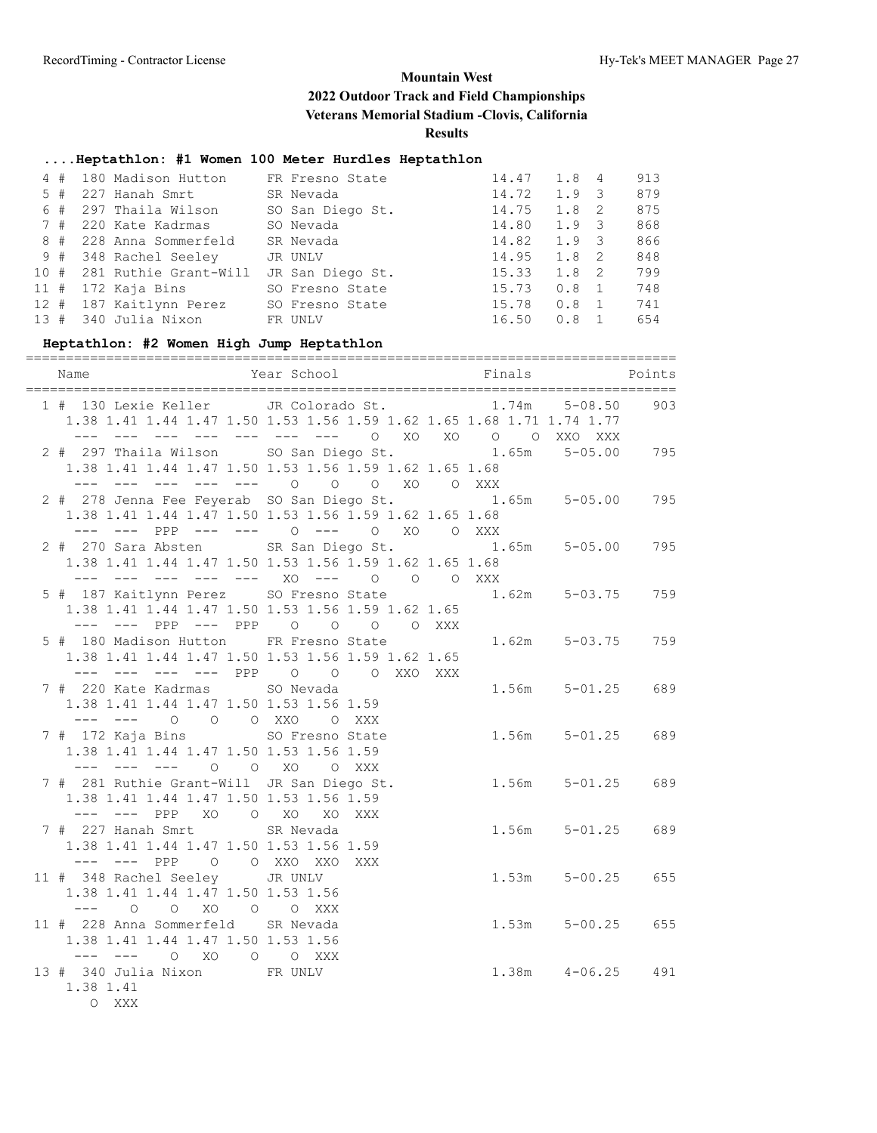## **....Heptathlon: #1 Women 100 Meter Hurdles Heptathlon**

| 4#     |  | 180 Madison Hutton    | FR Fresno State  | 14.47 | 1.8           | $\overline{4}$ | 913 |
|--------|--|-----------------------|------------------|-------|---------------|----------------|-----|
| 5#     |  | 227 Hanah Smrt        | SR Nevada        | 14.72 | $1.9 \quad 3$ |                | 879 |
| 6#     |  | 297 Thaila Wilson     | SO San Diego St. | 14.75 | $1.8 \quad 2$ |                | 875 |
| 7#     |  | 220 Kate Kadrmas      | SO Nevada        | 14.80 | $1.9 \quad 3$ |                | 868 |
| 8#     |  | 228 Anna Sommerfeld   | SR Nevada        | 14.82 | $1.9 \quad 3$ |                | 866 |
| 9#     |  | 348 Rachel Seeley     | JR UNLV          | 14.95 | 1.8 2         |                | 848 |
| 10#    |  | 281 Ruthie Grant-Will | JR San Diego St. | 15.33 | $1.8 \quad 2$ |                | 799 |
| $11$ # |  | 172 Kaja Bins         | SO Fresno State  | 15.73 | 0.8           | $\overline{1}$ | 748 |
| 12#    |  | 187 Kaitlynn Perez    | SO Fresno State  | 15.78 | 0.8           |                | 741 |
| 13#    |  | 340 Julia Nixon       | FR UNLV          | 16.50 | 0.8           |                | 654 |

#### **Heptathlon: #2 Women High Jump Heptathlon**

| 1 # 130 Lexie Keller JR Colorado St. 1.74m 5-08.50                                                                | 1.38 1.41 1.44 1.47 1.50 1.53 1.56 1.59 1.62 1.65 1.68 1.71 1.74 1.77                          |                       | 903 |
|-------------------------------------------------------------------------------------------------------------------|------------------------------------------------------------------------------------------------|-----------------------|-----|
| 2 # 297 Thaila Wilson SO San Diego St. 1.65m 5-05.00                                                              | 1.38 1.41 1.44 1.47 1.50 1.53 1.56 1.59 1.62 1.65 1.68                                         |                       | 795 |
| 2 # 278 Jenna Fee Feyerab SO San Diego St. 1.65m 5-05.00                                                          | --- --- --- --- --- 0 0 0 XO 0 XXX<br>1.38 1.41 1.44 1.47 1.50 1.53 1.56 1.59 1.62 1.65 1.68   |                       | 795 |
| 2 # 270 Sara Absten SR San Diego St. 1.65m 5-05.00                                                                | --- --- PPP --- --- 0 --- 0 X0 0 XXX<br>1.38 1.41 1.44 1.47 1.50 1.53 1.56 1.59 1.62 1.65 1.68 |                       | 795 |
| 5 # 187 Kaitlynn Perez SO Fresno State 1.62m 5-03.75                                                              | --- --- --- --- --- XO --- 0 0 0 XXX<br>1.38 1.41 1.44 1.47 1.50 1.53 1.56 1.59 1.62 1.65      |                       | 759 |
| 5 # 180 Madison Hutton FR Fresno State                                                                            | --- --- PPP --- PPP 0 0 0 0 XXX                                                                | $1.62m$ $5-03.75$     | 759 |
| 7 # 220 Kate Kadrmas SO Nevada                                                                                    | 1.38 1.41 1.44 1.47 1.50 1.53 1.56 1.59 1.62 1.65<br>--- --- --- --- PPP 0 0 0 XXO XXX         | 1.56m 5-01.25         | 689 |
| 1.38 1.41 1.44 1.47 1.50 1.53 1.56 1.59<br>--- --- 0 0 0 XX0 0 XXX<br>7 # 172 Kaja Bins SO Fresno State           |                                                                                                | 1.56m 5-01.25 689     |     |
| 1.38 1.41 1.44 1.47 1.50 1.53 1.56 1.59<br>--- --- --- 0 0 XO 0 XXX<br>7 # 281 Ruthie Grant-Will JR San Diego St. |                                                                                                | $1.56m$ $5-01.25$     | 689 |
| 1.38 1.41 1.44 1.47 1.50 1.53 1.56 1.59<br>--- --- PPP XO O XO<br>7 # 227 Hanah Smrt SR Nevada                    | XO XXX                                                                                         | $1.56m$ $5-01.25$     | 689 |
| 1.38 1.41 1.44 1.47 1.50 1.53 1.56 1.59<br>--- --- PPP 0 0 XXO XXO XXX                                            |                                                                                                |                       |     |
| 11 # 348 Rachel Seeley JR UNLV<br>1.38 1.41 1.44 1.47 1.50 1.53 1.56<br>$---$ 0 0 XO 0 0 XXX                      |                                                                                                | $1.53m$ $5-00.25$     | 655 |
| 11 # 228 Anna Sommerfeld SR Nevada<br>1.38 1.41 1.44 1.47 1.50 1.53 1.56<br>--- --- 0 XO 0 0 XXX                  |                                                                                                | $1.53m$ $5-00.25$ 655 |     |
| 13 # 340 Julia Nixon FR UNLV<br>1.38 1.41<br>O XXX                                                                |                                                                                                | 1.38m  4-06.25  491   |     |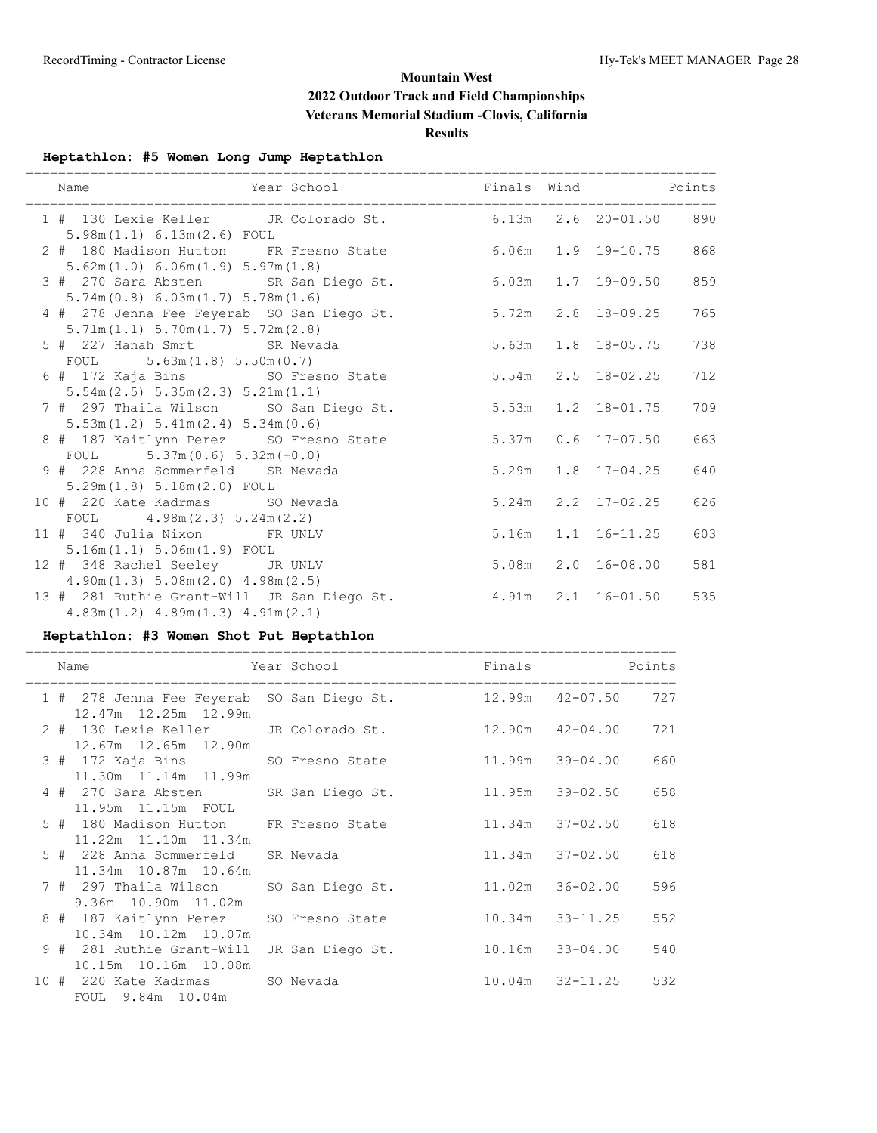# **Heptathlon: #5 Women Long Jump Heptathlon**

| Year School <b>Example 2</b> Finals Wind Points<br>Name                                       |       |                          |     |
|-----------------------------------------------------------------------------------------------|-------|--------------------------|-----|
| 1 # 130 Lexie Keller JR Colorado St. 6.13m 2.6 20-01.50 890<br>$5.98m(1.1)$ 6.13m(2.6) FOUL   |       |                          |     |
| 2 # 180 Madison Hutton FR Fresno State 6.06m 1.9 19-10.75<br>5.62m(1.0) 6.06m(1.9) 5.97m(1.8) |       |                          | 868 |
| 3 # 270 Sara Absten SR San Diego St. 6.03m 1.7 19-09.50<br>5.74m(0.8) 6.03m(1.7) 5.78m(1.6)   |       |                          | 859 |
| 4 # 278 Jenna Fee Feyerab SO San Diego St.<br>5.71m(1.1) 5.70m(1.7) 5.72m(2.8)                |       | $5.72m$ $2.8$ $18-09.25$ | 765 |
| 5 # 227 Hanah Smrt SR Nevada<br>FOUL $5.63m(1.8) 5.50m(0.7)$                                  |       | 5.63m 1.8 18-05.75       | 738 |
| 6 # 172 Kaja Bins SO Fresno State<br>$5.54m(2.5)$ $5.35m(2.3)$ $5.21m(1.1)$                   |       | $5.54m$ $2.5$ $18-02.25$ | 712 |
| 7 # 297 Thaila Wilson SO San Diego St.<br>5.53m(1.2) 5.41m(2.4) 5.34m(0.6)                    |       | 5.53m 1.2 18-01.75       | 709 |
| 8 # 187 Kaitlynn Perez SO Fresno State<br>FOUL $5.37m(0.6) 5.32m(+0.0)$                       | 5.37m | $0.6$ 17-07.50           | 663 |
| 9 # 228 Anna Sommerfeld SR Nevada<br>5.29m(1.8) 5.18m(2.0) F0UL                               |       | $5.29m$ $1.8$ $17-04.25$ | 640 |
| 10 # 220 Kate Kadrmas SO Nevada<br>FOUL $4.98m(2.3) 5.24m(2.2)$                               |       | $5.24m$ $2.2$ $17-02.25$ | 626 |
| 11 # 340 Julia Nixon FR UNLV<br>$5.16m(1.1) 5.06m(1.9)$ FOUL                                  |       | 5.16m  1.1  16-11.25     | 603 |
| 12 # 348 Rachel Seeley JR UNLV<br>4.90m(1.3) 5.08m(2.0) 4.98m(2.5)                            |       | $5.08m$ $2.0$ $16-08.00$ | 581 |
| 13 # 281 Ruthie Grant-Will JR San Diego St.<br>$4.83m(1.2)$ $4.89m(1.3)$ $4.91m(2.1)$         |       | $4.91m$ $2.1$ $16-01.50$ | 535 |

## **Heptathlon: #3 Women Shot Put Heptathlon**

|  | Name                                                               | Year School      | Finals |                     | Points |
|--|--------------------------------------------------------------------|------------------|--------|---------------------|--------|
|  | 1 # 278 Jenna Fee Feyerab SO San Diego St.<br>12.47m 12.25m 12.99m |                  |        | 12.99m  42-07.50    | 727    |
|  | 2 # 130 Lexie Keller<br>12.67m 12.65m 12.90m                       | JR Colorado St.  | 12.90m | 42-04.00            | 721    |
|  | 3 # 172 Kaja Bins<br>11.30m  11.14m  11.99m                        | SO Fresno State  |        | $11.99m$ $39-04.00$ | 660    |
|  | 4 # 270 Sara Absten SR San Diego St.<br>11.95m 11.15m FOUL         |                  |        | 11.95m 39-02.50     | 658    |
|  | 5 # 180 Madison Hutton FR Fresno State<br>11.22m 11.10m 11.34m     |                  |        | 11.34m 37-02.50     | 618    |
|  | 5 # 228 Anna Sommerfeld<br>11.34m 10.87m 10.64m                    | SR Nevada        |        | $11.34m$ $37-02.50$ | 618    |
|  | 7 # 297 Thaila Wilson<br>9.36m 10.90m 11.02m                       | SO San Diego St. |        | 11.02m 36-02.00     | 596    |
|  | 8 # 187 Kaitlynn Perez<br>10.34m 10.12m 10.07m                     | SO Fresno State  | 10.34m | 33-11.25            | 552    |
|  | 9 # 281 Ruthie Grant-Will<br>10.15m 10.16m 10.08m                  | JR San Diego St. | 10.16m | 33-04.00            | 540    |
|  | 10 # 220 Kate Kadrmas<br>FOUL 9.84m 10.04m                         | SO Nevada        |        | $10.04m$ $32-11.25$ | 532    |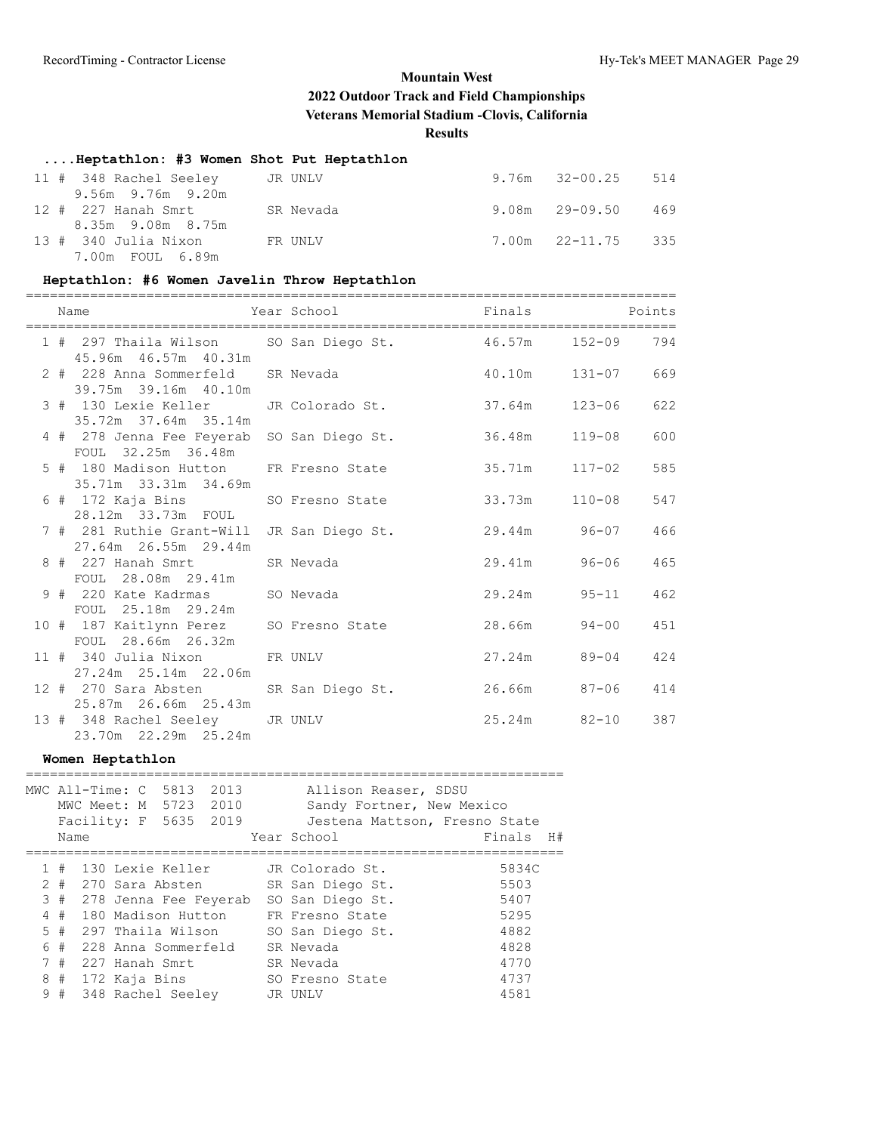## **....Heptathlon: #3 Women Shot Put Heptathlon**

| 11 # 348 Rachel Seeley JR UNLV                               |  | $9.76m$ $32-00.25$ 514   |  |
|--------------------------------------------------------------|--|--------------------------|--|
| 9.56m 9.76m 9.20m<br>12 # 227 Hanah Smrt           SR Nevada |  | $9.08m$ $29-09.50$ $469$ |  |
| 8.35m 9.08m 8.75m                                            |  |                          |  |
| 13 # 340 Julia Nixon FR UNLV<br>7.00m FOUL 6.89m             |  | 7.00m 22-11.75 335       |  |

#### **Heptathlon: #6 Women Javelin Throw Heptathlon**

|  | Name                                                                               | Year School Near | Finals Points     |            |     |
|--|------------------------------------------------------------------------------------|------------------|-------------------|------------|-----|
|  | 1 # 297 Thaila Wilson SO San Diego St. 46.57m 152-09 794<br>45.96m  46.57m  40.31m |                  |                   |            |     |
|  | 2 # 228 Anna Sommerfeld SR Nevada<br>39.75m 39.16m 40.10m                          |                  | $40.10m$ $131-07$ |            | 669 |
|  | 3 # 130 Lexie Keller JR Colorado St.<br>35.72m 37.64m 35.14m                       |                  | 37.64m 123-06     |            | 622 |
|  | 4 # 278 Jenna Fee Feyerab SO San Diego St.<br>FOUL 32.25m 36.48m                   |                  | 36.48m  119-08    |            | 600 |
|  | 5 # 180 Madison Hutton FR Fresno State<br>35.71m 33.31m 34.69m                     |                  | 35.71m            | 117-02     | 585 |
|  | 6 # 172 Kaja Bins SO Fresno State<br>28.12m 33.73m FOUL                            |                  | 33.73m            | $110 - 08$ | 547 |
|  | 7 # 281 Ruthie Grant-Will<br>27.64m 26.55m 29.44m                                  | JR San Diego St. | 29.44m 96-07      |            | 466 |
|  | 8 # 227 Hanah Smrt<br>FOUL 28.08m 29.41m                                           | SR Nevada        | 29.41m 96-06      |            | 465 |
|  | 9 # 220 Kate Kadrmas SO Nevada<br>FOUL 25.18m 29.24m                               |                  | 29.24m 95-11      |            | 462 |
|  | 10 # 187 Kaitlynn Perez SO Fresno State<br>FOUL 28.66m 26.32m                      |                  | 28.66m 94-00      |            | 451 |
|  | 11 # 340 Julia Nixon FR UNLV                                                       |                  | $27.24m$ $89-04$  |            | 424 |
|  | 12 # 270 Sara Absten SR San Diego St.<br>25.87m 26.66m 25.43m                      |                  | 26.66m 87-06      |            | 414 |
|  | 13 # 348 Rachel Seeley JR UNLV<br>23.70m 22.29m 25.24m                             |                  | $25.24m$ $82-10$  |            | 387 |

## **Women Heptathlon**

|    | Name  | MWC All-Time: C 5813<br>MWC Meet: M 5723 2010<br>Facility: F 5635 2019 | 2013                  | Allison Reaser, SDSU<br>Sandy Fortner, New Mexico<br>Jestena Mattson, Fresno State<br>Year School | Finals<br>- H# |
|----|-------|------------------------------------------------------------------------|-----------------------|---------------------------------------------------------------------------------------------------|----------------|
|    |       |                                                                        |                       |                                                                                                   |                |
|    | #     | 130 Lexie Keller                                                       |                       | JR Colorado St.                                                                                   | 5834C          |
|    | $2 +$ | 270 Sara Absten                                                        |                       | SR San Diego St.                                                                                  | 5503           |
|    | 3#    |                                                                        | 278 Jenna Fee Feyerab | SO San Diego St.                                                                                  | 5407           |
| 4  | #     | 180 Madison Hutton                                                     |                       | FR Fresno State                                                                                   | 5295           |
|    | 5#    | 297 Thaila Wilson                                                      |                       | SO San Diego St.                                                                                  | 4882           |
| 6  | #     | 228 Anna Sommerfeld                                                    |                       | SR Nevada                                                                                         | 4828           |
|    | 7#    | 227 Hanah Smrt                                                         |                       | SR Nevada                                                                                         | 4770           |
| 8  | #     | 172 Kaja Bins                                                          |                       | SO Fresno State                                                                                   | 4737           |
| 9. | #     | 348 Rachel Seeley                                                      |                       | JR UNLV                                                                                           | 4581           |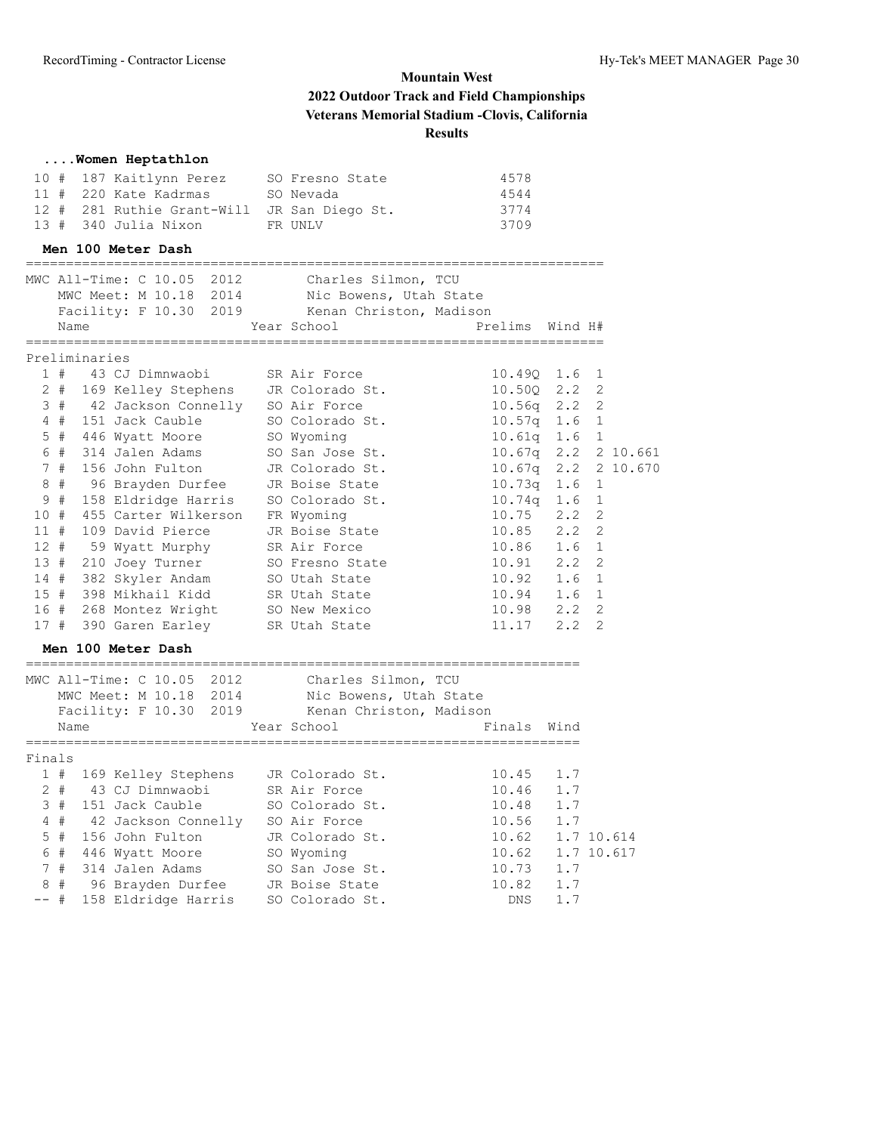|                |               | Women Heptathlon                                         |                                                |                        |     |   |            |
|----------------|---------------|----------------------------------------------------------|------------------------------------------------|------------------------|-----|---|------------|
|                |               | 10 # 187 Kaitlynn Perez                                  | SO Fresno State                                | 4578                   |     |   |            |
|                |               | 11 # 220 Kate Kadrmas                                    | SO Nevada                                      | 4544                   |     |   |            |
|                |               | 12 # 281 Ruthie Grant-Will JR San Diego St.              |                                                | 3774                   |     |   |            |
|                |               | 13 # 340 Julia Nixon                                     | FR UNLV                                        | 3709                   |     |   |            |
|                |               | Men 100 Meter Dash<br>================================== |                                                |                        |     |   |            |
|                |               |                                                          | MWC All-Time: C 10.05 2012 Charles Silmon, TCU |                        |     |   |            |
|                |               |                                                          | MWC Meet: M 10.18 2014 Nic Bowens, Utah State  |                        |     |   |            |
|                |               |                                                          | Facility: F 10.30 2019 Kenan Christon, Madison |                        |     |   |            |
|                | Name          |                                                          | Year School                                    | Prelims Wind H#        |     |   |            |
|                | Preliminaries | ========================                                 |                                                |                        |     |   |            |
|                |               | 1 # 43 CJ Dimnwaobi                                      | SR Air Force                                   | 10.490 1.6             |     | 1 |            |
|                |               | 2 # 169 Kelley Stephens JR Colorado St.                  |                                                | 10.50Q 2.2             |     | 2 |            |
|                |               | 3 # 42 Jackson Connelly SO Air Force                     |                                                | $10.56q$ $2.2$         |     | 2 |            |
|                |               | 4 # 151 Jack Cauble                                      | SO Colorado St.                                | $10.57q$ 1.6           |     | 1 |            |
|                |               | 5 # 446 Wyatt Moore                                      | SO Wyoming                                     | $10.61q$ $1.6$ 1       |     |   |            |
|                | 6 #           | 314 Jalen Adams                                          | SO San Jose St.                                | 10.67q 2.2 2 10.661    |     |   |            |
|                | 7#            | 156 John Fulton                                          | JR Colorado St.                                | $10.67q$ $2.2$         |     |   | 2 10.670   |
|                | 8#            | 96 Brayden Durfee JR Boise State                         |                                                | $10.73q$ 1.6           |     | 1 |            |
|                | 9#            | 158 Eldridge Harris SO Colorado St.                      |                                                | $10.74q$ 1.6           |     | 1 |            |
| 10#            |               | 455 Carter Wilkerson FR Wyoming                          |                                                | $10.75$ $2.2$          |     | 2 |            |
| 11#            |               | 109 David Pierce                                         | JR Boise State                                 | 10.85 2.2              |     | 2 |            |
| 12#            |               | 59 Wyatt Murphy                                          | SR Air Force                                   | 10.86 1.6              |     | 1 |            |
|                |               | 13 # 210 Joey Turner                                     | SO Fresno State                                | 10.91 2.2              |     | 2 |            |
|                |               | 14 # 382 Skyler Andam                                    | SO Utah State                                  | 10.92 1.6              |     | 1 |            |
|                |               | 15 # 398 Mikhail Kidd SR Utah State                      |                                                | $10.94$ 1.6            |     | 1 |            |
|                |               | 16 # 268 Montez Wright SO New Mexico                     |                                                | $10.98$ $2.2$          |     | 2 |            |
|                |               | 17 # 390 Garen Earley SR Utah State                      |                                                | $11.17$ 2.2            |     | 2 |            |
|                |               | Men 100 Meter Dash                                       |                                                |                        |     |   |            |
|                |               | MWC All-Time: C 10.05 2012                               | Charles Silmon, TCU                            |                        |     |   |            |
|                |               |                                                          | MWC Meet: M 10.18 2014 Nic Bowens, Utah State  |                        |     |   |            |
|                |               |                                                          | Facility: F 10.30 2019 Kenan Christon, Madison |                        |     |   |            |
|                | Name          |                                                          | Year School                                    | Finals Wind            |     |   |            |
| Finals         |               |                                                          |                                                | ====================== |     |   |            |
|                |               | 1 # 169 Kelley Stephens                                  | JR Colorado St.                                | 10.45                  | 1.7 |   |            |
|                | $2 +$         | 43 CJ Dimnwaobi                                          | SR Air Force                                   | 10.46                  | 1.7 |   |            |
|                | 3#            | 151 Jack Cauble                                          | SO Colorado St.                                | 10.48                  | 1.7 |   |            |
|                | $4$ #         | 42 Jackson Connelly                                      | SO Air Force                                   | 10.56                  | 1.7 |   |            |
| 5              | #             | 156 John Fulton                                          | JR Colorado St.                                | 10.62                  |     |   | 1.7 10.614 |
| 6              | #             | 446 Wyatt Moore                                          | SO Wyoming                                     | 10.62                  |     |   | 1.7 10.617 |
| $7\phantom{.}$ | #             | 314 Jalen Adams                                          | SO San Jose St.                                | 10.73                  | 1.7 |   |            |
| $\,8\,$        | #             | 96 Brayden Durfee                                        | JR Boise State                                 | 10.82                  | 1.7 |   |            |
| $--$ #         |               | 158 Eldridge Harris                                      | SO Colorado St.                                | DNS                    | 1.7 |   |            |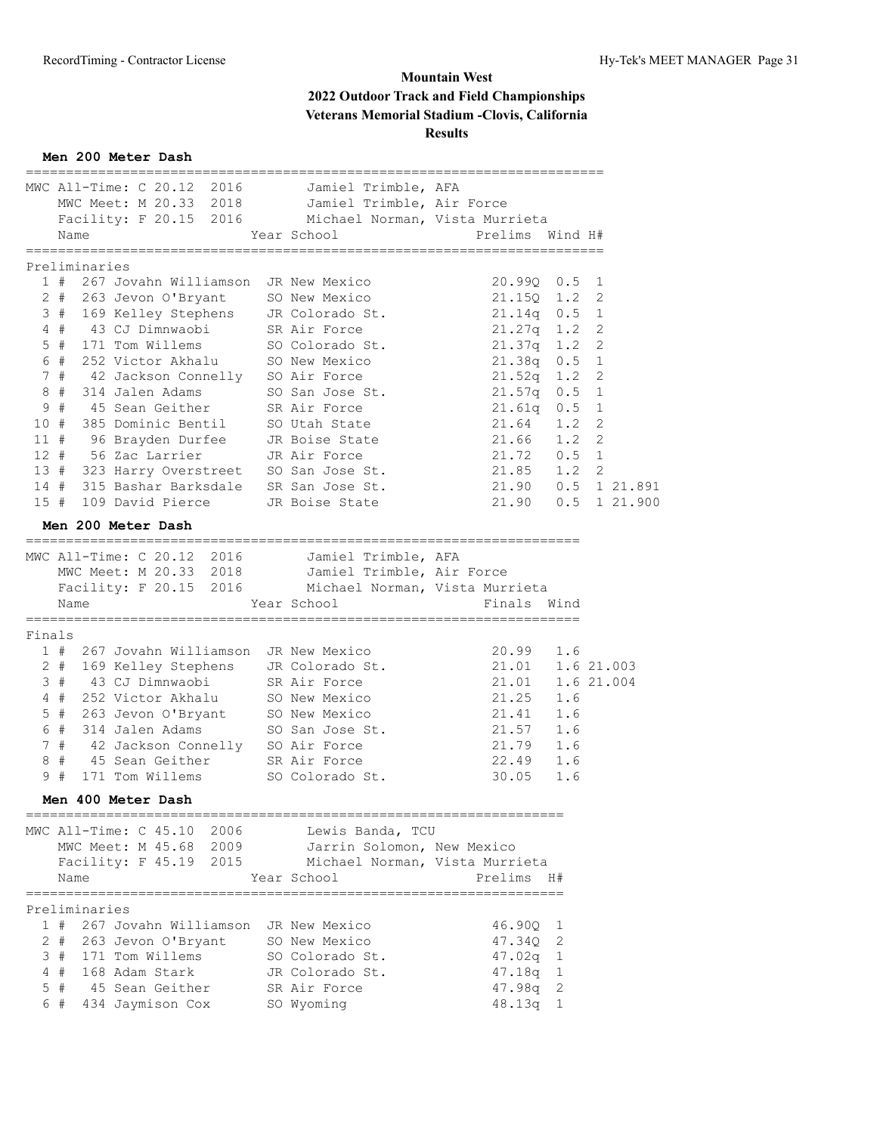## **Men 200 Meter Dash**

|        | MWC All-Time: C 20.12 2016 Jamiel Trimble, AFA                |                                |                            |     |                       |
|--------|---------------------------------------------------------------|--------------------------------|----------------------------|-----|-----------------------|
|        | MWC Meet: M 20.33 2018 Jamiel Trimble, Air Force              |                                |                            |     |                       |
|        | Facility: F 20.15 2016 Michael Norman, Vista Murrieta         |                                |                            |     |                       |
|        | Name                                                          | Year School                    | Prelims Wind H#            |     |                       |
|        | -----------------                                             |                                |                            |     |                       |
|        | Preliminaries                                                 |                                |                            |     |                       |
|        | 1 # 267 Jovahn Williamson JR New Mexico                       |                                | 20.990 0.5                 |     | 1                     |
|        | 2 # 263 Jevon O'Bryant SO New Mexico                          |                                | $21.150$ $1.2$             |     | 2                     |
|        | 3 # 169 Kelley Stephens JR Colorado St.                       |                                | $21.14q$ 0.5               |     | 1                     |
|        | $4$ #<br>43 CJ Dimnwaobi                                      | SR Air Force                   | $21.27q$ 1.2               |     | 2                     |
|        | $5$ #<br>171 Tom Willems                                      | SO Colorado St.                | $21.37q$ 1.2               |     | 2                     |
|        | 252 Victor Akhalu SO New Mexico<br>6#                         |                                | $21.38q$ 0.5               |     | 1                     |
|        | 42 Jackson Connelly SO Air Force<br>7#                        |                                | $21.52q$ 1.2               |     | 2                     |
|        | 8#<br>314 Jalen Adams                                         | SO San Jose St.                | $21.57q$ 0.5               |     | 1                     |
| 9      | #                                                             |                                |                            |     | 1                     |
|        | 45 Sean Geither SR Air Force                                  |                                | $21.61q$ 0.5               |     | $\overline{c}$        |
|        | 10#<br>385 Dominic Bentil<br>96 Brayden Durfee JR Boise State | SO Utah State                  | $21.64$ 1.2<br>$21.66$ 1.2 |     |                       |
|        | 11#                                                           |                                |                            |     | $\overline{c}$        |
|        | 56 Zac Larrier<br>$12 +$                                      | JR Air Force                   | $21.72$ 0.5 1              |     |                       |
|        | 13 # 323 Harry Overstreet SO San Jose St.                     |                                | $21.85$ $1.2$              |     | 2                     |
|        | 14 # 315 Bashar Barksdale SR San Jose St.                     |                                |                            |     | 21.90  0.5  1  21.891 |
|        | 15 # 109 David Pierce JR Boise State                          |                                |                            |     | 21.90  0.5  1  21.900 |
|        | Men 200 Meter Dash                                            |                                |                            |     |                       |
|        |                                                               |                                |                            |     |                       |
|        | MWC All-Time: C 20.12 2016 Jamiel Trimble, AFA                |                                |                            |     |                       |
|        | MWC Meet: M 20.33 2018 Jamiel Trimble, Air Force              |                                |                            |     |                       |
|        | Facility: F 20.15 2016 Michael Norman, Vista Murrieta         |                                |                            |     |                       |
|        | Name                                                          | Year School                    | Finals Wind                |     |                       |
|        |                                                               |                                | =================          |     |                       |
| Finals |                                                               |                                |                            |     |                       |
|        | 1 # 267 Jovahn Williamson JR New Mexico                       |                                | 20.99                      | 1.6 |                       |
|        | 2 # 169 Kelley Stephens JR Colorado St.                       |                                | 21.01  1.6  21.003         |     |                       |
|        | 3#<br>43 CJ Dimnwaobi                                         | SR Air Force                   | 21.01                      |     | 1.6 21.004            |
|        | 252 Victor Akhalu<br>4#                                       | SO New Mexico                  | 21.25                      | 1.6 |                       |
|        | 263 Jevon O'Bryant SO New Mexico<br>5#                        |                                | 21.41 1.6                  |     |                       |
|        | 6#<br>314 Jalen Adams                                         | SO San Jose St.                | 21.57 1.6                  |     |                       |
|        | 7#<br>42 Jackson Connelly SO Air Force                        |                                | 21.79 1.6                  |     |                       |
|        | #                                                             |                                |                            |     |                       |
| 8      | 45 Sean Geither SR Air Force                                  |                                | 22.49 1.6                  |     |                       |
|        | 9#<br>171 Tom Willems                                         | SO Colorado St.                | 30.05                      | 1.6 |                       |
|        | Men 400 Meter Dash                                            |                                |                            |     |                       |
|        |                                                               |                                |                            |     |                       |
|        | MWC All-Time: C 45.10 2006 Lewis Banda, TCU                   |                                |                            |     |                       |
|        | MWC Meet: M 45.68 2009                                        | Jarrin Solomon, New Mexico     |                            |     |                       |
|        | Facility: F 45.19 2015                                        | Michael Norman, Vista Murrieta |                            |     |                       |
|        | Name                                                          | Year School                    | Prelims H#                 |     |                       |
|        |                                                               |                                |                            |     |                       |
|        | Preliminaries                                                 |                                |                            |     |                       |
|        | 1 # 267 Jovahn Williamson JR New Mexico                       |                                | 46.90Q                     | 1   |                       |
|        | $2 +$<br>263 Jevon O'Bryant                                   | SO New Mexico                  | 47.34Q 2                   |     |                       |
|        | 3 # 171 Tom Willems                                           | SO Colorado St.                | $47.02q$ 1                 |     |                       |
|        | 4#<br>168 Adam Stark                                          | JR Colorado St.                | $47.18q$ 1                 |     |                       |
|        | 5#<br>45 Sean Geither                                         | SR Air Force                   | 47.98q 2                   |     |                       |
|        | 434 Jaymison Cox<br>6#                                        | SO Wyoming                     | 48.13q 1                   |     |                       |
|        |                                                               |                                |                            |     |                       |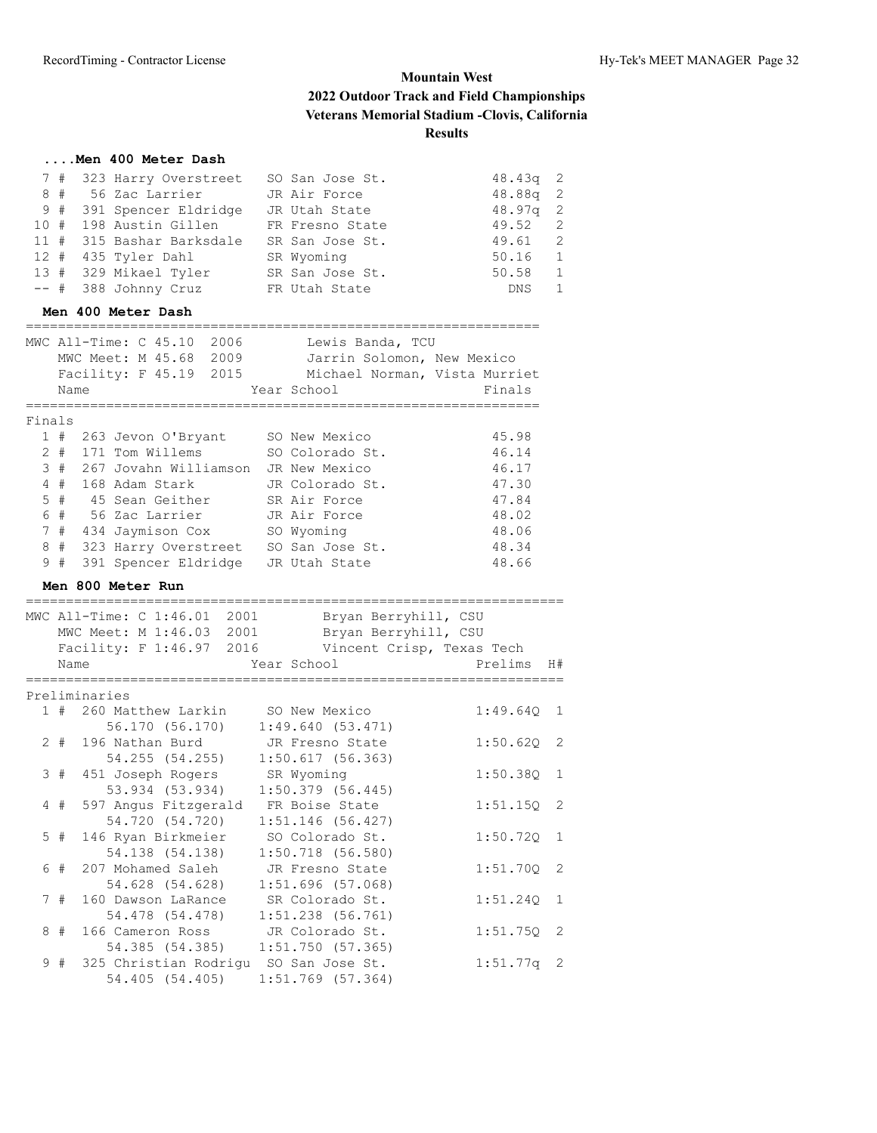## **....Men 400 Meter Dash**

|  | 7 # 323 Harry Overstreet        | SO San Jose St. | $48.43q$ 2 |                |
|--|---------------------------------|-----------------|------------|----------------|
|  | 8 # 56 Zac Larrier JR Air Force |                 | $48.88q$ 2 |                |
|  | 9 # 391 Spencer Eldridge        | JR Utah State   | $48.97q$ 2 |                |
|  | 10 # 198 Austin Gillen          | FR Fresno State | 49.52 2    |                |
|  | 11 # 315 Bashar Barksdale       | SR San Jose St. | 49.61 2    |                |
|  | 12 # 435 Tyler Dahl             | SR Wyoming      | 50.16 1    |                |
|  | 13 # 329 Mikael Tyler           | SR San Jose St. | 50.58      | 1              |
|  | $--$ # 388 Johnny Cruz          | FR Utah State   | DNS        | $\overline{1}$ |

#### **Men 400 Meter Dash**

|        | MWC All-Time: C 45.10<br>2006                               | Lewis Banda, TCU                             |                            |
|--------|-------------------------------------------------------------|----------------------------------------------|----------------------------|
|        | MWC Meet: M 45.68<br>2009                                   | Jarrin Solomon, New Mexico                   |                            |
|        | Facility: F 45.19<br>2015                                   | Michael Norman, Vista Murriet                |                            |
|        | Name                                                        | Year School                                  | Finals                     |
|        |                                                             |                                              |                            |
| Finals |                                                             |                                              |                            |
|        | 1#<br>263 Jevon O'Bryant                                    | SO New Mexico                                | 45.98                      |
|        | $2$ #<br>171 Tom Willems                                    | SO Colorado St.                              | 46.14                      |
|        | 3#<br>267 Jovahn Williamson                                 | JR New Mexico                                | 46.17                      |
|        | 4#<br>168 Adam Stark                                        | JR Colorado St.                              | 47.30                      |
|        | $5$ #<br>45 Sean Geither                                    | SR Air Force                                 | 47.84                      |
|        | 6 #<br>56 Zac Larrier                                       | JR Air Force                                 | 48.02                      |
|        | 7#<br>434 Jaymison Cox                                      | SO Wyoming                                   | 48.06                      |
|        | 8#<br>323 Harry Overstreet                                  | SO San Jose St.                              | 48.34                      |
|        | 9#<br>391 Spencer Eldridge                                  | JR Utah State                                | 48.66                      |
|        | Men 800 Meter Run                                           |                                              |                            |
|        |                                                             |                                              |                            |
|        | MWC All-Time: C 1:46.01<br>2001<br>MWC Meet: M 1:46.03 2001 | Bryan Berryhill, CSU<br>Bryan Berryhill, CSU |                            |
|        | Facility: F 1:46.97 2016                                    | Vincent Crisp, Texas Tech                    |                            |
|        | Name                                                        | Year School                                  | Prelims<br>H#              |
|        | ==============                                              |                                              |                            |
|        | Preliminaries                                               |                                              |                            |
|        | 1 # 260 Matthew Larkin                                      | SO New Mexico                                | 1:49.64Q<br>1              |
|        | 56.170 (56.170)                                             | 1:49.640(53.471)                             |                            |
|        | 2#<br>196 Nathan Burd                                       | JR Fresno State                              | $\overline{c}$<br>1:50.62Q |
|        | 54.255 (54.255)                                             | 1:50.617(56.363)                             |                            |
|        | 3#<br>451 Joseph Rogers                                     | SR Wyoming                                   | 1:50.38Q<br>1              |
|        | 53.934 (53.934)                                             | $1:50.379$ (56.445)                          |                            |
|        | 4#<br>597 Angus Fitzgerald                                  | FR Boise State                               | 1:51.15Q<br>2              |
|        | 54.720 (54.720)                                             | $1:51.146$ (56.427)                          |                            |
|        | $5$ #<br>146 Ryan Birkmeier                                 | SO Colorado St.                              | 1:50.72Q<br>$\mathbf{1}$   |
|        | 54.138 (54.138)                                             | $1:50.718$ (56.580)                          |                            |
|        | 6#<br>207 Mohamed Saleh                                     | JR Fresno State                              | 1:51.70Q<br>2              |
|        | 54.628 (54.628)                                             | $1:51.696$ (57.068)                          |                            |
|        | 7#<br>160 Dawson LaRance                                    | SR Colorado St.                              | 1:51.24Q<br>$\mathbf{1}$   |
|        | 54.478 (54.478)                                             | $1:51.238$ (56.761)                          |                            |
|        | 166 Cameron Ross<br>8#                                      | JR Colorado St.                              | 1:51.75Q<br>2              |
|        | 54.385 (54.385)                                             | 1:51.750(57.365)                             |                            |
|        | 325 Christian Rodrigu<br>9#                                 | SO San Jose St.                              | 1:51.77q<br>2              |
|        | 54.405 (54.405)                                             | $1:51.769$ (57.364)                          |                            |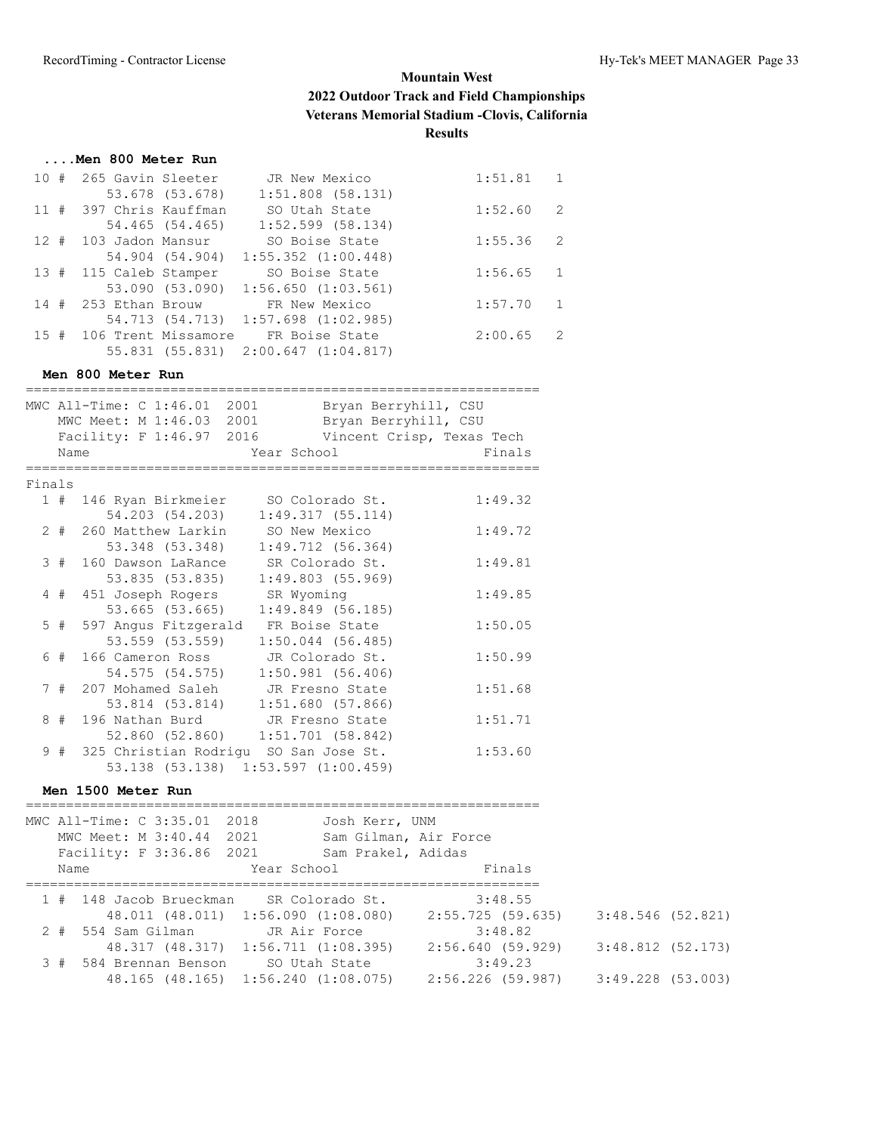## **....Men 800 Meter Run**

|  | 10 # 265 Gavin Sleeter                  | JR New Mexico                       | 1:51.81 | 1              |
|--|-----------------------------------------|-------------------------------------|---------|----------------|
|  | 53.678 (53.678)                         | $1:51.808$ (58.131)                 |         |                |
|  | 11 # 397 Chris Kauffman                 | SO Utah State                       | 1:52.60 | 2              |
|  | 54.465 (54.465)                         | $1:52.599$ (58.134)                 |         |                |
|  | 12 # 103 Jadon Mansur                   | SO Boise State                      | 1:55.36 | $\overline{2}$ |
|  | 54.904 (54.904)                         | $1:55.352$ $(1:00.448)$             |         |                |
|  | 13 # 115 Caleb Stamper                  | SO Boise State                      | 1:56.65 | $\mathbf{1}$   |
|  | 53.090 (53.090)                         | $1:56.650$ $(1:03.561)$             |         |                |
|  | 14 # 253 Ethan Brouw                    | FR New Mexico                       | 1:57.70 | $\overline{1}$ |
|  |                                         | 54.713 (54.713) 1:57.698 (1:02.985) |         |                |
|  | 15 # 106 Trent Missamore FR Boise State |                                     | 2:00.65 | $\overline{2}$ |
|  |                                         | 55.831 (55.831) 2:00.647 (1:04.817) |         |                |

#### **Men 800 Meter Run**

|        |       | MWC All-Time: C 1:46.01 2001           | Bryan Berryhill, CSU      |         |
|--------|-------|----------------------------------------|---------------------------|---------|
|        |       | MWC Meet: M 1:46.03 2001               | Bryan Berryhill, CSU      |         |
|        |       | Facility: F 1:46.97 2016               | Vincent Crisp, Texas Tech |         |
|        |       |                                        |                           |         |
|        | Name  |                                        | Year School               | Finals  |
|        |       | 322222222                              |                           |         |
| Finals |       |                                        |                           |         |
|        |       | 1 # 146 Ryan Birkmeier SO Colorado St. |                           | 1:49.32 |
|        |       | 54.203 (54.203)                        | 1:49.317(55.114)          |         |
|        | $2 +$ | 260 Matthew Larkin                     | SO New Mexico             | 1:49.72 |
|        |       | 53.348 (53.348)                        | 1:49.712(56.364)          |         |
|        | 3#    | 160 Dawson LaRance SR Colorado St.     |                           | 1:49.81 |
|        |       | 53.835 (53.835)                        | 1:49.803(55.969)          |         |
|        | 4#    | 451 Joseph Rogers                      | SR Wyoming                | 1:49.85 |
|        |       | 53.665 (53.665)                        | 1:49.849(56.185)          |         |
|        |       |                                        |                           |         |
|        | $5$ # | 597 Angus Fitzgerald FR Boise State    |                           | 1:50.05 |
|        |       | 53.559 (53.559)                        | $1:50.044$ (56.485)       |         |
|        | 6#    | 166 Cameron Ross                       | JR Colorado St.           | 1:50.99 |
|        |       | 54.575 (54.575)                        | $1:50.981$ (56.406)       |         |
|        | 7#    | 207 Mohamed Saleh JR Fresno State      |                           | 1:51.68 |
|        |       | 53.814 (53.814)                        | 1:51.680(57.866)          |         |
|        | 8#    | 196 Nathan Burd JR Fresno State        |                           | 1:51.71 |
|        |       | 52.860 (52.860) 1:51.701 (58.842)      |                           |         |
|        | 9#    | 325 Christian Rodrigu SO San Jose St.  |                           | 1:53.60 |
|        |       |                                        |                           |         |
|        |       | 53.138 (53.138)                        | $1:53.597$ $(1:00.459)$   |         |

## **Men 1500 Meter Run**

|      | MWC All-Time: C 3:35.01 2018            |               | Josh Kerr, UNM        |                   |                     |
|------|-----------------------------------------|---------------|-----------------------|-------------------|---------------------|
|      | MWC Meet: M 3:40.44 2021                |               | Sam Gilman, Air Force |                   |                     |
|      | Facility: F 3:36.86 2021                |               | Sam Prakel, Adidas    |                   |                     |
| Name |                                         | Year School   |                       | Finals            |                     |
|      |                                         |               |                       |                   |                     |
|      | 1 # 148 Jacob Brueckman SR Colorado St. |               |                       | 3:48.55           |                     |
|      | 48.011 (48.011) 1:56.090 (1:08.080)     |               |                       | 2:55.725 (59.635) | 3:48.546 (52.821)   |
|      | 2 # 554 Sam Gilman JR Air Force         |               |                       | 3:48.82           |                     |
|      | 48.317 (48.317) 1:56.711 (1:08.395)     |               |                       | 2:56.640 (59.929) | $3:48.812$ (52.173) |
|      | 3 # 584 Brennan Benson                  | SO Utah State |                       | 3:49.23           |                     |
|      | 48.165 (48.165) 1:56.240 (1:08.075)     |               |                       | 2:56.226 (59.987) | $3:49.228$ (53.003) |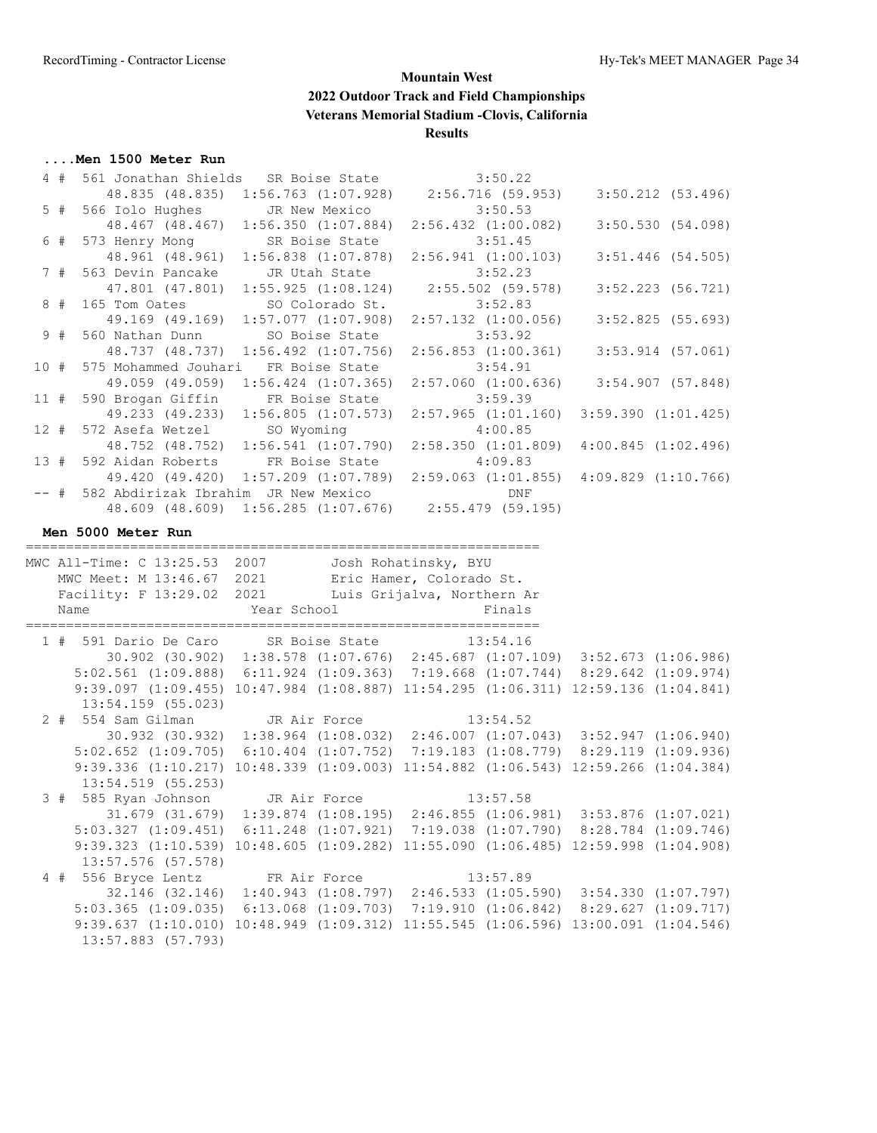#### **....Men 1500 Meter Run**

|        | 4#    |                                                                                                                         |                |                         |                            |                                                 |                         |
|--------|-------|-------------------------------------------------------------------------------------------------------------------------|----------------|-------------------------|----------------------------|-------------------------------------------------|-------------------------|
|        |       | 561 Jonathan Shields SR Boise State 3:50.22<br>48.835 (48.835) 1:56.763 (1:07.928) 2:56.716 (59.953)                    |                |                         |                            |                                                 | $3:50.212$ (53.496)     |
|        | $5$ # | 566 Iolo Hughes                                                                                                         |                | JR New Mexico           |                            | 3:50.53                                         |                         |
|        |       | 48.467 (48.467) 1:56.350 (1:07.884)                                                                                     |                |                         |                            | $2:56.432$ $(1:00.082)$                         | 3:50.530(54.098)        |
|        | 6 #   | 573 Henry Mong                                                                                                          |                | SR Boise State          |                            | 3:51.45                                         |                         |
|        |       | 48.961 (48.961) 1:56.838 (1:07.878)                                                                                     |                |                         |                            | 2:56.941(1:00.103)                              | $3:51.446$ (54.505)     |
|        | 7#    | 563 Devin Pancake                                                                                                       |                | JR Utah State           |                            | 3:52.23                                         |                         |
|        |       | 47.801 (47.801)                                                                                                         |                |                         |                            | $1:55.925$ $(1:08.124)$ $2:55.502$ $(59.578)$   | $3:52.223$ (56.721)     |
|        | 8#    | 165 Tom Oates                                                                                                           |                | SO Colorado St.         |                            | 3:52.83                                         |                         |
|        |       | 49.169 (49.169)                                                                                                         |                | $1:57.077$ $(1:07.908)$ |                            | $2:57.132$ $(1:00.056)$                         | $3:52.825$ (55.693)     |
|        | 9#    | 560 Nathan Dunn                                                                                                         |                | SO Boise State          |                            | 3:53.92                                         |                         |
|        |       | 48.737 (48.737) 1:56.492 (1:07.756)                                                                                     |                |                         |                            | $2:56.853$ $(1:00.361)$                         | $3:53.914$ (57.061)     |
| 10#    |       | 575 Mohammed Jouhari FR Boise State                                                                                     |                |                         |                            | 3:54.91                                         |                         |
|        |       | 49.059 (49.059)                                                                                                         |                | $1:56.424$ $(1:07.365)$ |                            | $2:57.060$ (1:00.636) 3:54.907 (57.848)         |                         |
| 11#    |       | 590 Brogan Giffin                                                                                                       | FR Boise State |                         |                            | 3:59.39                                         |                         |
|        |       | 49.233 (49.233)                                                                                                         |                | $1:56.805$ $(1:07.573)$ |                            | $2:57.965$ $(1:01.160)$ $3:59.390$ $(1:01.425)$ |                         |
| 12#    |       | 572 Asefa Wetzel                                                                                                        | SO Wyoming     |                         | 4:00.85                    |                                                 |                         |
|        |       | 48.752 (48.752) 1:56.541 (1:07.790)                                                                                     |                |                         |                            | 2:58.350(1:01.809)                              | $4:00.845$ $(1:02.496)$ |
| 13#    |       | 592 Aidan Roberts FR Boise State                                                                                        |                |                         |                            | 4:09.83                                         |                         |
|        |       | 49.420 (49.420) 1:57.209 (1:07.789) 2:59.063 (1:01.855) 4:09.829 (1:10.766)                                             |                |                         |                            |                                                 |                         |
| $--$ # |       | 582 Abdirizak Ibrahim JR New Mexico                                                                                     |                |                         |                            | DNF                                             |                         |
|        |       | 48.609 (48.609) 1:56.285 (1:07.676) 2:55.479 (59.195)                                                                   |                |                         |                            |                                                 |                         |
|        |       |                                                                                                                         |                |                         |                            |                                                 |                         |
|        |       | Men 5000 Meter Run                                                                                                      |                |                         |                            |                                                 |                         |
|        |       |                                                                                                                         |                |                         |                            |                                                 |                         |
|        |       | MWC All-Time: C 13:25.53 2007 Josh Rohatinsky, BYU                                                                      |                |                         |                            |                                                 |                         |
|        |       | MWC Meet: M 13:46.67 2021 Eric Hamer, Colorado St.                                                                      |                |                         |                            |                                                 |                         |
|        |       | Facility: F 13:29.02 2021                                                                                               |                |                         | Luis Grijalva, Northern Ar |                                                 |                         |
|        |       | Name                                                                                                                    | Year School    |                         |                            | Finals                                          |                         |
|        |       |                                                                                                                         |                |                         |                            |                                                 |                         |
|        |       | 1 # 591 Dario De Caro SR Boise State 13:54.16                                                                           |                |                         |                            |                                                 |                         |
|        |       | 30.902 (30.902) 1:38.578 (1:07.676) 2:45.687 (1:07.109) 3:52.673 (1:06.986)                                             |                |                         |                            |                                                 |                         |
|        |       | 5:02.561 (1:09.888) 6:11.924 (1:09.363) 7:19.668 (1:07.744) 8:29.642 (1:09.974)                                         |                |                         |                            |                                                 |                         |
|        |       |                                                                                                                         |                |                         |                            |                                                 |                         |
|        |       | 9:39.097 (1:09.455) 10:47.984 (1:08.887) 11:54.295 (1:06.311) 12:59.136 (1:04.841)                                      |                |                         |                            |                                                 |                         |
|        |       | $13:54.159$ (55.023)                                                                                                    |                |                         |                            |                                                 |                         |
|        |       |                                                                                                                         |                |                         |                            |                                                 |                         |
|        |       | 2 # 554 Sam Gilman JR Air Force 13:54.52<br>30.932 (30.932) 1:38.964 (1:08.032) 2:46.007 (1:07.043) 3:52.947 (1:06.940) |                |                         |                            |                                                 |                         |
|        |       | 5:02.652 (1:09.705) 6:10.404 (1:07.752) 7:19.183 (1:08.779) 8:29.119 (1:09.936)                                         |                |                         |                            |                                                 |                         |
|        |       | 9:39.336 (1:10.217) 10:48.339 (1:09.003) 11:54.882 (1:06.543) 12:59.266 (1:04.384)                                      |                |                         |                            |                                                 |                         |
|        |       | $13:54.519$ (55.253)                                                                                                    |                |                         |                            |                                                 |                         |
|        |       | 3 # 585 Ryan Johnson JR Air Force                                                                                       |                |                         | 13:57.58                   |                                                 |                         |
|        |       | 31.679 (31.679) 1:39.874 (1:08.195) 2:46.855 (1:06.981) 3:53.876 (1:07.021)                                             |                |                         |                            |                                                 |                         |
|        |       | 5:03.327 (1:09.451) 6:11.248 (1:07.921) 7:19.038 (1:07.790) 8:28.784 (1:09.746)                                         |                |                         |                            |                                                 |                         |
|        |       | 9:39.323 (1:10.539) 10:48.605 (1:09.282) 11:55.090 (1:06.485) 12:59.998 (1:04.908)                                      |                |                         |                            |                                                 |                         |
|        |       | $13:57.576$ (57.578)                                                                                                    |                |                         |                            |                                                 |                         |
|        |       | 4 # 556 Bryce Lentz                                                                                                     | FR Air Force   |                         |                            | 13:57.89                                        |                         |
|        |       | 32.146 (32.146) 1:40.943 (1:08.797) 2:46.533 (1:05.590) 3:54.330 (1:07.797)                                             |                |                         |                            |                                                 |                         |
|        |       | 5:03.365 (1:09.035) 6:13.068 (1:09.703) 7:19.910 (1:06.842) 8:29.627 (1:09.717)                                         |                |                         |                            |                                                 |                         |
|        |       | 9:39.637 (1:10.010) 10:48.949 (1:09.312) 11:55.545 (1:06.596) 13:00.091 (1:04.546)                                      |                |                         |                            |                                                 |                         |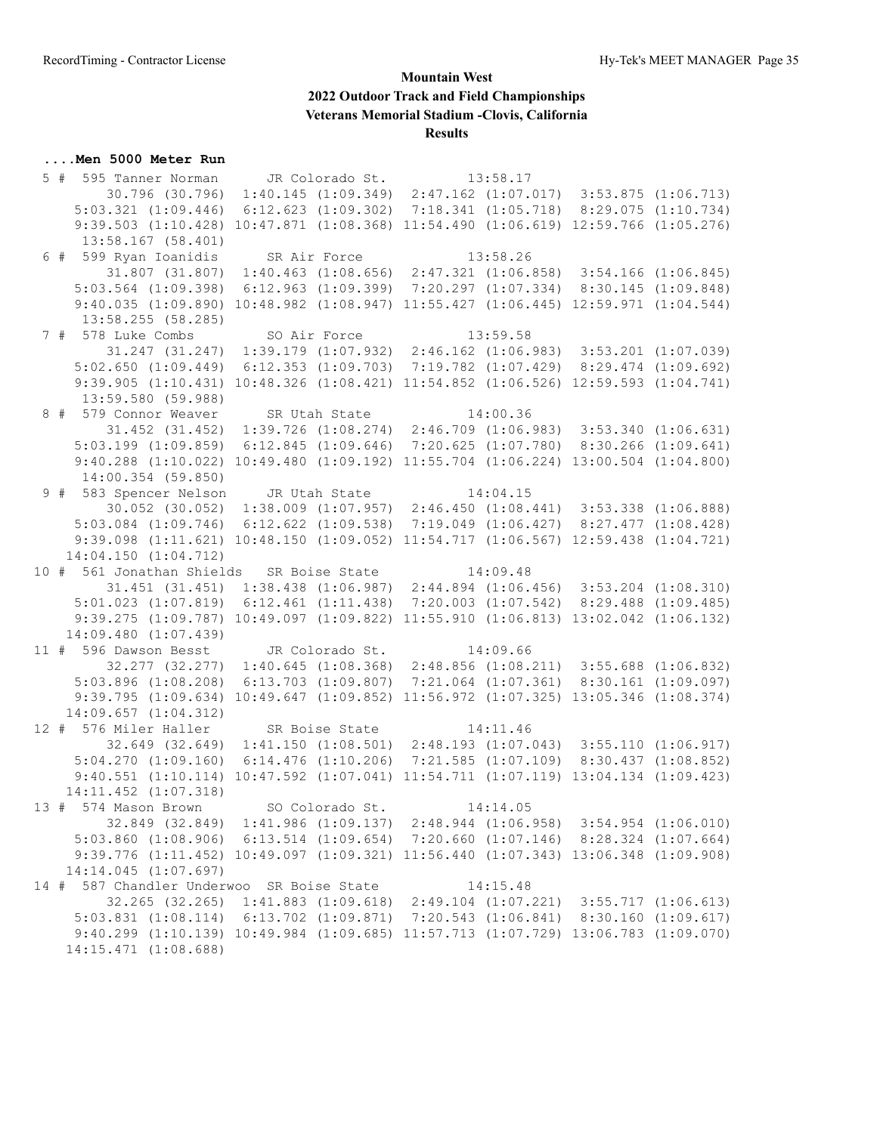#### **....Men 5000 Meter Run**

 5 # 595 Tanner Norman JR Colorado St. 13:58.17 30.796 (30.796) 1:40.145 (1:09.349) 2:47.162 (1:07.017) 3:53.875 (1:06.713) 5:03.321 (1:09.446) 6:12.623 (1:09.302) 7:18.341 (1:05.718) 8:29.075 (1:10.734) 9:39.503 (1:10.428) 10:47.871 (1:08.368) 11:54.490 (1:06.619) 12:59.766 (1:05.276) 13:58.167 (58.401) 6 # 599 Ryan Ioanidis SR Air Force 13:58.26 31.807 (31.807) 1:40.463 (1:08.656) 2:47.321 (1:06.858) 3:54.166 (1:06.845) 5:03.564 (1:09.398) 6:12.963 (1:09.399) 7:20.297 (1:07.334) 8:30.145 (1:09.848) 9:40.035 (1:09.890) 10:48.982 (1:08.947) 11:55.427 (1:06.445) 12:59.971 (1:04.544) 13:58.255 (58.285) 7 # 578 Luke Combs SO Air Force 13:59.58 31.247 (31.247) 1:39.179 (1:07.932) 2:46.162 (1:06.983) 3:53.201 (1:07.039) 5:02.650 (1:09.449) 6:12.353 (1:09.703) 7:19.782 (1:07.429) 8:29.474 (1:09.692) 9:39.905 (1:10.431) 10:48.326 (1:08.421) 11:54.852 (1:06.526) 12:59.593 (1:04.741) 13:59.580 (59.988) 8 # 579 Connor Weaver SR Utah State 14:00.36 31.452 (31.452) 1:39.726 (1:08.274) 2:46.709 (1:06.983) 3:53.340 (1:06.631) 5:03.199 (1:09.859) 6:12.845 (1:09.646) 7:20.625 (1:07.780) 8:30.266 (1:09.641) 9:40.288 (1:10.022) 10:49.480 (1:09.192) 11:55.704 (1:06.224) 13:00.504 (1:04.800) 14:00.354 (59.850) 9 # 583 Spencer Nelson JR Utah State 14:04.15 30.052 (30.052) 1:38.009 (1:07.957) 2:46.450 (1:08.441) 3:53.338 (1:06.888) 5:03.084 (1:09.746) 6:12.622 (1:09.538) 7:19.049 (1:06.427) 8:27.477 (1:08.428) 9:39.098 (1:11.621) 10:48.150 (1:09.052) 11:54.717 (1:06.567) 12:59.438 (1:04.721) 14:04.150 (1:04.712) 10 # 561 Jonathan Shields SR Boise State 14:09.48 31.451 (31.451) 1:38.438 (1:06.987) 2:44.894 (1:06.456) 3:53.204 (1:08.310) 5:01.023 (1:07.819) 6:12.461 (1:11.438) 7:20.003 (1:07.542) 8:29.488 (1:09.485) 9:39.275 (1:09.787) 10:49.097 (1:09.822) 11:55.910 (1:06.813) 13:02.042 (1:06.132) 14:09.480 (1:07.439) 11 # 596 Dawson Besst JR Colorado St. 14:09.66 32.277 (32.277) 1:40.645 (1:08.368) 2:48.856 (1:08.211) 3:55.688 (1:06.832) 5:03.896 (1:08.208) 6:13.703 (1:09.807) 7:21.064 (1:07.361) 8:30.161 (1:09.097) 9:39.795 (1:09.634) 10:49.647 (1:09.852) 11:56.972 (1:07.325) 13:05.346 (1:08.374) 14:09.657 (1:04.312) 12 # 576 Miler Haller SR Boise State 14:11.46 32.649 (32.649) 1:41.150 (1:08.501) 2:48.193 (1:07.043) 3:55.110 (1:06.917) 5:04.270 (1:09.160) 6:14.476 (1:10.206) 7:21.585 (1:07.109) 8:30.437 (1:08.852) 9:40.551 (1:10.114) 10:47.592 (1:07.041) 11:54.711 (1:07.119) 13:04.134 (1:09.423) 14:11.452 (1:07.318) 13 # 574 Mason Brown SO Colorado St. 14:14.05 32.849 (32.849) 1:41.986 (1:09.137) 2:48.944 (1:06.958) 3:54.954 (1:06.010) 5:03.860 (1:08.906) 6:13.514 (1:09.654) 7:20.660 (1:07.146) 8:28.324 (1:07.664) 9:39.776 (1:11.452) 10:49.097 (1:09.321) 11:56.440 (1:07.343) 13:06.348 (1:09.908) 14:14.045 (1:07.697) 14 # 587 Chandler Underwoo SR Boise State 14:15.48 32.265 (32.265) 1:41.883 (1:09.618) 2:49.104 (1:07.221) 3:55.717 (1:06.613) 5:03.831 (1:08.114) 6:13.702 (1:09.871) 7:20.543 (1:06.841) 8:30.160 (1:09.617) 9:40.299 (1:10.139) 10:49.984 (1:09.685) 11:57.713 (1:07.729) 13:06.783 (1:09.070) 14:15.471 (1:08.688)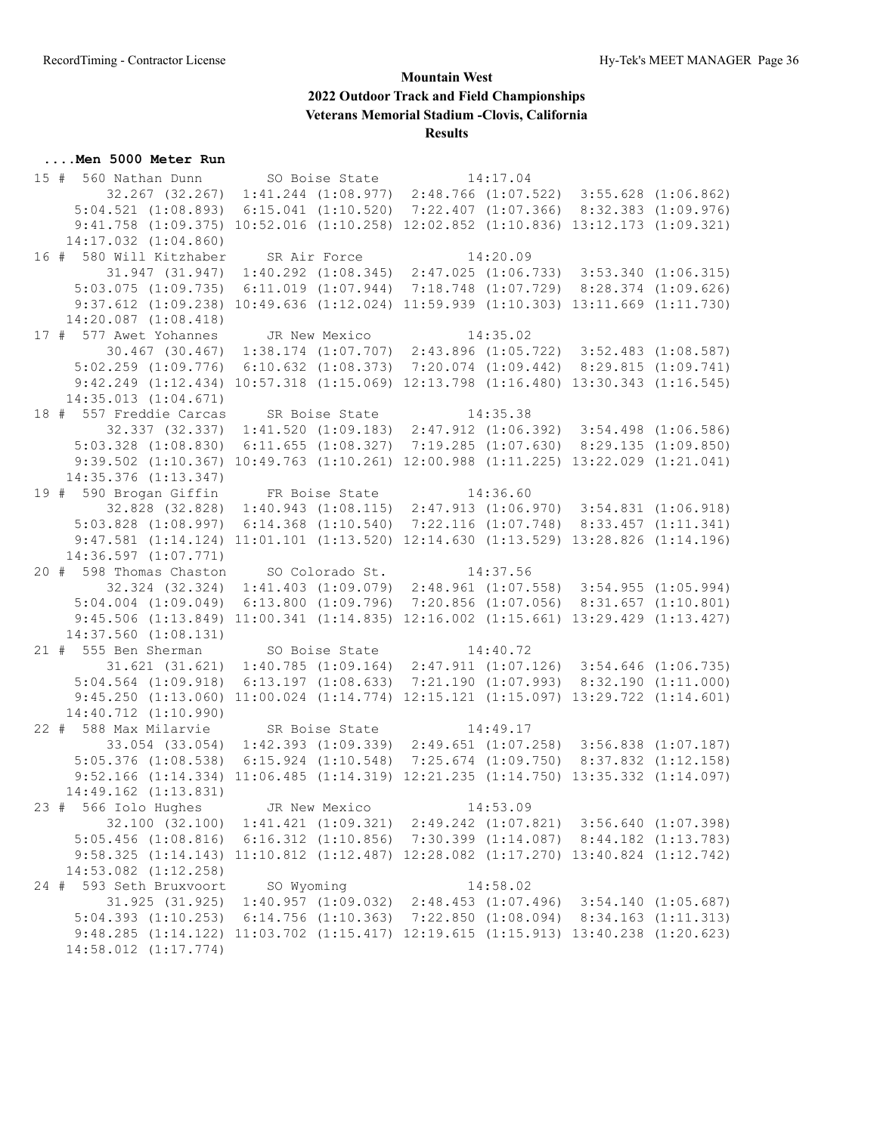#### **....Men 5000 Meter Run**

 15 # 560 Nathan Dunn SO Boise State 14:17.04 32.267 (32.267) 1:41.244 (1:08.977) 2:48.766 (1:07.522) 3:55.628 (1:06.862) 5:04.521 (1:08.893) 6:15.041 (1:10.520) 7:22.407 (1:07.366) 8:32.383 (1:09.976) 9:41.758 (1:09.375) 10:52.016 (1:10.258) 12:02.852 (1:10.836) 13:12.173 (1:09.321) 14:17.032 (1:04.860) 16 # 580 Will Kitzhaber SR Air Force 14:20.09 31.947 (31.947) 1:40.292 (1:08.345) 2:47.025 (1:06.733) 3:53.340 (1:06.315) 5:03.075 (1:09.735) 6:11.019 (1:07.944) 7:18.748 (1:07.729) 8:28.374 (1:09.626) 9:37.612 (1:09.238) 10:49.636 (1:12.024) 11:59.939 (1:10.303) 13:11.669 (1:11.730) 14:20.087 (1:08.418) 17 # 577 Awet Yohannes JR New Mexico 14:35.02 30.467 (30.467) 1:38.174 (1:07.707) 2:43.896 (1:05.722) 3:52.483 (1:08.587) 5:02.259 (1:09.776) 6:10.632 (1:08.373) 7:20.074 (1:09.442) 8:29.815 (1:09.741) 9:42.249 (1:12.434) 10:57.318 (1:15.069) 12:13.798 (1:16.480) 13:30.343 (1:16.545) 14:35.013 (1:04.671) 18 # 557 Freddie Carcas SR Boise State 14:35.38 32.337 (32.337) 1:41.520 (1:09.183) 2:47.912 (1:06.392) 3:54.498 (1:06.586) 5:03.328 (1:08.830) 6:11.655 (1:08.327) 7:19.285 (1:07.630) 8:29.135 (1:09.850) 9:39.502 (1:10.367) 10:49.763 (1:10.261) 12:00.988 (1:11.225) 13:22.029 (1:21.041) 14:35.376 (1:13.347) 19 # 590 Brogan Giffin FR Boise State 14:36.60 32.828 (32.828) 1:40.943 (1:08.115) 2:47.913 (1:06.970) 3:54.831 (1:06.918) 5:03.828 (1:08.997) 6:14.368 (1:10.540) 7:22.116 (1:07.748) 8:33.457 (1:11.341) 9:47.581 (1:14.124) 11:01.101 (1:13.520) 12:14.630 (1:13.529) 13:28.826 (1:14.196) 14:36.597 (1:07.771) 20 # 598 Thomas Chaston SO Colorado St. 14:37.56 32.324 (32.324) 1:41.403 (1:09.079) 2:48.961 (1:07.558) 3:54.955 (1:05.994) 5:04.004 (1:09.049) 6:13.800 (1:09.796) 7:20.856 (1:07.056) 8:31.657 (1:10.801) 9:45.506 (1:13.849) 11:00.341 (1:14.835) 12:16.002 (1:15.661) 13:29.429 (1:13.427) 14:37.560 (1:08.131) 21 # 555 Ben Sherman SO Boise State 14:40.72 31.621 (31.621) 1:40.785 (1:09.164) 2:47.911 (1:07.126) 3:54.646 (1:06.735) 5:04.564 (1:09.918) 6:13.197 (1:08.633) 7:21.190 (1:07.993) 8:32.190 (1:11.000) 9:45.250 (1:13.060) 11:00.024 (1:14.774) 12:15.121 (1:15.097) 13:29.722 (1:14.601) 14:40.712 (1:10.990) 22 # 588 Max Milarvie SR Boise State 14:49.17 33.054 (33.054) 1:42.393 (1:09.339) 2:49.651 (1:07.258) 3:56.838 (1:07.187) 5:05.376 (1:08.538) 6:15.924 (1:10.548) 7:25.674 (1:09.750) 8:37.832 (1:12.158) 9:52.166 (1:14.334) 11:06.485 (1:14.319) 12:21.235 (1:14.750) 13:35.332 (1:14.097) 14:49.162 (1:13.831) 23 # 566 Iolo Hughes JR New Mexico 14:53.09 32.100 (32.100) 1:41.421 (1:09.321) 2:49.242 (1:07.821) 3:56.640 (1:07.398) 5:05.456 (1:08.816) 6:16.312 (1:10.856) 7:30.399 (1:14.087) 8:44.182 (1:13.783) 9:58.325 (1:14.143) 11:10.812 (1:12.487) 12:28.082 (1:17.270) 13:40.824 (1:12.742) 14:53.082 (1:12.258) 24 # 593 Seth Bruxvoort SO Wyoming 14:58.02 31.925 (31.925) 1:40.957 (1:09.032) 2:48.453 (1:07.496) 3:54.140 (1:05.687) 5:04.393 (1:10.253) 6:14.756 (1:10.363) 7:22.850 (1:08.094) 8:34.163 (1:11.313) 9:48.285 (1:14.122) 11:03.702 (1:15.417) 12:19.615 (1:15.913) 13:40.238 (1:20.623) 14:58.012 (1:17.774)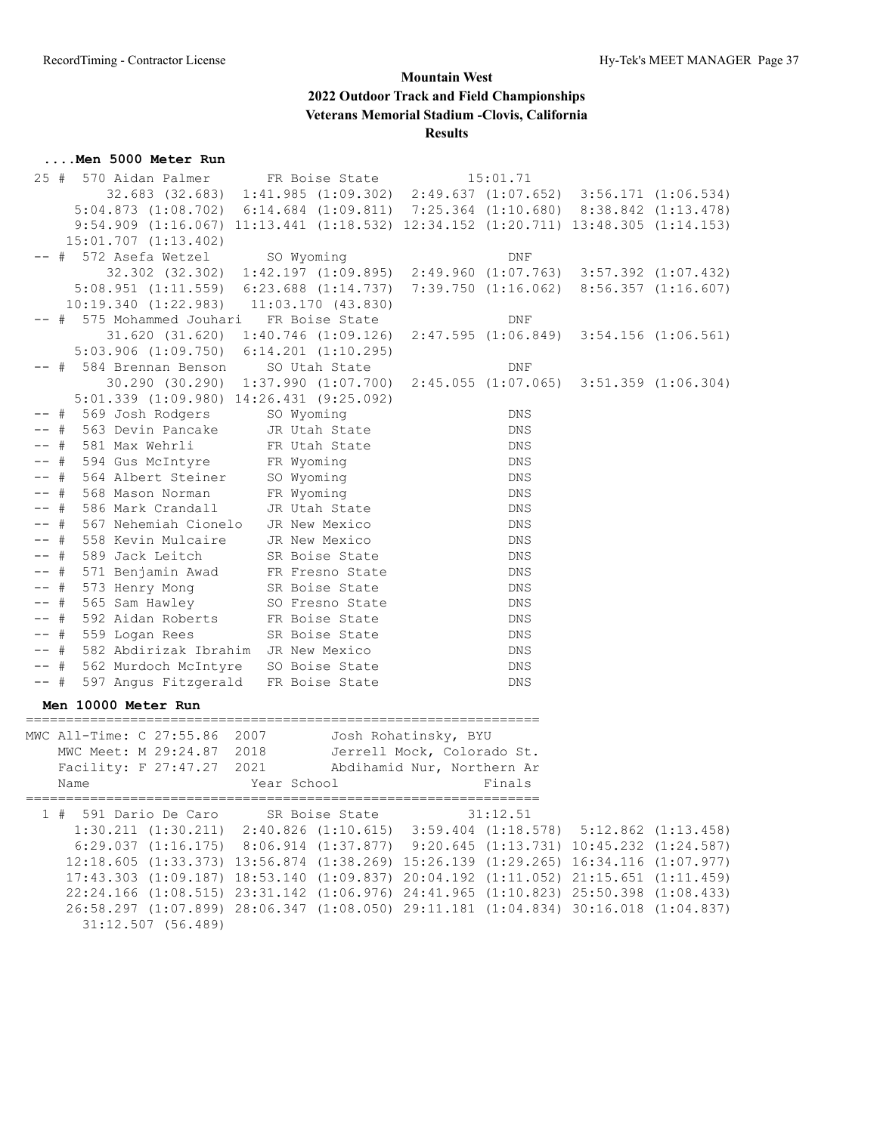#### **....Men 5000 Meter Run**

| 25 #   | 570 Aidan Palmer                                                                                |                | FR Boise State                    |                            | 15:01.71                                                                |  |
|--------|-------------------------------------------------------------------------------------------------|----------------|-----------------------------------|----------------------------|-------------------------------------------------------------------------|--|
|        | 32.683 (32.683) 1:41.985 (1:09.302) 2:49.637 (1:07.652) 3:56.171 (1:06.534)                     |                |                                   |                            |                                                                         |  |
|        | $5:04.873$ $(1:08.702)$                                                                         |                |                                   |                            | $6:14.684$ $(1:09.811)$ $7:25.364$ $(1:10.680)$ $8:38.842$ $(1:13.478)$ |  |
|        | 9:54.909 (1:16.067) 11:13.441 (1:18.532) 12:34.152 (1:20.711) 13:48.305 (1:14.153)              |                |                                   |                            |                                                                         |  |
|        | 15:01.707 (1:13.402)                                                                            |                |                                   |                            |                                                                         |  |
|        | -- # 572 Asefa Wetzel                                                                           | SO Wyoming     |                                   |                            |                                                                         |  |
|        |                                                                                                 |                |                                   |                            | DNF                                                                     |  |
|        | 32.302 (32.302) 1:42.197 (1:09.895) 2:49.960 (1:07.763) 3:57.392 (1:07.432)                     |                |                                   |                            |                                                                         |  |
|        | 5:08.951 (1:11.559) 6:23.688 (1:14.737)                                                         |                |                                   |                            | $7:39.750$ $(1:16.062)$ $8:56.357$ $(1:16.607)$                         |  |
|        | $10:19.340$ $(1:22.983)$ $11:03.170$ $(43.830)$                                                 |                |                                   |                            |                                                                         |  |
|        | -- # 575 Mohammed Jouhari                                                                       |                | FR Boise State                    |                            | DNF                                                                     |  |
|        | 31.620 (31.620) 1:40.746 (1:09.126) 2:47.595 (1:06.849) 3:54.156 (1:06.561)                     |                |                                   |                            |                                                                         |  |
|        | $5:03.906$ $(1:09.750)$ $6:14.201$ $(1:10.295)$                                                 |                |                                   |                            |                                                                         |  |
|        | -- # 584 Brennan Benson                                                                         |                | SO Utah State                     |                            | DNF                                                                     |  |
|        | 30.290 (30.290) 1:37.990 (1:07.700) 2:45.055 (1:07.065) 3:51.359 (1:06.304)                     |                |                                   |                            |                                                                         |  |
|        | $5:01.339$ $(1:09.980)$ $14:26.431$ $(9:25.092)$                                                |                |                                   |                            |                                                                         |  |
|        | # 569 Josh Rodgers SO Wyoming                                                                   |                |                                   |                            | DNS                                                                     |  |
|        | # 563 Devin Pancake                                                                             |                | JR Utah State                     |                            | DNS                                                                     |  |
|        | # 581 Max Wehrli                                                                                |                | FR Utah State                     |                            | DNS                                                                     |  |
|        | -- # 594 Gus McIntyre FR Wyoming                                                                |                |                                   |                            | DNS                                                                     |  |
|        | -- # 564 Albert Steiner                                                                         | SO Wyoming     |                                   |                            | DNS                                                                     |  |
| $--$ # | 568 Mason Norman                                                                                | FR Wyoming     |                                   |                            | DNS                                                                     |  |
| $--$ # | 586 Mark Crandall                                                                               | JR Utah State  |                                   |                            | DNS                                                                     |  |
| $--$ # | 567 Nehemiah Cionelo JR New Mexico                                                              |                |                                   |                            | DNS                                                                     |  |
| $--$ # | 558 Kevin Mulcaire                                                                              | JR New Mexico  |                                   |                            | DNS                                                                     |  |
| $--$ # | 589 Jack Leitch                                                                                 | SR Boise State |                                   |                            | DNS                                                                     |  |
|        | -- # 571 Benjamin Awad FR Fresno State                                                          |                |                                   |                            | DNS                                                                     |  |
| $--$ # | 573 Henry Mong                                                                                  |                |                                   |                            | DNS                                                                     |  |
| -- #   | 565 Sam Hawley                                                                                  |                | SR Boise State<br>SO Fresno State |                            | DNS                                                                     |  |
| $--$ # | 592 Aidan Roberts                                                                               | FR Boise State |                                   |                            | DNS                                                                     |  |
|        | $--$ # 559 Logan Rees                                                                           | SR Boise State |                                   |                            | DNS                                                                     |  |
|        | -- # 582 Abdirizak Ibrahim JR New Mexico                                                        |                |                                   |                            | DNS                                                                     |  |
|        | -- # 562 Murdoch McIntyre SO Boise State                                                        |                |                                   |                            | DNS                                                                     |  |
| $--$ # | 597 Angus Fitzgerald FR Boise State                                                             |                |                                   |                            | DNS                                                                     |  |
|        | Men 10000 Meter Run                                                                             |                |                                   |                            |                                                                         |  |
|        | -------------------------------                                                                 |                |                                   |                            |                                                                         |  |
|        | MWC All-Time: C 27:55.86 2007                                                                   |                |                                   | Josh Rohatinsky, BYU       |                                                                         |  |
|        | MWC Meet: M 29:24.87 2018                                                                       |                |                                   | Jerrell Mock, Colorado St. |                                                                         |  |
|        | Facility: F 27:47.27 2021                                                                       |                |                                   | Abdihamid Nur, Northern Ar |                                                                         |  |
|        | Name                                                                                            | Year School    |                                   |                            | Finals                                                                  |  |
|        |                                                                                                 |                |                                   |                            |                                                                         |  |
|        | 1 # 591 Dario De Caro                                                                           |                | SR Boise State                    |                            | 31:12.51                                                                |  |
|        | $1:30.211$ $(1:30.211)$ $2:40.826$ $(1:10.615)$ $3:59.404$ $(1:18.578)$ $5:12.862$ $(1:13.458)$ |                |                                   |                            |                                                                         |  |
|        | 6:29.037 (1:16.175) 8:06.914 (1:37.877) 9:20.645 (1:13.731) 10:45.232 (1:24.587)                |                |                                   |                            |                                                                         |  |
|        | 12:18.605 (1:33.373) 13:56.874 (1:38.269) 15:26.139 (1:29.265) 16:34.116 (1:07.977)             |                |                                   |                            |                                                                         |  |
|        | 17:43.303 (1:09.187) 18:53.140 (1:09.837) 20:04.192 (1:11.052) 21:15.651 (1:11.459)             |                |                                   |                            |                                                                         |  |
|        | 22:24.166 (1:08.515) 23:31.142 (1:06.976) 24:41.965 (1:10.823) 25:50.398 (1:08.433)             |                |                                   |                            |                                                                         |  |
|        | 26:58.297 (1:07.899) 28:06.347 (1:08.050) 29:11.181 (1:04.834) 30:16.018 (1:04.837)             |                |                                   |                            |                                                                         |  |
|        | $31:12.507$ (56.489)                                                                            |                |                                   |                            |                                                                         |  |
|        |                                                                                                 |                |                                   |                            |                                                                         |  |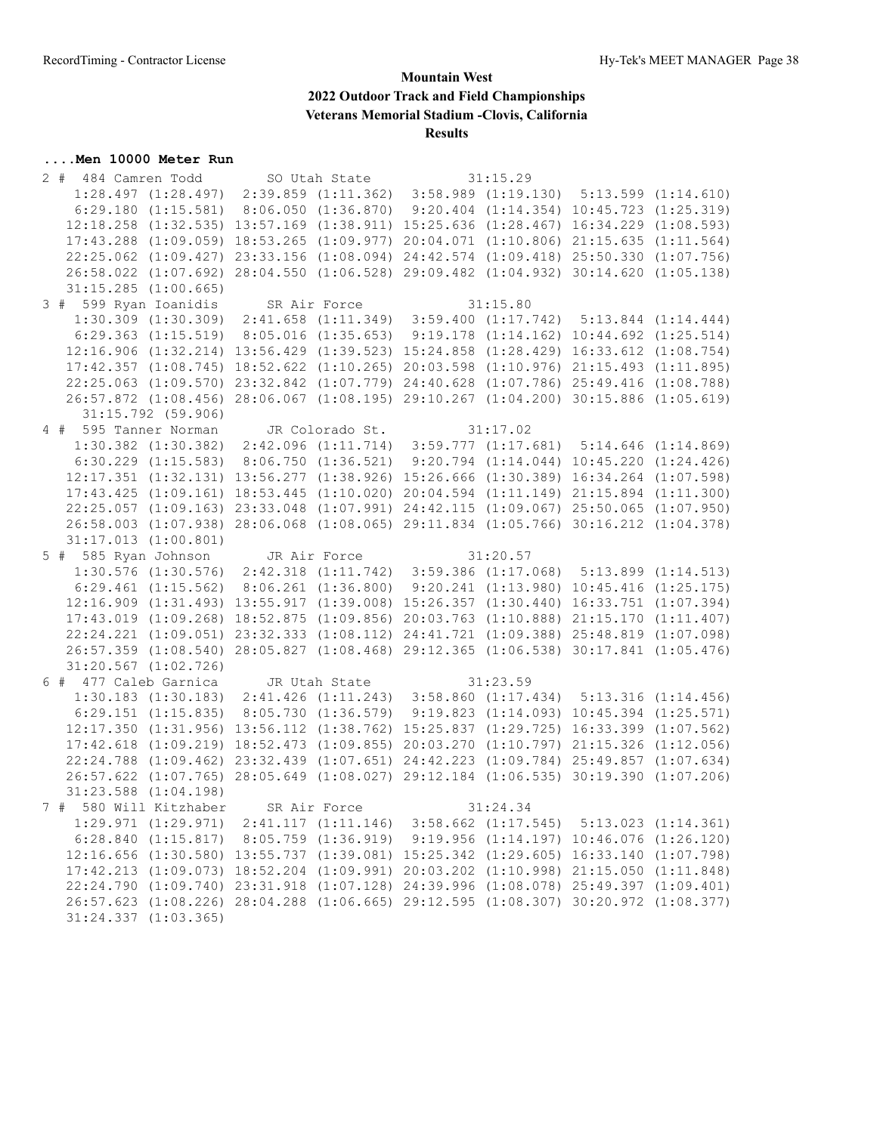#### **....Men 10000 Meter Run**

| 2 # 484 Camren Todd SO Utah State                                                                                                                                             |  | 31:15.29 |  |
|-------------------------------------------------------------------------------------------------------------------------------------------------------------------------------|--|----------|--|
| $1:28.497 (1:28.497) 2:39.859 (1:11.362) 3:58.989 (1:19.130) 5:13.599 (1:14.610)$                                                                                             |  |          |  |
| $6:29.180$ (1:15.581) 8:06.050 (1:36.870) 9:20.404 (1:14.354) 10:45.723 (1:25.319)                                                                                            |  |          |  |
| 12:18.258 (1:32.535) 13:57.169 (1:38.911) 15:25.636 (1:28.467) 16:34.229 (1:08.593)                                                                                           |  |          |  |
| 17:43.288 (1:09.059) 18:53.265 (1:09.977) 20:04.071 (1:10.806) 21:15.635 (1:11.564)                                                                                           |  |          |  |
| 22:25.062 (1:09.427) 23:33.156 (1:08.094) 24:42.574 (1:09.418) 25:50.330 (1:07.756)                                                                                           |  |          |  |
| 26:58.022 (1:07.692) 28:04.550 (1:06.528) 29:09.482 (1:04.932) 30:14.620 (1:05.138)                                                                                           |  |          |  |
| $31:15.285$ $(1:00.665)$                                                                                                                                                      |  |          |  |
|                                                                                                                                                                               |  |          |  |
| 3 # 599 Ryan Ioanidis SR Air Force 31:15.80<br>1:30.309 (1:30.309) 2:41.658 (1:11.349) 3:59.400 (1:17.742) 5:13.844 (1:14.444)                                                |  |          |  |
| $6:29.363$ $(1:15.519)$ $8:05.016$ $(1:35.653)$ $9:19.178$ $(1:14.162)$ $10:44.692$ $(1:25.514)$                                                                              |  |          |  |
| 12:16.906 (1:32.214) 13:56.429 (1:39.523) 15:24.858 (1:28.429) 16:33.612 (1:08.754)                                                                                           |  |          |  |
| 17:42.357 (1:08.745) 18:52.622 (1:10.265) 20:03.598 (1:10.976) 21:15.493 (1:11.895)                                                                                           |  |          |  |
| 22:25.063 (1:09.570) 23:32.842 (1:07.779) 24:40.628 (1:07.786) 25:49.416 (1:08.788)                                                                                           |  |          |  |
| 26:57.872 (1:08.456) 28:06.067 (1:08.195) 29:10.267 (1:04.200) 30:15.886 (1:05.619)                                                                                           |  |          |  |
| 31:15.792 (59.906)                                                                                                                                                            |  |          |  |
| 4 # 595 Tanner Norman JR Colorado St. 31:17.02                                                                                                                                |  |          |  |
| 1:30.382 (1:30.382) 2:42.096 (1:11.714) 3:59.777 (1:17.681) 5:14.646 (1:14.869)                                                                                               |  |          |  |
| $6:30.229$ (1:15.583) 8:06.750 (1:36.521) 9:20.794 (1:14.044) 10:45.220 (1:24.426)                                                                                            |  |          |  |
| 12:17.351 (1:32.131) 13:56.277 (1:38.926) 15:26.666 (1:30.389) 16:34.264 (1:07.598)                                                                                           |  |          |  |
| 17:43.425 (1:09.161) 18:53.445 (1:10.020) 20:04.594 (1:11.149) 21:15.894 (1:11.300)                                                                                           |  |          |  |
| 22:25.057 (1:09.163) 23:33.048 (1:07.991) 24:42.115 (1:09.067) 25:50.065 (1:07.950)                                                                                           |  |          |  |
| 26:58.003 (1:07.938) 28:06.068 (1:08.065) 29:11.834 (1:05.766) 30:16.212 (1:04.378)                                                                                           |  |          |  |
| $31:17.013$ $(1:00.801)$                                                                                                                                                      |  |          |  |
|                                                                                                                                                                               |  |          |  |
|                                                                                                                                                                               |  | 31:20.57 |  |
| 5 # 585 Ryan Johnson JR Air Force                                                                                                                                             |  |          |  |
| $1:30.576$ (1:30.576) $2:42.318$ (1:11.742) $3:59.386$ (1:17.068) $5:13.899$ (1:14.513)<br>$6:29.461$ (1:15.562) 8:06.261 (1:36.800) 9:20.241 (1:13.980) 10:45.416 (1:25.175) |  |          |  |
| 12:16.909 (1:31.493) 13:55.917 (1:39.008) 15:26.357 (1:30.440) 16:33.751 (1:07.394)                                                                                           |  |          |  |
| 17:43.019 (1:09.268) 18:52.875 (1:09.856) 20:03.763 (1:10.888) 21:15.170 (1:11.407)                                                                                           |  |          |  |
| 22:24.221 (1:09.051) 23:32.333 (1:08.112) 24:41.721 (1:09.388) 25:48.819 (1:07.098)                                                                                           |  |          |  |
| 26:57.359 (1:08.540) 28:05.827 (1:08.468) 29:12.365 (1:06.538) 30:17.841 (1:05.476)                                                                                           |  |          |  |
| $31:20.567$ $(1:02.726)$                                                                                                                                                      |  |          |  |
|                                                                                                                                                                               |  |          |  |
| 6 # 477 Caleb Garnica JR Utah State 31:23.59<br>1:30.183 (1:30.183) 2:41.426 (1:11.243) 3:58.860 (1:17.434) 5:13.316 (1:14.456)                                               |  |          |  |
| 6:29.151 (1:15.835) 8:05.730 (1:36.579) 9:19.823 (1:14.093) 10:45.394 (1:25.571)                                                                                              |  |          |  |
| 12:17.350 (1:31.956) 13:56.112 (1:38.762) 15:25.837 (1:29.725) 16:33.399 (1:07.562)                                                                                           |  |          |  |
| 17:42.618 (1:09.219) 18:52.473 (1:09.855) 20:03.270 (1:10.797) 21:15.326 (1:12.056)                                                                                           |  |          |  |
| 22:24.788 (1:09.462) 23:32.439 (1:07.651) 24:42.223 (1:09.784) 25:49.857 (1:07.634)                                                                                           |  |          |  |
| 26:57.622 (1:07.765) 28:05.649 (1:08.027) 29:12.184 (1:06.535) 30:19.390 (1:07.206)                                                                                           |  |          |  |
| $31:23.588$ $(1:04.198)$                                                                                                                                                      |  |          |  |
| 7 # 580 Will Kitzhaber SR Air Force                                                                                                                                           |  | 31:24.34 |  |
| $1:29.971$ $(1:29.971)$ $2:41.117$ $(1:11.146)$ $3:58.662$ $(1:17.545)$ $5:13.023$ $(1:14.361)$                                                                               |  |          |  |
| 6:28.840 (1:15.817) 8:05.759 (1:36.919) 9:19.956 (1:14.197) 10:46.076 (1:26.120)                                                                                              |  |          |  |
| 12:16.656 (1:30.580) 13:55.737 (1:39.081) 15:25.342 (1:29.605) 16:33.140 (1:07.798)                                                                                           |  |          |  |
| 17:42.213 (1:09.073) 18:52.204 (1:09.991) 20:03.202 (1:10.998) 21:15.050 (1:11.848)                                                                                           |  |          |  |
| 22:24.790 (1:09.740) 23:31.918 (1:07.128) 24:39.996 (1:08.078) 25:49.397 (1:09.401)                                                                                           |  |          |  |
| 26:57.623 (1:08.226) 28:04.288 (1:06.665) 29:12.595 (1:08.307) 30:20.972 (1:08.377)                                                                                           |  |          |  |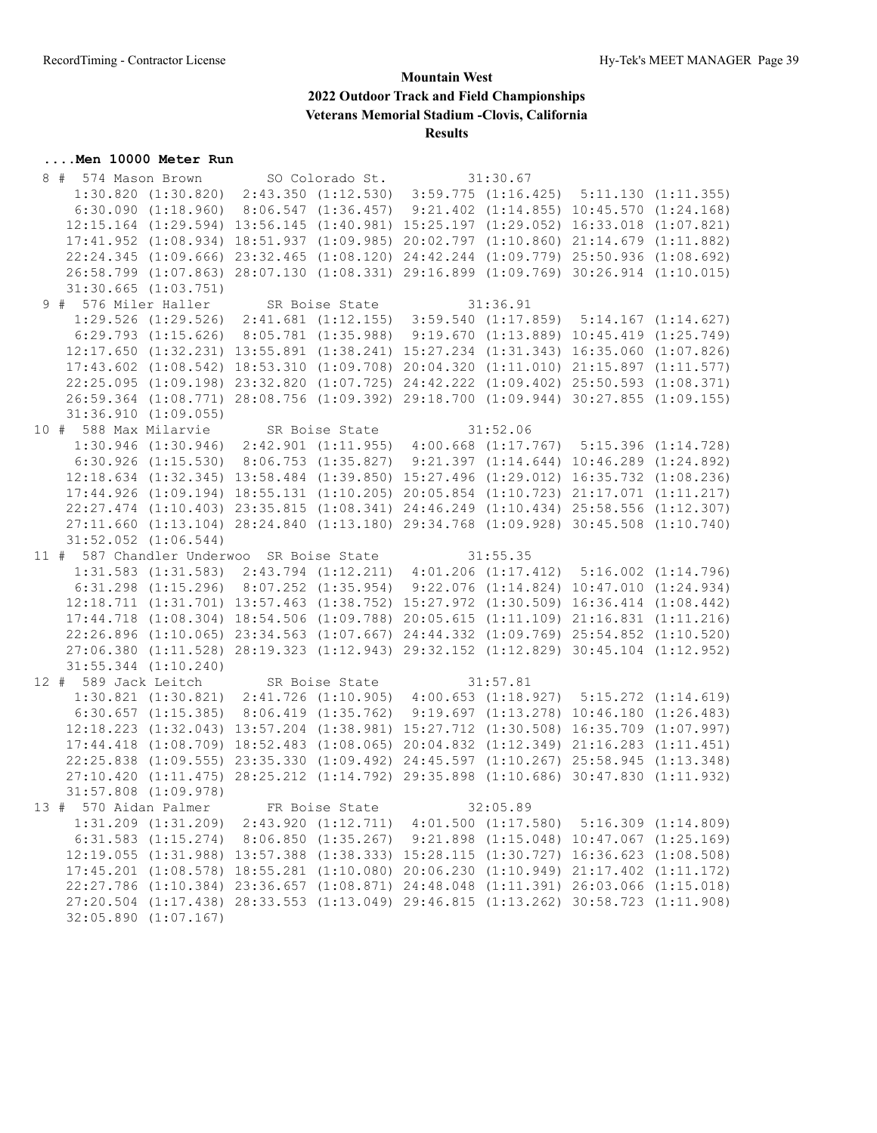# **....Men 10000 Meter Run** 8 # 574 Mason Brown

| 8 # 574 Mason Brown SO Colorado St. 31:30.67                                                                                    |                          |                                                                                     |          |  |
|---------------------------------------------------------------------------------------------------------------------------------|--------------------------|-------------------------------------------------------------------------------------|----------|--|
|                                                                                                                                 |                          | $1:30.820 (1:30.820) 2:43.350 (1:12.530) 3:59.775 (1:16.425) 5:11.130 (1:11.355)$   |          |  |
|                                                                                                                                 |                          | 6:30.090 (1:18.960) 8:06.547 (1:36.457) 9:21.402 (1:14.855) 10:45.570 (1:24.168)    |          |  |
|                                                                                                                                 |                          | 12:15.164 (1:29.594) 13:56.145 (1:40.981) 15:25.197 (1:29.052) 16:33.018 (1:07.821) |          |  |
|                                                                                                                                 |                          | 17:41.952 (1:08.934) 18:51.937 (1:09.985) 20:02.797 (1:10.860) 21:14.679 (1:11.882) |          |  |
|                                                                                                                                 |                          | 22:24.345 (1:09.666) 23:32.465 (1:08.120) 24:42.244 (1:09.779) 25:50.936 (1:08.692) |          |  |
|                                                                                                                                 |                          | 26:58.799 (1:07.863) 28:07.130 (1:08.331) 29:16.899 (1:09.769) 30:26.914 (1:10.015) |          |  |
|                                                                                                                                 | $31:30.665$ $(1:03.751)$ |                                                                                     |          |  |
| 9 # 576 Miler Haller SR Boise State 31:36.91<br>1:29.526 (1:29.526) 2:41.681 (1:12.155) 3:59.540 (1:17.859) 5:14.167 (1:14.627) |                          |                                                                                     |          |  |
|                                                                                                                                 |                          |                                                                                     |          |  |
|                                                                                                                                 |                          | 6:29.793 (1:15.626) 8:05.781 (1:35.988) 9:19.670 (1:13.889) 10:45.419 (1:25.749)    |          |  |
|                                                                                                                                 |                          | 12:17.650 (1:32.231) 13:55.891 (1:38.241) 15:27.234 (1:31.343) 16:35.060 (1:07.826) |          |  |
|                                                                                                                                 |                          | 17:43.602 (1:08.542) 18:53.310 (1:09.708) 20:04.320 (1:11.010) 21:15.897 (1:11.577) |          |  |
|                                                                                                                                 |                          | 22:25.095 (1:09.198) 23:32.820 (1:07.725) 24:42.222 (1:09.402) 25:50.593 (1:08.371) |          |  |
|                                                                                                                                 |                          | 26:59.364 (1:08.771) 28:08.756 (1:09.392) 29:18.700 (1:09.944) 30:27.855 (1:09.155) |          |  |
|                                                                                                                                 | 31:36.910(1:09.055)      |                                                                                     |          |  |
| 10 # 588 Max Milarvie SR Boise State 31:52.06                                                                                   |                          |                                                                                     |          |  |
|                                                                                                                                 |                          | 1:30.946 (1:30.946) 2:42.901 (1:11.955) 4:00.668 (1:17.767) 5:15.396 (1:14.728)     |          |  |
|                                                                                                                                 |                          | 6:30.926 (1:15.530) 8:06.753 (1:35.827) 9:21.397 (1:14.644) 10:46.289 (1:24.892)    |          |  |
|                                                                                                                                 |                          | 12:18.634 (1:32.345) 13:58.484 (1:39.850) 15:27.496 (1:29.012) 16:35.732 (1:08.236) |          |  |
|                                                                                                                                 |                          | 17:44.926 (1:09.194) 18:55.131 (1:10.205) 20:05.854 (1:10.723) 21:17.071 (1:11.217) |          |  |
|                                                                                                                                 |                          | 22:27.474 (1:10.403) 23:35.815 (1:08.341) 24:46.249 (1:10.434) 25:58.556 (1:12.307) |          |  |
|                                                                                                                                 |                          | 27:11.660 (1:13.104) 28:24.840 (1:13.180) 29:34.768 (1:09.928) 30:45.508 (1:10.740) |          |  |
|                                                                                                                                 | $31:52.052$ $(1:06.544)$ |                                                                                     |          |  |
| 11 # 587 Chandler Underwoo SR Boise State 31:55.35                                                                              |                          |                                                                                     |          |  |
|                                                                                                                                 |                          | 1:31.583 (1:31.583) 2:43.794 (1:12.211) 4:01.206 (1:17.412) 5:16.002 (1:14.796)     |          |  |
|                                                                                                                                 |                          | 6:31.298 (1:15.296) 8:07.252 (1:35.954) 9:22.076 (1:14.824) 10:47.010 (1:24.934)    |          |  |
|                                                                                                                                 |                          | 12:18.711 (1:31.701) 13:57.463 (1:38.752) 15:27.972 (1:30.509) 16:36.414 (1:08.442) |          |  |
|                                                                                                                                 |                          | 17:44.718 (1:08.304) 18:54.506 (1:09.788) 20:05.615 (1:11.109) 21:16.831 (1:11.216) |          |  |
|                                                                                                                                 |                          | 22:26.896 (1:10.065) 23:34.563 (1:07.667) 24:44.332 (1:09.769) 25:54.852 (1:10.520) |          |  |
|                                                                                                                                 |                          | 27:06.380 (1:11.528) 28:19.323 (1:12.943) 29:32.152 (1:12.829) 30:45.104 (1:12.952) |          |  |
|                                                                                                                                 | $31:55.344$ $(1:10.240)$ |                                                                                     |          |  |
| 12 # 589 Jack Leitch SR Boise State 31:57.81<br>1:30.821 (1:30.821) 2:41.726 (1:10.905) 4:00.653 (1:18.927) 5:15.272 (1:14.619) |                          |                                                                                     |          |  |
|                                                                                                                                 |                          |                                                                                     |          |  |
|                                                                                                                                 |                          | 6:30.657 (1:15.385) 8:06.419 (1:35.762) 9:19.697 (1:13.278) 10:46.180 (1:26.483)    |          |  |
|                                                                                                                                 |                          | 12:18.223 (1:32.043) 13:57.204 (1:38.981) 15:27.712 (1:30.508) 16:35.709 (1:07.997) |          |  |
|                                                                                                                                 |                          | 17:44.418 (1:08.709) 18:52.483 (1:08.065) 20:04.832 (1:12.349) 21:16.283 (1:11.451) |          |  |
|                                                                                                                                 |                          | 22:25.838 (1:09.555) 23:35.330 (1:09.492) 24:45.597 (1:10.267) 25:58.945 (1:13.348) |          |  |
|                                                                                                                                 |                          | 27:10.420 (1:11.475) 28:25.212 (1:14.792) 29:35.898 (1:10.686) 30:47.830 (1:11.932) |          |  |
|                                                                                                                                 | $31:57.808$ $(1:09.978)$ |                                                                                     |          |  |
| 13 # 570 Aidan Palmer FR Boise State                                                                                            |                          |                                                                                     | 32:05.89 |  |
|                                                                                                                                 |                          | 1:31.209 (1:31.209) 2:43.920 (1:12.711) 4:01.500 (1:17.580) 5:16.309 (1:14.809)     |          |  |
|                                                                                                                                 |                          | 6:31.583 (1:15.274) 8:06.850 (1:35.267) 9:21.898 (1:15.048) 10:47.067 (1:25.169)    |          |  |
|                                                                                                                                 |                          | 12:19.055 (1:31.988) 13:57.388 (1:38.333) 15:28.115 (1:30.727) 16:36.623 (1:08.508) |          |  |
|                                                                                                                                 |                          | 17:45.201 (1:08.578) 18:55.281 (1:10.080) 20:06.230 (1:10.949) 21:17.402 (1:11.172) |          |  |
|                                                                                                                                 |                          | 22:27.786 (1:10.384) 23:36.657 (1:08.871) 24:48.048 (1:11.391) 26:03.066 (1:15.018) |          |  |
|                                                                                                                                 |                          | 27:20.504 (1:17.438) 28:33.553 (1:13.049) 29:46.815 (1:13.262) 30:58.723 (1:11.908) |          |  |
|                                                                                                                                 | $32:05.890$ $(1:07.167)$ |                                                                                     |          |  |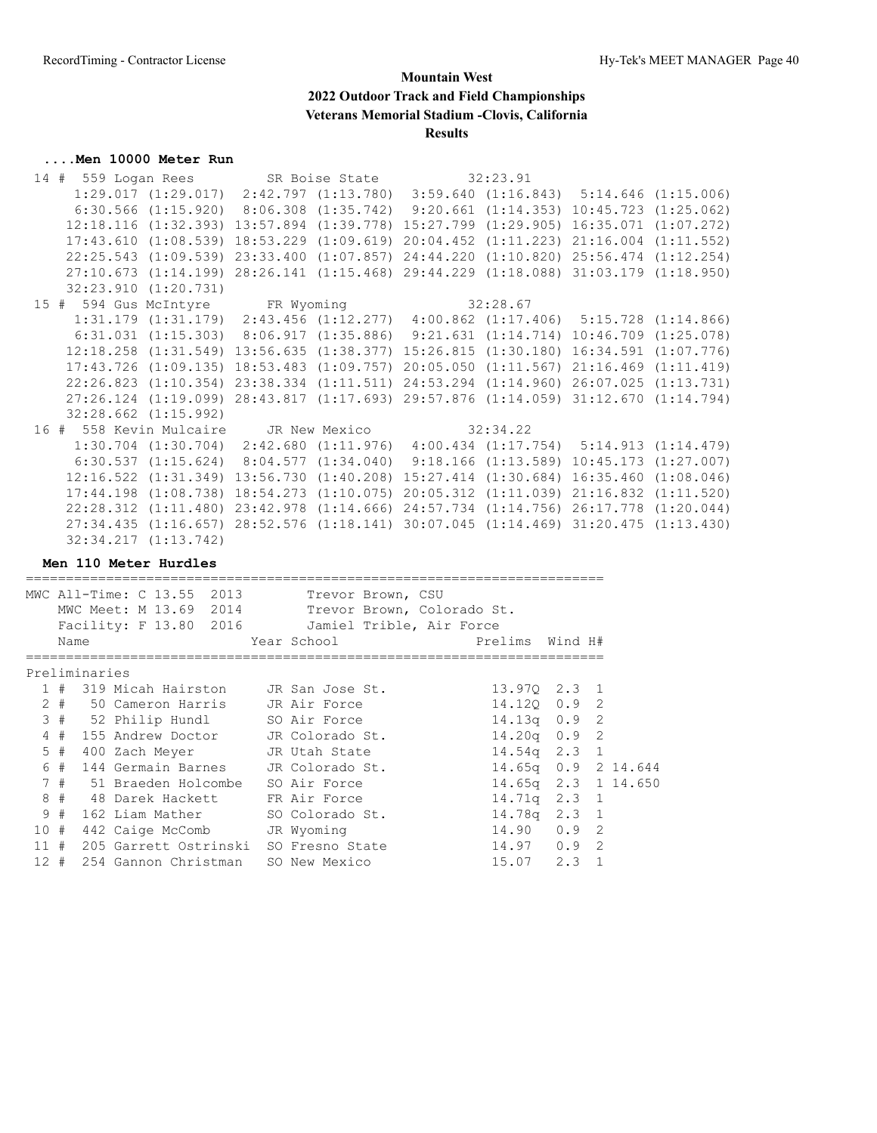## **....Men 10000 Meter Run**

| 14 # 559 Logan Rees                   |                                                                                                     |                          | SR Boise State           | 32:23.91                                                       |                          |
|---------------------------------------|-----------------------------------------------------------------------------------------------------|--------------------------|--------------------------|----------------------------------------------------------------|--------------------------|
|                                       | $1:29.017$ $(1:29.017)$ $2:42.797$ $(1:13.780)$ $3:59.640$ $(1:16.843)$ $5:14.646$ $(1:15.006)$     |                          |                          |                                                                |                          |
|                                       | $6:30.566$ $(1:15.920)$ $8:06.308$ $(1:35.742)$ $9:20.661$ $(1:14.353)$ $10:45.723$ $(1:25.062)$    |                          |                          |                                                                |                          |
|                                       | $12:18.116$ $(1:32.393)$                                                                            |                          | $13:57.894$ $(1:39.778)$ | $15:27.799$ $(1:29.905)$                                       | $16:35.071$ $(1:07.272)$ |
|                                       | 17:43.610(1:08.539)                                                                                 |                          | $18:53.229$ $(1:09.619)$ | $20:04.452$ $(1:11.223)$                                       | $21:16.004$ $(1:11.552)$ |
|                                       | $22:25.543$ $(1:09.539)$                                                                            |                          | $23:33.400$ $(1:07.857)$ | 24:44.220 (1:10.820) 25:56.474 (1:12.254)                      |                          |
|                                       | 27:10.673(1:14.199)                                                                                 |                          |                          | 28:26.141 (1:15.468) 29:44.229 (1:18.088) 31:03.179 (1:18.950) |                          |
|                                       | 32:23.910 (1:20.731)                                                                                |                          |                          |                                                                |                          |
| 15 # 594 Gus McIntyre FR Wyoming      |                                                                                                     |                          |                          | 32:28.67                                                       |                          |
|                                       | 1:31.179 (1:31.179) 2:43.456 (1:12.277) 4:00.862 (1:17.406) 5:15.728 (1:14.866)                     |                          |                          |                                                                |                          |
|                                       | $6:31.031$ $(1:15.303)$ $8:06.917$ $(1:35.886)$ $9:21.631$ $(1:14.714)$                             |                          |                          |                                                                | $10:46.709$ $(1:25.078)$ |
|                                       | $12:18.258$ $(1:31.549)$ $13:56.635$ $(1:38.377)$ $15:26.815$ $(1:30.180)$ $16:34.591$ $(1:07.776)$ |                          |                          |                                                                |                          |
|                                       | $17:43.726$ $(1:09.135)$ $18:53.483$ $(1:09.757)$                                                   |                          |                          | $20:05.050$ $(1:11.567)$ $21:16.469$ $(1:11.419)$              |                          |
|                                       | $22:26.823$ $(1:10.354)$                                                                            |                          | $23:38.334$ $(1:11.511)$ | $24:53.294$ $(1:14.960)$                                       | 26:07.025 (1:13.731)     |
|                                       | 27:26.124 (1:19.099) 28:43.817 (1:17.693) 29:57.876 (1:14.059) 31:12.670 (1:14.794)                 |                          |                          |                                                                |                          |
|                                       | $32:28.662$ $(1:15.992)$                                                                            |                          |                          |                                                                |                          |
| 16 # 558 Kevin Mulcaire JR New Mexico |                                                                                                     |                          |                          | 32:34.22                                                       |                          |
|                                       | $1:30.704$ $(1:30.704)$ $2:42.680$ $(1:11.976)$ $4:00.434$ $(1:17.754)$ $5:14.913$ $(1:14.479)$     |                          |                          |                                                                |                          |
|                                       | $6:30.537$ $(1:15.624)$ $8:04.577$ $(1:34.040)$                                                     |                          |                          | 9:18.166(1:13.589)                                             | $10:45.173$ $(1:27.007)$ |
|                                       | $12:16.522$ $(1:31.349)$ $13:56.730$ $(1:40.208)$                                                   |                          |                          | $15:27.414$ $(1:30.684)$ $16:35.460$ $(1:08.046)$              |                          |
|                                       | $17:44.198$ $(1:08.738)$                                                                            | $18:54.273$ $(1:10.075)$ |                          | $20:05.312$ $(1:11.039)$                                       | $21:16.832$ $(1:11.520)$ |
|                                       | $22:28.312$ $(1:11.480)$ $23:42.978$ $(1:14.666)$                                                   |                          |                          | 24:57.734 (1:14.756)                                           | 26:17.778 (1:20.044)     |
|                                       | $27:34.435$ $(1:16.657)$ $28:52.576$ $(1:18.141)$                                                   |                          |                          | $30:07.045$ $(1:14.469)$                                       | $31:20.475$ $(1:13.430)$ |
|                                       | $32:34.217$ $(1:13.742)$                                                                            |                          |                          |                                                                |                          |

#### **Men 110 Meter Hurdles**

|        |       |               | MWC All-Time: C 13.55 2013<br>MWC Meet: M 13.69 2014 | Trevor Brown, CSU<br>Trevor Brown, Colorado St.<br>Facility: F 13.80 2016 Jamiel Trible, Air Force |                     |     |   |  |
|--------|-------|---------------|------------------------------------------------------|----------------------------------------------------------------------------------------------------|---------------------|-----|---|--|
|        | Name  |               |                                                      | Year School                                                                                        | Prelims Wind H#     |     |   |  |
|        |       | Preliminaries |                                                      |                                                                                                    |                     |     |   |  |
|        | 1#    |               | 319 Micah Hairston JR San Jose St.                   |                                                                                                    | 13.970 2.3 1        |     |   |  |
|        | $2 +$ |               | 50 Cameron Harris JR Air Force                       |                                                                                                    | 14.120 0.9 2        |     |   |  |
|        | 3#    |               | 52 Philip Hundl SO Air Force                         |                                                                                                    | $14.13q$ 0.9        |     | 2 |  |
|        | 4#    |               | 155 Andrew Doctor JR Colorado St.                    |                                                                                                    | $14.20q$ 0.9        |     | 2 |  |
|        | $5$ # |               | 400 Zach Meyer JR Utah State                         |                                                                                                    | $14.54q$ 2.3 1      |     |   |  |
|        | 6#    |               | 144 Germain Barnes JR Colorado St.                   |                                                                                                    | 14.65q 0.9 2 14.644 |     |   |  |
|        | 7#    |               | 51 Braeden Holcombe                                  | SO Air Force                                                                                       | 14.65q 2.3 1 14.650 |     |   |  |
| 8      | #     |               | 48 Darek Hackett FR Air Force                        |                                                                                                    | $14.71q$ 2.3 1      |     |   |  |
|        | 9#    |               | 162 Liam Mather SO Colorado St.                      |                                                                                                    | 14.78q 2.3 1        |     |   |  |
| 10#    |       |               | 442 Caige McComb JR Wyoming                          |                                                                                                    | 14.90               | 0.9 | 2 |  |
| 11     | #     |               | 205 Garrett Ostrinski SO Fresno State                |                                                                                                    | $14.97$ 0.9         |     | 2 |  |
| $12 +$ |       |               | 254 Gannon Christman                                 | SO New Mexico                                                                                      | $15.07$ 2.3         |     |   |  |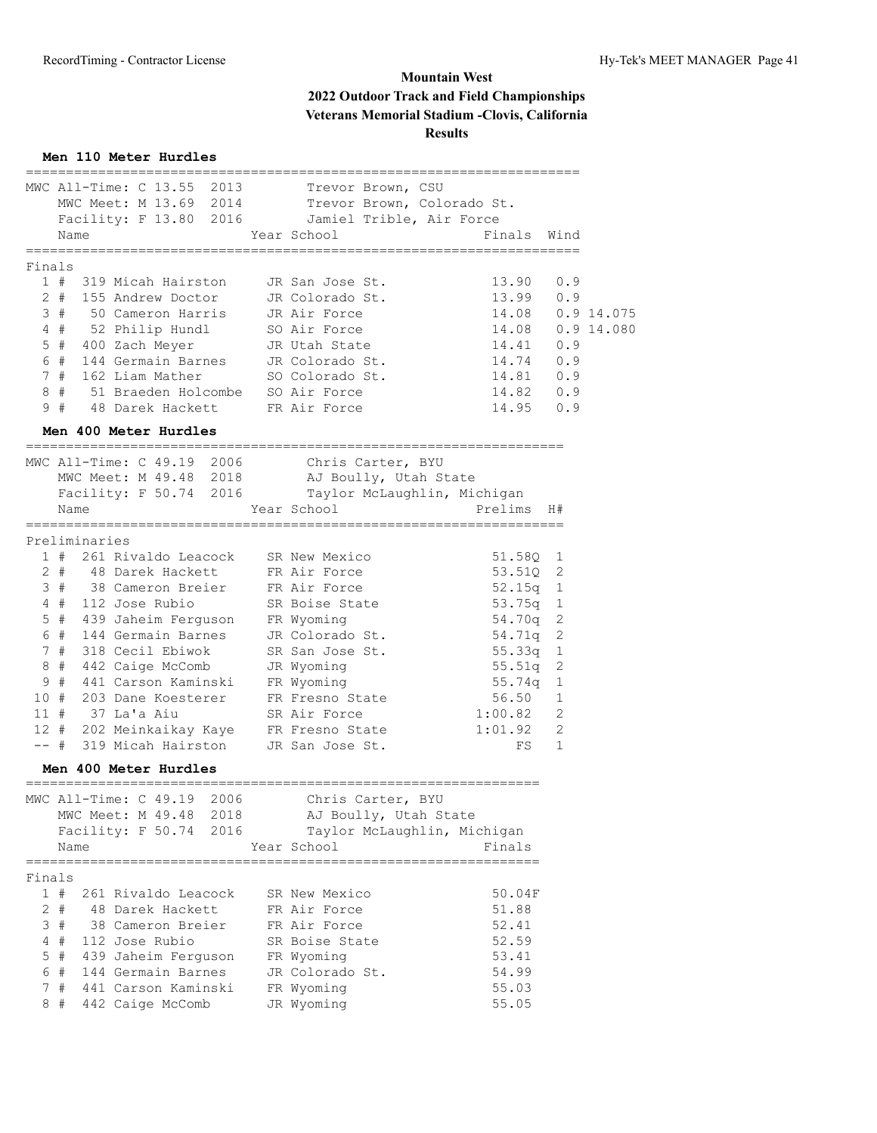## **Men 110 Meter Hurdles**

|        |               | MWC All-Time: C 13.55 2013          | Trevor Brown, CSU                                                 |                         |                |  |
|--------|---------------|-------------------------------------|-------------------------------------------------------------------|-------------------------|----------------|--|
|        |               |                                     | MWC Meet: M 13.69 2014 Trevor Brown, Colorado St.                 |                         |                |  |
|        |               |                                     | Facility: F 13.80 2016 Jamiel Trible, Air Force                   |                         |                |  |
|        | Name          |                                     | Year School                                                       | Finals Wind             |                |  |
| Finals |               | =================                   | =======================                                           | ======================= |                |  |
|        |               | 1 # 319 Micah Hairston              | JR San Jose St.                                                   | 13.90 0.9               |                |  |
|        |               | 2 # 155 Andrew Doctor               | JR Colorado St.                                                   | 13.99 0.9               |                |  |
|        | 3#            | 50 Cameron Harris                   | JR Air Force                                                      | 14.08  0.9  14.075      |                |  |
|        | 4#            | 52 Philip Hundl                     | SO Air Force                                                      | 14.08  0.9  14.080      |                |  |
|        |               | 5 # 400 Zach Meyer                  | JR Utah State                                                     | 14.41 0.9               |                |  |
|        | 6#            | 144 Germain Barnes                  | JR Colorado St.                                                   | 14.74 0.9               |                |  |
|        | 7#            | 162 Liam Mather                     | SO Colorado St.                                                   | 14.81 0.9               |                |  |
|        | 8#            | 51 Braeden Holcombe                 | SO Air Force                                                      | $14.82$ 0.9             |                |  |
|        | 9#            | 48 Darek Hackett                    | FR Air Force                                                      | $14.95$ 0.9             |                |  |
|        |               | Men 400 Meter Hurdles               |                                                                   |                         |                |  |
|        |               | MWC All-Time: C 49.19 2006          |                                                                   |                         |                |  |
|        |               |                                     | Chris Carter, BYU<br>MWC Meet: M 49.48 2018 AJ Boully, Utah State |                         |                |  |
|        |               |                                     | Facility: F 50.74 2016 Taylor McLaughlin, Michigan                |                         |                |  |
|        | Name          |                                     | Year School                                                       | Prelims H#              |                |  |
|        |               | -----------------                   |                                                                   |                         |                |  |
|        | Preliminaries |                                     |                                                                   |                         |                |  |
|        |               | 1 # 261 Rivaldo Leacock             | SR New Mexico                                                     | 51.58Q 1                |                |  |
|        | $2 +$         | 48 Darek Hackett                    | FR Air Force                                                      | 53.510 2                |                |  |
|        | 3#            | 38 Cameron Breier                   | FR Air Force                                                      | 52.15q 1                |                |  |
|        | 4#            | 112 Jose Rubio                      | SR Boise State                                                    | $53.75q$ 1              |                |  |
|        | $5$ #         | 439 Jaheim Ferguson                 | FR Wyoming                                                        | 54.70q                  | $\overline{2}$ |  |
|        | 6#            | 144 Germain Barnes                  | JR Colorado St.                                                   | 54.71q                  | 2              |  |
|        | 7#            | 318 Cecil Ebiwok                    | SR San Jose St.                                                   | 55.33q                  | - 1            |  |
|        | 8 #           | 442 Caige McComb                    | JR Wyoming                                                        | 55.51q                  | 2              |  |
|        | 9#            | 441 Carson Kaminski                 | FR Wyoming                                                        | 55.74q                  | 1              |  |
| 10#    |               | 203 Dane Koesterer                  | FR Fresno State                                                   | 56.50                   | 1              |  |
| 11#    |               | 37 La'a Aiu                         | SR Air Force                                                      | 1:00.82                 | $\overline{2}$ |  |
|        | 12 #          | 202 Meinkaikay Kaye FR Fresno State |                                                                   | 1:01.92                 | 2              |  |
|        |               | -- # 319 Micah Hairston             | JR San Jose St.                                                   | FS                      | $\mathbf{1}$   |  |
|        |               | Men 400 Meter Hurdles               |                                                                   |                         |                |  |
|        |               | MWC All-Time: C 49.19 2006          | Chris Carter, BYU                                                 |                         |                |  |
|        |               | MWC Meet: M 49.48 2018              | AJ Boully, Utah State                                             |                         |                |  |
|        |               | Facility: F 50.74 2016              | Taylor McLaughlin, Michigan                                       |                         |                |  |
|        | Name          |                                     | Year School                                                       | Finals                  |                |  |
|        |               |                                     |                                                                   |                         |                |  |
| Finals |               |                                     |                                                                   |                         |                |  |
|        | 1#            | 261 Rivaldo Leacock                 | SR New Mexico                                                     | 50.04F                  |                |  |
|        | 2#            | 48 Darek Hackett                    | FR Air Force                                                      | 51.88                   |                |  |
|        | 3#            | 38 Cameron Breier                   | FR Air Force                                                      | 52.41                   |                |  |
|        | 4#            | 112 Jose Rubio                      | SR Boise State                                                    | 52.59                   |                |  |
|        | 5#            | 439 Jaheim Ferguson                 | FR Wyoming                                                        | 53.41                   |                |  |
|        | 6#            | 144 Germain Barnes                  | JR Colorado St.                                                   | 54.99                   |                |  |
|        | 7#            | 441 Carson Kaminski                 | FR Wyoming                                                        | 55.03                   |                |  |
|        | 8#            | 442 Caige McComb                    | JR Wyoming                                                        | 55.05                   |                |  |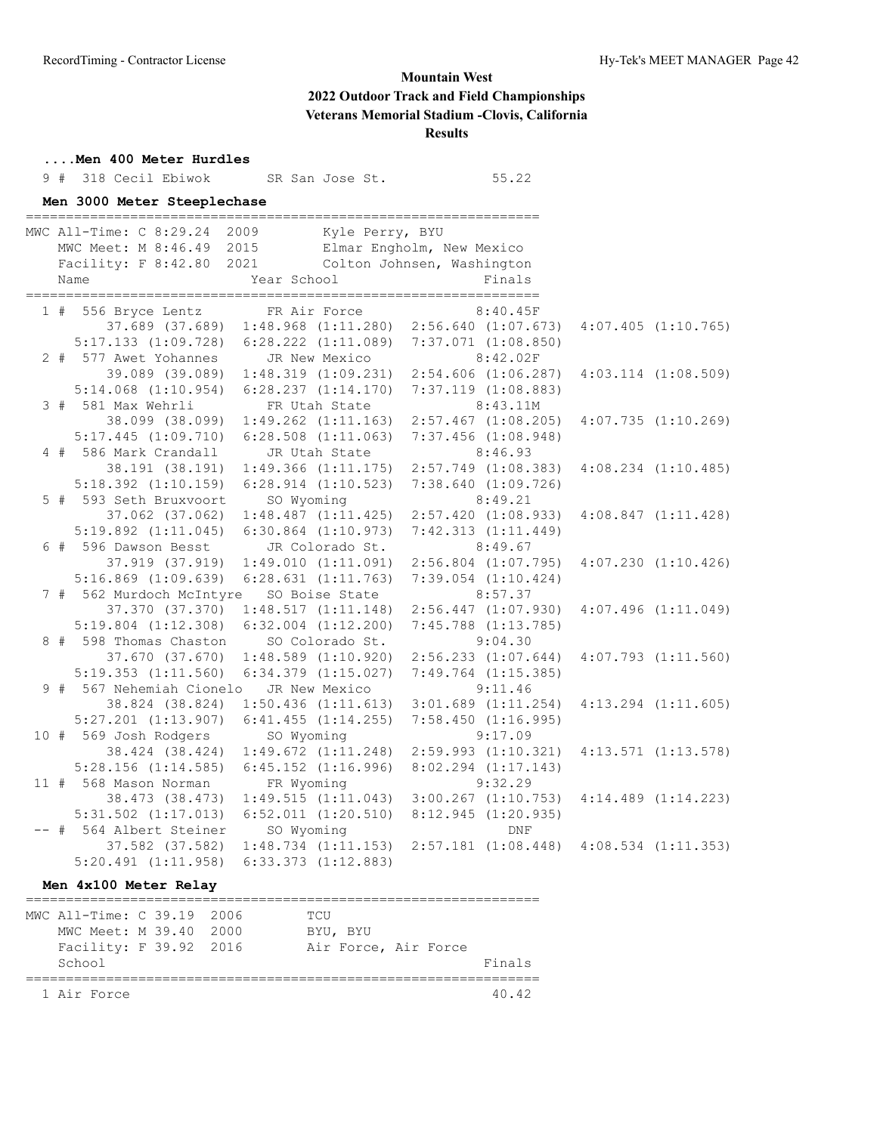## **....Men 400 Meter Hurdles** 9 # 318 Cecil Ebiwok SR San Jose St. 55.22 **Men 3000 Meter Steeplechase** ================================================================ MWC All-Time: C 8:29.24 2009 Kyle Perry, BYU<br>MWC Meet: M 8:46.49 2015 Elmar Engholm, New Mexico MWC Meet: M 8:46.49 2015 Elmar Engholm, New Mexico Facility: F 8:42.80 2021 Colton Johnsen, Washington Name **Year School** Finals ================================================================ 1 # 556 Bryce Lentz FR Air Force 8:40.45F 37.689 (37.689) 1:48.968 (1:11.280) 2:56.640 (1:07.673) 4:07.405 (1:10.765) 5:17.133 (1:09.728) 6:28.222 (1:11.089) 7:37.071 (1:08.850) 2 # 577 Awet Yohannes JR New Mexico 8:42.02F 39.089 (39.089) 1:48.319 (1:09.231) 2:54.606 (1:06.287) 4:03.114 (1:08.509) 5:14.068 (1:10.954) 6:28.237 (1:14.170) 7:37.119 (1:08.883) 3 # 581 Max Wehrli FR Utah State 8:43.11M 38.099 (38.099) 1:49.262 (1:11.163) 2:57.467 (1:08.205) 4:07.735 (1:10.269) 5:17.445 (1:09.710) 6:28.508 (1:11.063) 7:37.456 (1:08.948) 4 # 586 Mark Crandall JR Utah State 8:46.93 38.191 (38.191) 1:49.366 (1:11.175) 2:57.749 (1:08.383) 4:08.234 (1:10.485) 5:18.392 (1:10.159) 6:28.914 (1:10.523) 7:38.640 (1:09.726) 5 # 593 Seth Bruxvoort SO Wyoming 8:49.21 37.062 (37.062) 1:48.487 (1:11.425) 2:57.420 (1:08.933) 4:08.847 (1:11.428) 5:19.892 (1:11.045) 6:30.864 (1:10.973) 7:42.313 (1:11.449) 6 # 596 Dawson Besst JR Colorado St. 8:49.67 37.919 (37.919) 1:49.010 (1:11.091) 2:56.804 (1:07.795) 4:07.230 (1:10.426) 5:16.869 (1:09.639) 6:28.631 (1:11.763) 7:39.054 (1:10.424) 7 # 562 Murdoch McIntyre SO Boise State 8:57.37 37.370 (37.370) 1:48.517 (1:11.148) 2:56.447 (1:07.930) 4:07.496 (1:11.049) 5:19.804 (1:12.308) 6:32.004 (1:12.200) 7:45.788 (1:13.785) 8 # 598 Thomas Chaston SO Colorado St. 9:04.30 37.670 (37.670) 1:48.589 (1:10.920) 2:56.233 (1:07.644) 4:07.793 (1:11.560) 5:19.353 (1:11.560) 6:34.379 (1:15.027) 7:49.764 (1:15.385) 9 # 567 Nehemiah Cionelo JR New Mexico 9:11.46 38.824 (38.824) 1:50.436 (1:11.613) 3:01.689 (1:11.254) 4:13.294 (1:11.605) 5:27.201 (1:13.907) 6:41.455 (1:14.255) 7:58.450 (1:16.995) 10 # 569 Josh Rodgers SO Wyoming 9:17.09 38.424 (38.424) 1:49.672 (1:11.248) 2:59.993 (1:10.321) 4:13.571 (1:13.578) 5:28.156 (1:14.585) 6:45.152 (1:16.996) 8:02.294 (1:17.143) 11 # 568 Mason Norman FR Wyoming 9:32.29 38.473 (38.473) 1:49.515 (1:11.043) 3:00.267 (1:10.753) 4:14.489 (1:14.223) 5:31.502 (1:17.013) 6:52.011 (1:20.510) 8:12.945 (1:20.935) -- # 564 Albert Steiner SO Wyoming DNF 37.582 (37.582) 1:48.734 (1:11.153) 2:57.181 (1:08.448) 4:08.534 (1:11.353) 5:20.491 (1:11.958) 6:33.373 (1:12.883)

#### **Men 4x100 Meter Relay**

| MWC All-Time: C 39.19 2006 |  |        | TCU                  |        |
|----------------------------|--|--------|----------------------|--------|
| MWC Meet: M 39.40          |  | - 2000 | BYU, BYU             |        |
| Facility: F 39.92 2016     |  |        | Air Force, Air Force |        |
| School                     |  |        |                      | Finals |
|                            |  |        |                      |        |
| 1 Air Force                |  |        |                      | 40.42  |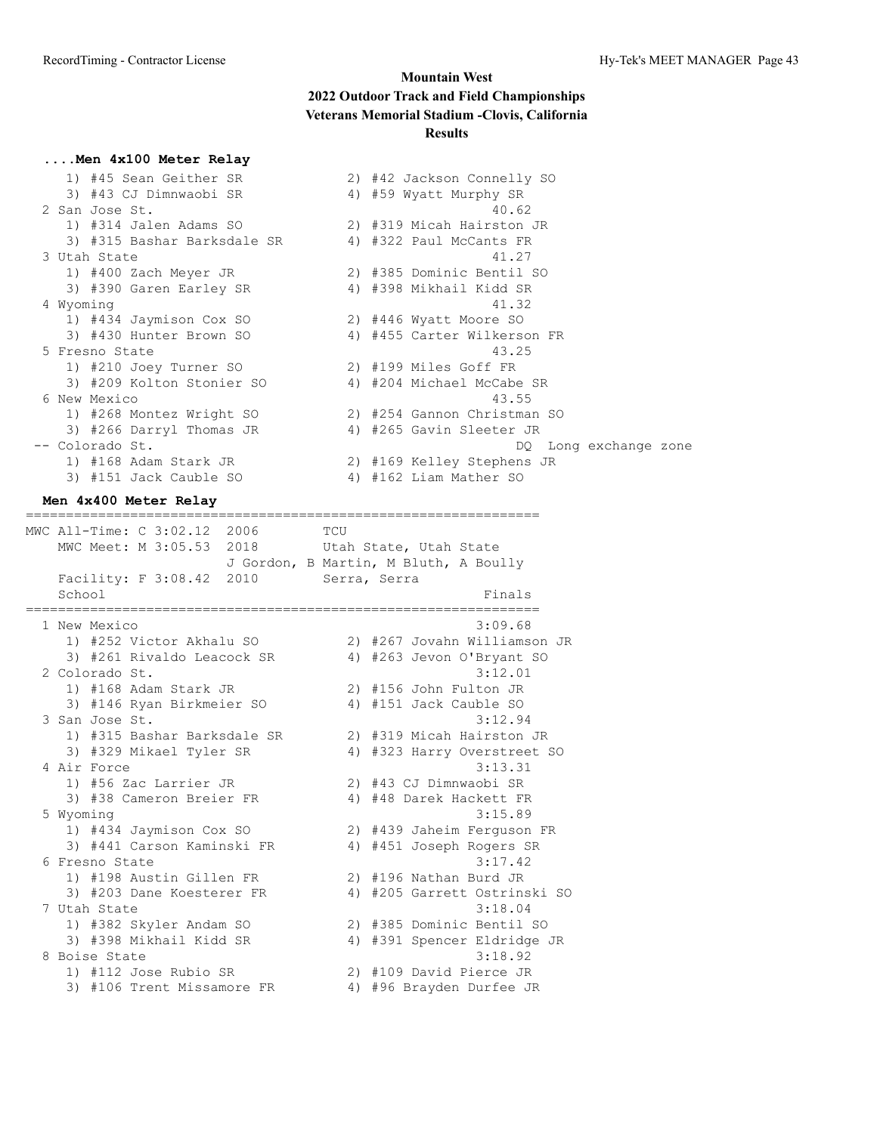#### **....Men 4x100 Meter Relay**

| 1) #45 Sean Geither SR      |    | 2) #42 Jackson Connelly S |
|-----------------------------|----|---------------------------|
| 3) #43 CJ Dimnwaobi SR      |    | 4) #59 Wyatt Murphy SR    |
| 2 San Jose St.              |    | 40.62                     |
| 1) #314 Jalen Adams SO      |    | 2) #319 Micah Hairston JR |
| 3) #315 Bashar Barksdale SR | 4) | #322 Paul McCants FR      |
| 3 Utah State                |    | 41.27                     |
| 1) #400 Zach Meyer JR       |    | 2) #385 Dominic Bentil SO |
| 3) #390 Garen Earley SR     |    | 4) #398 Mikhail Kidd SR   |
| 4 Wyoming                   |    | 41.32                     |
| 1) #434 Jaymison Cox SO     |    | 2) #446 Wyatt Moore SO    |
| 3) #430 Hunter Brown SO     |    | 4) #455 Carter Wilkerson  |
| 5 Fresno State              |    | 43.25                     |
| 1) #210 Joey Turner SO      |    | 2) #199 Miles Goff FR     |
| 3) #209 Kolton Stonier SO   |    | 4) #204 Michael McCabe SR |
| 6 New Mexico                |    | 43.55                     |
| 1) #268 Montez Wright SO    |    | 2) #254 Gannon Christman  |
| 3) #266 Darryl Thomas JR    |    | 4) #265 Gavin Sleeter JR  |
| -- Colorado St.             |    | DO.                       |
| 1) #168 Adam Stark JR       |    | 2) #169 Kelley Stephens J |
| 3) #151 Jack Cauble SO      |    | 4) #162 Liam Mather SO    |

| San Jose St.    |                             |  | 40.62                       |  |
|-----------------|-----------------------------|--|-----------------------------|--|
|                 | 1) #314 Jalen Adams SO      |  | 2) #319 Micah Hairston JR   |  |
|                 | 3) #315 Bashar Barksdale SR |  | 4) #322 Paul McCants FR     |  |
| 3 Utah State    |                             |  | 41.27                       |  |
|                 | 1) #400 Zach Meyer JR       |  | 2) #385 Dominic Bentil SO   |  |
|                 | 3) #390 Garen Earley SR     |  | 4) #398 Mikhail Kidd SR     |  |
| 4 Wyoming       |                             |  | 41.32                       |  |
|                 | 1) #434 Jaymison Cox SO     |  | 2) #446 Wyatt Moore SO      |  |
|                 | 3) #430 Hunter Brown SO     |  | 4) #455 Carter Wilkerson FR |  |
| 5 Fresno State  |                             |  | 43.25                       |  |
|                 | 1) #210 Joey Turner SO      |  | 2) #199 Miles Goff FR       |  |
|                 | 3) #209 Kolton Stonier SO   |  | 4) #204 Michael McCabe SR   |  |
| 6 New Mexico    |                             |  | 43.55                       |  |
|                 | 1) #268 Montez Wright SO    |  | 2) #254 Gannon Christman SO |  |
|                 | 3) #266 Darryl Thomas JR    |  | 4) #265 Gavin Sleeter JR    |  |
| -- Colorado St. |                             |  | DQ Long exchange zone       |  |
|                 | 1) #168 Adam Stark JR       |  | 2) #169 Kelley Stephens JR  |  |
|                 | 3) #151 Jack Cauble SO      |  | 4) #162 Liam Mather SO      |  |

#### **Men 4x400 Meter Relay**

MWC All-Time: C 3:02.12 2006 TCU MWC Meet: M 3:05.53 2018 Utah State, Utah State J Gordon, B Martin, M Bluth, A Boully Facility: F 3:08.42 2010 Serra, Serra School Finals ================================================================ 1 New Mexico 3:09.68 1) #252 Victor Akhalu SO 2) #267 Jovahn Williamson JR 3) #261 Rivaldo Leacock SR 4) #263 Jevon O'Bryant SO 2 Colorado St. 3:12.01 1) #168 Adam Stark JR 2) #156 John Fulton JR 3) #146 Ryan Birkmeier SO 4) #151 Jack Cauble SO 3 San Jose St. 3:12.94 1) #315 Bashar Barksdale SR 2) #319 Micah Hairston JR 3) #329 Mikael Tyler SR 4) #323 Harry Overstreet SO 4 Air Force 3:13.31 1) #56 Zac Larrier JR 2) #43 CJ Dimnwaobi SR 3) #38 Cameron Breier FR 4) #48 Darek Hackett FR 5 Wyoming 3:15.89 1) #434 Jaymison Cox SO 2) #439 Jaheim Ferguson FR 3) #441 Carson Kaminski FR 4) #451 Joseph Rogers SR 6 Fresno State 3:17.42 1) #198 Austin Gillen FR 2) #196 Nathan Burd JR 3) #203 Dane Koesterer FR 4) #205 Garrett Ostrinski SO 7 Utah State 3:18.04 1) #382 Skyler Andam SO 2) #385 Dominic Bentil SO 3) #398 Mikhail Kidd SR 4) #391 Spencer Eldridge JR 8 Boise State 3:18.92 1) #112 Jose Rubio SR 2) #109 David Pierce JR 3) #106 Trent Missamore FR 4) #96 Brayden Durfee JR

================================================================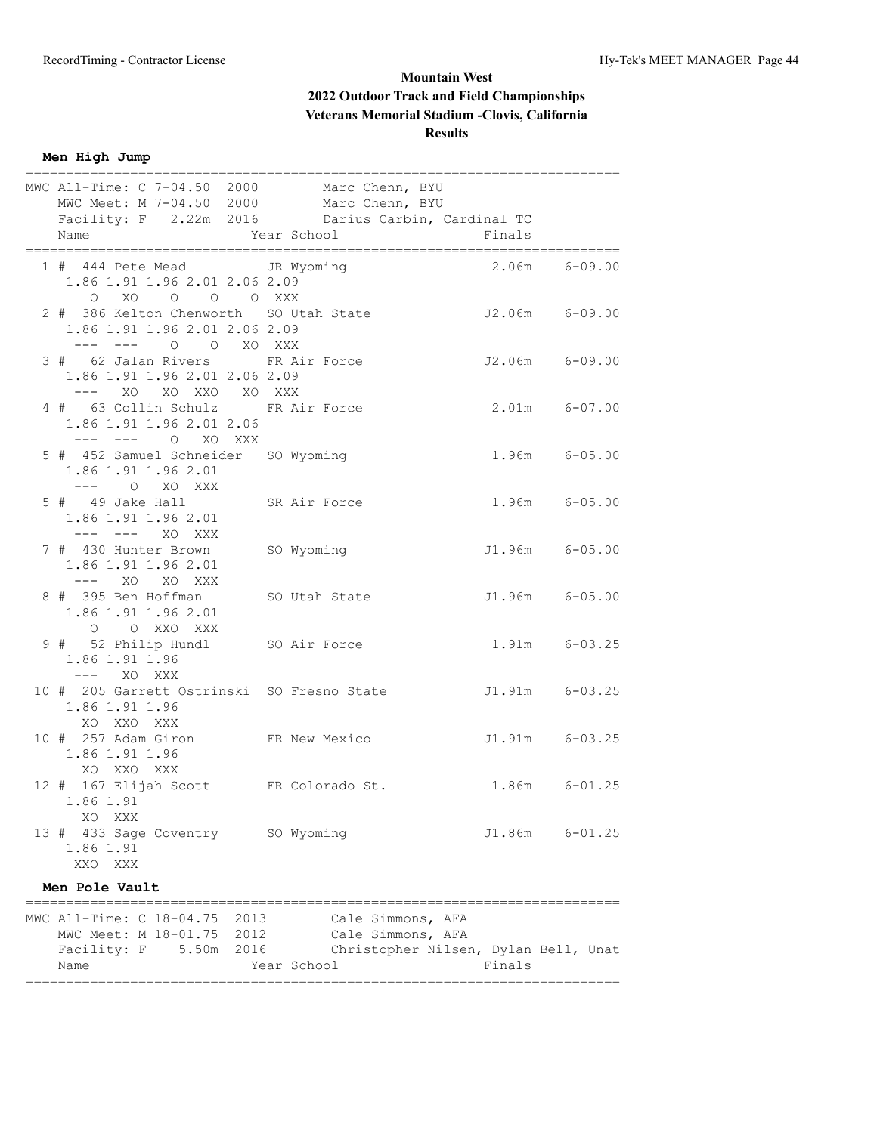**Men High Jump**

| MWC All-Time: C 7-04.50 2000 Marc Chenn, BYU<br>MWC Meet: M 7-04.50 2000 Marc Chenn, BYU                                       |                                                                                |                   |                    |
|--------------------------------------------------------------------------------------------------------------------------------|--------------------------------------------------------------------------------|-------------------|--------------------|
| Facility: F 2.22m 2016 Darius Carbin, Cardinal TC<br>Name                                                                      | Year School                                                                    | Finals            |                    |
| 1 # 444 Pete Mead JR Wyoming<br>1.86 1.91 1.96 2.01 2.06 2.09<br>O XO O O O XXX                                                |                                                                                |                   | $2.06m$ $6-09.00$  |
| 2 # 386 Kelton Chenworth SO Utah State 52.06m 6-09.00<br>1.86 1.91 1.96 2.01 2.06 2.09                                         |                                                                                |                   |                    |
| --- --- 0 0 XO XXX<br>3 # 62 Jalan Rivers FR Air Force 52.06m 6-09.00<br>1.86 1.91 1.96 2.01 2.06 2.09<br>--- XO XO XXO XO XXX |                                                                                |                   |                    |
| 4 # 63 Collin Schulz FR Air Force<br>1.86 1.91 1.96 2.01 2.06<br>--- --- 0 XO XXX                                              |                                                                                | $2.01m$ $6-07.00$ |                    |
| 5 # 452 Samuel Schneider SO Wyoming<br>1.86 1.91 1.96 2.01<br>$---$ 0 XO XXX                                                   |                                                                                |                   | $1.96m$ $6-05.00$  |
| 5 # 49 Jake Hall SR Air Force<br>1.86 1.91 1.96 2.01<br>--- --- XO XXX                                                         |                                                                                | $1.96m$ $6-05.00$ |                    |
| 7 # 430 Hunter Brown SO Wyoming<br>1.86 1.91 1.96 2.01<br>--- xo xo xxx                                                        |                                                                                |                   | J1.96m 6-05.00     |
| 8 # 395 Ben Hoffman SO Utah State 51.96m 6-05.00<br>1.86 1.91 1.96 2.01<br>O O XXO XXX                                         |                                                                                |                   |                    |
| 9 # 52 Philip Hundl SO Air Force<br>1.86 1.91 1.96<br>--- xo xxx                                                               |                                                                                | $1.91m$ $6-03.25$ |                    |
| 10 # 205 Garrett Ostrinski SO Fresno State<br>1.86 1.91 1.96<br>XO XXO XXX                                                     |                                                                                |                   | J1.91m 6-03.25     |
| 10 # 257 Adam Giron FR New Mexico<br>1.86 1.91 1.96<br>XO XXO XXX                                                              |                                                                                |                   | J1.91m 6-03.25     |
| 12 # 167 Elijah Scott FR Colorado St. 1.86m 6-01.25<br>1.86 1.91<br>XO.<br>XXX                                                 |                                                                                |                   |                    |
| 13 # 433 Sage Coventry SO Wyoming<br>1.86 1.91<br>XXO<br>XXX                                                                   |                                                                                |                   | $J1.86m$ $6-01.25$ |
| Men Pole Vault                                                                                                                 |                                                                                |                   |                    |
| MWC All-Time: C 18-04.75 2013<br>MWC Meet: M 18-01.75 2012<br>Facility: F 5.50m 2016                                           | Cale Simmons, AFA<br>Cale Simmons, AFA<br>Christopher Nilsen, Dylan Bell, Unat |                   |                    |
| Name                                                                                                                           | Year School                                                                    | Finals            |                    |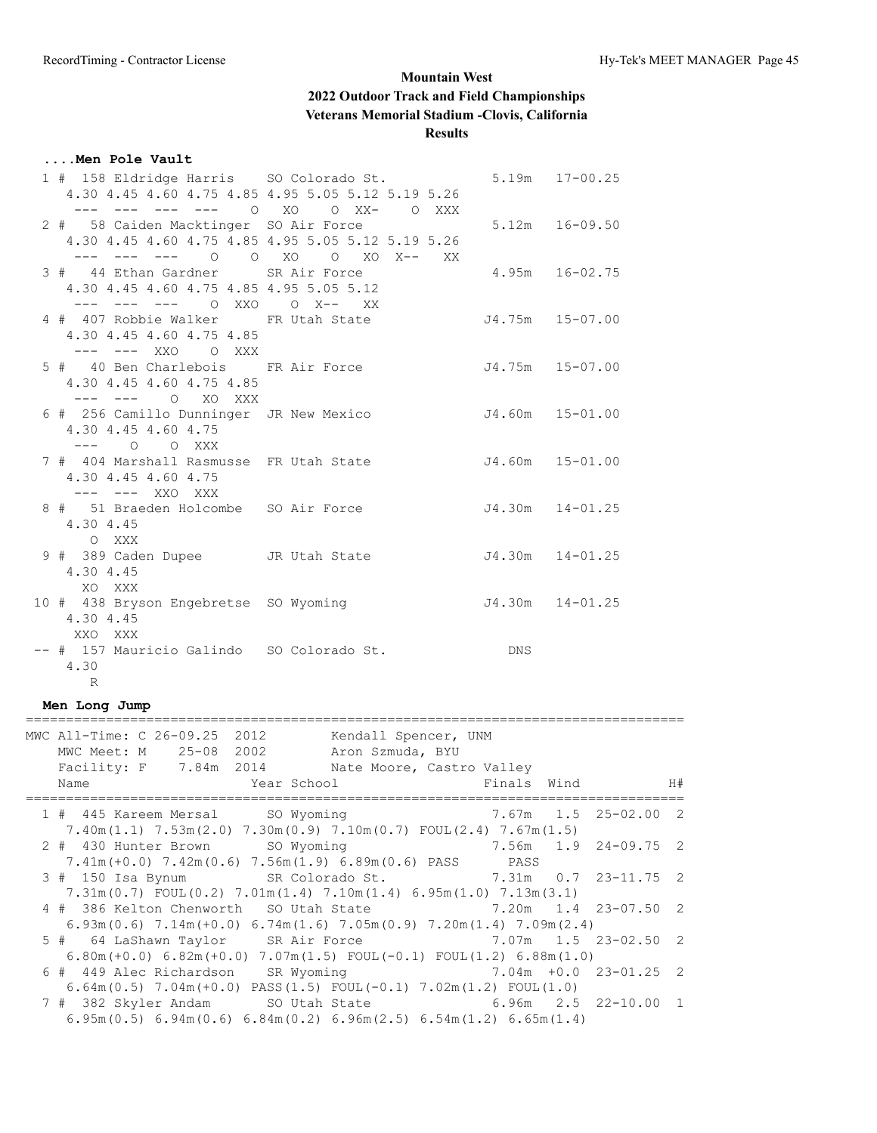#### **....Men Pole Vault**

| 1 # 158 Eldridge Harris SO Colorado St.   |                                                         | $5.19m$ $17-00.25$  |
|-------------------------------------------|---------------------------------------------------------|---------------------|
|                                           | 4.30 4.45 4.60 4.75 4.85 4.95 5.05 5.12 5.19 5.26       |                     |
|                                           | --- 0 XO 0 XX- 0 XXX                                    |                     |
| 2 # 58 Caiden Macktinger SO Air Force     |                                                         | $5.12m$ $16-09.50$  |
|                                           | 4.30 4.45 4.60 4.75 4.85 4.95 5.05 5.12 5.19 5.26       |                     |
|                                           | --- --- --- 0 0 X0 0 X0 X-- XX                          |                     |
| 3 # 44 Ethan Gardner SR Air Force         |                                                         | 4.95m 16-02.75      |
| 4.30 4.45 4.60 4.75 4.85 4.95 5.05 5.12   |                                                         |                     |
| --- --- --- 0 XXO 0 X-- XX                |                                                         |                     |
| 4 # 407 Robbie Walker FR Utah State       |                                                         | J4.75m 15-07.00     |
| 4.30 4.45 4.60 4.75 4.85                  |                                                         |                     |
| --- --- XXO O XXX                         |                                                         |                     |
|                                           | 5 # 40 Ben Charlebois FR Air Force 54.75m 15-07.00      |                     |
| 4.30 4.45 4.60 4.75 4.85                  |                                                         |                     |
| --- --- O XO XXX                          |                                                         |                     |
|                                           | 6 # 256 Camillo Dunninger JR New Mexico 54.60m 15-01.00 |                     |
| 4.30 4.45 4.60 4.75                       |                                                         |                     |
| $---$ 0 0 XXX                             |                                                         |                     |
|                                           | 7 # 404 Marshall Rasmusse FR Utah State 54.60m 15-01.00 |                     |
| 4.30 4.45 4.60 4.75                       |                                                         |                     |
| --- --- XXO XXX                           |                                                         |                     |
|                                           | 8 # 51 Braeden Holcombe SO Air Force 54.30m 14-01.25    |                     |
| 4.30 4.45                                 |                                                         |                     |
| O XXX                                     |                                                         |                     |
| 9 # 389 Caden Dupee JR Utah State         |                                                         | $J4.30m$ $14-01.25$ |
| 4.30 4.45                                 |                                                         |                     |
| XO XXX                                    |                                                         |                     |
| 10 # 438 Bryson Engebretse SO Wyoming     |                                                         | $J4.30m$ $14-01.25$ |
| 4.30 4.45                                 |                                                         |                     |
| XXO XXX                                   |                                                         |                     |
| -- # 157 Mauricio Galindo SO Colorado St. |                                                         | DNS                 |
| 4.30                                      |                                                         |                     |
|                                           |                                                         |                     |

## R

## **Men Long Jump**

| MWC All-Time: C 26-09.25 2012<br>MWC Meet: M 25-08 2002 Aron Szmuda, BYU<br>Facility: F 7.84m 2014 Nate Moore, Castro Valley<br>Name | Kendall Spencer, UNM<br><b>Example 2</b> Year School |                          | Finals Wind H# |
|--------------------------------------------------------------------------------------------------------------------------------------|------------------------------------------------------|--------------------------|----------------|
| 1 # 445 Kareem Mersal SO Wyoming 67.67m 1.5 25-02.00 2                                                                               |                                                      |                          |                |
| $7.40m(1.1)$ $7.53m(2.0)$ $7.30m(0.9)$ $7.10m(0.7)$ $FOUL(2.4)$ $7.67m(1.5)$                                                         |                                                      |                          |                |
| 2 # 430 Hunter Brown SO Wyoming                                                                                                      |                                                      | 7.56m  1.9  24-09.75  2  |                |
| $7.41m (+0.0)$ $7.42m (0.6)$ $7.56m (1.9)$ $6.89m (0.6)$ PASS PASS                                                                   |                                                      |                          |                |
| 3 # 150 Isa Bynum SR Colorado St. 7.31m 0.7 23-11.75 2                                                                               |                                                      |                          |                |
| $7.31m(0.7)$ FOUL $(0.2)$ $7.01m(1.4)$ $7.10m(1.4)$ $6.95m(1.0)$ $7.13m(3.1)$                                                        |                                                      |                          |                |
| 4 # 386 Kelton Chenworth SO Utah State 7.20m 1.4 23-07.50 2                                                                          |                                                      |                          |                |
| 6.93m(0.6) $7.14m(+0.0)$ 6.74m(1.6) $7.05m(0.9)$ 7.20m(1.4) $7.09m(2.4)$                                                             |                                                      |                          |                |
| 5 # 64 LaShawn Taylor SR Air Force 7.07m 1.5 23-02.50 2                                                                              |                                                      |                          |                |
| $6.80$ m(+0.0) $6.82$ m(+0.0) $7.07$ m(1.5) $FOUL(-0.1)$ $FOUL(1.2)$ $6.88$ m(1.0)                                                   |                                                      |                          |                |
| 6 # 449 Alec Richardson SR Wyoming                                                                                                   |                                                      | $7.04m + 0.0$ 23-01.25 2 |                |
| $6.64$ m $(0.5)$ 7.04m $(+0.0)$ PASS $(1.5)$ FOUL $(-0.1)$ 7.02m $(1.2)$ FOUL $(1.0)$                                                |                                                      |                          |                |
| 7 # 382 Skyler Andam SO Utah State 6.96m 2.5 22-10.00 1                                                                              |                                                      |                          |                |
| 6.95m (0.5) 6.94m (0.6) 6.84m (0.2) 6.96m (2.5) 6.54m (1.2) 6.65m (1.4)                                                              |                                                      |                          |                |
|                                                                                                                                      |                                                      |                          |                |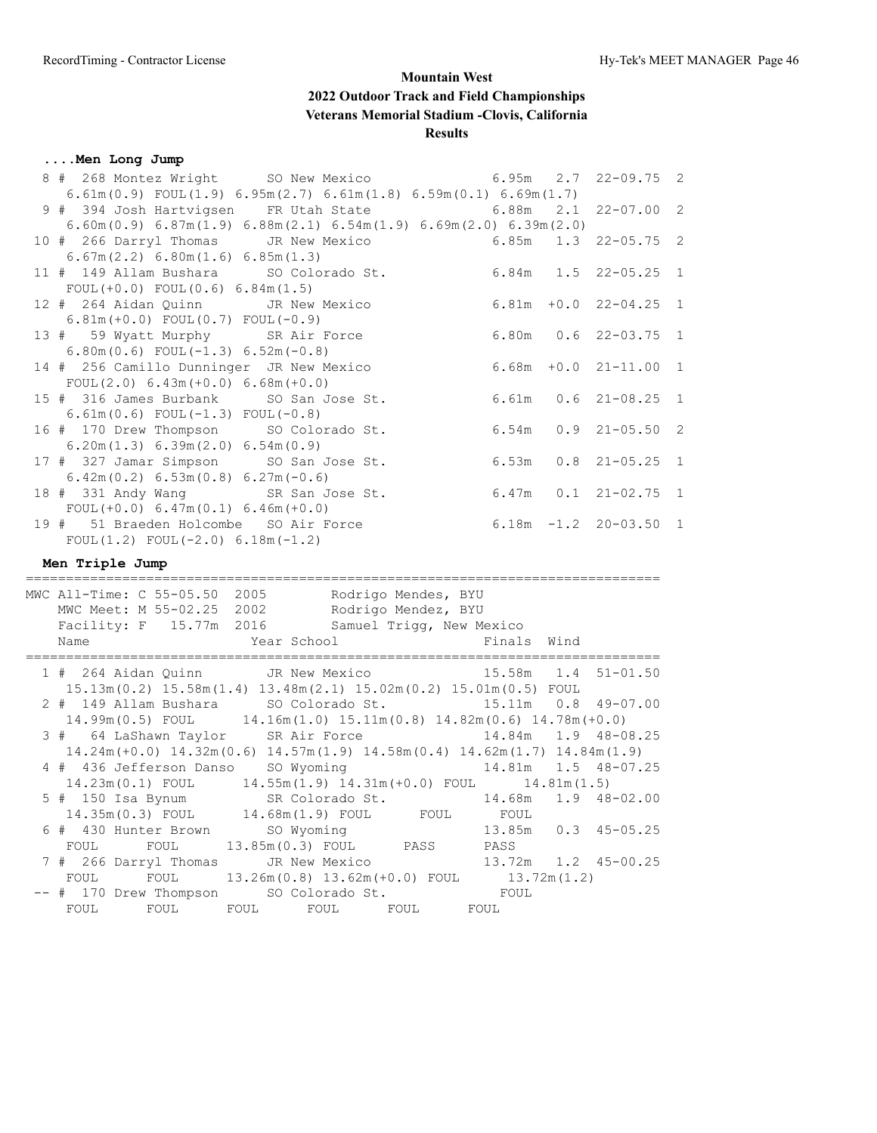## **....Men Long Jump**

| 8 # 268 Montez Wright SO New Mexico                                                                                                                                                                                                    | 6.95m        | 2.7 | $22 - 09.75$ 2             |                |
|----------------------------------------------------------------------------------------------------------------------------------------------------------------------------------------------------------------------------------------|--------------|-----|----------------------------|----------------|
| 6.61m (0.9) FOUL (1.9) 6.95m (2.7) 6.61m (1.8) 6.59m (0.1) 6.69m (1.7)                                                                                                                                                                 |              |     |                            |                |
| 9 # 394 Josh Hartvigsen FR Utah State                                                                                                                                                                                                  | 6.88m        | 2.1 | $22 - 07.00$ 2             |                |
| $6.60$ m $(0.9)$ $6.87$ m $(1.9)$ $6.88$ m $(2.1)$ $6.54$ m $(1.9)$ $6.69$ m $(2.0)$ $6.39$ m $(2.0)$                                                                                                                                  |              |     |                            |                |
| 10 # 266 Darryl Thomas JR New Mexico                                                                                                                                                                                                   | 6.85m        | 1.3 | $22 - 05.75$ 2             |                |
| 6.67m(2.2) 6.80m(1.6) 6.85m(1.3)                                                                                                                                                                                                       |              |     |                            |                |
| 11 # 149 Allam Bushara SO Colorado St.                                                                                                                                                                                                 |              |     | $6.84m$ $1.5$ $22-05.25$ 1 |                |
| FOUL $(+0.0)$ FOUL $(0.6)$ 6.84m $(1.5)$                                                                                                                                                                                               |              |     |                            |                |
| $6.81m + 0.0$ 22-04.25<br>12 # 264 Aidan Quinn<br>JR New Mexico                                                                                                                                                                        |              |     |                            | $\mathbf{1}$   |
| $6.81m (+0.0)$ FOUL $(0.7)$ FOUL $(-0.9)$                                                                                                                                                                                              |              |     |                            |                |
| 13 # 59 Wyatt Murphy SR Air Force                                                                                                                                                                                                      |              |     | $6.80m$ 0.6 22-03.75       | $\mathbf{1}$   |
| 6.80m (0.6) FOUL $(-1.3)$ 6.52m $(-0.8)$                                                                                                                                                                                               |              |     |                            |                |
| 14 # 256 Camillo Dunninger JR New Mexico                                                                                                                                                                                               |              |     | $6.68m + 0.0 21 - 11.00$   | $\mathbf{1}$   |
| FOUL $(2.0)$ 6.43m $(+0.0)$ 6.68m $(+0.0)$                                                                                                                                                                                             |              |     |                            |                |
| 15 # 316 James Burbank SO San Jose St.                                                                                                                                                                                                 |              |     | 6.61m  0.6  21-08.25  1    |                |
| $6.61m(0.6) FOUL(-1.3) FOUL(-0.8)$                                                                                                                                                                                                     |              |     |                            |                |
| 16 # 170 Drew Thompson SO Colorado St.                                                                                                                                                                                                 | 6.54m        |     | $0.9$ $21-05.50$           | $\overline{c}$ |
| 6.20m(1.3) 6.39m(2.0) 6.54m(0.9)                                                                                                                                                                                                       |              |     |                            |                |
| 6.53m<br>17 # 327 Jamar Simpson SO San Jose St.                                                                                                                                                                                        |              |     | $0.8$ 21-05.25 1           |                |
| $6.42m(0.2) 6.53m(0.8) 6.27m(-0.6)$                                                                                                                                                                                                    |              |     |                            |                |
| 18 # 331 Andy Wang SR San Jose St.                                                                                                                                                                                                     |              |     | $6.47m$ $0.1$ $21-02.75$ 1 |                |
| FOUL $(+0.0)$ 6.47m $(0.1)$ 6.46m $(+0.0)$                                                                                                                                                                                             |              |     |                            |                |
| $6.18m - 1.2 20 - 03.50 1$<br>19 # 51 Braeden Holcombe SO Air Force                                                                                                                                                                    |              |     |                            |                |
|                                                                                                                                                                                                                                        |              |     |                            |                |
|                                                                                                                                                                                                                                        |              |     |                            |                |
| FOUL $(1.2)$ FOUL $(-2.0)$ 6.18m $(-1.2)$                                                                                                                                                                                              |              |     |                            |                |
| Men Triple Jump                                                                                                                                                                                                                        |              |     |                            |                |
|                                                                                                                                                                                                                                        |              |     |                            |                |
| MWC All-Time: C 55-05.50 2005 Rodrigo Mendes, BYU                                                                                                                                                                                      |              |     |                            |                |
|                                                                                                                                                                                                                                        |              |     |                            |                |
| MWC Meet: M 55-02.25 2002 Rodrigo Mendez, BYU<br>Facility: F 15.77m 2016 Samuel Trigg, New Mexico                                                                                                                                      |              |     |                            |                |
| Year School<br>Name                                                                                                                                                                                                                    | Finals Wind  |     |                            |                |
|                                                                                                                                                                                                                                        |              |     |                            |                |
| JR New Mexico<br>1 # 264 Aidan Quinn                                                                                                                                                                                                   |              |     | $15.58m$ $1.4$ $51-01.50$  |                |
| $15.13m(0.2)$ $15.58m(1.4)$ $13.48m(2.1)$ $15.02m(0.2)$ $15.01m(0.5)$ FOUL                                                                                                                                                             |              |     |                            |                |
| 2 # 149 Allam Bushara SO Colorado St. 15.11m 0.8 49-07.00                                                                                                                                                                              |              |     |                            |                |
| $14.99\text{m}(0.5)$ FOUL $14.16\text{m}(1.0)$ $15.11\text{m}(0.8)$ $14.82\text{m}(0.6)$ $14.78\text{m}(+0.0)$                                                                                                                         |              |     |                            |                |
| 3 # 64 LaShawn Taylor SR Air Force                                                                                                                                                                                                     |              |     | 14.84m  1.9  48-08.25      |                |
| $14.24m (+0.0)$ $14.32m (0.6)$ $14.57m (1.9)$ $14.58m (0.4)$ $14.62m (1.7)$ $14.84m (1.9)$                                                                                                                                             |              |     |                            |                |
| 4 # 436 Jefferson Danso SO Wyoming 14.81m                                                                                                                                                                                              |              |     | 1.5 48-07.25               |                |
| $14.23m(0.1)$ FOUL $14.55m(1.9)$ $14.31m(+0.0)$ FOUL $14.81m(1.5)$                                                                                                                                                                     |              |     |                            |                |
| 5 # 150 Isa Bynum                                                                                                                                                                                                                      |              |     |                            |                |
|                                                                                                                                                                                                                                        |              |     |                            |                |
| 14.23m(0.1) FOUL 14.55m(1.5) 13.68m 1.9 48-02.00<br>14.35m(0.3) FOUL 14.68m 1.9 5R Colorado St. 14.68m 1.9 48-02.00<br>14.35m(0.3) FOUL 14.68m 1.9 FOUL FOUL FOUL<br>SO Wyoming 13.85m 0.3 45-05.25<br>6 # 430 Hunter Brown SO Wyoming |              |     |                            |                |
| FOUL 13.85m (0.3) FOUL PASS PASS<br>FOUL                                                                                                                                                                                               |              |     |                            |                |
| 7 # 266 Darryl Thomas<br>JR New Mexico                                                                                                                                                                                                 |              |     | 13.72m  1.2  45-00.25      |                |
| FOUL $13.26m(0.8)$ $13.62m(+0.0)$ FOUL $13.72m(1.2)$<br>FOUL                                                                                                                                                                           |              |     |                            |                |
| -- # 170 Drew Thompson SO Colorado St.<br>FOUL FOUL<br>FOUL<br>FOUL<br>FOUL                                                                                                                                                            | FOUL<br>FOUL |     |                            |                |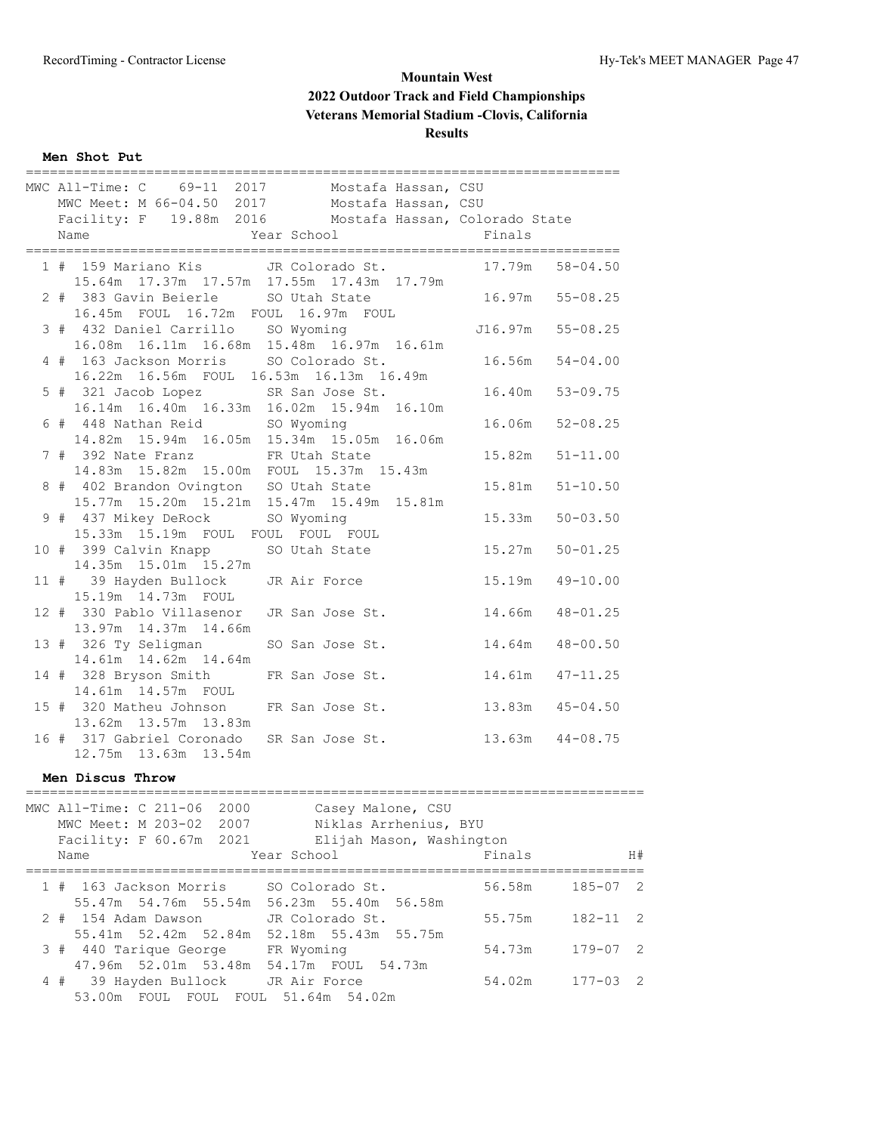#### **Men Shot Put**

|  | MWC All-Time: C 69-11 2017 Mostafa Hassan, CSU         |                 |                        |
|--|--------------------------------------------------------|-----------------|------------------------|
|  | MWC Meet: M 66-04.50 2017 Mostafa Hassan, CSU          |                 |                        |
|  | Facility: F 19.88m 2016 Mostafa Hassan, Colorado State |                 |                        |
|  |                                                        |                 |                        |
|  | 1 # 159 Mariano Kis JR Colorado St. 17.79m             |                 | $58 - 04.50$           |
|  | 15.64m  17.37m  17.57m  17.55m  17.43m  17.79m         |                 |                        |
|  | 2 # 383 Gavin Beierle SO Utah State 16.97m 55-08.25    |                 |                        |
|  | 16.45m FOUL 16.72m FOUL 16.97m FOUL                    |                 |                        |
|  | 3 # 432 Daniel Carrillo SO Wyoming                     |                 | J16.97m 55-08.25       |
|  | 16.08m  16.11m  16.68m  15.48m  16.97m  16.61m         |                 |                        |
|  | 4 # 163 Jackson Morris SO Colorado St. 16.56m          |                 | $54 - 04.00$           |
|  | 16.22m  16.56m  FOUL  16.53m  16.13m  16.49m           |                 |                        |
|  | 5 # 321 Jacob Lopez SR San Jose St. 16.40m 53-09.75    |                 |                        |
|  | 16.14m  16.40m  16.33m  16.02m  15.94m  16.10m         |                 |                        |
|  | 6 # 448 Nathan Reid SO Wyoming                         |                 | 16.06m 52-08.25        |
|  | 14.82m  15.94m  16.05m  15.34m  15.05m  16.06m         |                 |                        |
|  | 7 # 392 Nate Franz                                     | FR Utah State   | 15.82m<br>$51 - 11.00$ |
|  | 14.83m  15.82m  15.00m  FOUL  15.37m  15.43m           |                 |                        |
|  | 8 # 402 Brandon Ovington SO Utah State                 |                 | 15.81m<br>$51 - 10.50$ |
|  | 15.77m  15.20m  15.21m  15.47m  15.49m  15.81m         |                 |                        |
|  | 9 # 437 Mikey DeRock SO Wyoming                        |                 | 15.33m<br>$50 - 03.50$ |
|  | 15.33m 15.19m FOUL FOUL FOUL FOUL                      |                 |                        |
|  | 10 # 399 Calvin Knapp                                  | SO Utah State   | 15.27m<br>$50 - 01.25$ |
|  | 14.35m 15.01m 15.27m                                   |                 |                        |
|  | 11 # 39 Hayden Bullock JR Air Force                    |                 | 15.19m  49-10.00       |
|  | 15.19m  14.73m  FOUL                                   |                 |                        |
|  | 12 # 330 Pablo Villasenor                              | JR San Jose St. | 14.66m 48-01.25        |
|  | 13.97m 14.37m 14.66m                                   |                 |                        |
|  | 13 # 326 Ty Seligman                                   | SO San Jose St. | 14.64m 48-00.50        |
|  | 14.61m  14.62m  14.64m                                 |                 |                        |
|  | 14 # 328 Bryson Smith                                  | FR San Jose St. | 14.61m  47-11.25       |
|  | 14.61m 14.57m FOUL                                     |                 |                        |
|  | 15 # 320 Matheu Johnson FR San Jose St.                |                 | 13.83m 45-04.50        |
|  | 13.62m 13.57m 13.83m                                   |                 |                        |
|  | 16 # 317 Gabriel Coronado SR San Jose St.              |                 | $13.63m$ $44-08.75$    |
|  | 12.75m  13.63m  13.54m                                 |                 |                        |

#### **Men Discus Throw**

|  | Name | MWC All-Time: C 211-06 2000<br>MWC Meet: M 203-02 2007<br>Facility: F 60.67m 2021 | Year School | Casey Malone, CSU<br>Niklas Arrhenius, BYU<br>Elijah Mason, Washington | Finals |              | H# |
|--|------|-----------------------------------------------------------------------------------|-------------|------------------------------------------------------------------------|--------|--------------|----|
|  |      |                                                                                   |             |                                                                        |        |              |    |
|  |      |                                                                                   |             | 1 # 163 Jackson Morris SO Colorado St.                                 | 56.58m | 185-07 2     |    |
|  |      |                                                                                   |             | 55.47m 54.76m 55.54m 56.23m 55.40m 56.58m                              |        |              |    |
|  |      | 2 # 154 Adam Dawson                                                               |             | JR Colorado St.                                                        | 55.75m | $182 - 11$ 2 |    |
|  |      | 55.41m 52.42m 52.84m                                                              |             | 52.18m 55.43m 55.75m                                                   |        |              |    |
|  |      | 3 # 440 Tarique George FR Wyoming                                                 |             |                                                                        | 54.73m | $179 - 07$ 2 |    |
|  |      |                                                                                   |             | 47.96m 52.01m 53.48m 54.17m FOUL 54.73m                                |        |              |    |
|  |      | 4 # 39 Hayden Bullock JR Air Force                                                |             |                                                                        | 54.02m | $177 - 03$ 2 |    |
|  |      |                                                                                   |             |                                                                        |        |              |    |
|  |      |                                                                                   |             | 53.00m FOUL FOUL FOUL 51.64m 54.02m                                    |        |              |    |

=============================================================================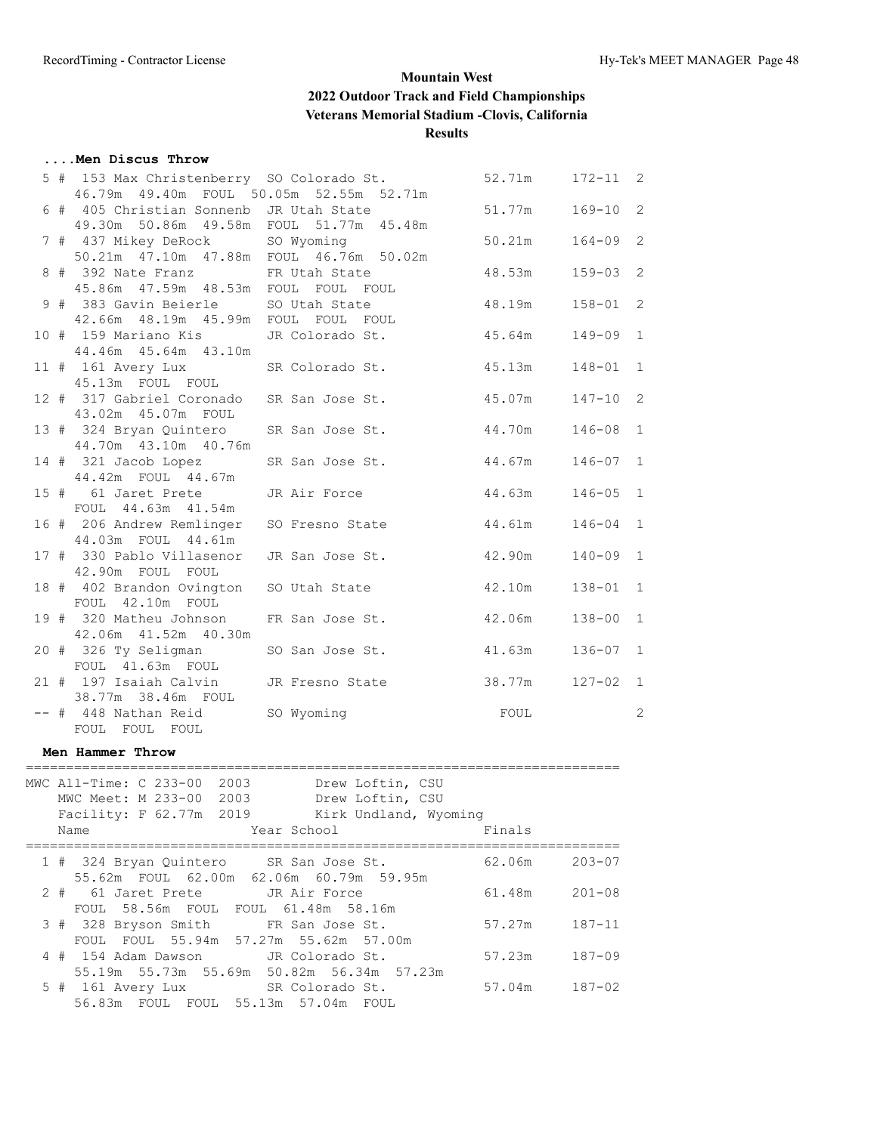## **....Men Discus Throw**

|  | 5 # 153 Max Christenberry SO Colorado St.    |                                                | 52.71m   172-11   2 |              |   |
|--|----------------------------------------------|------------------------------------------------|---------------------|--------------|---|
|  | 46.79m  49.40m  FOUL  50.05m  52.55m  52.71m |                                                |                     |              |   |
|  | 6 # 405 Christian Sonnenb JR Utah State      |                                                | 51.77m              | $169 - 10$ 2 |   |
|  | 49.30m 50.86m 49.58m FOUL 51.77m 45.48m      |                                                |                     |              |   |
|  | 7 # 437 Mikey DeRock SO Wyoming              |                                                | 50.21m              | $164 - 09$ 2 |   |
|  | 50.21m  47.10m  47.88m  FOUL  46.76m  50.02m |                                                |                     |              |   |
|  | 8 # 392 Nate Franz FR Utah State             |                                                | 48.53m              | $159 - 03$ 2 |   |
|  | 45.86m  47.59m  48.53m  FOUL  FOUL  FOUL     |                                                |                     |              |   |
|  | 9 # 383 Gavin Beierle SO Utah State          |                                                | 48.19m              | $158 - 01$ 2 |   |
|  | 42.66m  48.19m  45.99m  FOUL  FOUL  FOUL     |                                                |                     |              |   |
|  |                                              | 10 # 159 Mariano Kis JR Colorado St. 45.64m    |                     | $149 - 09$ 1 |   |
|  | 44.46m 45.64m 43.10m                         |                                                |                     |              |   |
|  |                                              | 11 # 161 Avery Lux SR Colorado St. 45.13m      |                     | $148 - 01$   | 1 |
|  | 45.13m FOUL FOUL                             |                                                |                     |              |   |
|  |                                              | 12 # 317 Gabriel Coronado SR San Jose St.      | 45.07m              | $147 - 10$ 2 |   |
|  | 43.02m  45.07m  FOUL                         |                                                |                     |              |   |
|  |                                              | 13 # 324 Bryan Quintero SR San Jose St. 44.70m |                     | $146 - 08$ 1 |   |
|  | 44.70m  43.10m  40.76m                       |                                                |                     |              |   |
|  | 14 # 321 Jacob Lopez                         | SR San Jose St. 44.67m                         |                     | $146 - 07$ 1 |   |
|  | 44.42m FOUL 44.67m                           |                                                |                     |              |   |
|  | 15 # 61 Jaret Prete JR Air Force             |                                                | 44.63m              | $146 - 05$ 1 |   |
|  | FOUL 44.63m 41.54m                           |                                                |                     |              |   |
|  | 16 # 206 Andrew Remlinger                    | SO Fresno State                                | 44.61m              | $146 - 04$ 1 |   |
|  | 44.03m FOUL 44.61m                           |                                                |                     |              |   |
|  | 17 # 330 Pablo Villasenor                    | JR San Jose St.                                | 42.90m              | $140 - 09$ 1 |   |
|  | 42.90m FOUL FOUL                             |                                                |                     |              |   |
|  | 18 # 402 Brandon Ovington SO Utah State      |                                                | 42.10m              | $138 - 01$ 1 |   |
|  | FOUL 42.10m FOUL                             |                                                |                     |              |   |
|  | 19 # 320 Matheu Johnson FR San Jose St.      |                                                | 42.06m              | $138 - 00$ 1 |   |
|  | 42.06m  41.52m  40.30m                       |                                                |                     |              |   |
|  | 20 # 326 Ty Seligman                         | SO San Jose St. 41.63m                         |                     | $136 - 07$ 1 |   |
|  | FOUL 41.63m FOUL                             |                                                |                     |              |   |
|  | 21 # 197 Isaiah Calvin JR Fresno State       |                                                | 38.77m              | $127 - 02$ 1 |   |
|  | 38.77m 38.46m FOUL                           |                                                |                     |              |   |
|  | -- # 448 Nathan Reid SO Wyoming              | FOUL                                           |                     |              | 2 |

#### **Men Hammer Throw**

FOUL FOUL FOUL

|      | MWC All-Time: C 233-00                    | 2003 |             | Drew Loftin, CSU      |        |                   |
|------|-------------------------------------------|------|-------------|-----------------------|--------|-------------------|
|      | MWC Meet: M 233-00 2003                   |      |             | Drew Loftin, CSU      |        |                   |
|      | Facility: F 62.77m 2019                   |      |             | Kirk Undland, Wyoming |        |                   |
| Name |                                           |      | Year School |                       | Finals |                   |
|      | 1 # 324 Bryan Quintero SR San Jose St.    |      |             |                       | 62.06m | $203 - 07$        |
|      | 55.62m FOUL 62.00m 62.06m 60.79m 59.95m   |      |             |                       |        |                   |
|      | 2 # 61 Jaret Prete JR Air Force           |      |             |                       | 61.48m | $201 - 08$        |
|      | FOUL 58.56m FOUL FOUL 61.48m 58.16m       |      |             |                       |        |                   |
|      | 3 # 328 Bryson Smith FR San Jose St.      |      |             |                       |        | 57.27m 187-11     |
|      | FOUL FOUL 55.94m 57.27m 55.62m 57.00m     |      |             |                       |        |                   |
|      | 4 # 154 Adam Dawson JR Colorado St.       |      |             |                       | 57.23m | $187 - 09$        |
|      | 55.19m 55.73m 55.69m 50.82m 56.34m 57.23m |      |             |                       |        |                   |
|      | 5 # 161 Avery Lux SR Colorado St.         |      |             |                       |        | $57.04m$ $187-02$ |
|      | 56.83m FOUL FOUL 55.13m 57.04m FOUL       |      |             |                       |        |                   |
|      |                                           |      |             |                       |        |                   |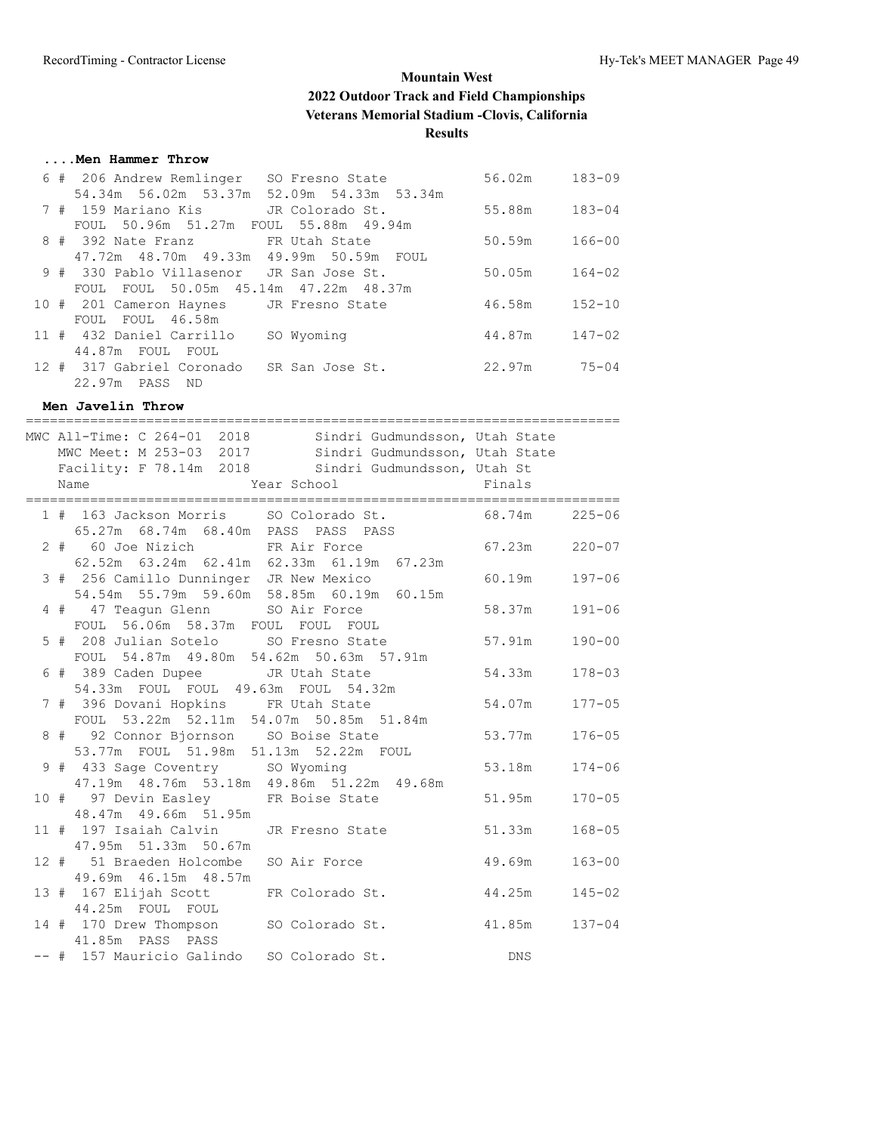## **....Men Hammer Throw**

|  | 6 # 206 Andrew Remlinger<br>SO Fresno State  | 56.02m | $183 - 09$ |
|--|----------------------------------------------|--------|------------|
|  | 54.34m 56.02m 53.37m<br>52.09m 54.33m 53.34m |        |            |
|  | 7 # 159 Mariano Kis<br>JR Colorado St.       | 55.88m | $183 - 04$ |
|  | FOUL 50.96m 51.27m FOUL 55.88m 49.94m        |        |            |
|  | 8 # 392 Nate Franz FR Utah State             | 50.59m | $166 - 00$ |
|  | 47.72m 48.70m 49.33m 49.99m 50.59m FOUL      |        |            |
|  | 9 # 330 Pablo Villasenor JR San Jose St.     | 50.05m | $164 - 02$ |
|  | FOUL 50.05m 45.14m 47.22m 48.37m<br>FOUL     |        |            |
|  | 10 # 201 Cameron Haynes JR Fresno State      | 46.58m | $152 - 10$ |
|  | FOUL FOUL 46.58m                             |        |            |
|  | 11 # 432 Daniel Carrillo<br>SO Wyoming       | 44.87m | $147 - 02$ |
|  | 44.87m FOUL FOUL                             |        |            |
|  | 12 # 317 Gabriel Coronado<br>SR San Jose St. | 22.97m | $75 - 04$  |
|  | 22.97m PASS<br>ND                            |        |            |

**Men Javelin Throw**

|  | MWC All-Time: C 264-01 2018 Sindri Gudmundsson, Utah State<br>MWC Meet: M 253-03 2017 Sindri Gudmundsson, Utah State<br>Facility: F 78.14m 2018 Sindri Gudmundsson, Utah St<br>Name<br>Year School | <b>Example 18</b> |            |
|--|----------------------------------------------------------------------------------------------------------------------------------------------------------------------------------------------------|-------------------|------------|
|  | 1 # 163 Jackson Morris SO Colorado St. 68.74m 225-06<br>65.27m 68.74m 68.40m PASS PASS PASS                                                                                                        |                   |            |
|  | 2 # 60 Joe Nizich FR Air Force<br>62.52m 63.24m 62.41m 62.33m 61.19m 67.23m                                                                                                                        | $67.23m$ $220-07$ |            |
|  | 3 # 256 Camillo Dunninger JR New Mexico<br>54.54m 55.79m 59.60m 58.85m 60.19m 60.15m                                                                                                               | 60.19m            | 197-06     |
|  | 4 # 47 Teagun Glenn SO Air Force<br>FOUL 56.06m 58.37m FOUL FOUL FOUL                                                                                                                              | 58.37m            | $191 - 06$ |
|  | 5 # 208 Julian Sotelo SO Fresno State 57.91m<br>FOUL 54.87m 49.80m 54.62m 50.63m 57.91m                                                                                                            |                   | $190 - 00$ |
|  | 6 # 389 Caden Dupee JR Utah State<br>54.33m  FOUL  FOUL  49.63m  FOUL  54.32m                                                                                                                      | 54.33m            | 178-03     |
|  | 7 # 396 Dovani Hopkins FR Utah State<br>FOUL 53.22m 52.11m 54.07m 50.85m 51.84m                                                                                                                    | 54.07m            | $177 - 05$ |
|  | 8 # 92 Connor Bjornson SO Boise State<br>53.77m FOUL 51.98m 51.13m 52.22m FOUL                                                                                                                     | 53.77m            | $176 - 05$ |
|  | 9 # 433 Sage Coventry SO Wyoming<br>47.19m  48.76m  53.18m  49.86m  51.22m  49.68m                                                                                                                 | 53.18m            | $174 - 06$ |
|  | 10 # 97 Devin Easley FR Boise State<br>48.47m 49.66m 51.95m                                                                                                                                        | 51.95m            | $170 - 05$ |
|  | 11 # 197 Isaiah Calvin JR Fresno State<br>47.95m 51.33m 50.67m                                                                                                                                     | 51.33m            | $168 - 05$ |
|  | 12 # 51 Braeden Holcombe SO Air Force<br>49.69m  46.15m  48.57m                                                                                                                                    | 49.69m            | $163 - 00$ |
|  | 13 # 167 Elijah Scott FR Colorado St. 44.25m<br>44.25m FOUL FOUL                                                                                                                                   |                   | $145 - 02$ |
|  | 14 # 170 Drew Thompson SO Colorado St. 41.85m<br>41.85m PASS PASS                                                                                                                                  |                   | $137 - 04$ |
|  | -- # 157 Mauricio Galindo SO Colorado St.                                                                                                                                                          | DNS               |            |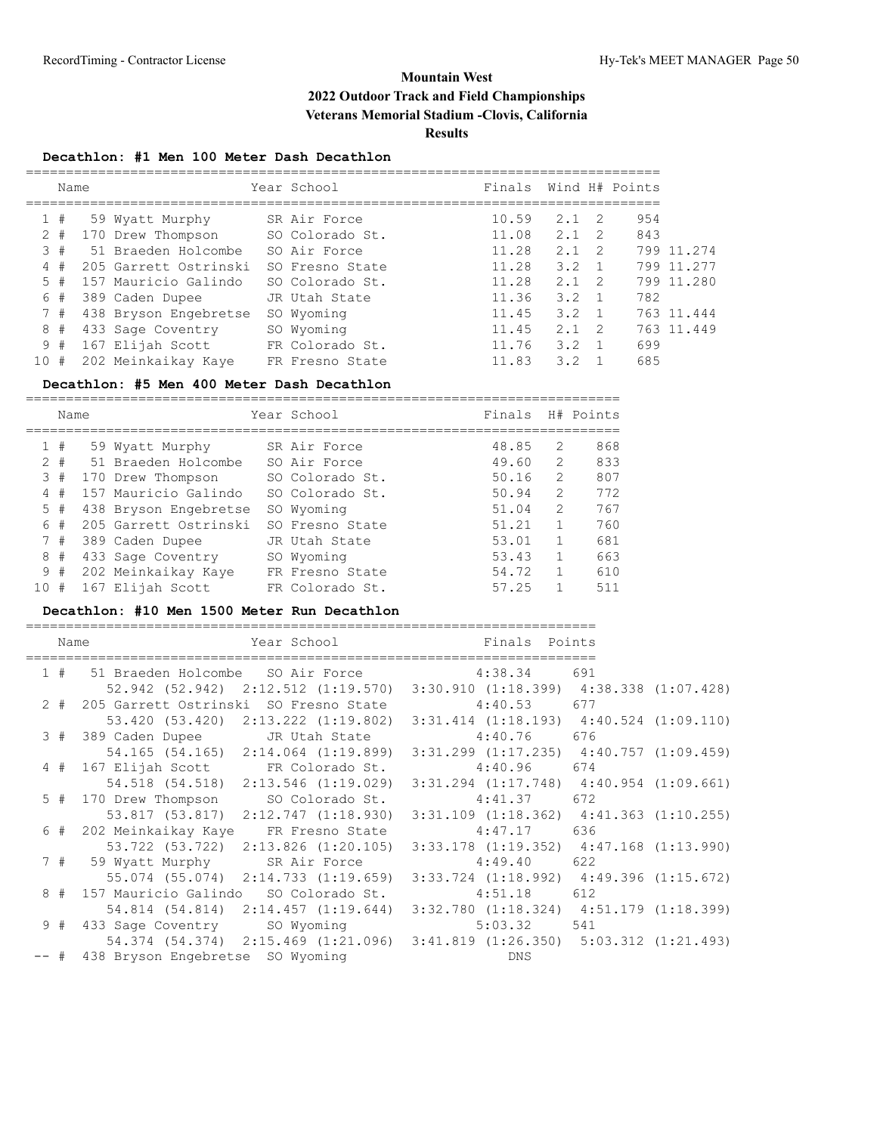#### **Decathlon: #1 Men 100 Meter Dash Decathlon**

|      | Name    |  |                       | Year School |                 | Finals |               |                | Wind H# Points |            |
|------|---------|--|-----------------------|-------------|-----------------|--------|---------------|----------------|----------------|------------|
|      |         |  |                       |             |                 |        |               |                |                |            |
|      | 1#      |  | 59 Wyatt Murphy       |             | SR Air Force    | 10.59  | $2.1 \quad 2$ |                | 954            |            |
|      | $^{\#}$ |  | 170 Drew Thompson     |             | SO Colorado St. | 11.08  | 2.1           | -2             | 843            |            |
|      | 3#      |  | 51 Braeden Holcombe   |             | SO Air Force    | 11.28  | 2.1           | $\overline{2}$ |                | 799 11.274 |
|      | 4#      |  | 205 Garrett Ostrinski |             | SO Fresno State | 11.28  | 3.2           |                |                | 799 11.277 |
|      | 5#      |  | 157 Mauricio Galindo  |             | SO Colorado St. | 11.28  | $2.1 \quad 2$ |                |                | 799 11.280 |
|      | 6#      |  | 389 Caden Dupee       |             | JR Utah State   | 11.36  | 3.2           | $\overline{1}$ | 782            |            |
|      | 7#      |  | 438 Bryson Engebretse |             | SO Wyoming      | 11.45  | $3.2 \quad 1$ |                |                | 763 11.444 |
|      | 8#      |  | 433 Sage Coventry     |             | SO Wyoming      | 11.45  | 2.1           | - 2            |                | 763 11.449 |
|      | 9#      |  | 167 Elijah Scott      |             | FR Colorado St. | 11.76  | 3.2           |                | 699            |            |
| 10 # |         |  | 202 Meinkaikay Kaye   |             | FR Fresno State | 11.83  | 32            |                | 685            |            |

#### **Decathlon: #5 Men 400 Meter Dash Decathlon**

|       | Name |                       | Year School     | Finals |               | H# Points |
|-------|------|-----------------------|-----------------|--------|---------------|-----------|
|       | 1#   | 59 Wyatt Murphy       | SR Air Force    | 48.85  | $\mathcal{L}$ | 868       |
| $2 +$ |      | 51 Braeden Holcombe   | SO Air Force    | 49.60  | $\mathcal{L}$ | 833       |
| 3     | #    | 170 Drew Thompson     | SO Colorado St. | 50.16  | $\mathcal{L}$ | 807       |
| 4     | #    | 157 Mauricio Galindo  | SO Colorado St. | 50.94  | $\mathcal{L}$ | 772       |
|       | 5#   | 438 Bryson Engebretse | SO Wyoming      | 51.04  | $\mathcal{L}$ | 767       |
|       | 6#   | 205 Garrett Ostrinski | SO Fresno State | 51.21  |               | 760       |
|       | 7#   | 389 Caden Dupee       | JR Utah State   | 53.01  |               | 681       |
| 8     | #    | 433 Sage Coventry     | SO Wyoming      | 53.43  |               | 663       |
|       | 9#   | 202 Meinkaikay Kaye   | FR Fresno State | 54.72  |               | 610       |
| 10    | #    | 167 Elijah Scott      | FR Colorado St. | 57.25  |               | 511       |
|       |      |                       |                 |        |               |           |

#### **Decathlon: #10 Men 1500 Meter Run Decathlon**

| Name | Year School and the School                                                  | Finals Points                                   |     |  |
|------|-----------------------------------------------------------------------------|-------------------------------------------------|-----|--|
|      | 1 # 51 Braeden Holcombe SO Air Force 4:38.34 691                            |                                                 |     |  |
|      | 52.942 (52.942) 2:12.512 (1:19.570) 3:30.910 (1:18.399) 4:38.338 (1:07.428) |                                                 |     |  |
|      | 2 # 205 Garrett Ostrinski SO Fresno State                                   | $4:40.53$ 677                                   |     |  |
|      | 53.420 (53.420) 2:13.222 (1:19.802) 3:31.414 (1:18.193) 4:40.524 (1:09.110) |                                                 |     |  |
|      | 3 # 389 Caden Dupee JR Utah State 4:40.76 676                               |                                                 |     |  |
|      | 54.165 (54.165) 2:14.064 (1:19.899) 3:31.299 (1:17.235) 4:40.757 (1:09.459) |                                                 |     |  |
|      | 4 # 167 Elijah Scott FR Colorado St.                                        | $4:40.96$ 674                                   |     |  |
|      | 54.518 (54.518) 2:13.546 (1:19.029) 3:31.294 (1:17.748) 4:40.954 (1:09.661) |                                                 |     |  |
|      | 5 # 170 Drew Thompson SO Colorado St. 4:41.37 672                           |                                                 |     |  |
|      | 53.817 (53.817) 2:12.747 (1:18.930) 3:31.109 (1:18.362) 4:41.363 (1:10.255) |                                                 |     |  |
|      | 6 # 202 Meinkaikay Kaye FR Fresno State                                     | $4:47.17$ 636                                   |     |  |
|      | 53.722 (53.722) 2:13.826 (1:20.105)                                         | $3:33.178$ $(1:19.352)$ $4:47.168$ $(1:13.990)$ |     |  |
|      | 7 # 59 Wyatt Murphy SR Air Force                                            | $4:49.40$ 622                                   |     |  |
|      | 55.074 (55.074) 2:14.733 (1:19.659) 3:33.724 (1:18.992) 4:49.396 (1:15.672) |                                                 |     |  |
|      | 8 # 157 Mauricio Galindo SO Colorado St.                                    | 4:51.18                                         | 612 |  |
|      | 54.814 (54.814) 2:14.457 (1:19.644) 3:32.780 (1:18.324) 4:51.179 (1:18.399) |                                                 |     |  |
|      | 9 # 433 Sage Coventry SO Wyoming                                            | $5:03.32$ 541                                   |     |  |
|      | 54.374 (54.374) 2:15.469 (1:21.096) 3:41.819 (1:26.350) 5:03.312 (1:21.493) |                                                 |     |  |
|      | -- # 438 Bryson Engebretse SO Wyoming                                       | DNS                                             |     |  |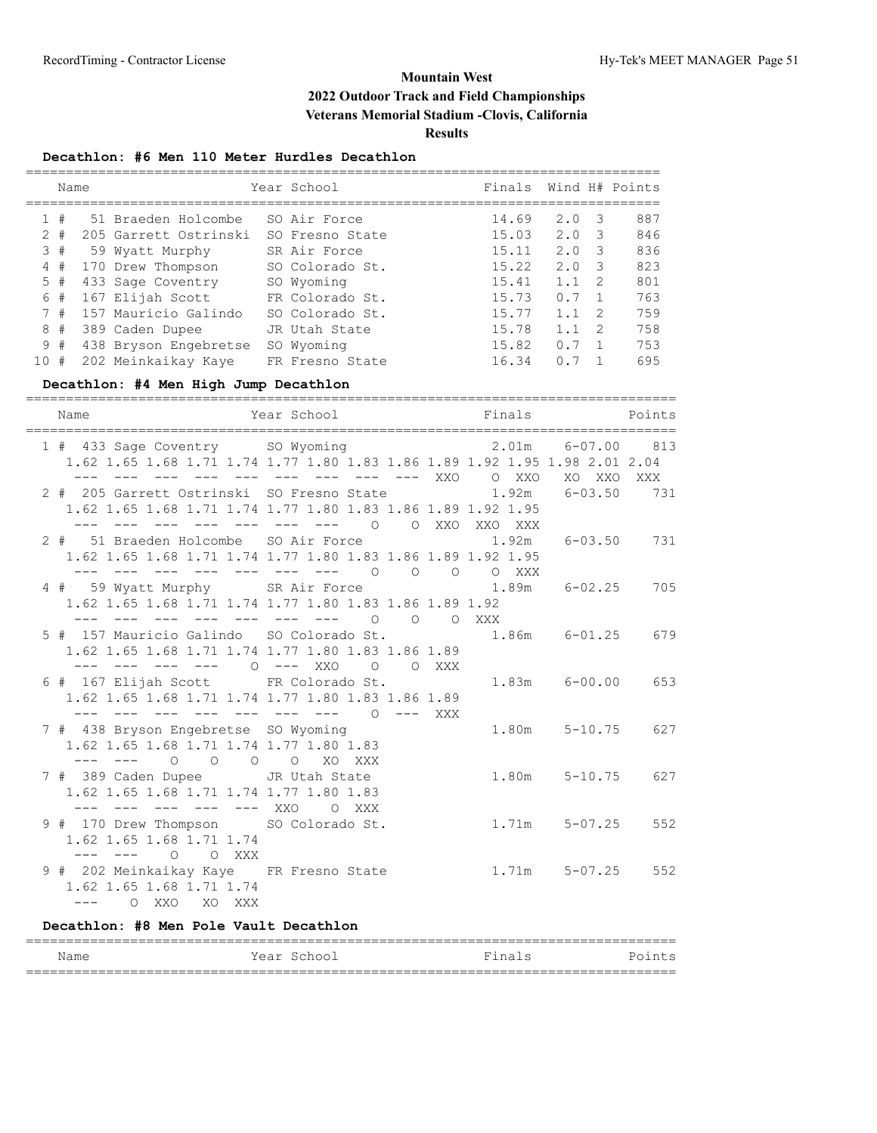#### **Decathlon: #6 Men 110 Meter Hurdles Decathlon**

|    | Name |                       | Year School     | Finals |             |    | Wind H# Points |
|----|------|-----------------------|-----------------|--------|-------------|----|----------------|
|    |      |                       |                 |        |             |    |                |
|    | 1#   | 51 Braeden Holcombe   | SO Air Force    | 14.69  | 2.0         | -3 | 887            |
| 2  | #    | 205 Garrett Ostrinski | SO Fresno State | 15.03  | 2.0         | -3 | 846            |
|    | 3#   | 59 Wyatt Murphy       | SR Air Force    | 15.11  | 2.0         | 3  | 836            |
| 4  | #    | 170 Drew Thompson     | SO Colorado St. | 15.22  | 2.0         | 3  | 823            |
|    | 5#   | 433 Sage Coventry     | SO Wyoming      | 15.41  | $1 \quad 1$ | -2 | 801            |
| 6  | #    | 167 Elijah Scott      | FR Colorado St. | 15.73  | 0.7         |    | 763            |
|    | 7#   | 157 Mauricio Galindo  | SO Colorado St. | 15.77  | 1 1         | -2 | 759            |
| 8  | #    | 389 Caden Dupee       | JR Utah State   | 15.78  | 1.1         | 2  | 758            |
|    | 9#   | 438 Bryson Engebretse | SO Wyoming      | 15.82  | 0.7         |    | 753            |
| 10 | #    | 202 Meinkaikay Kaye   | FR Fresno State | 16.34  |             |    | 695            |

## **Decathlon: #4 Men High Jump Decathlon**

| Name                                                                                                      | ==================<br>Year School Market Brings and Finals and Points                                                  |                       |     |
|-----------------------------------------------------------------------------------------------------------|------------------------------------------------------------------------------------------------------------------------|-----------------------|-----|
| 1 # 433 Sage Coventry SO Wyoming $2.01$ m 6-07.00 813                                                     | 1.62 1.65 1.68 1.71 1.74 1.77 1.80 1.83 1.86 1.89 1.92 1.95 1.98 2.01 2.04<br>--- --- --- --- --- --- --- --- XXO OXXO | XO XXO XXX            |     |
| 2 # 205 Garrett Ostrinski SO Fresno State 1.92m                                                           | 1.62 1.65 1.68 1.71 1.74 1.77 1.80 1.83 1.86 1.89 1.92 1.95<br>--- --- --- --- --- --- --- 0 0 XXO XXO XXX             | $6 - 03.50$           | 731 |
| 2 # 51 Braeden Holcombe SO Air Force 1.92m                                                                | 1.62 1.65 1.68 1.71 1.74 1.77 1.80 1.83 1.86 1.89 1.92 1.95<br>--- --- --- --- --- --- --- 0 0 0 0 XXX                 | $6 - 03.50$ 731       |     |
| 4 # 59 Wyatt Murphy SR Air Force 1.89m 6-02.25                                                            | 1.62 1.65 1.68 1.71 1.74 1.77 1.80 1.83 1.86 1.89 1.92<br>--- --- --- --- --- --- --- 0 0 0 XXX                        |                       | 705 |
| 5 # 157 Mauricio Galindo SO Colorado St. 1.86m 6-01.25                                                    | 1.62 1.65 1.68 1.71 1.74 1.77 1.80 1.83 1.86 1.89<br>--- --- --- --- 0 --- XX0 0 0 XXX                                 |                       | 679 |
| 6 # 167 Elijah Scott FR Colorado St.                                                                      | 1.62 1.65 1.68 1.71 1.74 1.77 1.80 1.83 1.86 1.89<br>--- --- --- --- --- --- --- 0 --- XXX                             | 1.83m 6-00.00 653     |     |
| 7 # 438 Bryson Engebretse SO Wyoming<br>1.62 1.65 1.68 1.71 1.74 1.77 1.80 1.83<br>--- --- 0 0 0 0 XO XXX |                                                                                                                        | $1.80m$ $5-10.75$     | 627 |
| 7 # 389 Caden Dupee JR Utah State<br>1.62 1.65 1.68 1.71 1.74 1.77 1.80 1.83<br>--- --- --- --- --- XXO   | O XXX                                                                                                                  | $1.80m$ $5-10.75$     | 627 |
| 9 # 170 Drew Thompson SO Colorado St.<br>1.62 1.65 1.68 1.71 1.74<br>--- --- 0 0 XXX                      |                                                                                                                        | $1.71m$ $5-07.25$ 552 |     |
| 9 # 202 Meinkaikay Kaye FR Fresno State 1.71m 5-07.25 552<br>1.62 1.65 1.68 1.71 1.74<br>--- 0 XXO XO XXX |                                                                                                                        |                       |     |

#### **Decathlon: #8 Men Pole Vault Decathlon**

| Name                     | Year<br>-Schoo | Finalc | Po<br>ن د بالله. |  |  |
|--------------------------|----------------|--------|------------------|--|--|
| __<br>__________________ |                |        |                  |  |  |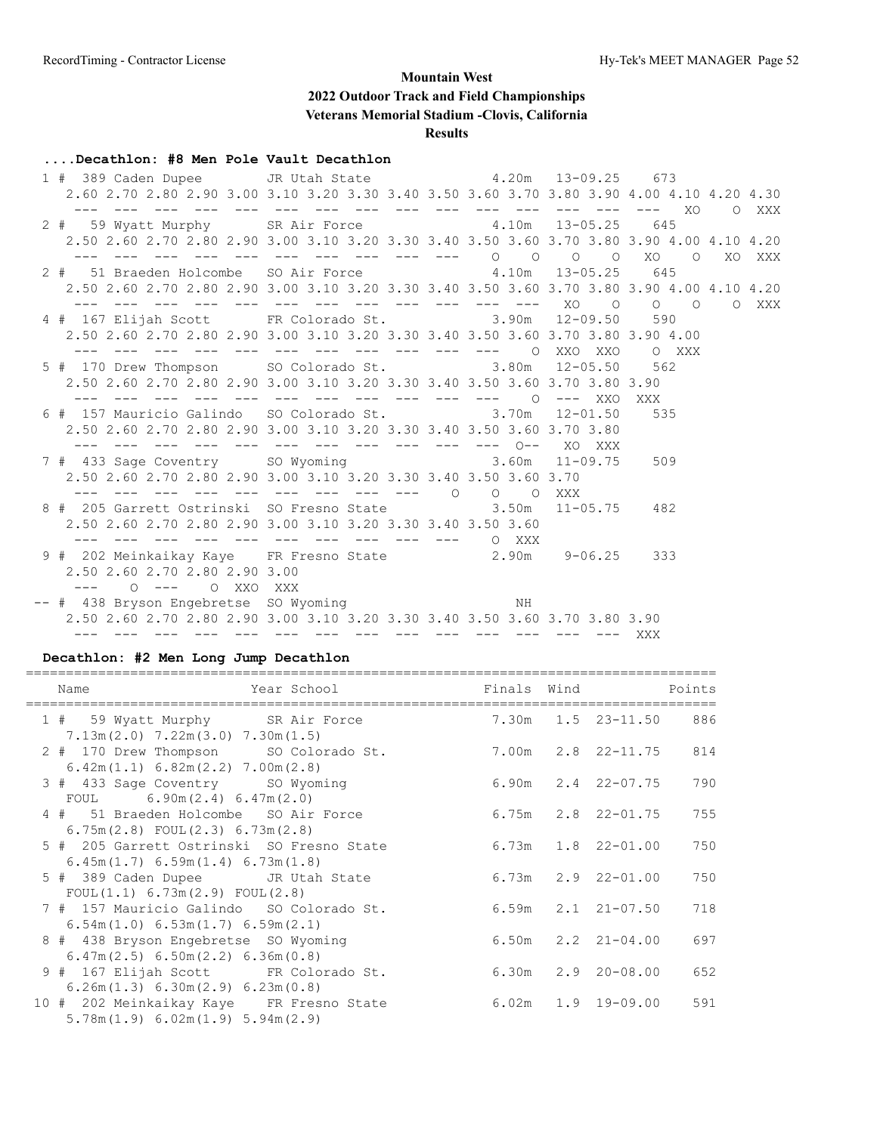#### **....Decathlon: #8 Men Pole Vault Decathlon**

 1 # 389 Caden Dupee JR Utah State 4.20m 13-09.25 673 2.60 2.70 2.80 2.90 3.00 3.10 3.20 3.30 3.40 3.50 3.60 3.70 3.80 3.90 4.00 4.10 4.20 4.30 --- --- --- --- --- --- --- --- --- --- --- --- --- --- --- XO O XXX 2 # 59 Wyatt Murphy SR Air Force 4.10m 13-05.25 645 2.50 2.60 2.70 2.80 2.90 3.00 3.10 3.20 3.30 3.40 3.50 3.60 3.70 3.80 3.90 4.00 4.10 4.20 --- --- --- --- --- --- --- --- --- --- O O O O XO O XO XXX 2 # 51 Braeden Holcombe SO Air Force 4.10m 13-05.25 645 2.50 2.60 2.70 2.80 2.90 3.00 3.10 3.20 3.30 3.40 3.50 3.60 3.70 3.80 3.90 4.00 4.10 4.20 --- --- --- --- --- --- --- --- --- --- --- --- XO O O O O XXX 4 # 167 Elijah Scott FR Colorado St. 3.90m 12-09.50 590 2.50 2.60 2.70 2.80 2.90 3.00 3.10 3.20 3.30 3.40 3.50 3.60 3.70 3.80 3.90 4.00 --- --- --- --- --- --- --- --- --- --- --- O XXO XXO O XXX 5 # 170 Drew Thompson SO Colorado St. 3.80m 12-05.50 562 2.50 2.60 2.70 2.80 2.90 3.00 3.10 3.20 3.30 3.40 3.50 3.60 3.70 3.80 3.90 --- --- --- --- --- --- --- --- --- --- --- O --- XXO XXX 6 # 157 Mauricio Galindo SO Colorado St. 3.70m 12-01.50 535 2.50 2.60 2.70 2.80 2.90 3.00 3.10 3.20 3.30 3.40 3.50 3.60 3.70 3.80 --- --- --- --- --- --- --- --- --- --- --- O-- XO XXX 7 # 433 Sage Coventry SO Wyoming 3.60m 11-09.75 509 2.50 2.60 2.70 2.80 2.90 3.00 3.10 3.20 3.30 3.40 3.50 3.60 3.70 --- --- --- --- --- --- --- --- --- O O O XXX 8 # 205 Garrett Ostrinski SO Fresno State 3.50m 11-05.75 482 2.50 2.60 2.70 2.80 2.90 3.00 3.10 3.20 3.30 3.40 3.50 3.60 --- --- --- --- --- --- --- --- --- --- O XXX 9 # 202 Meinkaikay Kaye FR Fresno State 2.90m 9-06.25 333 2.50 2.60 2.70 2.80 2.90 3.00 --- O --- O XXO XXX -- # 438 Bryson Engebretse SO Wyoming NH 2.50 2.60 2.70 2.80 2.90 3.00 3.10 3.20 3.30 3.40 3.50 3.60 3.70 3.80 3.90 --- --- --- --- --- --- --- --- --- --- --- --- --- --- XXX

#### **Decathlon: #2 Men Long Jump Decathlon**

| Name<br>Year School                                                            | Finals Wind |                          | Points |
|--------------------------------------------------------------------------------|-------------|--------------------------|--------|
| 1 # 59 Wyatt Murphy SR Air Force<br>$7.13m(2.0)$ $7.22m(3.0)$ $7.30m(1.5)$     |             | 7.30m 1.5 23-11.50 886   |        |
| 2 # 170 Drew Thompson SO Colorado St.<br>6.42m(1.1) 6.82m(2.2) 7.00m(2.8)      |             | 7.00m 2.8 22-11.75 814   |        |
| 3 # 433 Sage Coventry SO Wyoming<br>FOUL $6.90m(2.4) 6.47m(2.0)$               |             | $6.90m$ $2.4$ $22-07.75$ | 790    |
| 4 # 51 Braeden Holcombe SO Air Force<br>$6.75m(2.8)$ FOUL $(2.3)$ $6.73m(2.8)$ |             | $6.75m$ $2.8$ $22-01.75$ | 755    |
| 5 # 205 Garrett Ostrinski SO Fresno State<br>6.45m(1.7) 6.59m(1.4) 6.73m(1.8)  |             | $6.73m$ $1.8$ $22-01.00$ | 750    |
| 5 # 389 Caden Dupee JR Utah State<br>FOUL(1.1) 6.73m(2.9) FOUL(2.8)            |             | $6.73m$ $2.9$ $22-01.00$ | 750    |
| 7 # 157 Mauricio Galindo SO Colorado St.<br>6.54m(1.0) 6.53m(1.7) 6.59m(2.1)   |             | $6.59m$ $2.1$ $21-07.50$ | 718    |
| 8 # 438 Bryson Engebretse SO Wyoming<br>6.47m(2.5) 6.50m(2.2) 6.36m(0.8)       |             | $6.50m$ $2.2$ $21-04.00$ | 697    |
| 9 # 167 Elijah Scott FR Colorado St.<br>6.26m(1.3) 6.30m(2.9) 6.23m(0.8)       |             | $6.30m$ $2.9$ $20-08.00$ | 652    |
| 10 # 202 Meinkaikay Kaye FR Fresno State<br>5.78m(1.9) 6.02m(1.9) 5.94m(2.9)   |             | $6.02m$ $1.9$ $19-09.00$ | 591    |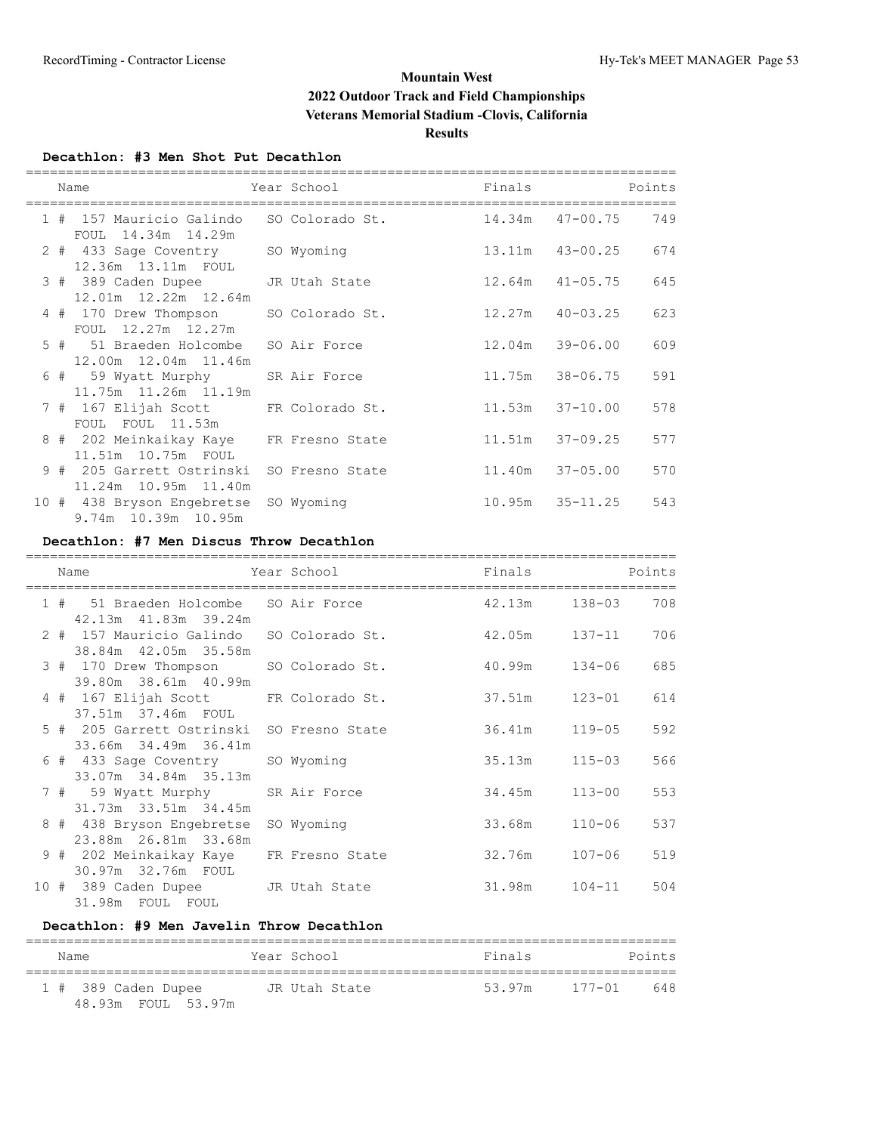#### **Decathlon: #3 Men Shot Put Decathlon**

|  | Name                                                          | Year School     | Finals              |                     | Points |
|--|---------------------------------------------------------------|-----------------|---------------------|---------------------|--------|
|  | 1 # 157 Mauricio Galindo<br>FOUL 14.34m 14.29m                | SO Colorado St. |                     | 14.34m  47-00.75    | 749    |
|  | 2 # 433 Sage Coventry<br>12.36m 13.11m FOUL                   | SO Wyoming      |                     | 13.11m  43-00.25    | 674    |
|  | 3 # 389 Caden Dupee<br>12.01m 12.22m 12.64m                   | JR Utah State   | $12.64m$ $41-05.75$ |                     | 645    |
|  | 4 # 170 Drew Thompson<br>FOUL 12.27m 12.27m                   | SO Colorado St. | $12.27m$ $40-03.25$ |                     | 623    |
|  | 5 # 51 Braeden Holcombe<br>12.00m 12.04m 11.46m               | SO Air Force    | 12.04m              | 39-06.00            | 609    |
|  | 6 # 59 Wyatt Murphy<br>11.75m 11.26m 11.19m                   | SR Air Force    | 11.75m 38-06.75     |                     | 591    |
|  | 7 # 167 Elijah Scott FR Colorado St.<br>FOUL FOUL 11.53m      |                 | $11.53m$ $37-10.00$ |                     | 578    |
|  | 8 # 202 Meinkaikay Kaye FR Fresno State<br>11.51m 10.75m FOUL |                 | $11.51m$ $37-09.25$ |                     | 577    |
|  | 9 # 205 Garrett Ostrinski<br>11.24m 10.95m 11.40m             | SO Fresno State | 11.40m              | 37-05.00            | 570    |
|  | 10 # 438 Bryson Engebretse<br>9.74m 10.39m 10.95m             | SO Wyoming      |                     | $10.95m$ $35-11.25$ | 543    |

## **Decathlon: #7 Men Discus Throw Decathlon**

|  | Name                                                              | Year School     | Finals            |            | Points |
|--|-------------------------------------------------------------------|-----------------|-------------------|------------|--------|
|  | 1 # 51 Braeden Holcombe SO Air Force<br>42.13m  41.83m  39.24m    |                 | 42.13m 138-03     |            | 708    |
|  | 2 # 157 Mauricio Galindo SO Colorado St.<br>38.84m 42.05m 35.58m  |                 | 42.05m  137-11    |            | 706    |
|  | 3 # 170 Drew Thompson<br>39.80m 38.61m 40.99m                     | SO Colorado St. | $40.99m$ $134-06$ |            | 685    |
|  | 4 # 167 Elijah Scott FR Colorado St.<br>37.51m 37.46m FOUL        |                 | 37.51m 123-01     |            | 614    |
|  | 5 # 205 Garrett Ostrinski SO Fresno State<br>33.66m 34.49m 36.41m |                 | 36.41m 119-05     |            | 592    |
|  | 6 # 433 Sage Coventry<br>33.07m 34.84m 35.13m                     | SO Wyoming      | 35.13m            | $115 - 03$ | 566    |
|  | 7 # 59 Wyatt Murphy SR Air Force<br>31.73m 33.51m 34.45m          |                 | 34.45m 113-00     |            | 553    |
|  | 8 # 438 Bryson Engebretse<br>23.88m  26.81m  33.68m               | SO Wyoming      | 33.68m            | $110 - 06$ | 537    |
|  | 9 # 202 Meinkaikay Kaye FR Fresno State<br>30.97m 32.76m FOUL     |                 | 32.76m 107-06     |            | 519    |
|  | 10 # 389 Caden Dupee JR Utah State<br>31.98m FOUL FOUL            |                 | 31.98m 104-11     |            | 504    |

#### **Decathlon: #9 Men Javelin Throw Decathlon**

| Name                | Year School   | Finals | Points            |
|---------------------|---------------|--------|-------------------|
| 1 # 389 Caden Dupee | JR Utah State | 53.97m | $177 - 01$<br>648 |
| 48.93m FOUL 53.97m  |               |        |                   |